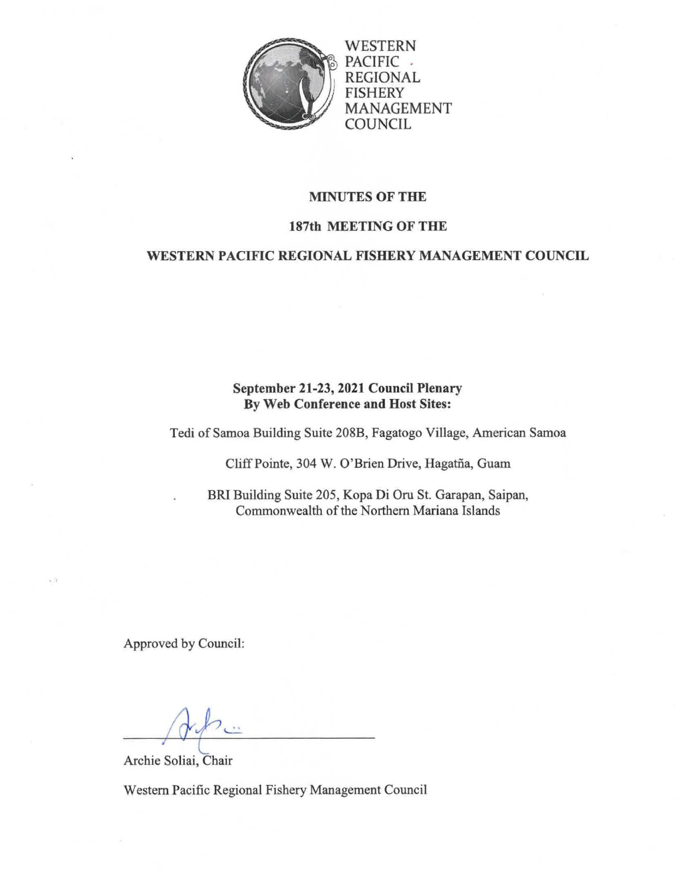

WESTERN PACIFIC . REGIONAL FISHERY MANAGEMENT **COUNCIL** 

## MINUTES OF THE

### 187th MEETING OF THE

## WESTERN PACIFIC REGIONAL FISHERY MANAGEMENT COUNCIL

# September 21-23, 2021 Council Plenary By Web Conference and Host Sites:

Tedi of Samoa Building Suite 208B, Fagatogo Village, American Samoa

Cliff Pointe, 304 W. O'Brien Drive, Hagatña, Guam

BRI Building Suite 205, Kopa Di Oru St. Garapan, Saipan, Commonwealth of the Northern Mariana Islands

Approved by Council:

Archie Soliai, Chair

Western Pacific Regional Fishery Management Council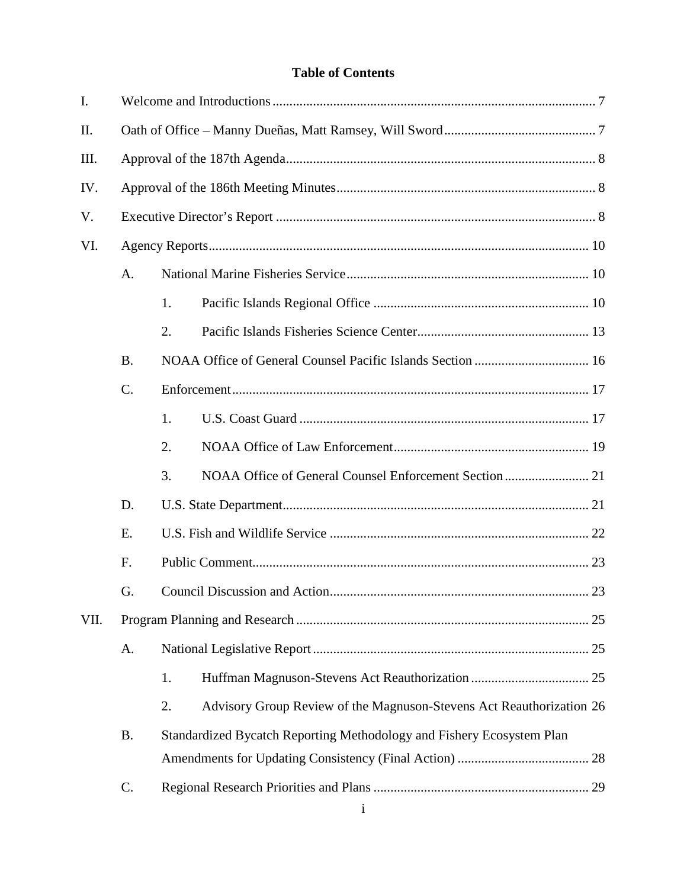# **Table of Contents**

| Ι.   |           |    |                                                                       |  |  |  |
|------|-----------|----|-----------------------------------------------------------------------|--|--|--|
| II.  |           |    |                                                                       |  |  |  |
| III. |           |    |                                                                       |  |  |  |
| IV.  |           |    |                                                                       |  |  |  |
| V.   |           |    |                                                                       |  |  |  |
| VI.  |           |    |                                                                       |  |  |  |
| A.   |           |    |                                                                       |  |  |  |
|      |           | 1. |                                                                       |  |  |  |
|      |           | 2. |                                                                       |  |  |  |
|      | <b>B.</b> |    |                                                                       |  |  |  |
|      | C.        |    |                                                                       |  |  |  |
|      |           | 1. |                                                                       |  |  |  |
|      |           | 2. |                                                                       |  |  |  |
|      |           | 3. |                                                                       |  |  |  |
|      | D.        |    |                                                                       |  |  |  |
|      | E.        |    |                                                                       |  |  |  |
|      | F.        |    |                                                                       |  |  |  |
|      | G.        |    |                                                                       |  |  |  |
| VII. |           |    |                                                                       |  |  |  |
|      | A.        |    |                                                                       |  |  |  |
|      |           | 1. |                                                                       |  |  |  |
|      |           | 2. | Advisory Group Review of the Magnuson-Stevens Act Reauthorization 26  |  |  |  |
|      | <b>B.</b> |    | Standardized Bycatch Reporting Methodology and Fishery Ecosystem Plan |  |  |  |
|      |           |    |                                                                       |  |  |  |
|      | C.        |    |                                                                       |  |  |  |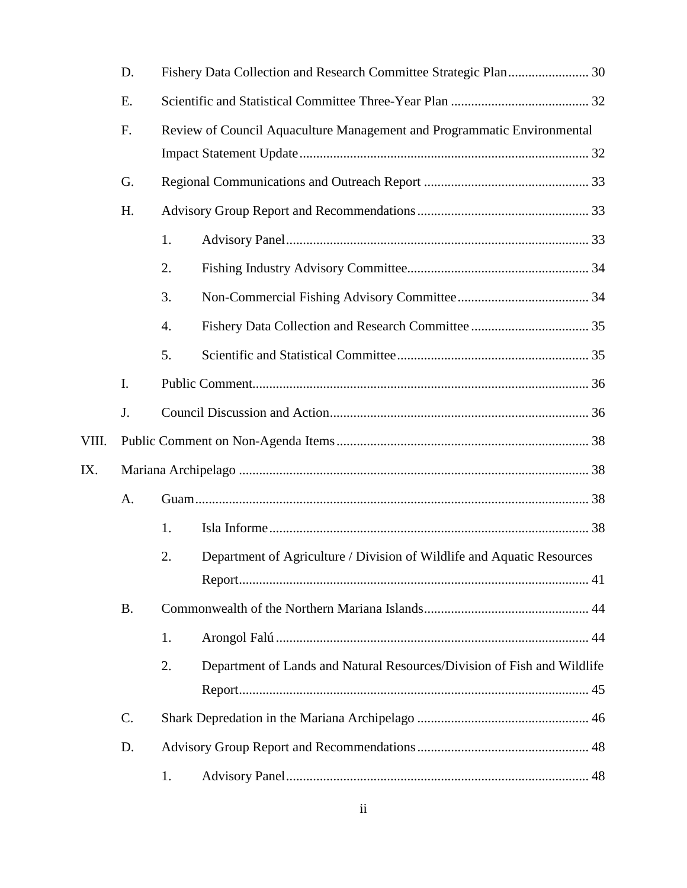|       | D.        |                                                                         |                                                                         |  |  |
|-------|-----------|-------------------------------------------------------------------------|-------------------------------------------------------------------------|--|--|
|       | E.        |                                                                         |                                                                         |  |  |
|       | F.        | Review of Council Aquaculture Management and Programmatic Environmental |                                                                         |  |  |
|       | G.        |                                                                         |                                                                         |  |  |
|       | H.        |                                                                         |                                                                         |  |  |
|       |           | 1.                                                                      |                                                                         |  |  |
|       |           | 2.                                                                      |                                                                         |  |  |
|       |           | 3.                                                                      |                                                                         |  |  |
|       |           | 4.                                                                      |                                                                         |  |  |
|       |           | 5.                                                                      |                                                                         |  |  |
|       | I.        |                                                                         |                                                                         |  |  |
|       | J.        |                                                                         |                                                                         |  |  |
| VIII. |           |                                                                         |                                                                         |  |  |
|       |           |                                                                         |                                                                         |  |  |
| IX.   |           |                                                                         |                                                                         |  |  |
|       | A.        |                                                                         |                                                                         |  |  |
|       |           | 1.                                                                      |                                                                         |  |  |
|       |           | 2.                                                                      | Department of Agriculture / Division of Wildlife and Aquatic Resources  |  |  |
|       |           |                                                                         |                                                                         |  |  |
|       | <b>B.</b> |                                                                         |                                                                         |  |  |
|       |           | 1.                                                                      |                                                                         |  |  |
|       |           | 2.                                                                      | Department of Lands and Natural Resources/Division of Fish and Wildlife |  |  |
|       | C.        |                                                                         |                                                                         |  |  |
|       | D.        |                                                                         |                                                                         |  |  |
|       |           | 1.                                                                      |                                                                         |  |  |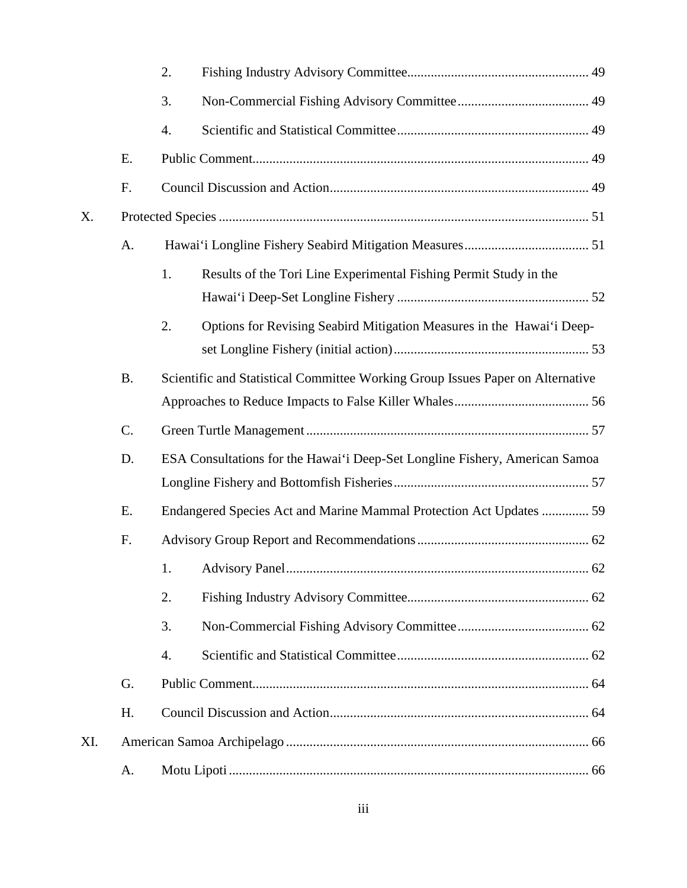|     |           | 2.                                                                             |  |  |  |
|-----|-----------|--------------------------------------------------------------------------------|--|--|--|
|     |           | 3.                                                                             |  |  |  |
|     |           | 4.                                                                             |  |  |  |
|     | E.        |                                                                                |  |  |  |
|     | F.        |                                                                                |  |  |  |
| X.  |           |                                                                                |  |  |  |
|     | A.        |                                                                                |  |  |  |
|     |           | 1.<br>Results of the Tori Line Experimental Fishing Permit Study in the        |  |  |  |
|     |           |                                                                                |  |  |  |
|     |           | 2.<br>Options for Revising Seabird Mitigation Measures in the Hawai'i Deep-    |  |  |  |
|     | <b>B.</b> | Scientific and Statistical Committee Working Group Issues Paper on Alternative |  |  |  |
|     |           |                                                                                |  |  |  |
|     | C.        |                                                                                |  |  |  |
|     | D.        | ESA Consultations for the Hawai'i Deep-Set Longline Fishery, American Samoa    |  |  |  |
|     |           |                                                                                |  |  |  |
|     | E.        | Endangered Species Act and Marine Mammal Protection Act Updates  59            |  |  |  |
|     | F.        |                                                                                |  |  |  |
|     |           | 1.                                                                             |  |  |  |
|     |           | 2.                                                                             |  |  |  |
|     |           | 3.                                                                             |  |  |  |
|     |           | 4.                                                                             |  |  |  |
|     | G.        |                                                                                |  |  |  |
|     | H.        |                                                                                |  |  |  |
| XI. |           |                                                                                |  |  |  |
|     | A.        |                                                                                |  |  |  |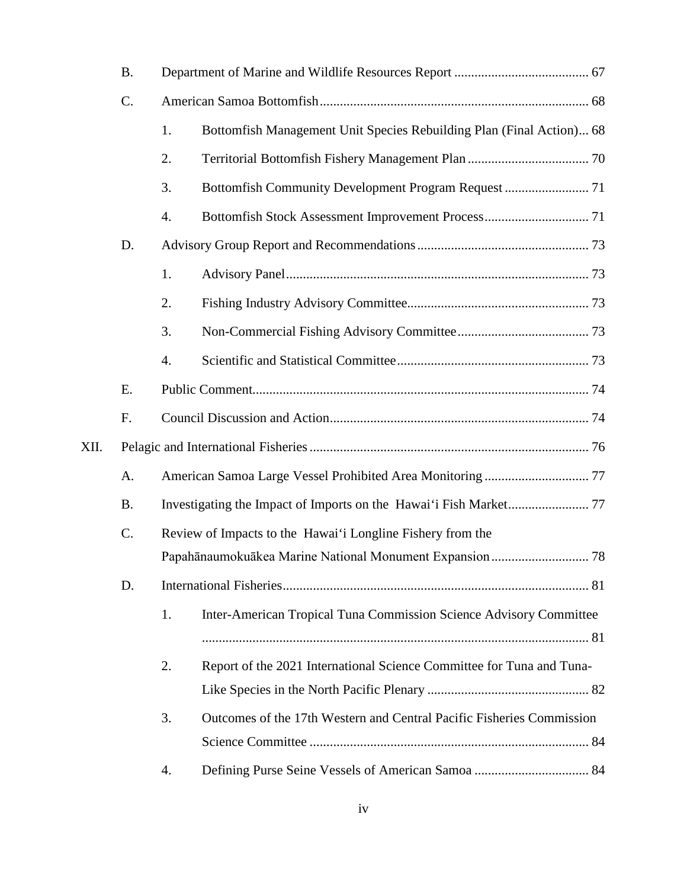| <b>B.</b> |                                                            |                                                                       |                                                                       |
|-----------|------------------------------------------------------------|-----------------------------------------------------------------------|-----------------------------------------------------------------------|
| C.        |                                                            |                                                                       |                                                                       |
|           | 1.                                                         | Bottomfish Management Unit Species Rebuilding Plan (Final Action) 68  |                                                                       |
|           | 2.                                                         |                                                                       |                                                                       |
|           | 3.                                                         |                                                                       |                                                                       |
|           | 4.                                                         |                                                                       |                                                                       |
| D.        |                                                            |                                                                       |                                                                       |
|           | 1.                                                         |                                                                       |                                                                       |
|           | 2.                                                         |                                                                       |                                                                       |
|           | 3.                                                         |                                                                       |                                                                       |
|           | 4.                                                         |                                                                       |                                                                       |
| E.        |                                                            |                                                                       |                                                                       |
| F.        |                                                            |                                                                       |                                                                       |
|           |                                                            |                                                                       |                                                                       |
| A.        |                                                            |                                                                       |                                                                       |
| <b>B.</b> |                                                            |                                                                       |                                                                       |
| C.        | Review of Impacts to the Hawai'i Longline Fishery from the |                                                                       |                                                                       |
|           |                                                            |                                                                       |                                                                       |
| D.        |                                                            |                                                                       |                                                                       |
|           | 1.                                                         | Inter-American Tropical Tuna Commission Science Advisory Committee    |                                                                       |
|           |                                                            |                                                                       |                                                                       |
|           |                                                            |                                                                       |                                                                       |
|           |                                                            |                                                                       |                                                                       |
|           | 3.                                                         | Outcomes of the 17th Western and Central Pacific Fisheries Commission |                                                                       |
|           | 4.                                                         |                                                                       |                                                                       |
|           |                                                            | 2.                                                                    | Report of the 2021 International Science Committee for Tuna and Tuna- |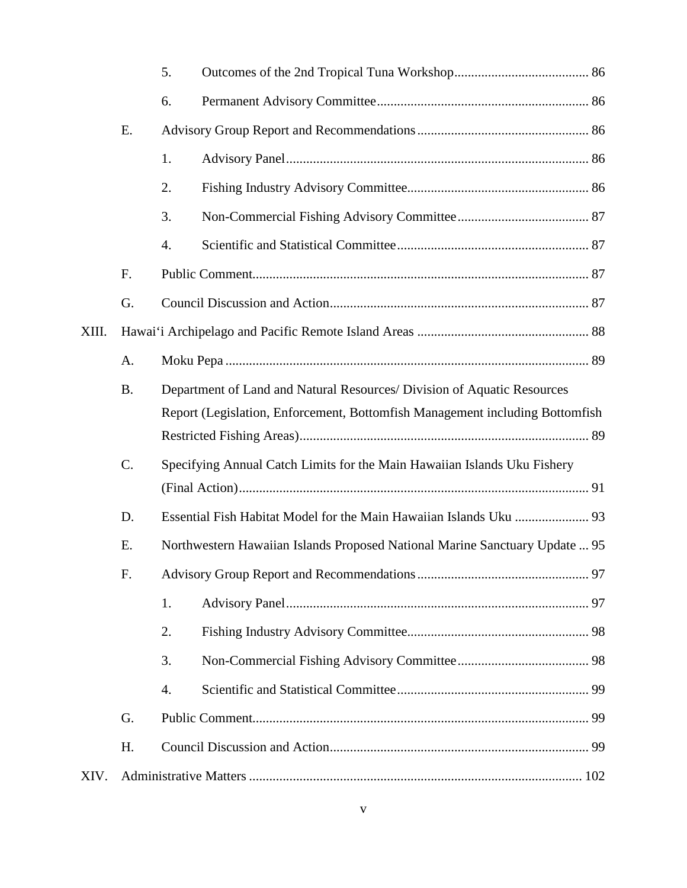|       |           | 5.                                                                          |                                                                              |  |  |
|-------|-----------|-----------------------------------------------------------------------------|------------------------------------------------------------------------------|--|--|
|       |           | 6.                                                                          |                                                                              |  |  |
|       | Ε.        |                                                                             |                                                                              |  |  |
|       |           | 1.                                                                          |                                                                              |  |  |
|       |           | 2.                                                                          |                                                                              |  |  |
|       |           | 3.                                                                          |                                                                              |  |  |
|       |           | 4.                                                                          |                                                                              |  |  |
|       | F.        |                                                                             |                                                                              |  |  |
|       | G.        |                                                                             |                                                                              |  |  |
| XIII. |           |                                                                             |                                                                              |  |  |
|       | A.        |                                                                             |                                                                              |  |  |
|       | <b>B.</b> |                                                                             | Department of Land and Natural Resources/ Division of Aquatic Resources      |  |  |
|       |           |                                                                             | Report (Legislation, Enforcement, Bottomfish Management including Bottomfish |  |  |
|       |           |                                                                             |                                                                              |  |  |
|       | C.        |                                                                             | Specifying Annual Catch Limits for the Main Hawaiian Islands Uku Fishery     |  |  |
|       |           |                                                                             |                                                                              |  |  |
|       | D.        |                                                                             |                                                                              |  |  |
|       | Ε.        | Northwestern Hawaiian Islands Proposed National Marine Sanctuary Update  95 |                                                                              |  |  |
|       | F.        |                                                                             |                                                                              |  |  |
|       |           | 1.                                                                          |                                                                              |  |  |
|       |           | 2.                                                                          |                                                                              |  |  |
|       |           | 3.                                                                          |                                                                              |  |  |
|       |           | 4.                                                                          |                                                                              |  |  |
|       | G.        |                                                                             |                                                                              |  |  |
|       | H.        |                                                                             |                                                                              |  |  |
| XIV.  |           |                                                                             |                                                                              |  |  |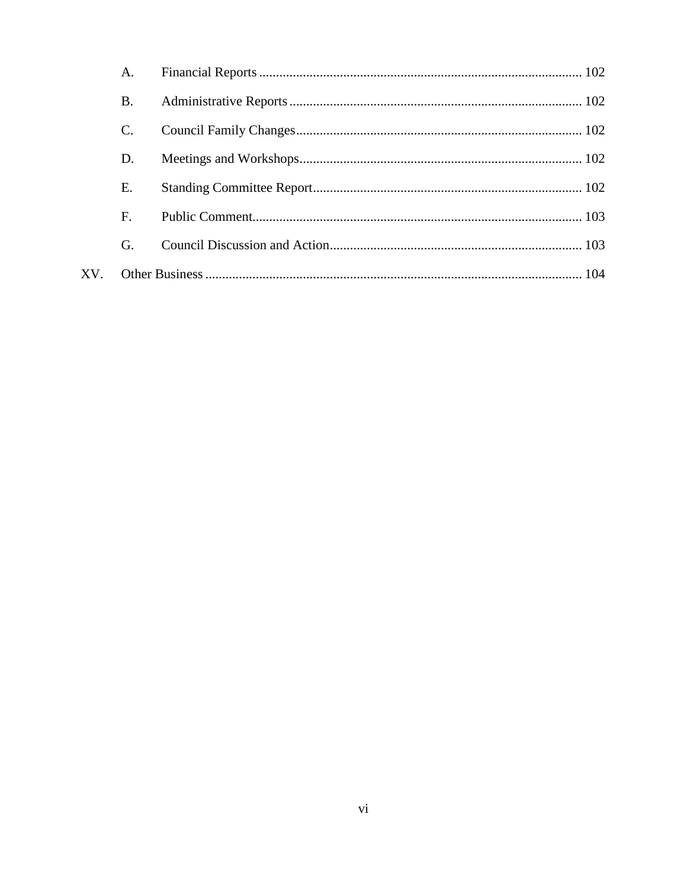|     | A.        |  |
|-----|-----------|--|
|     | <b>B.</b> |  |
|     | C.        |  |
|     | D.        |  |
|     | Ε.        |  |
|     | F.        |  |
|     | G.        |  |
| XV. |           |  |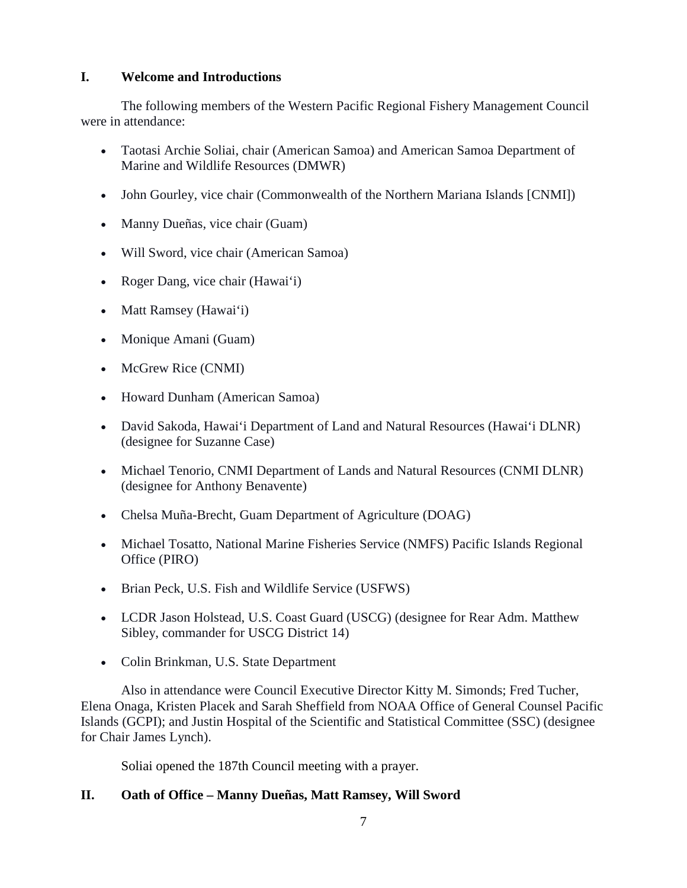## **I. Welcome and Introductions**

The following members of the Western Pacific Regional Fishery Management Council were in attendance:

- Taotasi Archie Soliai, chair (American Samoa) and American Samoa Department of Marine and Wildlife Resources (DMWR)
- John Gourley, vice chair (Commonwealth of the Northern Mariana Islands [CNMI])
- Manny Dueñas, vice chair (Guam)
- Will Sword, vice chair (American Samoa)
- Roger Dang, vice chair (Hawai'i)
- Matt Ramsey (Hawai'i)
- Monique Amani (Guam)
- McGrew Rice (CNMI)
- Howard Dunham (American Samoa)
- David Sakoda, Hawai'i Department of Land and Natural Resources (Hawai'i DLNR) (designee for Suzanne Case)
- Michael Tenorio, CNMI Department of Lands and Natural Resources (CNMI DLNR) (designee for Anthony Benavente)
- Chelsa Muña-Brecht, Guam Department of Agriculture (DOAG)
- Michael Tosatto, National Marine Fisheries Service (NMFS) Pacific Islands Regional Office (PIRO)
- Brian Peck, U.S. Fish and Wildlife Service (USFWS)
- LCDR Jason Holstead, U.S. Coast Guard (USCG) (designee for Rear Adm. Matthew Sibley, commander for USCG District 14)
- Colin Brinkman, U.S. State Department

Also in attendance were Council Executive Director Kitty M. Simonds; Fred Tucher, Elena Onaga, Kristen Placek and Sarah Sheffield from NOAA Office of General Counsel Pacific Islands (GCPI); and Justin Hospital of the Scientific and Statistical Committee (SSC) (designee for Chair James Lynch).

Soliai opened the 187th Council meeting with a prayer.

# **II. Oath of Office – Manny Dueñas, Matt Ramsey, Will Sword**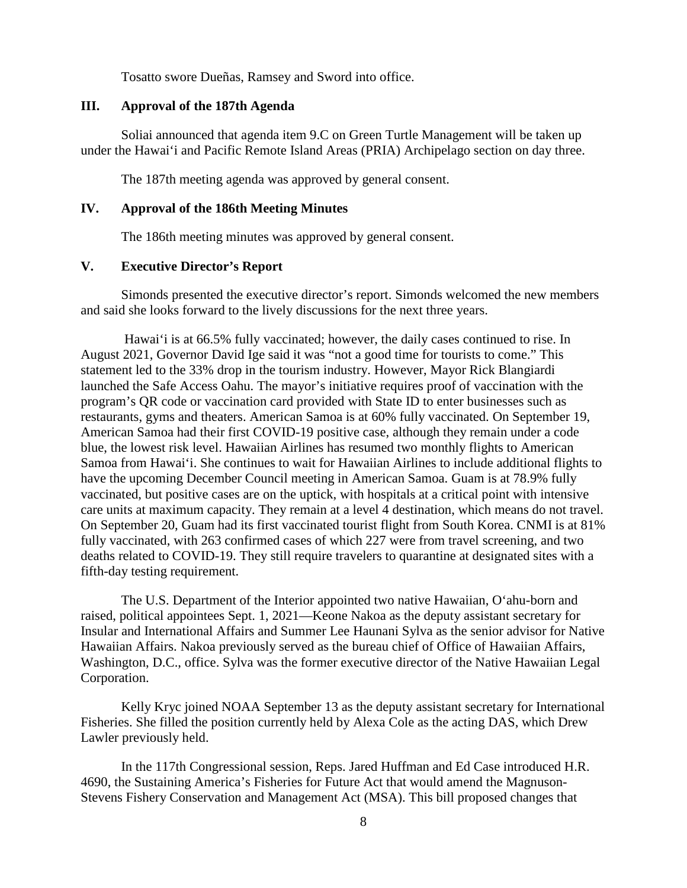Tosatto swore Dueñas, Ramsey and Sword into office.

### **III. Approval of the 187th Agenda**

Soliai announced that agenda item 9.C on Green Turtle Management will be taken up under the Hawai'i and Pacific Remote Island Areas (PRIA) Archipelago section on day three.

The 187th meeting agenda was approved by general consent.

# **IV. Approval of the 186th Meeting Minutes**

The 186th meeting minutes was approved by general consent.

# **V. Executive Director's Report**

Simonds presented the executive director's report. Simonds welcomed the new members and said she looks forward to the lively discussions for the next three years.

Hawai'i is at 66.5% fully vaccinated; however, the daily cases continued to rise. In August 2021, Governor David Ige said it was "not a good time for tourists to come." This statement led to the 33% drop in the tourism industry. However, Mayor Rick Blangiardi launched the Safe Access Oahu. The mayor's initiative requires proof of vaccination with the program's QR code or vaccination card provided with State ID to enter businesses such as restaurants, gyms and theaters. American Samoa is at 60% fully vaccinated. On September 19, American Samoa had their first COVID-19 positive case, although they remain under a code blue, the lowest risk level. Hawaiian Airlines has resumed two monthly flights to American Samoa from Hawai'i. She continues to wait for Hawaiian Airlines to include additional flights to have the upcoming December Council meeting in American Samoa. Guam is at 78.9% fully vaccinated, but positive cases are on the uptick, with hospitals at a critical point with intensive care units at maximum capacity. They remain at a level 4 destination, which means do not travel. On September 20, Guam had its first vaccinated tourist flight from South Korea. CNMI is at 81% fully vaccinated, with 263 confirmed cases of which 227 were from travel screening, and two deaths related to COVID-19. They still require travelers to quarantine at designated sites with a fifth-day testing requirement.

The U.S. Department of the Interior appointed two native Hawaiian, O'ahu-born and raised, political appointees Sept. 1, 2021—Keone Nakoa as the deputy assistant secretary for Insular and International Affairs and Summer Lee Haunani Sylva as the senior advisor for Native Hawaiian Affairs. Nakoa previously served as the bureau chief of Office of Hawaiian Affairs, Washington, D.C., office. Sylva was the former executive director of the Native Hawaiian Legal Corporation.

Kelly Kryc joined NOAA September 13 as the deputy assistant secretary for International Fisheries. She filled the position currently held by Alexa Cole as the acting DAS, which Drew Lawler previously held.

In the 117th Congressional session, Reps. Jared Huffman and Ed Case introduced H.R. 4690, the Sustaining America's Fisheries for Future Act that would amend the Magnuson-Stevens Fishery Conservation and Management Act (MSA). This bill proposed changes that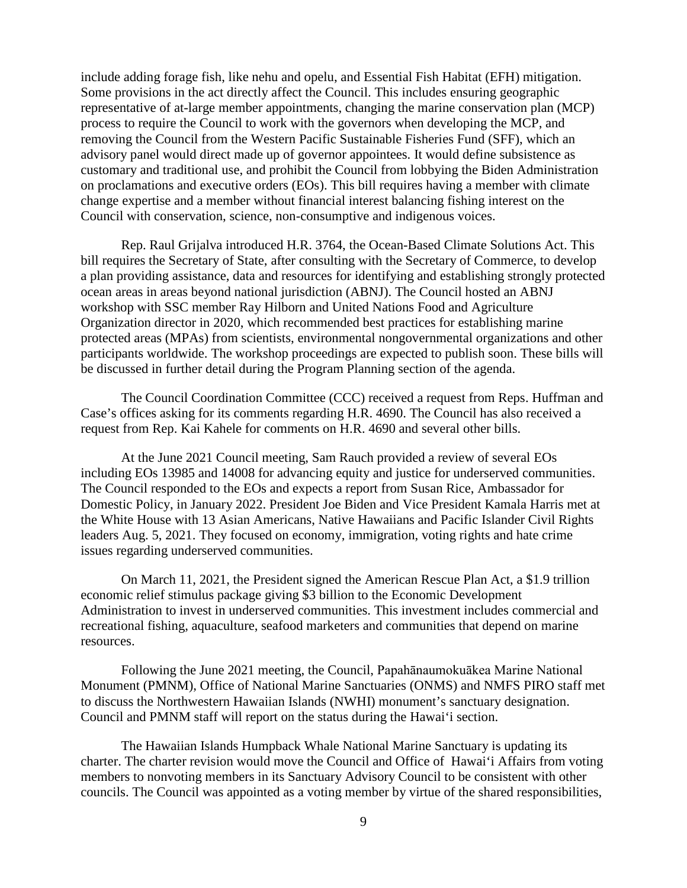include adding forage fish, like nehu and opelu, and Essential Fish Habitat (EFH) mitigation. Some provisions in the act directly affect the Council. This includes ensuring geographic representative of at-large member appointments, changing the marine conservation plan (MCP) process to require the Council to work with the governors when developing the MCP, and removing the Council from the Western Pacific Sustainable Fisheries Fund (SFF), which an advisory panel would direct made up of governor appointees. It would define subsistence as customary and traditional use, and prohibit the Council from lobbying the Biden Administration on proclamations and executive orders (EOs). This bill requires having a member with climate change expertise and a member without financial interest balancing fishing interest on the Council with conservation, science, non-consumptive and indigenous voices.

Rep. Raul Grijalva introduced H.R. 3764, the Ocean-Based Climate Solutions Act. This bill requires the Secretary of State, after consulting with the Secretary of Commerce, to develop a plan providing assistance, data and resources for identifying and establishing strongly protected ocean areas in areas beyond national jurisdiction (ABNJ). The Council hosted an ABNJ workshop with SSC member Ray Hilborn and United Nations Food and Agriculture Organization director in 2020, which recommended best practices for establishing marine protected areas (MPAs) from scientists, environmental nongovernmental organizations and other participants worldwide. The workshop proceedings are expected to publish soon. These bills will be discussed in further detail during the Program Planning section of the agenda.

The Council Coordination Committee (CCC) received a request from Reps. Huffman and Case's offices asking for its comments regarding H.R. 4690. The Council has also received a request from Rep. Kai Kahele for comments on H.R. 4690 and several other bills.

At the June 2021 Council meeting, Sam Rauch provided a review of several EOs including EOs 13985 and 14008 for advancing equity and justice for underserved communities. The Council responded to the EOs and expects a report from Susan Rice, Ambassador for Domestic Policy, in January 2022. President Joe Biden and Vice President Kamala Harris met at the White House with 13 Asian Americans, Native Hawaiians and Pacific Islander Civil Rights leaders Aug. 5, 2021. They focused on economy, immigration, voting rights and hate crime issues regarding underserved communities.

On March 11, 2021, the President signed the American Rescue Plan Act, a \$1.9 trillion economic relief stimulus package giving \$3 billion to the Economic Development Administration to invest in underserved communities. This investment includes commercial and recreational fishing, aquaculture, seafood marketers and communities that depend on marine resources.

Following the June 2021 meeting, the Council, Papahānaumokuākea Marine National Monument (PMNM), Office of National Marine Sanctuaries (ONMS) and NMFS PIRO staff met to discuss the Northwestern Hawaiian Islands (NWHI) monument's sanctuary designation. Council and PMNM staff will report on the status during the Hawai'i section.

The Hawaiian Islands Humpback Whale National Marine Sanctuary is updating its charter. The charter revision would move the Council and Office of Hawai'i Affairs from voting members to nonvoting members in its Sanctuary Advisory Council to be consistent with other councils. The Council was appointed as a voting member by virtue of the shared responsibilities,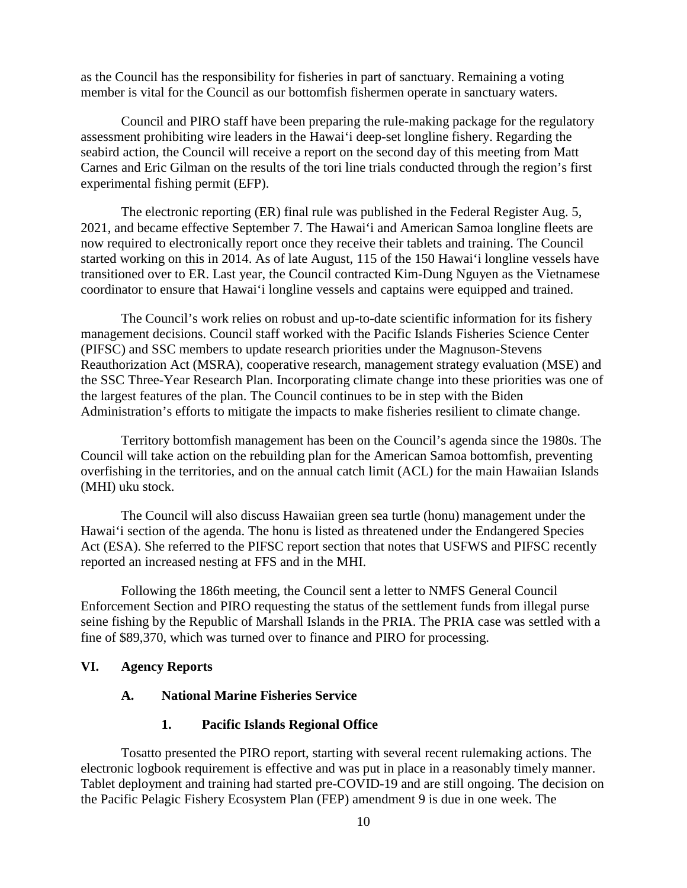as the Council has the responsibility for fisheries in part of sanctuary. Remaining a voting member is vital for the Council as our bottomfish fishermen operate in sanctuary waters.

Council and PIRO staff have been preparing the rule-making package for the regulatory assessment prohibiting wire leaders in the Hawai'i deep-set longline fishery. Regarding the seabird action, the Council will receive a report on the second day of this meeting from Matt Carnes and Eric Gilman on the results of the tori line trials conducted through the region's first experimental fishing permit (EFP).

The electronic reporting (ER) final rule was published in the Federal Register Aug. 5, 2021, and became effective September 7. The Hawai'i and American Samoa longline fleets are now required to electronically report once they receive their tablets and training. The Council started working on this in 2014. As of late August, 115 of the 150 Hawai'i longline vessels have transitioned over to ER. Last year, the Council contracted Kim-Dung Nguyen as the Vietnamese coordinator to ensure that Hawai'i longline vessels and captains were equipped and trained.

The Council's work relies on robust and up-to-date scientific information for its fishery management decisions. Council staff worked with the Pacific Islands Fisheries Science Center (PIFSC) and SSC members to update research priorities under the Magnuson-Stevens Reauthorization Act (MSRA), cooperative research, management strategy evaluation (MSE) and the SSC Three-Year Research Plan. Incorporating climate change into these priorities was one of the largest features of the plan. The Council continues to be in step with the Biden Administration's efforts to mitigate the impacts to make fisheries resilient to climate change.

Territory bottomfish management has been on the Council's agenda since the 1980s. The Council will take action on the rebuilding plan for the American Samoa bottomfish, preventing overfishing in the territories, and on the annual catch limit (ACL) for the main Hawaiian Islands (MHI) uku stock.

The Council will also discuss Hawaiian green sea turtle (honu) management under the Hawai'i section of the agenda. The honu is listed as threatened under the Endangered Species Act (ESA). She referred to the PIFSC report section that notes that USFWS and PIFSC recently reported an increased nesting at FFS and in the MHI.

Following the 186th meeting, the Council sent a letter to NMFS General Council Enforcement Section and PIRO requesting the status of the settlement funds from illegal purse seine fishing by the Republic of Marshall Islands in the PRIA. The PRIA case was settled with a fine of \$89,370, which was turned over to finance and PIRO for processing.

### **VI. Agency Reports**

#### **A. National Marine Fisheries Service**

#### **1. Pacific Islands Regional Office**

Tosatto presented the PIRO report, starting with several recent rulemaking actions. The electronic logbook requirement is effective and was put in place in a reasonably timely manner. Tablet deployment and training had started pre-COVID-19 and are still ongoing. The decision on the Pacific Pelagic Fishery Ecosystem Plan (FEP) amendment 9 is due in one week. The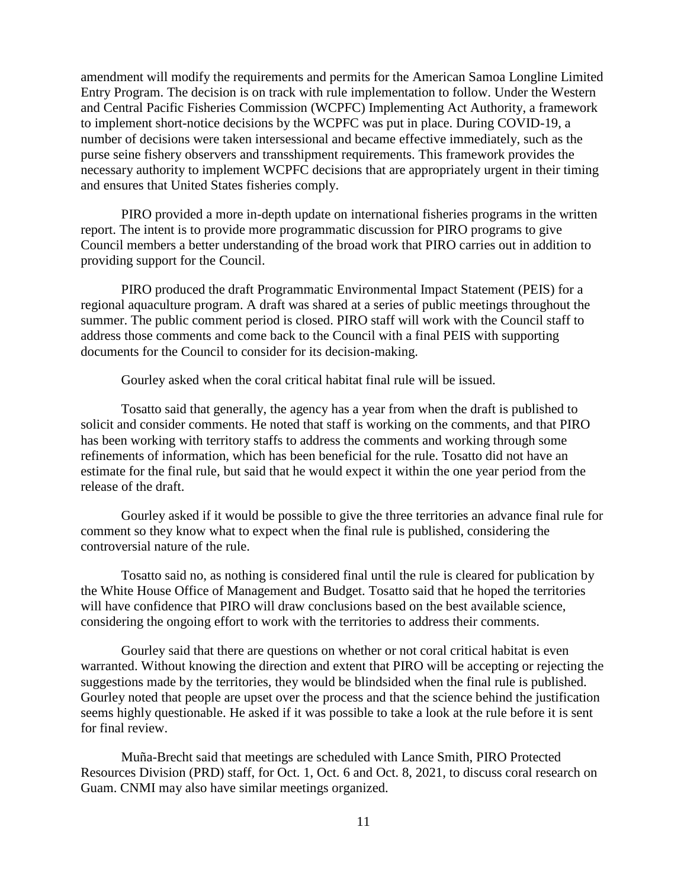amendment will modify the requirements and permits for the American Samoa Longline Limited Entry Program. The decision is on track with rule implementation to follow. Under the Western and Central Pacific Fisheries Commission (WCPFC) Implementing Act Authority, a framework to implement short-notice decisions by the WCPFC was put in place. During COVID-19, a number of decisions were taken intersessional and became effective immediately, such as the purse seine fishery observers and transshipment requirements. This framework provides the necessary authority to implement WCPFC decisions that are appropriately urgent in their timing and ensures that United States fisheries comply.

PIRO provided a more in-depth update on international fisheries programs in the written report. The intent is to provide more programmatic discussion for PIRO programs to give Council members a better understanding of the broad work that PIRO carries out in addition to providing support for the Council.

PIRO produced the draft Programmatic Environmental Impact Statement (PEIS) for a regional aquaculture program. A draft was shared at a series of public meetings throughout the summer. The public comment period is closed. PIRO staff will work with the Council staff to address those comments and come back to the Council with a final PEIS with supporting documents for the Council to consider for its decision-making.

Gourley asked when the coral critical habitat final rule will be issued.

Tosatto said that generally, the agency has a year from when the draft is published to solicit and consider comments. He noted that staff is working on the comments, and that PIRO has been working with territory staffs to address the comments and working through some refinements of information, which has been beneficial for the rule. Tosatto did not have an estimate for the final rule, but said that he would expect it within the one year period from the release of the draft.

Gourley asked if it would be possible to give the three territories an advance final rule for comment so they know what to expect when the final rule is published, considering the controversial nature of the rule.

Tosatto said no, as nothing is considered final until the rule is cleared for publication by the White House Office of Management and Budget. Tosatto said that he hoped the territories will have confidence that PIRO will draw conclusions based on the best available science, considering the ongoing effort to work with the territories to address their comments.

Gourley said that there are questions on whether or not coral critical habitat is even warranted. Without knowing the direction and extent that PIRO will be accepting or rejecting the suggestions made by the territories, they would be blindsided when the final rule is published. Gourley noted that people are upset over the process and that the science behind the justification seems highly questionable. He asked if it was possible to take a look at the rule before it is sent for final review.

Muña-Brecht said that meetings are scheduled with Lance Smith, PIRO Protected Resources Division (PRD) staff, for Oct. 1, Oct. 6 and Oct. 8, 2021, to discuss coral research on Guam. CNMI may also have similar meetings organized.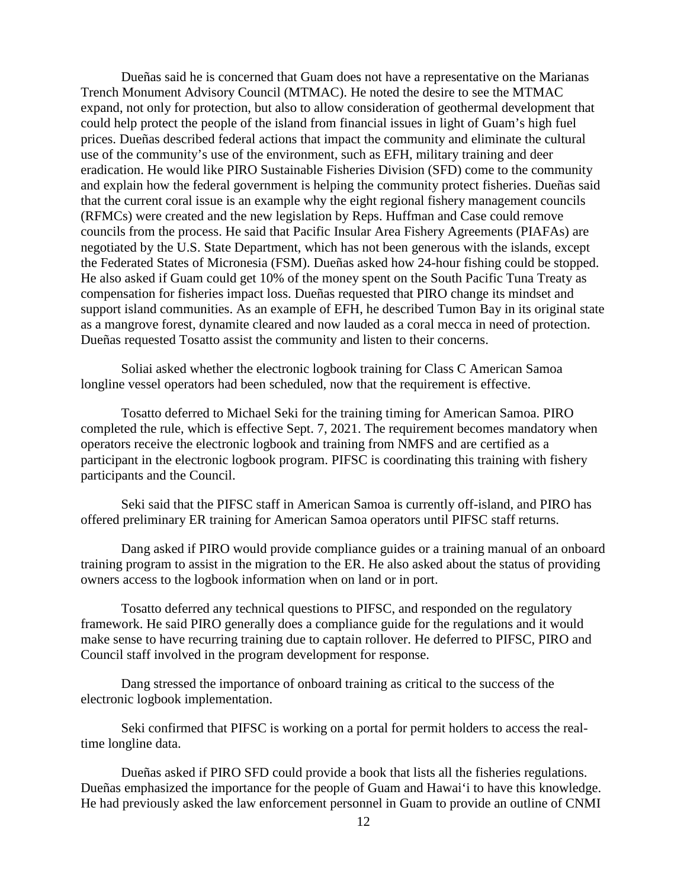Dueñas said he is concerned that Guam does not have a representative on the Marianas Trench Monument Advisory Council (MTMAC). He noted the desire to see the MTMAC expand, not only for protection, but also to allow consideration of geothermal development that could help protect the people of the island from financial issues in light of Guam's high fuel prices. Dueñas described federal actions that impact the community and eliminate the cultural use of the community's use of the environment, such as EFH, military training and deer eradication. He would like PIRO Sustainable Fisheries Division (SFD) come to the community and explain how the federal government is helping the community protect fisheries. Dueñas said that the current coral issue is an example why the eight regional fishery management councils (RFMCs) were created and the new legislation by Reps. Huffman and Case could remove councils from the process. He said that Pacific Insular Area Fishery Agreements (PIAFAs) are negotiated by the U.S. State Department, which has not been generous with the islands, except the Federated States of Micronesia (FSM). Dueñas asked how 24-hour fishing could be stopped. He also asked if Guam could get 10% of the money spent on the South Pacific Tuna Treaty as compensation for fisheries impact loss. Dueñas requested that PIRO change its mindset and support island communities. As an example of EFH, he described Tumon Bay in its original state as a mangrove forest, dynamite cleared and now lauded as a coral mecca in need of protection. Dueñas requested Tosatto assist the community and listen to their concerns.

Soliai asked whether the electronic logbook training for Class C American Samoa longline vessel operators had been scheduled, now that the requirement is effective.

Tosatto deferred to Michael Seki for the training timing for American Samoa. PIRO completed the rule, which is effective Sept. 7, 2021. The requirement becomes mandatory when operators receive the electronic logbook and training from NMFS and are certified as a participant in the electronic logbook program. PIFSC is coordinating this training with fishery participants and the Council.

Seki said that the PIFSC staff in American Samoa is currently off-island, and PIRO has offered preliminary ER training for American Samoa operators until PIFSC staff returns.

Dang asked if PIRO would provide compliance guides or a training manual of an onboard training program to assist in the migration to the ER. He also asked about the status of providing owners access to the logbook information when on land or in port.

Tosatto deferred any technical questions to PIFSC, and responded on the regulatory framework. He said PIRO generally does a compliance guide for the regulations and it would make sense to have recurring training due to captain rollover. He deferred to PIFSC, PIRO and Council staff involved in the program development for response.

Dang stressed the importance of onboard training as critical to the success of the electronic logbook implementation.

Seki confirmed that PIFSC is working on a portal for permit holders to access the realtime longline data.

Dueñas asked if PIRO SFD could provide a book that lists all the fisheries regulations. Dueñas emphasized the importance for the people of Guam and Hawai'i to have this knowledge. He had previously asked the law enforcement personnel in Guam to provide an outline of CNMI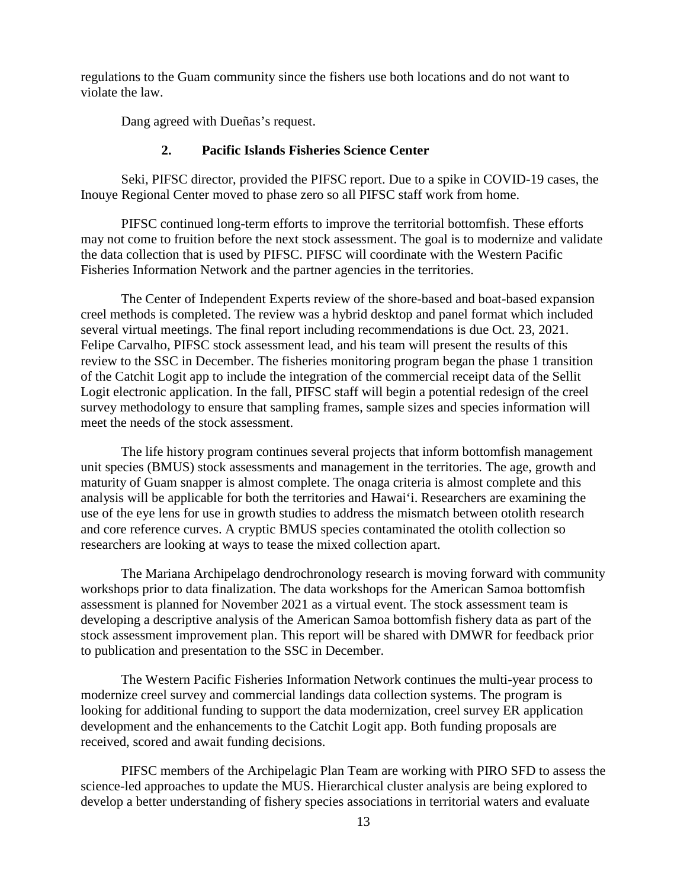regulations to the Guam community since the fishers use both locations and do not want to violate the law.

Dang agreed with Dueñas's request.

## **2. Pacific Islands Fisheries Science Center**

Seki, PIFSC director, provided the PIFSC report. Due to a spike in COVID-19 cases, the Inouye Regional Center moved to phase zero so all PIFSC staff work from home.

PIFSC continued long-term efforts to improve the territorial bottomfish. These efforts may not come to fruition before the next stock assessment. The goal is to modernize and validate the data collection that is used by PIFSC. PIFSC will coordinate with the Western Pacific Fisheries Information Network and the partner agencies in the territories.

The Center of Independent Experts review of the shore-based and boat-based expansion creel methods is completed. The review was a hybrid desktop and panel format which included several virtual meetings. The final report including recommendations is due Oct. 23, 2021. Felipe Carvalho, PIFSC stock assessment lead, and his team will present the results of this review to the SSC in December. The fisheries monitoring program began the phase 1 transition of the Catchit Logit app to include the integration of the commercial receipt data of the Sellit Logit electronic application. In the fall, PIFSC staff will begin a potential redesign of the creel survey methodology to ensure that sampling frames, sample sizes and species information will meet the needs of the stock assessment.

The life history program continues several projects that inform bottomfish management unit species (BMUS) stock assessments and management in the territories. The age, growth and maturity of Guam snapper is almost complete. The onaga criteria is almost complete and this analysis will be applicable for both the territories and Hawai'i. Researchers are examining the use of the eye lens for use in growth studies to address the mismatch between otolith research and core reference curves. A cryptic BMUS species contaminated the otolith collection so researchers are looking at ways to tease the mixed collection apart.

The Mariana Archipelago dendrochronology research is moving forward with community workshops prior to data finalization. The data workshops for the American Samoa bottomfish assessment is planned for November 2021 as a virtual event. The stock assessment team is developing a descriptive analysis of the American Samoa bottomfish fishery data as part of the stock assessment improvement plan. This report will be shared with DMWR for feedback prior to publication and presentation to the SSC in December.

The Western Pacific Fisheries Information Network continues the multi-year process to modernize creel survey and commercial landings data collection systems. The program is looking for additional funding to support the data modernization, creel survey ER application development and the enhancements to the Catchit Logit app. Both funding proposals are received, scored and await funding decisions.

PIFSC members of the Archipelagic Plan Team are working with PIRO SFD to assess the science-led approaches to update the MUS. Hierarchical cluster analysis are being explored to develop a better understanding of fishery species associations in territorial waters and evaluate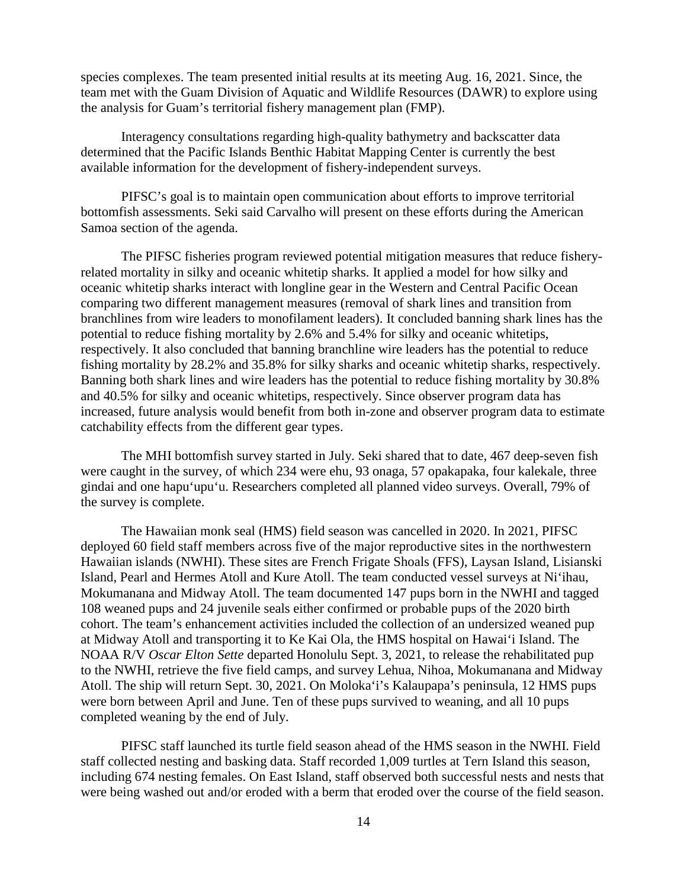species complexes. The team presented initial results at its meeting Aug. 16, 2021. Since, the team met with the Guam Division of Aquatic and Wildlife Resources (DAWR) to explore using the analysis for Guam's territorial fishery management plan (FMP).

Interagency consultations regarding high-quality bathymetry and backscatter data determined that the Pacific Islands Benthic Habitat Mapping Center is currently the best available information for the development of fishery-independent surveys.

PIFSC's goal is to maintain open communication about efforts to improve territorial bottomfish assessments. Seki said Carvalho will present on these efforts during the American Samoa section of the agenda.

The PIFSC fisheries program reviewed potential mitigation measures that reduce fisheryrelated mortality in silky and oceanic whitetip sharks. It applied a model for how silky and oceanic whitetip sharks interact with longline gear in the Western and Central Pacific Ocean comparing two different management measures (removal of shark lines and transition from branchlines from wire leaders to monofilament leaders). It concluded banning shark lines has the potential to reduce fishing mortality by 2.6% and 5.4% for silky and oceanic whitetips, respectively. It also concluded that banning branchline wire leaders has the potential to reduce fishing mortality by 28.2% and 35.8% for silky sharks and oceanic whitetip sharks, respectively. Banning both shark lines and wire leaders has the potential to reduce fishing mortality by 30.8% and 40.5% for silky and oceanic whitetips, respectively. Since observer program data has increased, future analysis would benefit from both in-zone and observer program data to estimate catchability effects from the different gear types.

The MHI bottomfish survey started in July. Seki shared that to date, 467 deep-seven fish were caught in the survey, of which 234 were ehu, 93 onaga, 57 opakapaka, four kalekale, three gindai and one hapu'upu'u. Researchers completed all planned video surveys. Overall, 79% of the survey is complete.

The Hawaiian monk seal (HMS) field season was cancelled in 2020. In 2021, PIFSC deployed 60 field staff members across five of the major reproductive sites in the northwestern Hawaiian islands (NWHI). These sites are French Frigate Shoals (FFS), Laysan Island, Lisianski Island, Pearl and Hermes Atoll and Kure Atoll. The team conducted vessel surveys at Ni'ihau, Mokumanana and Midway Atoll. The team documented 147 pups born in the NWHI and tagged 108 weaned pups and 24 juvenile seals either confirmed or probable pups of the 2020 birth cohort. The team's enhancement activities included the collection of an undersized weaned pup at Midway Atoll and transporting it to Ke Kai Ola, the HMS hospital on Hawai'i Island. The NOAA R/V *Oscar Elton Sette* departed Honolulu Sept. 3, 2021, to release the rehabilitated pup to the NWHI, retrieve the five field camps, and survey Lehua, Nihoa, Mokumanana and Midway Atoll. The ship will return Sept. 30, 2021. On Moloka'i's Kalaupapa's peninsula, 12 HMS pups were born between April and June. Ten of these pups survived to weaning, and all 10 pups completed weaning by the end of July.

PIFSC staff launched its turtle field season ahead of the HMS season in the NWHI. Field staff collected nesting and basking data. Staff recorded 1,009 turtles at Tern Island this season, including 674 nesting females. On East Island, staff observed both successful nests and nests that were being washed out and/or eroded with a berm that eroded over the course of the field season.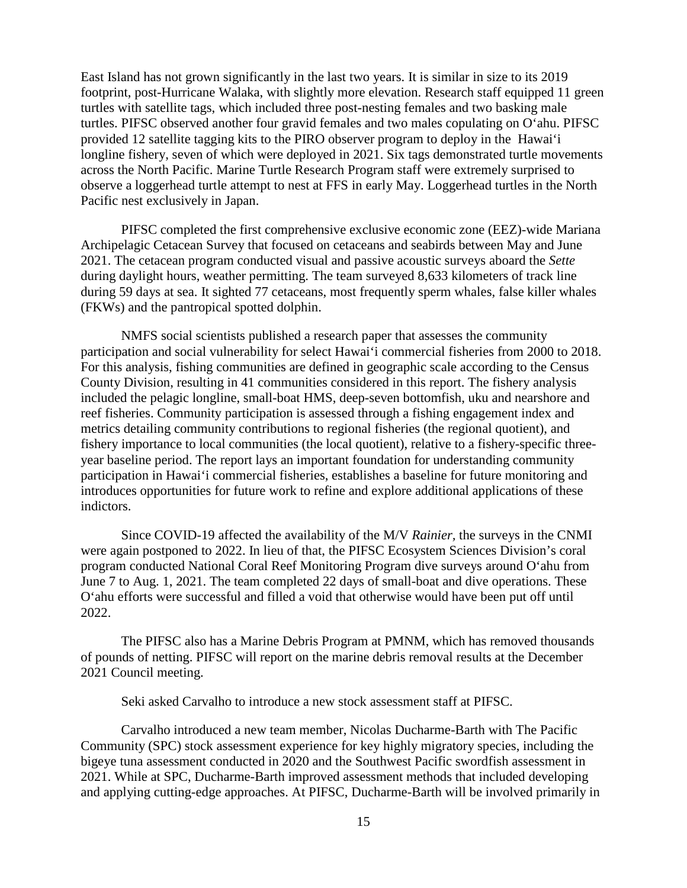East Island has not grown significantly in the last two years. It is similar in size to its 2019 footprint, post-Hurricane Walaka, with slightly more elevation. Research staff equipped 11 green turtles with satellite tags, which included three post-nesting females and two basking male turtles. PIFSC observed another four gravid females and two males copulating on O'ahu. PIFSC provided 12 satellite tagging kits to the PIRO observer program to deploy in the Hawai'i longline fishery, seven of which were deployed in 2021. Six tags demonstrated turtle movements across the North Pacific. Marine Turtle Research Program staff were extremely surprised to observe a loggerhead turtle attempt to nest at FFS in early May. Loggerhead turtles in the North Pacific nest exclusively in Japan.

PIFSC completed the first comprehensive exclusive economic zone (EEZ)-wide Mariana Archipelagic Cetacean Survey that focused on cetaceans and seabirds between May and June 2021. The cetacean program conducted visual and passive acoustic surveys aboard the *Sette* during daylight hours, weather permitting. The team surveyed 8,633 kilometers of track line during 59 days at sea. It sighted 77 cetaceans, most frequently sperm whales, false killer whales (FKWs) and the pantropical spotted dolphin.

NMFS social scientists published a research paper that assesses the community participation and social vulnerability for select Hawai'i commercial fisheries from 2000 to 2018. For this analysis, fishing communities are defined in geographic scale according to the Census County Division, resulting in 41 communities considered in this report. The fishery analysis included the pelagic longline, small-boat HMS, deep-seven bottomfish, uku and nearshore and reef fisheries. Community participation is assessed through a fishing engagement index and metrics detailing community contributions to regional fisheries (the regional quotient), and fishery importance to local communities (the local quotient), relative to a fishery-specific threeyear baseline period. The report lays an important foundation for understanding community participation in Hawai'i commercial fisheries, establishes a baseline for future monitoring and introduces opportunities for future work to refine and explore additional applications of these indictors.

Since COVID-19 affected the availability of the M/V *Rainier,* the surveys in the CNMI were again postponed to 2022. In lieu of that, the PIFSC Ecosystem Sciences Division's coral program conducted National Coral Reef Monitoring Program dive surveys around O'ahu from June 7 to Aug. 1, 2021. The team completed 22 days of small-boat and dive operations. These O'ahu efforts were successful and filled a void that otherwise would have been put off until 2022.

The PIFSC also has a Marine Debris Program at PMNM, which has removed thousands of pounds of netting. PIFSC will report on the marine debris removal results at the December 2021 Council meeting.

Seki asked Carvalho to introduce a new stock assessment staff at PIFSC.

Carvalho introduced a new team member, Nicolas Ducharme-Barth with The Pacific Community (SPC) stock assessment experience for key highly migratory species, including the bigeye tuna assessment conducted in 2020 and the Southwest Pacific swordfish assessment in 2021. While at SPC, Ducharme-Barth improved assessment methods that included developing and applying cutting-edge approaches. At PIFSC, Ducharme-Barth will be involved primarily in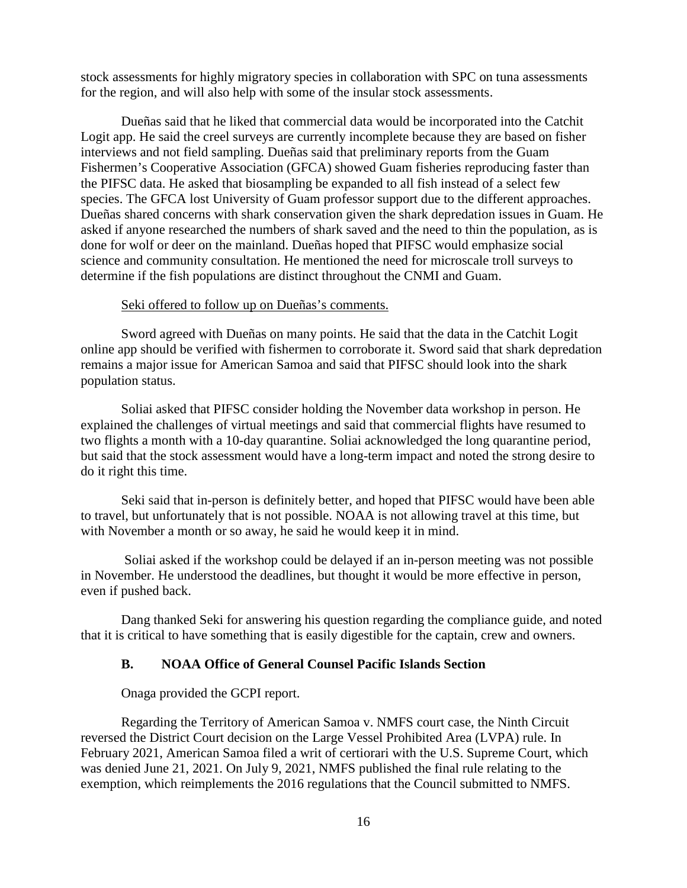stock assessments for highly migratory species in collaboration with SPC on tuna assessments for the region, and will also help with some of the insular stock assessments.

Dueñas said that he liked that commercial data would be incorporated into the Catchit Logit app. He said the creel surveys are currently incomplete because they are based on fisher interviews and not field sampling. Dueñas said that preliminary reports from the Guam Fishermen's Cooperative Association (GFCA) showed Guam fisheries reproducing faster than the PIFSC data. He asked that biosampling be expanded to all fish instead of a select few species. The GFCA lost University of Guam professor support due to the different approaches. Dueñas shared concerns with shark conservation given the shark depredation issues in Guam. He asked if anyone researched the numbers of shark saved and the need to thin the population, as is done for wolf or deer on the mainland. Dueñas hoped that PIFSC would emphasize social science and community consultation. He mentioned the need for microscale troll surveys to determine if the fish populations are distinct throughout the CNMI and Guam.

#### Seki offered to follow up on Dueñas's comments.

Sword agreed with Dueñas on many points. He said that the data in the Catchit Logit online app should be verified with fishermen to corroborate it. Sword said that shark depredation remains a major issue for American Samoa and said that PIFSC should look into the shark population status.

Soliai asked that PIFSC consider holding the November data workshop in person. He explained the challenges of virtual meetings and said that commercial flights have resumed to two flights a month with a 10-day quarantine. Soliai acknowledged the long quarantine period, but said that the stock assessment would have a long-term impact and noted the strong desire to do it right this time.

Seki said that in-person is definitely better, and hoped that PIFSC would have been able to travel, but unfortunately that is not possible. NOAA is not allowing travel at this time, but with November a month or so away, he said he would keep it in mind.

Soliai asked if the workshop could be delayed if an in-person meeting was not possible in November. He understood the deadlines, but thought it would be more effective in person, even if pushed back.

Dang thanked Seki for answering his question regarding the compliance guide, and noted that it is critical to have something that is easily digestible for the captain, crew and owners.

### **B. NOAA Office of General Counsel Pacific Islands Section**

Onaga provided the GCPI report.

Regarding the Territory of American Samoa v. NMFS court case, the Ninth Circuit reversed the District Court decision on the Large Vessel Prohibited Area (LVPA) rule. In February 2021, American Samoa filed a writ of certiorari with the U.S. Supreme Court, which was denied June 21, 2021. On July 9, 2021, NMFS published the final rule relating to the exemption, which reimplements the 2016 regulations that the Council submitted to NMFS.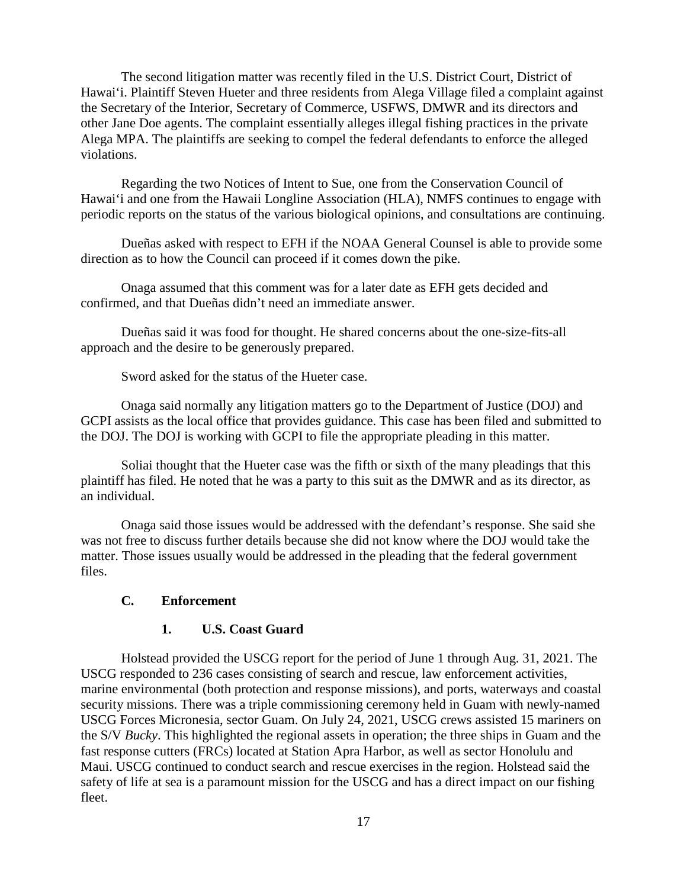The second litigation matter was recently filed in the U.S. District Court, District of Hawai'i. Plaintiff Steven Hueter and three residents from Alega Village filed a complaint against the Secretary of the Interior, Secretary of Commerce, USFWS, DMWR and its directors and other Jane Doe agents. The complaint essentially alleges illegal fishing practices in the private Alega MPA. The plaintiffs are seeking to compel the federal defendants to enforce the alleged violations.

Regarding the two Notices of Intent to Sue, one from the Conservation Council of Hawai'i and one from the Hawaii Longline Association (HLA), NMFS continues to engage with periodic reports on the status of the various biological opinions, and consultations are continuing.

Dueñas asked with respect to EFH if the NOAA General Counsel is able to provide some direction as to how the Council can proceed if it comes down the pike.

Onaga assumed that this comment was for a later date as EFH gets decided and confirmed, and that Dueñas didn't need an immediate answer.

Dueñas said it was food for thought. He shared concerns about the one-size-fits-all approach and the desire to be generously prepared.

Sword asked for the status of the Hueter case.

Onaga said normally any litigation matters go to the Department of Justice (DOJ) and GCPI assists as the local office that provides guidance. This case has been filed and submitted to the DOJ. The DOJ is working with GCPI to file the appropriate pleading in this matter.

Soliai thought that the Hueter case was the fifth or sixth of the many pleadings that this plaintiff has filed. He noted that he was a party to this suit as the DMWR and as its director, as an individual.

Onaga said those issues would be addressed with the defendant's response. She said she was not free to discuss further details because she did not know where the DOJ would take the matter. Those issues usually would be addressed in the pleading that the federal government files.

# **C. Enforcement**

## **1. U.S. Coast Guard**

Holstead provided the USCG report for the period of June 1 through Aug. 31, 2021. The USCG responded to 236 cases consisting of search and rescue, law enforcement activities, marine environmental (both protection and response missions), and ports, waterways and coastal security missions. There was a triple commissioning ceremony held in Guam with newly-named USCG Forces Micronesia, sector Guam. On July 24, 2021, USCG crews assisted 15 mariners on the S/V *Bucky*. This highlighted the regional assets in operation; the three ships in Guam and the fast response cutters (FRCs) located at Station Apra Harbor, as well as sector Honolulu and Maui. USCG continued to conduct search and rescue exercises in the region. Holstead said the safety of life at sea is a paramount mission for the USCG and has a direct impact on our fishing fleet.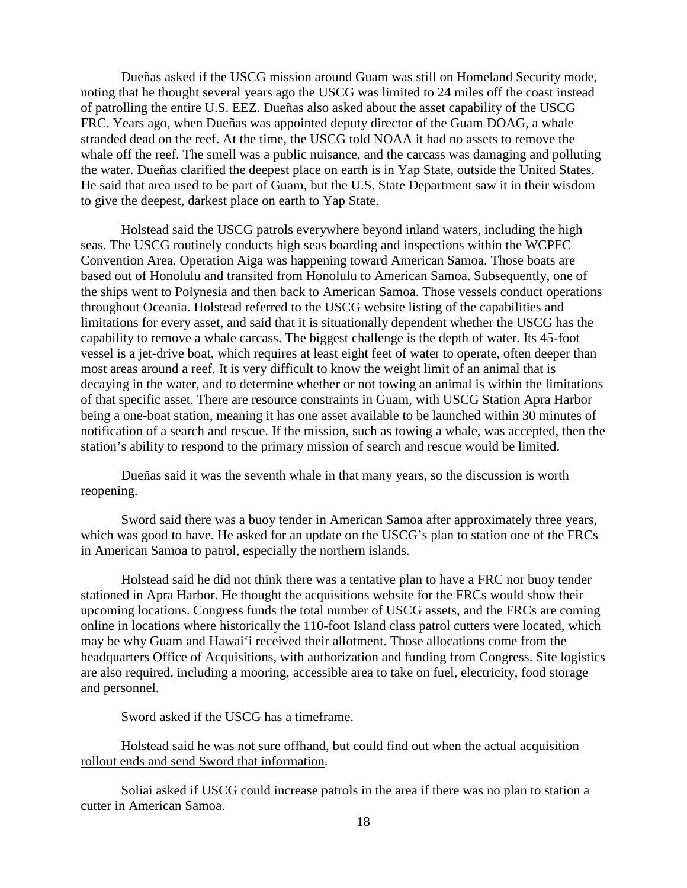Dueñas asked if the USCG mission around Guam was still on Homeland Security mode, noting that he thought several years ago the USCG was limited to 24 miles off the coast instead of patrolling the entire U.S. EEZ. Dueñas also asked about the asset capability of the USCG FRC. Years ago, when Dueñas was appointed deputy director of the Guam DOAG, a whale stranded dead on the reef. At the time, the USCG told NOAA it had no assets to remove the whale off the reef. The smell was a public nuisance, and the carcass was damaging and polluting the water. Dueñas clarified the deepest place on earth is in Yap State, outside the United States. He said that area used to be part of Guam, but the U.S. State Department saw it in their wisdom to give the deepest, darkest place on earth to Yap State.

Holstead said the USCG patrols everywhere beyond inland waters, including the high seas. The USCG routinely conducts high seas boarding and inspections within the WCPFC Convention Area. Operation Aiga was happening toward American Samoa. Those boats are based out of Honolulu and transited from Honolulu to American Samoa. Subsequently, one of the ships went to Polynesia and then back to American Samoa. Those vessels conduct operations throughout Oceania. Holstead referred to the USCG website listing of the capabilities and limitations for every asset, and said that it is situationally dependent whether the USCG has the capability to remove a whale carcass. The biggest challenge is the depth of water. Its 45-foot vessel is a jet-drive boat, which requires at least eight feet of water to operate, often deeper than most areas around a reef. It is very difficult to know the weight limit of an animal that is decaying in the water, and to determine whether or not towing an animal is within the limitations of that specific asset. There are resource constraints in Guam, with USCG Station Apra Harbor being a one-boat station, meaning it has one asset available to be launched within 30 minutes of notification of a search and rescue. If the mission, such as towing a whale, was accepted, then the station's ability to respond to the primary mission of search and rescue would be limited.

Dueñas said it was the seventh whale in that many years, so the discussion is worth reopening.

Sword said there was a buoy tender in American Samoa after approximately three years, which was good to have. He asked for an update on the USCG's plan to station one of the FRCs in American Samoa to patrol, especially the northern islands.

Holstead said he did not think there was a tentative plan to have a FRC nor buoy tender stationed in Apra Harbor. He thought the acquisitions website for the FRCs would show their upcoming locations. Congress funds the total number of USCG assets, and the FRCs are coming online in locations where historically the 110-foot Island class patrol cutters were located, which may be why Guam and Hawai'i received their allotment. Those allocations come from the headquarters Office of Acquisitions, with authorization and funding from Congress. Site logistics are also required, including a mooring, accessible area to take on fuel, electricity, food storage and personnel.

Sword asked if the USCG has a timeframe.

Holstead said he was not sure offhand, but could find out when the actual acquisition rollout ends and send Sword that information.

Soliai asked if USCG could increase patrols in the area if there was no plan to station a cutter in American Samoa.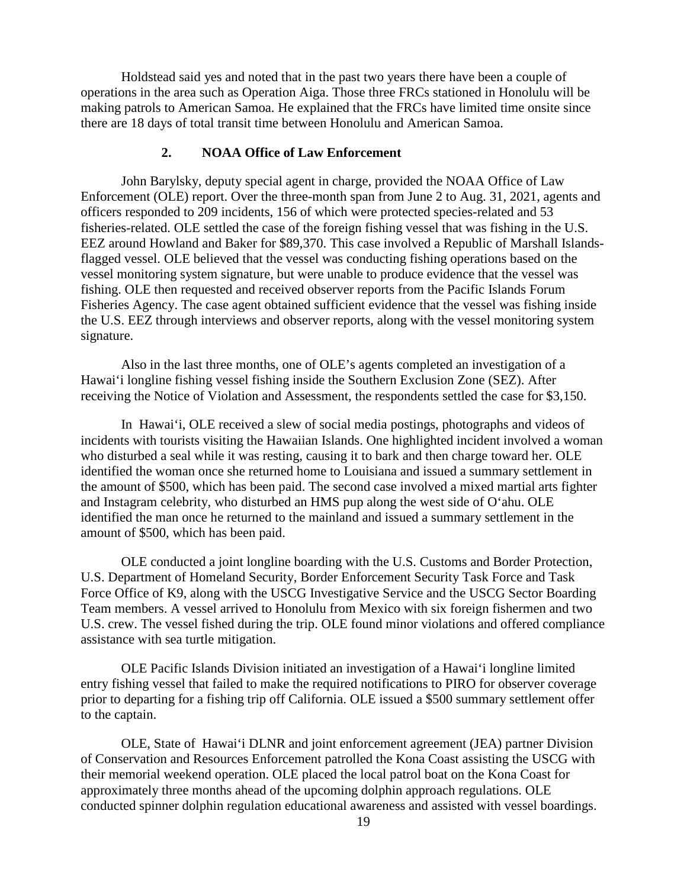Holdstead said yes and noted that in the past two years there have been a couple of operations in the area such as Operation Aiga. Those three FRCs stationed in Honolulu will be making patrols to American Samoa. He explained that the FRCs have limited time onsite since there are 18 days of total transit time between Honolulu and American Samoa.

### **2. NOAA Office of Law Enforcement**

John Barylsky, deputy special agent in charge, provided the NOAA Office of Law Enforcement (OLE) report. Over the three-month span from June 2 to Aug. 31, 2021, agents and officers responded to 209 incidents, 156 of which were protected species-related and 53 fisheries-related. OLE settled the case of the foreign fishing vessel that was fishing in the U.S. EEZ around Howland and Baker for \$89,370. This case involved a Republic of Marshall Islandsflagged vessel. OLE believed that the vessel was conducting fishing operations based on the vessel monitoring system signature, but were unable to produce evidence that the vessel was fishing. OLE then requested and received observer reports from the Pacific Islands Forum Fisheries Agency. The case agent obtained sufficient evidence that the vessel was fishing inside the U.S. EEZ through interviews and observer reports, along with the vessel monitoring system signature.

Also in the last three months, one of OLE's agents completed an investigation of a Hawai'i longline fishing vessel fishing inside the Southern Exclusion Zone (SEZ). After receiving the Notice of Violation and Assessment, the respondents settled the case for \$3,150.

In Hawai'i, OLE received a slew of social media postings, photographs and videos of incidents with tourists visiting the Hawaiian Islands. One highlighted incident involved a woman who disturbed a seal while it was resting, causing it to bark and then charge toward her. OLE identified the woman once she returned home to Louisiana and issued a summary settlement in the amount of \$500, which has been paid. The second case involved a mixed martial arts fighter and Instagram celebrity, who disturbed an HMS pup along the west side of O'ahu. OLE identified the man once he returned to the mainland and issued a summary settlement in the amount of \$500, which has been paid.

OLE conducted a joint longline boarding with the U.S. Customs and Border Protection, U.S. Department of Homeland Security, Border Enforcement Security Task Force and Task Force Office of K9, along with the USCG Investigative Service and the USCG Sector Boarding Team members. A vessel arrived to Honolulu from Mexico with six foreign fishermen and two U.S. crew. The vessel fished during the trip. OLE found minor violations and offered compliance assistance with sea turtle mitigation.

OLE Pacific Islands Division initiated an investigation of a Hawai'i longline limited entry fishing vessel that failed to make the required notifications to PIRO for observer coverage prior to departing for a fishing trip off California. OLE issued a \$500 summary settlement offer to the captain.

OLE, State of Hawai'i DLNR and joint enforcement agreement (JEA) partner Division of Conservation and Resources Enforcement patrolled the Kona Coast assisting the USCG with their memorial weekend operation. OLE placed the local patrol boat on the Kona Coast for approximately three months ahead of the upcoming dolphin approach regulations. OLE conducted spinner dolphin regulation educational awareness and assisted with vessel boardings.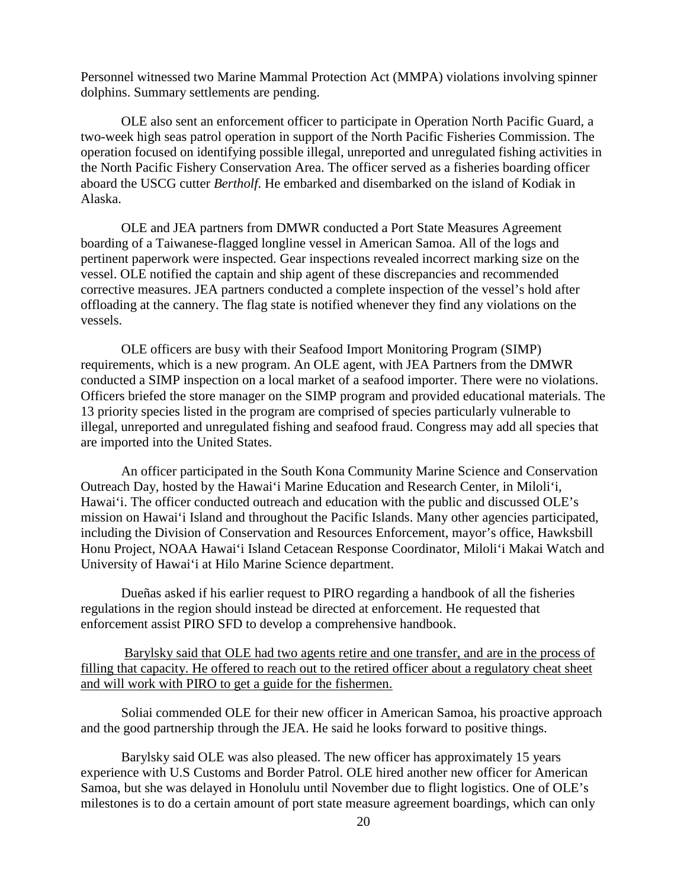Personnel witnessed two Marine Mammal Protection Act (MMPA) violations involving spinner dolphins. Summary settlements are pending.

OLE also sent an enforcement officer to participate in Operation North Pacific Guard, a two-week high seas patrol operation in support of the North Pacific Fisheries Commission. The operation focused on identifying possible illegal, unreported and unregulated fishing activities in the North Pacific Fishery Conservation Area. The officer served as a fisheries boarding officer aboard the USCG cutter *Bertholf*. He embarked and disembarked on the island of Kodiak in Alaska.

OLE and JEA partners from DMWR conducted a Port State Measures Agreement boarding of a Taiwanese-flagged longline vessel in American Samoa. All of the logs and pertinent paperwork were inspected. Gear inspections revealed incorrect marking size on the vessel. OLE notified the captain and ship agent of these discrepancies and recommended corrective measures. JEA partners conducted a complete inspection of the vessel's hold after offloading at the cannery. The flag state is notified whenever they find any violations on the vessels.

OLE officers are busy with their Seafood Import Monitoring Program (SIMP) requirements, which is a new program. An OLE agent, with JEA Partners from the DMWR conducted a SIMP inspection on a local market of a seafood importer. There were no violations. Officers briefed the store manager on the SIMP program and provided educational materials. The 13 priority species listed in the program are comprised of species particularly vulnerable to illegal, unreported and unregulated fishing and seafood fraud. Congress may add all species that are imported into the United States.

An officer participated in the South Kona Community Marine Science and Conservation Outreach Day, hosted by the Hawai'i Marine Education and Research Center, in Miloli'i, Hawai'i. The officer conducted outreach and education with the public and discussed OLE's mission on Hawai'i Island and throughout the Pacific Islands. Many other agencies participated, including the Division of Conservation and Resources Enforcement, mayor's office, Hawksbill Honu Project, NOAA Hawai'i Island Cetacean Response Coordinator, Miloli'i Makai Watch and University of Hawai'i at Hilo Marine Science department.

Dueñas asked if his earlier request to PIRO regarding a handbook of all the fisheries regulations in the region should instead be directed at enforcement. He requested that enforcement assist PIRO SFD to develop a comprehensive handbook.

Barylsky said that OLE had two agents retire and one transfer, and are in the process of filling that capacity. He offered to reach out to the retired officer about a regulatory cheat sheet and will work with PIRO to get a guide for the fishermen.

Soliai commended OLE for their new officer in American Samoa, his proactive approach and the good partnership through the JEA. He said he looks forward to positive things.

Barylsky said OLE was also pleased. The new officer has approximately 15 years experience with U.S Customs and Border Patrol. OLE hired another new officer for American Samoa, but she was delayed in Honolulu until November due to flight logistics. One of OLE's milestones is to do a certain amount of port state measure agreement boardings, which can only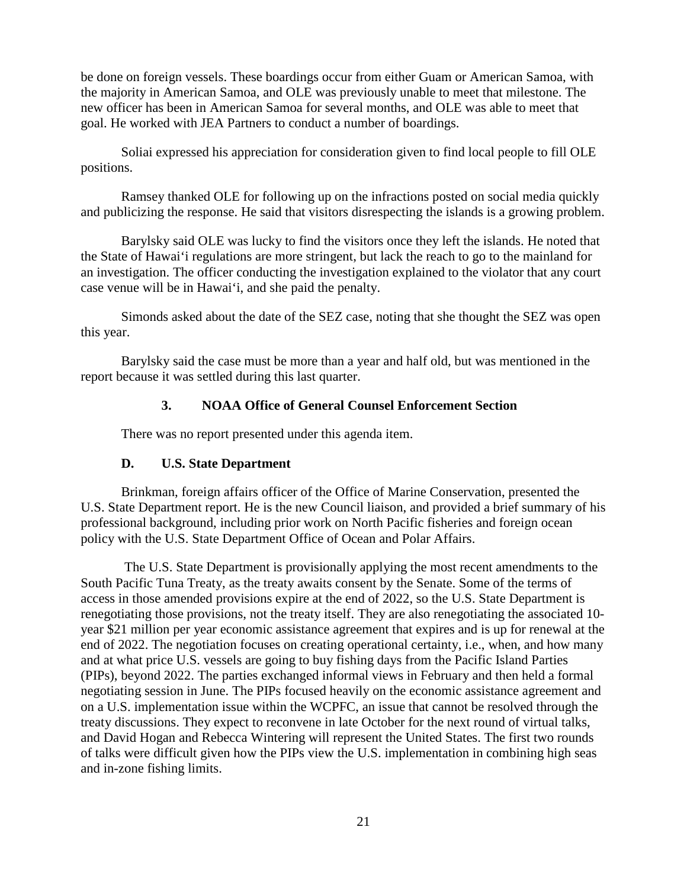be done on foreign vessels. These boardings occur from either Guam or American Samoa, with the majority in American Samoa, and OLE was previously unable to meet that milestone. The new officer has been in American Samoa for several months, and OLE was able to meet that goal. He worked with JEA Partners to conduct a number of boardings.

Soliai expressed his appreciation for consideration given to find local people to fill OLE positions.

Ramsey thanked OLE for following up on the infractions posted on social media quickly and publicizing the response. He said that visitors disrespecting the islands is a growing problem.

Barylsky said OLE was lucky to find the visitors once they left the islands. He noted that the State of Hawai'i regulations are more stringent, but lack the reach to go to the mainland for an investigation. The officer conducting the investigation explained to the violator that any court case venue will be in Hawai'i, and she paid the penalty.

Simonds asked about the date of the SEZ case, noting that she thought the SEZ was open this year.

Barylsky said the case must be more than a year and half old, but was mentioned in the report because it was settled during this last quarter.

### **3. NOAA Office of General Counsel Enforcement Section**

There was no report presented under this agenda item.

## **D. U.S. State Department**

Brinkman, foreign affairs officer of the Office of Marine Conservation, presented the U.S. State Department report. He is the new Council liaison, and provided a brief summary of his professional background, including prior work on North Pacific fisheries and foreign ocean policy with the U.S. State Department Office of Ocean and Polar Affairs.

The U.S. State Department is provisionally applying the most recent amendments to the South Pacific Tuna Treaty, as the treaty awaits consent by the Senate. Some of the terms of access in those amended provisions expire at the end of 2022, so the U.S. State Department is renegotiating those provisions, not the treaty itself. They are also renegotiating the associated 10 year \$21 million per year economic assistance agreement that expires and is up for renewal at the end of 2022. The negotiation focuses on creating operational certainty, i.e., when, and how many and at what price U.S. vessels are going to buy fishing days from the Pacific Island Parties (PIPs), beyond 2022. The parties exchanged informal views in February and then held a formal negotiating session in June. The PIPs focused heavily on the economic assistance agreement and on a U.S. implementation issue within the WCPFC, an issue that cannot be resolved through the treaty discussions. They expect to reconvene in late October for the next round of virtual talks, and David Hogan and Rebecca Wintering will represent the United States. The first two rounds of talks were difficult given how the PIPs view the U.S. implementation in combining high seas and in-zone fishing limits.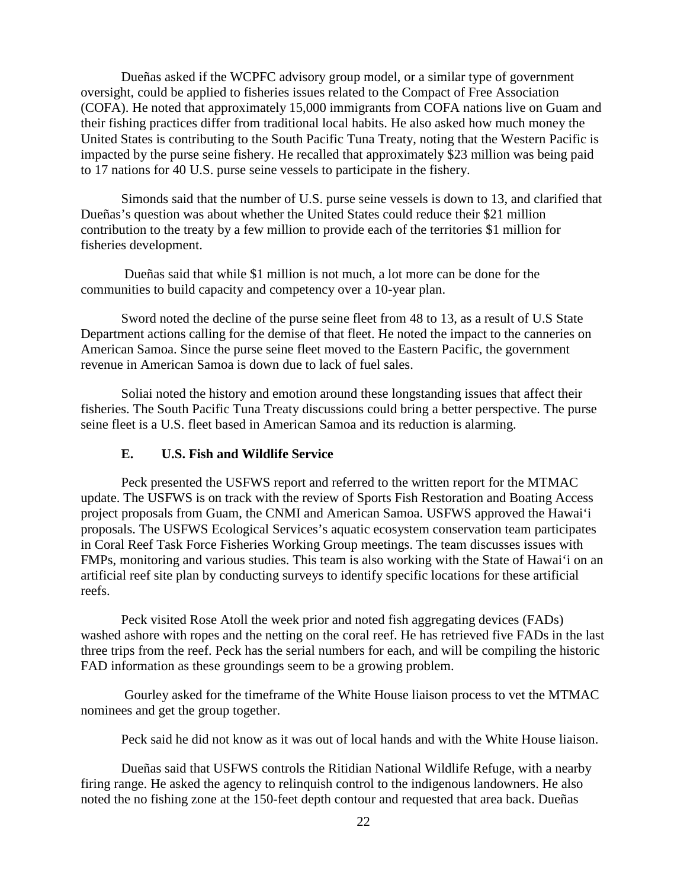Dueñas asked if the WCPFC advisory group model, or a similar type of government oversight, could be applied to fisheries issues related to the Compact of Free Association (COFA). He noted that approximately 15,000 immigrants from COFA nations live on Guam and their fishing practices differ from traditional local habits. He also asked how much money the United States is contributing to the South Pacific Tuna Treaty, noting that the Western Pacific is impacted by the purse seine fishery. He recalled that approximately \$23 million was being paid to 17 nations for 40 U.S. purse seine vessels to participate in the fishery.

Simonds said that the number of U.S. purse seine vessels is down to 13, and clarified that Dueñas's question was about whether the United States could reduce their \$21 million contribution to the treaty by a few million to provide each of the territories \$1 million for fisheries development.

Dueñas said that while \$1 million is not much, a lot more can be done for the communities to build capacity and competency over a 10-year plan.

Sword noted the decline of the purse seine fleet from 48 to 13, as a result of U.S State Department actions calling for the demise of that fleet. He noted the impact to the canneries on American Samoa. Since the purse seine fleet moved to the Eastern Pacific, the government revenue in American Samoa is down due to lack of fuel sales.

Soliai noted the history and emotion around these longstanding issues that affect their fisheries. The South Pacific Tuna Treaty discussions could bring a better perspective. The purse seine fleet is a U.S. fleet based in American Samoa and its reduction is alarming.

### **E. U.S. Fish and Wildlife Service**

Peck presented the USFWS report and referred to the written report for the MTMAC update. The USFWS is on track with the review of Sports Fish Restoration and Boating Access project proposals from Guam, the CNMI and American Samoa. USFWS approved the Hawai'i proposals. The USFWS Ecological Services's aquatic ecosystem conservation team participates in Coral Reef Task Force Fisheries Working Group meetings. The team discusses issues with FMPs, monitoring and various studies. This team is also working with the State of Hawai'i on an artificial reef site plan by conducting surveys to identify specific locations for these artificial reefs.

Peck visited Rose Atoll the week prior and noted fish aggregating devices (FADs) washed ashore with ropes and the netting on the coral reef. He has retrieved five FADs in the last three trips from the reef. Peck has the serial numbers for each, and will be compiling the historic FAD information as these groundings seem to be a growing problem.

Gourley asked for the timeframe of the White House liaison process to vet the MTMAC nominees and get the group together.

Peck said he did not know as it was out of local hands and with the White House liaison.

Dueñas said that USFWS controls the Ritidian National Wildlife Refuge, with a nearby firing range. He asked the agency to relinquish control to the indigenous landowners. He also noted the no fishing zone at the 150-feet depth contour and requested that area back. Dueñas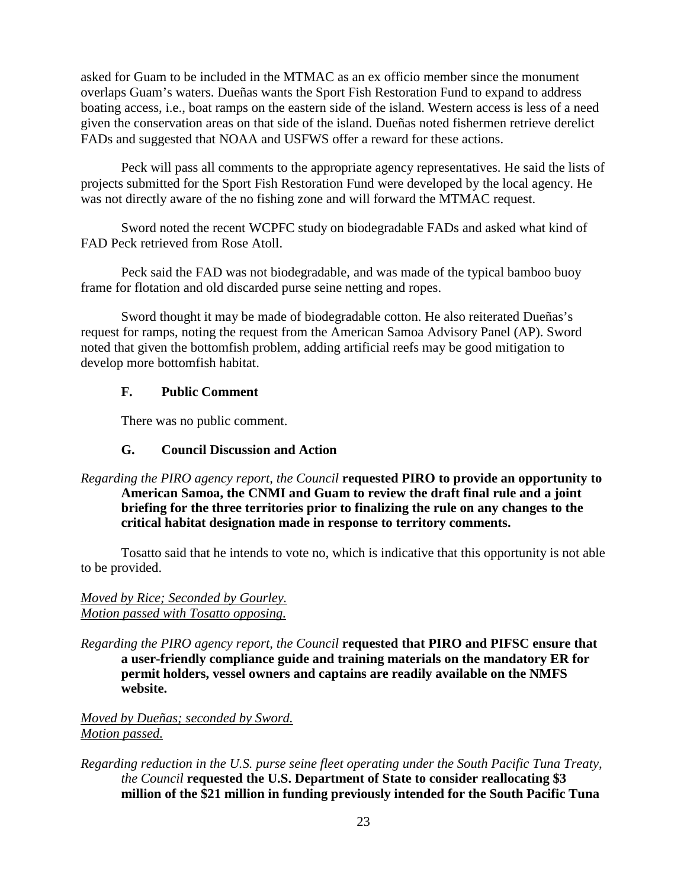asked for Guam to be included in the MTMAC as an ex officio member since the monument overlaps Guam's waters. Dueñas wants the Sport Fish Restoration Fund to expand to address boating access, i.e., boat ramps on the eastern side of the island. Western access is less of a need given the conservation areas on that side of the island. Dueñas noted fishermen retrieve derelict FADs and suggested that NOAA and USFWS offer a reward for these actions.

Peck will pass all comments to the appropriate agency representatives. He said the lists of projects submitted for the Sport Fish Restoration Fund were developed by the local agency. He was not directly aware of the no fishing zone and will forward the MTMAC request.

Sword noted the recent WCPFC study on biodegradable FADs and asked what kind of FAD Peck retrieved from Rose Atoll.

Peck said the FAD was not biodegradable, and was made of the typical bamboo buoy frame for flotation and old discarded purse seine netting and ropes.

Sword thought it may be made of biodegradable cotton. He also reiterated Dueñas's request for ramps, noting the request from the American Samoa Advisory Panel (AP). Sword noted that given the bottomfish problem, adding artificial reefs may be good mitigation to develop more bottomfish habitat.

## **F. Public Comment**

There was no public comment.

## **G. Council Discussion and Action**

*Regarding the PIRO agency report, the Council* **requested PIRO to provide an opportunity to American Samoa, the CNMI and Guam to review the draft final rule and a joint briefing for the three territories prior to finalizing the rule on any changes to the critical habitat designation made in response to territory comments.**

Tosatto said that he intends to vote no, which is indicative that this opportunity is not able to be provided.

# *Moved by Rice; Seconded by Gourley. Motion passed with Tosatto opposing.*

*Regarding the PIRO agency report, the Council* **requested that PIRO and PIFSC ensure that a user-friendly compliance guide and training materials on the mandatory ER for permit holders, vessel owners and captains are readily available on the NMFS website.** 

*Moved by Dueñas; seconded by Sword. Motion passed.*

*Regarding reduction in the U.S. purse seine fleet operating under the South Pacific Tuna Treaty, the Council* **requested the U.S. Department of State to consider reallocating \$3 million of the \$21 million in funding previously intended for the South Pacific Tuna**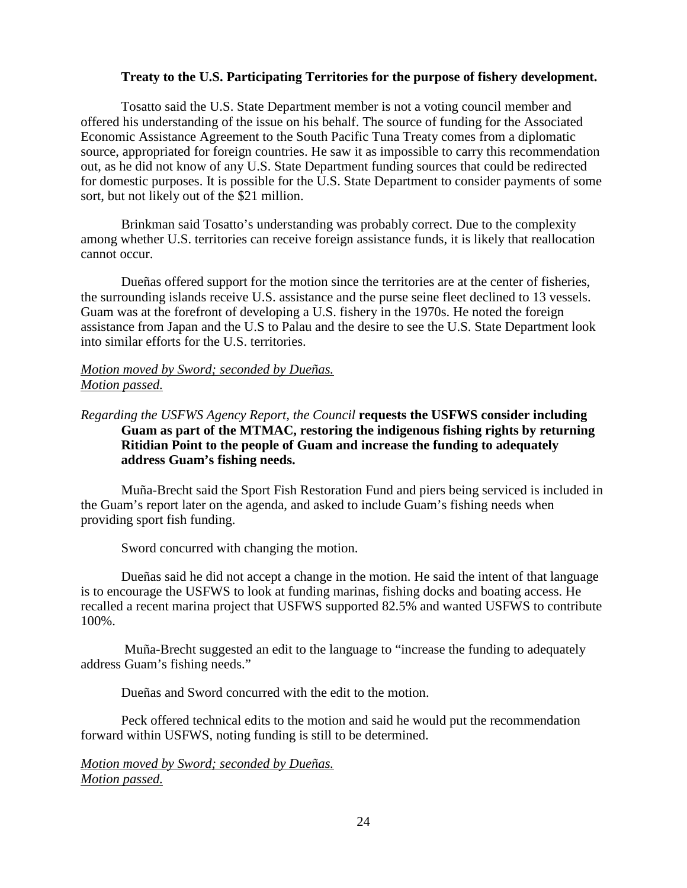### **Treaty to the U.S. Participating Territories for the purpose of fishery development.**

Tosatto said the U.S. State Department member is not a voting council member and offered his understanding of the issue on his behalf. The source of funding for the Associated Economic Assistance Agreement to the South Pacific Tuna Treaty comes from a diplomatic source, appropriated for foreign countries. He saw it as impossible to carry this recommendation out, as he did not know of any U.S. State Department funding sources that could be redirected for domestic purposes. It is possible for the U.S. State Department to consider payments of some sort, but not likely out of the \$21 million.

Brinkman said Tosatto's understanding was probably correct. Due to the complexity among whether U.S. territories can receive foreign assistance funds, it is likely that reallocation cannot occur.

Dueñas offered support for the motion since the territories are at the center of fisheries, the surrounding islands receive U.S. assistance and the purse seine fleet declined to 13 vessels. Guam was at the forefront of developing a U.S. fishery in the 1970s. He noted the foreign assistance from Japan and the U.S to Palau and the desire to see the U.S. State Department look into similar efforts for the U.S. territories.

### *Motion moved by Sword; seconded by Dueñas. Motion passed.*

## *Regarding the USFWS Agency Report, the Council* **requests the USFWS consider including Guam as part of the MTMAC, restoring the indigenous fishing rights by returning Ritidian Point to the people of Guam and increase the funding to adequately address Guam's fishing needs.**

Muña-Brecht said the Sport Fish Restoration Fund and piers being serviced is included in the Guam's report later on the agenda, and asked to include Guam's fishing needs when providing sport fish funding.

Sword concurred with changing the motion.

Dueñas said he did not accept a change in the motion. He said the intent of that language is to encourage the USFWS to look at funding marinas, fishing docks and boating access. He recalled a recent marina project that USFWS supported 82.5% and wanted USFWS to contribute 100%.

Muña-Brecht suggested an edit to the language to "increase the funding to adequately address Guam's fishing needs."

Dueñas and Sword concurred with the edit to the motion.

Peck offered technical edits to the motion and said he would put the recommendation forward within USFWS, noting funding is still to be determined.

*Motion moved by Sword; seconded by Dueñas. Motion passed.*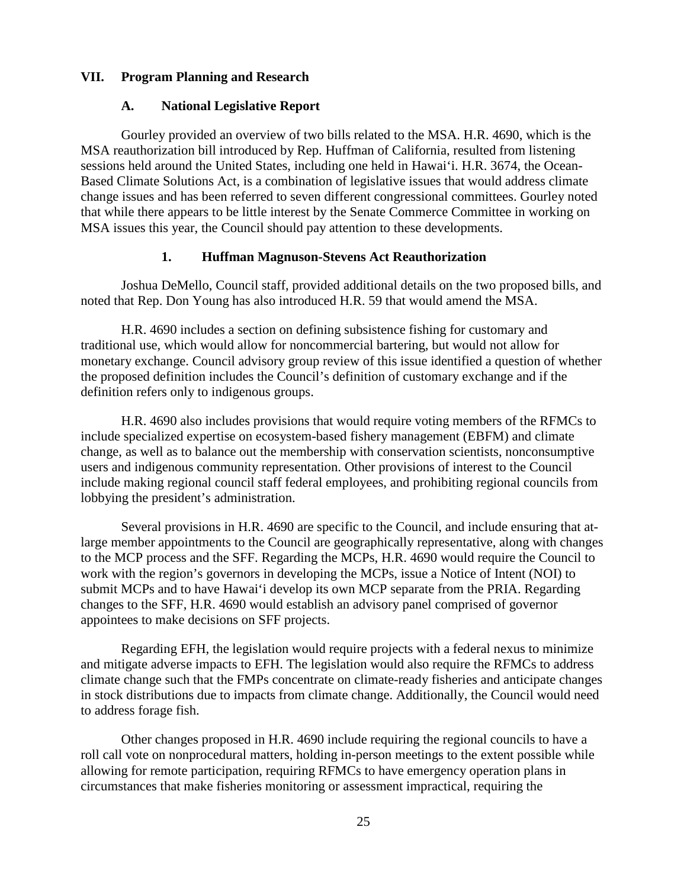## **VII. Program Planning and Research**

### **A. National Legislative Report**

Gourley provided an overview of two bills related to the MSA. H.R. 4690, which is the MSA reauthorization bill introduced by Rep. Huffman of California, resulted from listening sessions held around the United States, including one held in Hawai'i. H.R. 3674, the Ocean-Based Climate Solutions Act, is a combination of legislative issues that would address climate change issues and has been referred to seven different congressional committees. Gourley noted that while there appears to be little interest by the Senate Commerce Committee in working on MSA issues this year, the Council should pay attention to these developments.

## **1. Huffman Magnuson-Stevens Act Reauthorization**

Joshua DeMello, Council staff, provided additional details on the two proposed bills, and noted that Rep. Don Young has also introduced H.R. 59 that would amend the MSA.

H.R. 4690 includes a section on defining subsistence fishing for customary and traditional use, which would allow for noncommercial bartering, but would not allow for monetary exchange. Council advisory group review of this issue identified a question of whether the proposed definition includes the Council's definition of customary exchange and if the definition refers only to indigenous groups.

H.R. 4690 also includes provisions that would require voting members of the RFMCs to include specialized expertise on ecosystem-based fishery management (EBFM) and climate change, as well as to balance out the membership with conservation scientists, nonconsumptive users and indigenous community representation. Other provisions of interest to the Council include making regional council staff federal employees, and prohibiting regional councils from lobbying the president's administration.

Several provisions in H.R. 4690 are specific to the Council, and include ensuring that atlarge member appointments to the Council are geographically representative, along with changes to the MCP process and the SFF. Regarding the MCPs, H.R. 4690 would require the Council to work with the region's governors in developing the MCPs, issue a Notice of Intent (NOI) to submit MCPs and to have Hawai'i develop its own MCP separate from the PRIA. Regarding changes to the SFF, H.R. 4690 would establish an advisory panel comprised of governor appointees to make decisions on SFF projects.

Regarding EFH, the legislation would require projects with a federal nexus to minimize and mitigate adverse impacts to EFH. The legislation would also require the RFMCs to address climate change such that the FMPs concentrate on climate-ready fisheries and anticipate changes in stock distributions due to impacts from climate change. Additionally, the Council would need to address forage fish.

Other changes proposed in H.R. 4690 include requiring the regional councils to have a roll call vote on nonprocedural matters, holding in-person meetings to the extent possible while allowing for remote participation, requiring RFMCs to have emergency operation plans in circumstances that make fisheries monitoring or assessment impractical, requiring the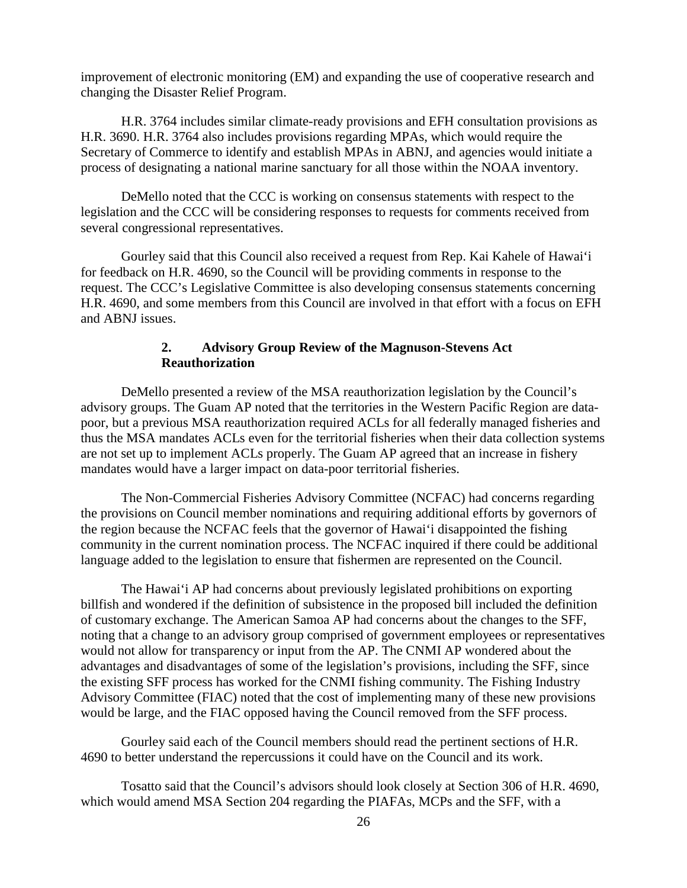improvement of electronic monitoring (EM) and expanding the use of cooperative research and changing the Disaster Relief Program.

H.R. 3764 includes similar climate-ready provisions and EFH consultation provisions as H.R. 3690. H.R. 3764 also includes provisions regarding MPAs, which would require the Secretary of Commerce to identify and establish MPAs in ABNJ, and agencies would initiate a process of designating a national marine sanctuary for all those within the NOAA inventory.

DeMello noted that the CCC is working on consensus statements with respect to the legislation and the CCC will be considering responses to requests for comments received from several congressional representatives.

Gourley said that this Council also received a request from Rep. Kai Kahele of Hawai'i for feedback on H.R. 4690, so the Council will be providing comments in response to the request. The CCC's Legislative Committee is also developing consensus statements concerning H.R. 4690, and some members from this Council are involved in that effort with a focus on EFH and ABNJ issues.

## **2. Advisory Group Review of the Magnuson-Stevens Act Reauthorization**

DeMello presented a review of the MSA reauthorization legislation by the Council's advisory groups. The Guam AP noted that the territories in the Western Pacific Region are datapoor, but a previous MSA reauthorization required ACLs for all federally managed fisheries and thus the MSA mandates ACLs even for the territorial fisheries when their data collection systems are not set up to implement ACLs properly. The Guam AP agreed that an increase in fishery mandates would have a larger impact on data-poor territorial fisheries.

The Non-Commercial Fisheries Advisory Committee (NCFAC) had concerns regarding the provisions on Council member nominations and requiring additional efforts by governors of the region because the NCFAC feels that the governor of Hawai'i disappointed the fishing community in the current nomination process. The NCFAC inquired if there could be additional language added to the legislation to ensure that fishermen are represented on the Council.

The Hawai'i AP had concerns about previously legislated prohibitions on exporting billfish and wondered if the definition of subsistence in the proposed bill included the definition of customary exchange. The American Samoa AP had concerns about the changes to the SFF, noting that a change to an advisory group comprised of government employees or representatives would not allow for transparency or input from the AP. The CNMI AP wondered about the advantages and disadvantages of some of the legislation's provisions, including the SFF, since the existing SFF process has worked for the CNMI fishing community. The Fishing Industry Advisory Committee (FIAC) noted that the cost of implementing many of these new provisions would be large, and the FIAC opposed having the Council removed from the SFF process.

Gourley said each of the Council members should read the pertinent sections of H.R. 4690 to better understand the repercussions it could have on the Council and its work.

Tosatto said that the Council's advisors should look closely at Section 306 of H.R. 4690, which would amend MSA Section 204 regarding the PIAFAs, MCPs and the SFF, with a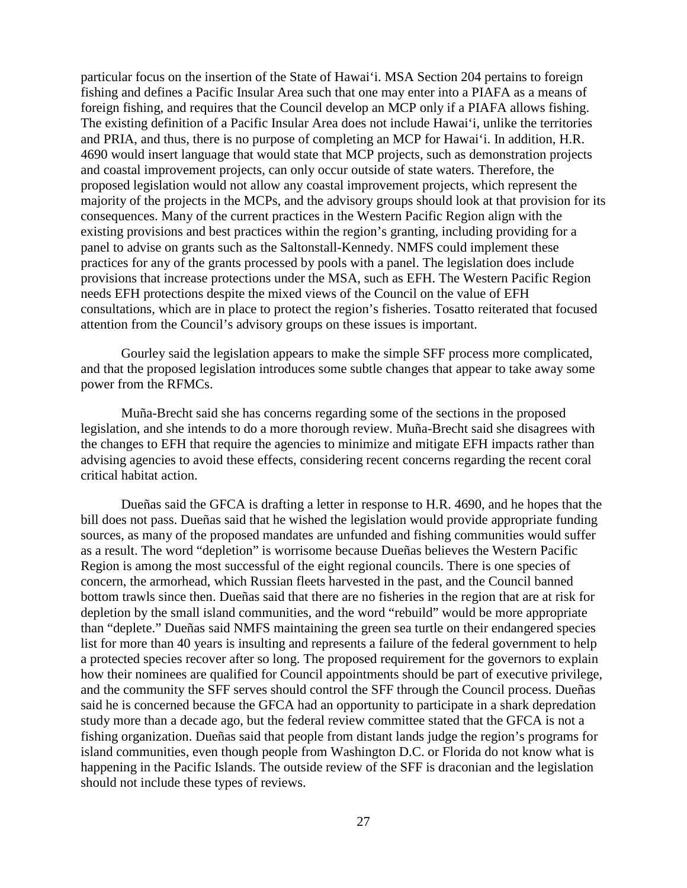particular focus on the insertion of the State of Hawai'i. MSA Section 204 pertains to foreign fishing and defines a Pacific Insular Area such that one may enter into a PIAFA as a means of foreign fishing, and requires that the Council develop an MCP only if a PIAFA allows fishing. The existing definition of a Pacific Insular Area does not include Hawai'i, unlike the territories and PRIA, and thus, there is no purpose of completing an MCP for Hawai'i. In addition, H.R. 4690 would insert language that would state that MCP projects, such as demonstration projects and coastal improvement projects, can only occur outside of state waters. Therefore, the proposed legislation would not allow any coastal improvement projects, which represent the majority of the projects in the MCPs, and the advisory groups should look at that provision for its consequences. Many of the current practices in the Western Pacific Region align with the existing provisions and best practices within the region's granting, including providing for a panel to advise on grants such as the Saltonstall-Kennedy. NMFS could implement these practices for any of the grants processed by pools with a panel. The legislation does include provisions that increase protections under the MSA, such as EFH. The Western Pacific Region needs EFH protections despite the mixed views of the Council on the value of EFH consultations, which are in place to protect the region's fisheries. Tosatto reiterated that focused attention from the Council's advisory groups on these issues is important.

Gourley said the legislation appears to make the simple SFF process more complicated, and that the proposed legislation introduces some subtle changes that appear to take away some power from the RFMCs.

Muña-Brecht said she has concerns regarding some of the sections in the proposed legislation, and she intends to do a more thorough review. Muña-Brecht said she disagrees with the changes to EFH that require the agencies to minimize and mitigate EFH impacts rather than advising agencies to avoid these effects, considering recent concerns regarding the recent coral critical habitat action.

Dueñas said the GFCA is drafting a letter in response to H.R. 4690, and he hopes that the bill does not pass. Dueñas said that he wished the legislation would provide appropriate funding sources, as many of the proposed mandates are unfunded and fishing communities would suffer as a result. The word "depletion" is worrisome because Dueñas believes the Western Pacific Region is among the most successful of the eight regional councils. There is one species of concern, the armorhead, which Russian fleets harvested in the past, and the Council banned bottom trawls since then. Dueñas said that there are no fisheries in the region that are at risk for depletion by the small island communities, and the word "rebuild" would be more appropriate than "deplete." Dueñas said NMFS maintaining the green sea turtle on their endangered species list for more than 40 years is insulting and represents a failure of the federal government to help a protected species recover after so long. The proposed requirement for the governors to explain how their nominees are qualified for Council appointments should be part of executive privilege, and the community the SFF serves should control the SFF through the Council process. Dueñas said he is concerned because the GFCA had an opportunity to participate in a shark depredation study more than a decade ago, but the federal review committee stated that the GFCA is not a fishing organization. Dueñas said that people from distant lands judge the region's programs for island communities, even though people from Washington D.C. or Florida do not know what is happening in the Pacific Islands. The outside review of the SFF is draconian and the legislation should not include these types of reviews.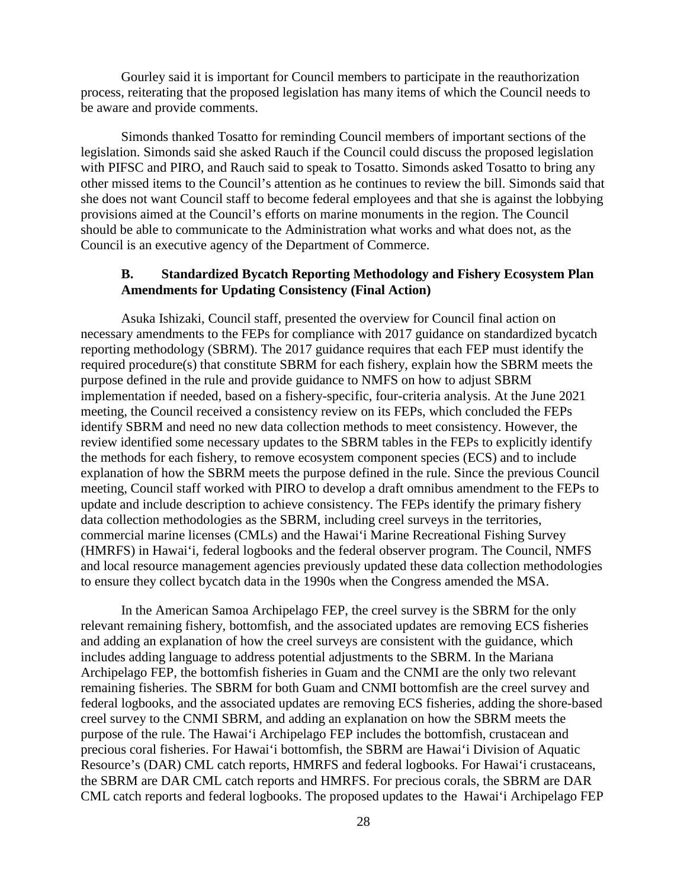Gourley said it is important for Council members to participate in the reauthorization process, reiterating that the proposed legislation has many items of which the Council needs to be aware and provide comments.

Simonds thanked Tosatto for reminding Council members of important sections of the legislation. Simonds said she asked Rauch if the Council could discuss the proposed legislation with PIFSC and PIRO, and Rauch said to speak to Tosatto. Simonds asked Tosatto to bring any other missed items to the Council's attention as he continues to review the bill. Simonds said that she does not want Council staff to become federal employees and that she is against the lobbying provisions aimed at the Council's efforts on marine monuments in the region. The Council should be able to communicate to the Administration what works and what does not, as the Council is an executive agency of the Department of Commerce.

### **B. Standardized Bycatch Reporting Methodology and Fishery Ecosystem Plan Amendments for Updating Consistency (Final Action)**

Asuka Ishizaki, Council staff, presented the overview for Council final action on necessary amendments to the FEPs for compliance with 2017 guidance on standardized bycatch reporting methodology (SBRM). The 2017 guidance requires that each FEP must identify the required procedure(s) that constitute SBRM for each fishery, explain how the SBRM meets the purpose defined in the rule and provide guidance to NMFS on how to adjust SBRM implementation if needed, based on a fishery-specific, four-criteria analysis. At the June 2021 meeting, the Council received a consistency review on its FEPs, which concluded the FEPs identify SBRM and need no new data collection methods to meet consistency. However, the review identified some necessary updates to the SBRM tables in the FEPs to explicitly identify the methods for each fishery, to remove ecosystem component species (ECS) and to include explanation of how the SBRM meets the purpose defined in the rule. Since the previous Council meeting, Council staff worked with PIRO to develop a draft omnibus amendment to the FEPs to update and include description to achieve consistency. The FEPs identify the primary fishery data collection methodologies as the SBRM, including creel surveys in the territories, commercial marine licenses (CMLs) and the Hawai'i Marine Recreational Fishing Survey (HMRFS) in Hawai'i, federal logbooks and the federal observer program. The Council, NMFS and local resource management agencies previously updated these data collection methodologies to ensure they collect bycatch data in the 1990s when the Congress amended the MSA.

In the American Samoa Archipelago FEP, the creel survey is the SBRM for the only relevant remaining fishery, bottomfish, and the associated updates are removing ECS fisheries and adding an explanation of how the creel surveys are consistent with the guidance, which includes adding language to address potential adjustments to the SBRM. In the Mariana Archipelago FEP, the bottomfish fisheries in Guam and the CNMI are the only two relevant remaining fisheries. The SBRM for both Guam and CNMI bottomfish are the creel survey and federal logbooks, and the associated updates are removing ECS fisheries, adding the shore-based creel survey to the CNMI SBRM, and adding an explanation on how the SBRM meets the purpose of the rule. The Hawai'i Archipelago FEP includes the bottomfish, crustacean and precious coral fisheries. For Hawai'i bottomfish, the SBRM are Hawai'i Division of Aquatic Resource's (DAR) CML catch reports, HMRFS and federal logbooks. For Hawai'i crustaceans, the SBRM are DAR CML catch reports and HMRFS. For precious corals, the SBRM are DAR CML catch reports and federal logbooks. The proposed updates to the Hawai'i Archipelago FEP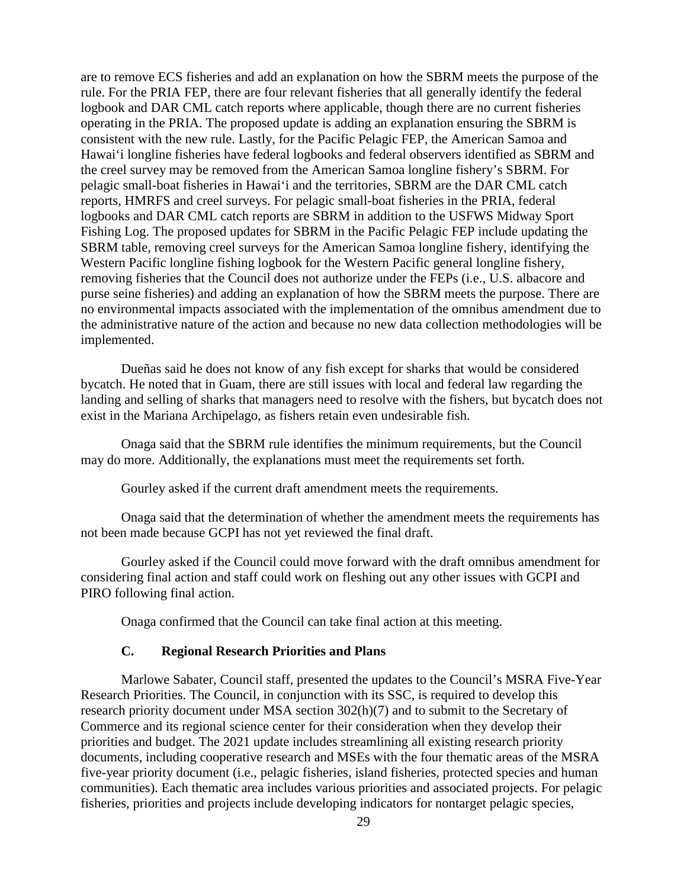are to remove ECS fisheries and add an explanation on how the SBRM meets the purpose of the rule. For the PRIA FEP, there are four relevant fisheries that all generally identify the federal logbook and DAR CML catch reports where applicable, though there are no current fisheries operating in the PRIA. The proposed update is adding an explanation ensuring the SBRM is consistent with the new rule. Lastly, for the Pacific Pelagic FEP, the American Samoa and Hawai'i longline fisheries have federal logbooks and federal observers identified as SBRM and the creel survey may be removed from the American Samoa longline fishery's SBRM. For pelagic small-boat fisheries in Hawai'i and the territories, SBRM are the DAR CML catch reports, HMRFS and creel surveys. For pelagic small-boat fisheries in the PRIA, federal logbooks and DAR CML catch reports are SBRM in addition to the USFWS Midway Sport Fishing Log. The proposed updates for SBRM in the Pacific Pelagic FEP include updating the SBRM table, removing creel surveys for the American Samoa longline fishery, identifying the Western Pacific longline fishing logbook for the Western Pacific general longline fishery, removing fisheries that the Council does not authorize under the FEPs (i.e., U.S. albacore and purse seine fisheries) and adding an explanation of how the SBRM meets the purpose. There are no environmental impacts associated with the implementation of the omnibus amendment due to the administrative nature of the action and because no new data collection methodologies will be implemented.

Dueñas said he does not know of any fish except for sharks that would be considered bycatch. He noted that in Guam, there are still issues with local and federal law regarding the landing and selling of sharks that managers need to resolve with the fishers, but bycatch does not exist in the Mariana Archipelago, as fishers retain even undesirable fish.

Onaga said that the SBRM rule identifies the minimum requirements, but the Council may do more. Additionally, the explanations must meet the requirements set forth.

Gourley asked if the current draft amendment meets the requirements.

Onaga said that the determination of whether the amendment meets the requirements has not been made because GCPI has not yet reviewed the final draft.

Gourley asked if the Council could move forward with the draft omnibus amendment for considering final action and staff could work on fleshing out any other issues with GCPI and PIRO following final action.

Onaga confirmed that the Council can take final action at this meeting.

### **C. Regional Research Priorities and Plans**

Marlowe Sabater, Council staff, presented the updates to the Council's MSRA Five-Year Research Priorities. The Council, in conjunction with its SSC, is required to develop this research priority document under MSA section 302(h)(7) and to submit to the Secretary of Commerce and its regional science center for their consideration when they develop their priorities and budget. The 2021 update includes streamlining all existing research priority documents, including cooperative research and MSEs with the four thematic areas of the MSRA five-year priority document (i.e., pelagic fisheries, island fisheries, protected species and human communities). Each thematic area includes various priorities and associated projects. For pelagic fisheries, priorities and projects include developing indicators for nontarget pelagic species,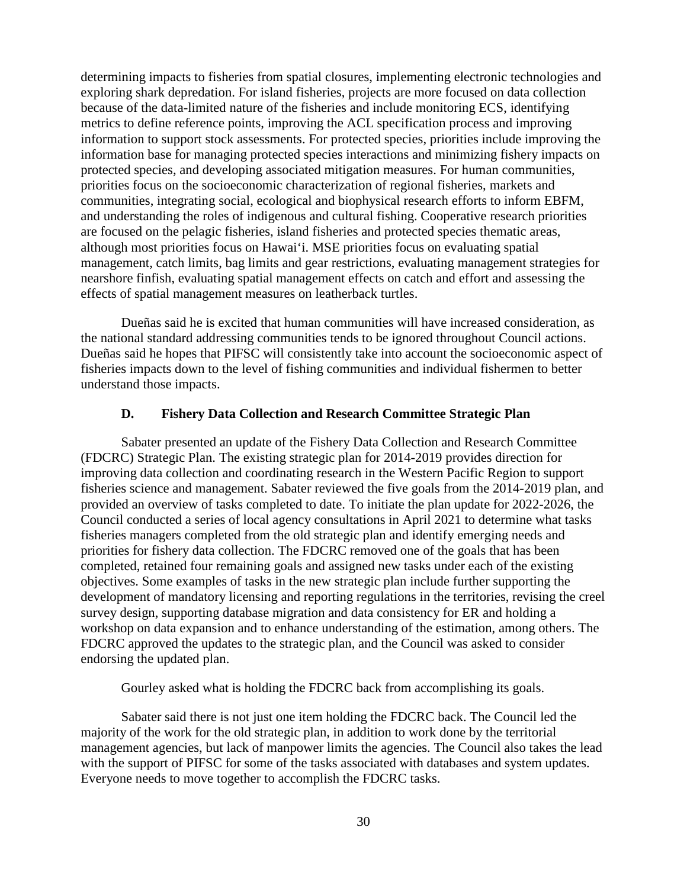determining impacts to fisheries from spatial closures, implementing electronic technologies and exploring shark depredation. For island fisheries, projects are more focused on data collection because of the data-limited nature of the fisheries and include monitoring ECS, identifying metrics to define reference points, improving the ACL specification process and improving information to support stock assessments. For protected species, priorities include improving the information base for managing protected species interactions and minimizing fishery impacts on protected species, and developing associated mitigation measures. For human communities, priorities focus on the socioeconomic characterization of regional fisheries, markets and communities, integrating social, ecological and biophysical research efforts to inform EBFM, and understanding the roles of indigenous and cultural fishing. Cooperative research priorities are focused on the pelagic fisheries, island fisheries and protected species thematic areas, although most priorities focus on Hawai'i. MSE priorities focus on evaluating spatial management, catch limits, bag limits and gear restrictions, evaluating management strategies for nearshore finfish, evaluating spatial management effects on catch and effort and assessing the effects of spatial management measures on leatherback turtles.

Dueñas said he is excited that human communities will have increased consideration, as the national standard addressing communities tends to be ignored throughout Council actions. Dueñas said he hopes that PIFSC will consistently take into account the socioeconomic aspect of fisheries impacts down to the level of fishing communities and individual fishermen to better understand those impacts.

### **D. Fishery Data Collection and Research Committee Strategic Plan**

Sabater presented an update of the Fishery Data Collection and Research Committee (FDCRC) Strategic Plan. The existing strategic plan for 2014-2019 provides direction for improving data collection and coordinating research in the Western Pacific Region to support fisheries science and management. Sabater reviewed the five goals from the 2014-2019 plan, and provided an overview of tasks completed to date. To initiate the plan update for 2022-2026, the Council conducted a series of local agency consultations in April 2021 to determine what tasks fisheries managers completed from the old strategic plan and identify emerging needs and priorities for fishery data collection. The FDCRC removed one of the goals that has been completed, retained four remaining goals and assigned new tasks under each of the existing objectives. Some examples of tasks in the new strategic plan include further supporting the development of mandatory licensing and reporting regulations in the territories, revising the creel survey design, supporting database migration and data consistency for ER and holding a workshop on data expansion and to enhance understanding of the estimation, among others. The FDCRC approved the updates to the strategic plan, and the Council was asked to consider endorsing the updated plan.

Gourley asked what is holding the FDCRC back from accomplishing its goals.

Sabater said there is not just one item holding the FDCRC back. The Council led the majority of the work for the old strategic plan, in addition to work done by the territorial management agencies, but lack of manpower limits the agencies. The Council also takes the lead with the support of PIFSC for some of the tasks associated with databases and system updates. Everyone needs to move together to accomplish the FDCRC tasks.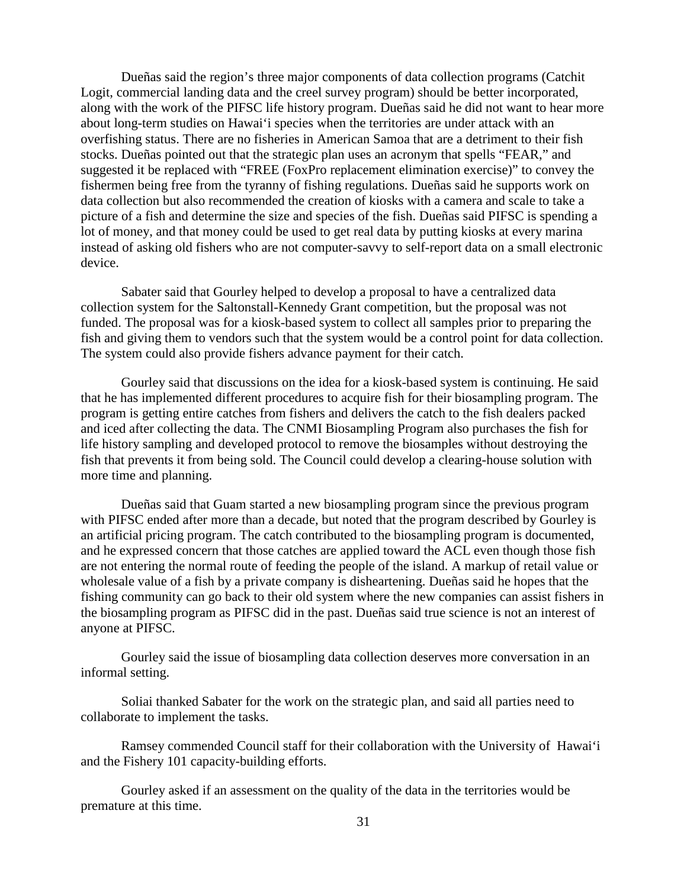Dueñas said the region's three major components of data collection programs (Catchit Logit, commercial landing data and the creel survey program) should be better incorporated, along with the work of the PIFSC life history program. Dueñas said he did not want to hear more about long-term studies on Hawai'i species when the territories are under attack with an overfishing status. There are no fisheries in American Samoa that are a detriment to their fish stocks. Dueñas pointed out that the strategic plan uses an acronym that spells "FEAR," and suggested it be replaced with "FREE (FoxPro replacement elimination exercise)" to convey the fishermen being free from the tyranny of fishing regulations. Dueñas said he supports work on data collection but also recommended the creation of kiosks with a camera and scale to take a picture of a fish and determine the size and species of the fish. Dueñas said PIFSC is spending a lot of money, and that money could be used to get real data by putting kiosks at every marina instead of asking old fishers who are not computer-savvy to self-report data on a small electronic device.

Sabater said that Gourley helped to develop a proposal to have a centralized data collection system for the Saltonstall-Kennedy Grant competition, but the proposal was not funded. The proposal was for a kiosk-based system to collect all samples prior to preparing the fish and giving them to vendors such that the system would be a control point for data collection. The system could also provide fishers advance payment for their catch.

Gourley said that discussions on the idea for a kiosk-based system is continuing. He said that he has implemented different procedures to acquire fish for their biosampling program. The program is getting entire catches from fishers and delivers the catch to the fish dealers packed and iced after collecting the data. The CNMI Biosampling Program also purchases the fish for life history sampling and developed protocol to remove the biosamples without destroying the fish that prevents it from being sold. The Council could develop a clearing-house solution with more time and planning.

Dueñas said that Guam started a new biosampling program since the previous program with PIFSC ended after more than a decade, but noted that the program described by Gourley is an artificial pricing program. The catch contributed to the biosampling program is documented, and he expressed concern that those catches are applied toward the ACL even though those fish are not entering the normal route of feeding the people of the island. A markup of retail value or wholesale value of a fish by a private company is disheartening. Dueñas said he hopes that the fishing community can go back to their old system where the new companies can assist fishers in the biosampling program as PIFSC did in the past. Dueñas said true science is not an interest of anyone at PIFSC.

Gourley said the issue of biosampling data collection deserves more conversation in an informal setting.

Soliai thanked Sabater for the work on the strategic plan, and said all parties need to collaborate to implement the tasks.

Ramsey commended Council staff for their collaboration with the University of Hawai'i and the Fishery 101 capacity-building efforts.

Gourley asked if an assessment on the quality of the data in the territories would be premature at this time.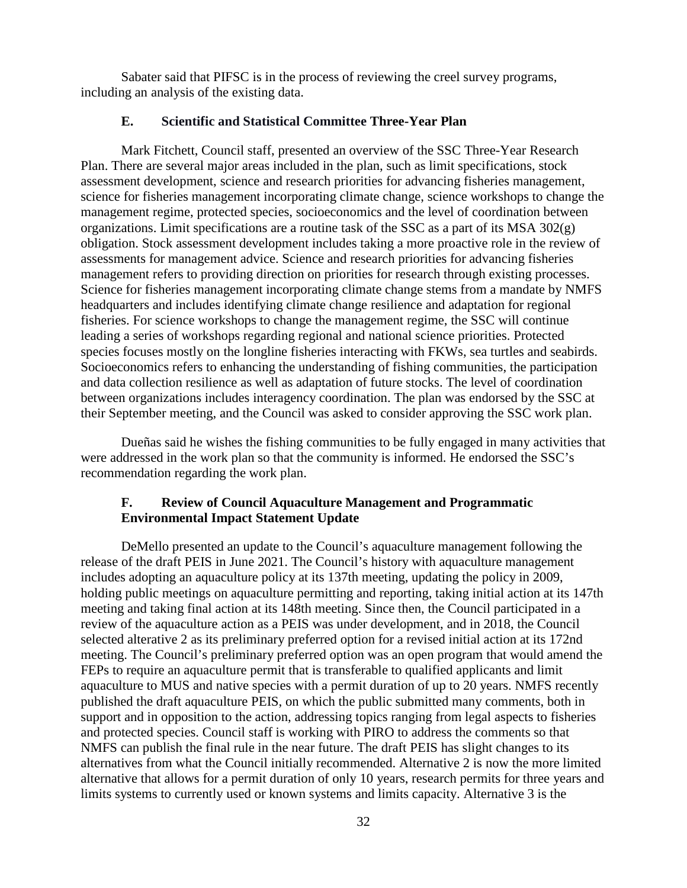Sabater said that PIFSC is in the process of reviewing the creel survey programs, including an analysis of the existing data.

#### **E. Scientific and Statistical Committee Three-Year Plan**

Mark Fitchett, Council staff, presented an overview of the SSC Three-Year Research Plan. There are several major areas included in the plan, such as limit specifications, stock assessment development, science and research priorities for advancing fisheries management, science for fisheries management incorporating climate change, science workshops to change the management regime, protected species, socioeconomics and the level of coordination between organizations. Limit specifications are a routine task of the SSC as a part of its MSA  $302(g)$ obligation. Stock assessment development includes taking a more proactive role in the review of assessments for management advice. Science and research priorities for advancing fisheries management refers to providing direction on priorities for research through existing processes. Science for fisheries management incorporating climate change stems from a mandate by NMFS headquarters and includes identifying climate change resilience and adaptation for regional fisheries. For science workshops to change the management regime, the SSC will continue leading a series of workshops regarding regional and national science priorities. Protected species focuses mostly on the longline fisheries interacting with FKWs, sea turtles and seabirds. Socioeconomics refers to enhancing the understanding of fishing communities, the participation and data collection resilience as well as adaptation of future stocks. The level of coordination between organizations includes interagency coordination. The plan was endorsed by the SSC at their September meeting, and the Council was asked to consider approving the SSC work plan.

Dueñas said he wishes the fishing communities to be fully engaged in many activities that were addressed in the work plan so that the community is informed. He endorsed the SSC's recommendation regarding the work plan.

### **F. Review of Council Aquaculture Management and Programmatic Environmental Impact Statement Update**

DeMello presented an update to the Council's aquaculture management following the release of the draft PEIS in June 2021. The Council's history with aquaculture management includes adopting an aquaculture policy at its 137th meeting, updating the policy in 2009, holding public meetings on aquaculture permitting and reporting, taking initial action at its 147th meeting and taking final action at its 148th meeting. Since then, the Council participated in a review of the aquaculture action as a PEIS was under development, and in 2018, the Council selected alterative 2 as its preliminary preferred option for a revised initial action at its 172nd meeting. The Council's preliminary preferred option was an open program that would amend the FEPs to require an aquaculture permit that is transferable to qualified applicants and limit aquaculture to MUS and native species with a permit duration of up to 20 years. NMFS recently published the draft aquaculture PEIS, on which the public submitted many comments, both in support and in opposition to the action, addressing topics ranging from legal aspects to fisheries and protected species. Council staff is working with PIRO to address the comments so that NMFS can publish the final rule in the near future. The draft PEIS has slight changes to its alternatives from what the Council initially recommended. Alternative 2 is now the more limited alternative that allows for a permit duration of only 10 years, research permits for three years and limits systems to currently used or known systems and limits capacity. Alternative 3 is the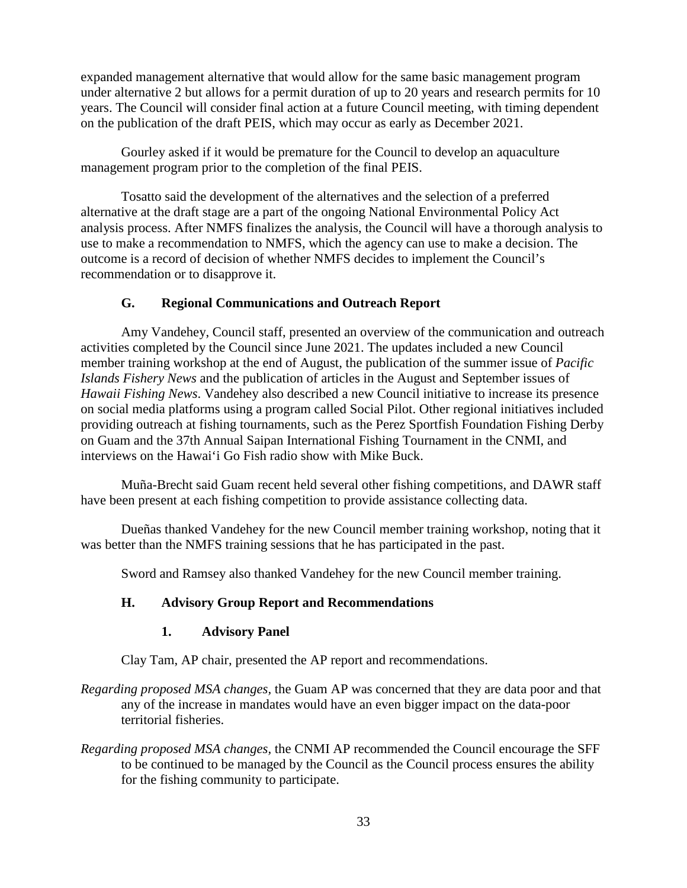expanded management alternative that would allow for the same basic management program under alternative 2 but allows for a permit duration of up to 20 years and research permits for 10 years. The Council will consider final action at a future Council meeting, with timing dependent on the publication of the draft PEIS, which may occur as early as December 2021.

Gourley asked if it would be premature for the Council to develop an aquaculture management program prior to the completion of the final PEIS.

Tosatto said the development of the alternatives and the selection of a preferred alternative at the draft stage are a part of the ongoing National Environmental Policy Act analysis process. After NMFS finalizes the analysis, the Council will have a thorough analysis to use to make a recommendation to NMFS, which the agency can use to make a decision. The outcome is a record of decision of whether NMFS decides to implement the Council's recommendation or to disapprove it.

### **G. Regional Communications and Outreach Report**

Amy Vandehey, Council staff, presented an overview of the communication and outreach activities completed by the Council since June 2021. The updates included a new Council member training workshop at the end of August, the publication of the summer issue of *Pacific Islands Fishery News* and the publication of articles in the August and September issues of *Hawaii Fishing News*. Vandehey also described a new Council initiative to increase its presence on social media platforms using a program called Social Pilot. Other regional initiatives included providing outreach at fishing tournaments, such as the Perez Sportfish Foundation Fishing Derby on Guam and the 37th Annual Saipan International Fishing Tournament in the CNMI, and interviews on the Hawai'i Go Fish radio show with Mike Buck.

Muña-Brecht said Guam recent held several other fishing competitions, and DAWR staff have been present at each fishing competition to provide assistance collecting data.

Dueñas thanked Vandehey for the new Council member training workshop, noting that it was better than the NMFS training sessions that he has participated in the past.

Sword and Ramsey also thanked Vandehey for the new Council member training.

### **H. Advisory Group Report and Recommendations**

### **1. Advisory Panel**

Clay Tam, AP chair, presented the AP report and recommendations.

- *Regarding proposed MSA changes,* the Guam AP was concerned that they are data poor and that any of the increase in mandates would have an even bigger impact on the data-poor territorial fisheries.
- *Regarding proposed MSA changes,* the CNMI AP recommended the Council encourage the SFF to be continued to be managed by the Council as the Council process ensures the ability for the fishing community to participate.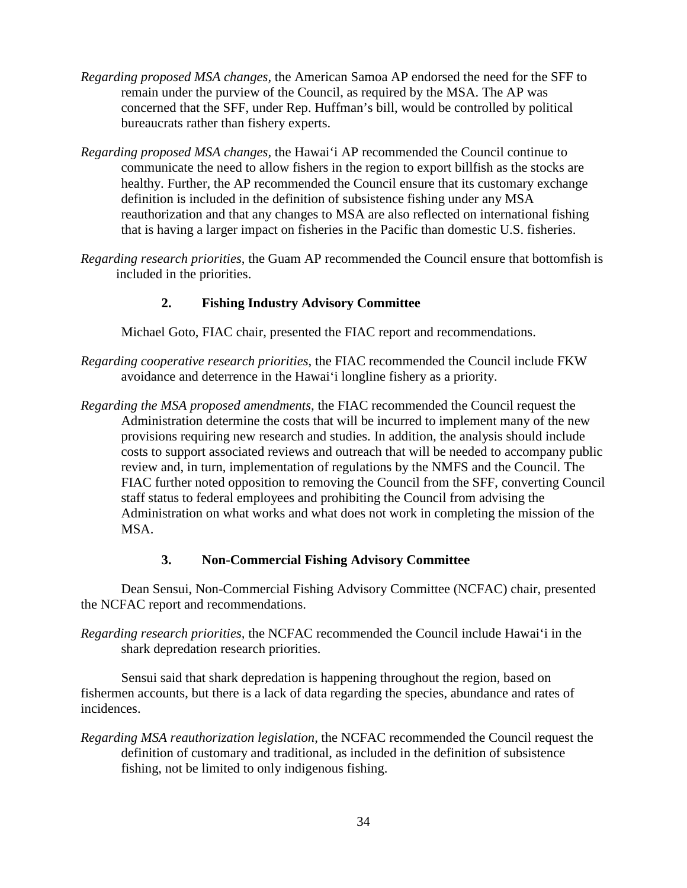- *Regarding proposed MSA changes,* the American Samoa AP endorsed the need for the SFF to remain under the purview of the Council, as required by the MSA. The AP was concerned that the SFF, under Rep. Huffman's bill, would be controlled by political bureaucrats rather than fishery experts.
- *Regarding proposed MSA changes,* the Hawai'i AP recommended the Council continue to communicate the need to allow fishers in the region to export billfish as the stocks are healthy. Further, the AP recommended the Council ensure that its customary exchange definition is included in the definition of subsistence fishing under any MSA reauthorization and that any changes to MSA are also reflected on international fishing that is having a larger impact on fisheries in the Pacific than domestic U.S. fisheries.
- *Regarding research priorities*, the Guam AP recommended the Council ensure that bottomfish is included in the priorities.

## **2. Fishing Industry Advisory Committee**

Michael Goto, FIAC chair, presented the FIAC report and recommendations.

- *Regarding cooperative research priorities*, the FIAC recommended the Council include FKW avoidance and deterrence in the Hawai'i longline fishery as a priority.
- *Regarding the MSA proposed amendments,* the FIAC recommended the Council request the Administration determine the costs that will be incurred to implement many of the new provisions requiring new research and studies. In addition, the analysis should include costs to support associated reviews and outreach that will be needed to accompany public review and, in turn, implementation of regulations by the NMFS and the Council. The FIAC further noted opposition to removing the Council from the SFF, converting Council staff status to federal employees and prohibiting the Council from advising the Administration on what works and what does not work in completing the mission of the MSA.

## **3. Non-Commercial Fishing Advisory Committee**

Dean Sensui, Non-Commercial Fishing Advisory Committee (NCFAC) chair, presented the NCFAC report and recommendations.

*Regarding research priorities,* the NCFAC recommended the Council include Hawai'i in the shark depredation research priorities.

Sensui said that shark depredation is happening throughout the region, based on fishermen accounts, but there is a lack of data regarding the species, abundance and rates of incidences.

*Regarding MSA reauthorization legislation,* the NCFAC recommended the Council request the definition of customary and traditional, as included in the definition of subsistence fishing, not be limited to only indigenous fishing.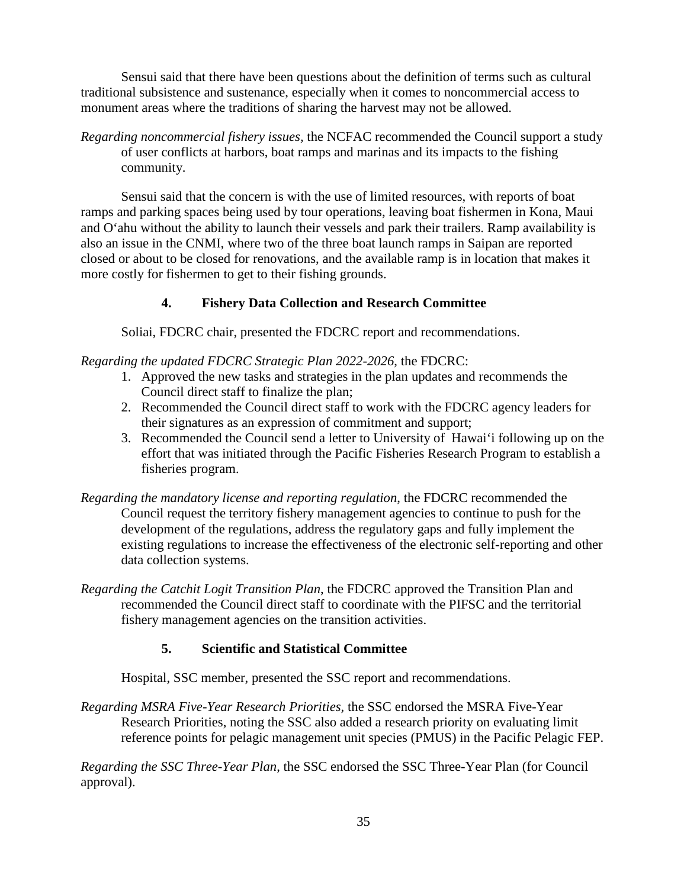Sensui said that there have been questions about the definition of terms such as cultural traditional subsistence and sustenance, especially when it comes to noncommercial access to monument areas where the traditions of sharing the harvest may not be allowed.

*Regarding noncommercial fishery issues,* the NCFAC recommended the Council support a study of user conflicts at harbors, boat ramps and marinas and its impacts to the fishing community.

Sensui said that the concern is with the use of limited resources, with reports of boat ramps and parking spaces being used by tour operations, leaving boat fishermen in Kona, Maui and O'ahu without the ability to launch their vessels and park their trailers. Ramp availability is also an issue in the CNMI, where two of the three boat launch ramps in Saipan are reported closed or about to be closed for renovations, and the available ramp is in location that makes it more costly for fishermen to get to their fishing grounds.

# **4. Fishery Data Collection and Research Committee**

Soliai, FDCRC chair, presented the FDCRC report and recommendations.

## *Regarding the updated FDCRC Strategic Plan 2022-2026*, the FDCRC:

- 1. Approved the new tasks and strategies in the plan updates and recommends the Council direct staff to finalize the plan;
- 2. Recommended the Council direct staff to work with the FDCRC agency leaders for their signatures as an expression of commitment and support;
- 3. Recommended the Council send a letter to University of Hawai'i following up on the effort that was initiated through the Pacific Fisheries Research Program to establish a fisheries program.
- *Regarding the mandatory license and reporting regulation*, the FDCRC recommended the Council request the territory fishery management agencies to continue to push for the development of the regulations, address the regulatory gaps and fully implement the existing regulations to increase the effectiveness of the electronic self-reporting and other data collection systems.
- *Regarding the Catchit Logit Transition Plan*, the FDCRC approved the Transition Plan and recommended the Council direct staff to coordinate with the PIFSC and the territorial fishery management agencies on the transition activities.

## **5. Scientific and Statistical Committee**

Hospital, SSC member, presented the SSC report and recommendations.

*Regarding MSRA Five-Year Research Priorities,* the SSC endorsed the MSRA Five-Year Research Priorities, noting the SSC also added a research priority on evaluating limit reference points for pelagic management unit species (PMUS) in the Pacific Pelagic FEP.

*Regarding the SSC Three-Year Plan*, the SSC endorsed the SSC Three-Year Plan (for Council approval).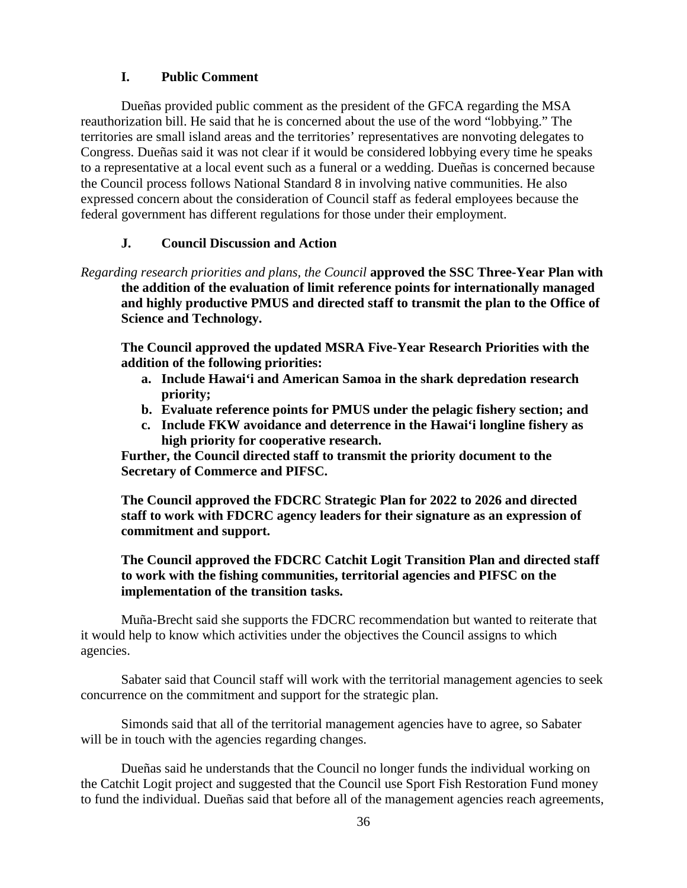# **I. Public Comment**

Dueñas provided public comment as the president of the GFCA regarding the MSA reauthorization bill. He said that he is concerned about the use of the word "lobbying." The territories are small island areas and the territories' representatives are nonvoting delegates to Congress. Dueñas said it was not clear if it would be considered lobbying every time he speaks to a representative at a local event such as a funeral or a wedding. Dueñas is concerned because the Council process follows National Standard 8 in involving native communities. He also expressed concern about the consideration of Council staff as federal employees because the federal government has different regulations for those under their employment.

# **J. Council Discussion and Action**

*Regarding research priorities and plans, the Council* **approved the SSC Three-Year Plan with the addition of the evaluation of limit reference points for internationally managed and highly productive PMUS and directed staff to transmit the plan to the Office of Science and Technology.**

**The Council approved the updated MSRA Five-Year Research Priorities with the addition of the following priorities:**

- **a. Include Hawai'i and American Samoa in the shark depredation research priority;**
- **b. Evaluate reference points for PMUS under the pelagic fishery section; and**
- **c. Include FKW avoidance and deterrence in the Hawai'i longline fishery as high priority for cooperative research.**

**Further, the Council directed staff to transmit the priority document to the Secretary of Commerce and PIFSC.**

**The Council approved the FDCRC Strategic Plan for 2022 to 2026 and directed staff to work with FDCRC agency leaders for their signature as an expression of commitment and support.**

## **The Council approved the FDCRC Catchit Logit Transition Plan and directed staff to work with the fishing communities, territorial agencies and PIFSC on the implementation of the transition tasks.**

Muña-Brecht said she supports the FDCRC recommendation but wanted to reiterate that it would help to know which activities under the objectives the Council assigns to which agencies.

Sabater said that Council staff will work with the territorial management agencies to seek concurrence on the commitment and support for the strategic plan.

Simonds said that all of the territorial management agencies have to agree, so Sabater will be in touch with the agencies regarding changes.

Dueñas said he understands that the Council no longer funds the individual working on the Catchit Logit project and suggested that the Council use Sport Fish Restoration Fund money to fund the individual. Dueñas said that before all of the management agencies reach agreements,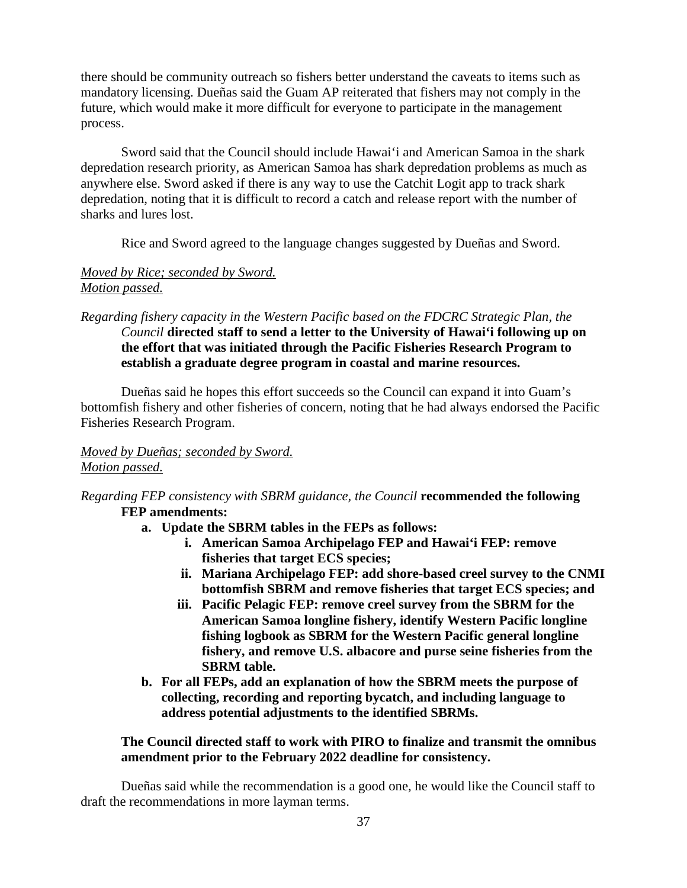there should be community outreach so fishers better understand the caveats to items such as mandatory licensing. Dueñas said the Guam AP reiterated that fishers may not comply in the future, which would make it more difficult for everyone to participate in the management process.

Sword said that the Council should include Hawai'i and American Samoa in the shark depredation research priority, as American Samoa has shark depredation problems as much as anywhere else. Sword asked if there is any way to use the Catchit Logit app to track shark depredation, noting that it is difficult to record a catch and release report with the number of sharks and lures lost.

Rice and Sword agreed to the language changes suggested by Dueñas and Sword.

# *Moved by Rice; seconded by Sword. Motion passed.*

*Regarding fishery capacity in the Western Pacific based on the FDCRC Strategic Plan, the Council* **directed staff to send a letter to the University of Hawai'i following up on the effort that was initiated through the Pacific Fisheries Research Program to establish a graduate degree program in coastal and marine resources.**

Dueñas said he hopes this effort succeeds so the Council can expand it into Guam's bottomfish fishery and other fisheries of concern, noting that he had always endorsed the Pacific Fisheries Research Program.

# *Moved by Dueñas; seconded by Sword. Motion passed.*

- *Regarding FEP consistency with SBRM guidance, the Council* **recommended the following FEP amendments:** 
	- **a. Update the SBRM tables in the FEPs as follows:**
		- **i. American Samoa Archipelago FEP and Hawai'i FEP: remove fisheries that target ECS species;**
		- **ii. Mariana Archipelago FEP: add shore-based creel survey to the CNMI bottomfish SBRM and remove fisheries that target ECS species; and**
		- **iii. Pacific Pelagic FEP: remove creel survey from the SBRM for the American Samoa longline fishery, identify Western Pacific longline fishing logbook as SBRM for the Western Pacific general longline fishery, and remove U.S. albacore and purse seine fisheries from the SBRM table.**
	- **b. For all FEPs, add an explanation of how the SBRM meets the purpose of collecting, recording and reporting bycatch, and including language to address potential adjustments to the identified SBRMs.**

## **The Council directed staff to work with PIRO to finalize and transmit the omnibus amendment prior to the February 2022 deadline for consistency.**

Dueñas said while the recommendation is a good one, he would like the Council staff to draft the recommendations in more layman terms.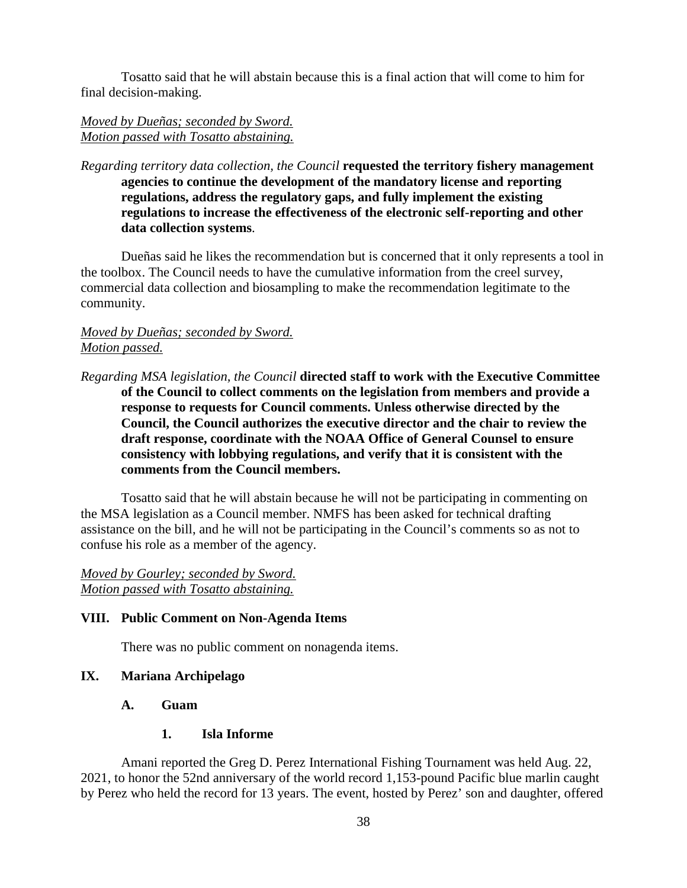Tosatto said that he will abstain because this is a final action that will come to him for final decision-making.

## *Moved by Dueñas; seconded by Sword. Motion passed with Tosatto abstaining.*

*Regarding territory data collection, the Council* **requested the territory fishery management agencies to continue the development of the mandatory license and reporting regulations, address the regulatory gaps, and fully implement the existing regulations to increase the effectiveness of the electronic self-reporting and other data collection systems**.

Dueñas said he likes the recommendation but is concerned that it only represents a tool in the toolbox. The Council needs to have the cumulative information from the creel survey, commercial data collection and biosampling to make the recommendation legitimate to the community.

## *Moved by Dueñas; seconded by Sword. Motion passed.*

*Regarding MSA legislation, the Council* **directed staff to work with the Executive Committee of the Council to collect comments on the legislation from members and provide a response to requests for Council comments. Unless otherwise directed by the Council, the Council authorizes the executive director and the chair to review the draft response, coordinate with the NOAA Office of General Counsel to ensure consistency with lobbying regulations, and verify that it is consistent with the comments from the Council members.**

Tosatto said that he will abstain because he will not be participating in commenting on the MSA legislation as a Council member. NMFS has been asked for technical drafting assistance on the bill, and he will not be participating in the Council's comments so as not to confuse his role as a member of the agency.

*Moved by Gourley; seconded by Sword. Motion passed with Tosatto abstaining.*

### **VIII. Public Comment on Non-Agenda Items**

There was no public comment on nonagenda items.

# **IX. Mariana Archipelago**

### **A. Guam**

### **1. Isla Informe**

Amani reported the Greg D. Perez International Fishing Tournament was held Aug. 22, 2021, to honor the 52nd anniversary of the world record 1,153-pound Pacific blue marlin caught by Perez who held the record for 13 years. The event, hosted by Perez' son and daughter, offered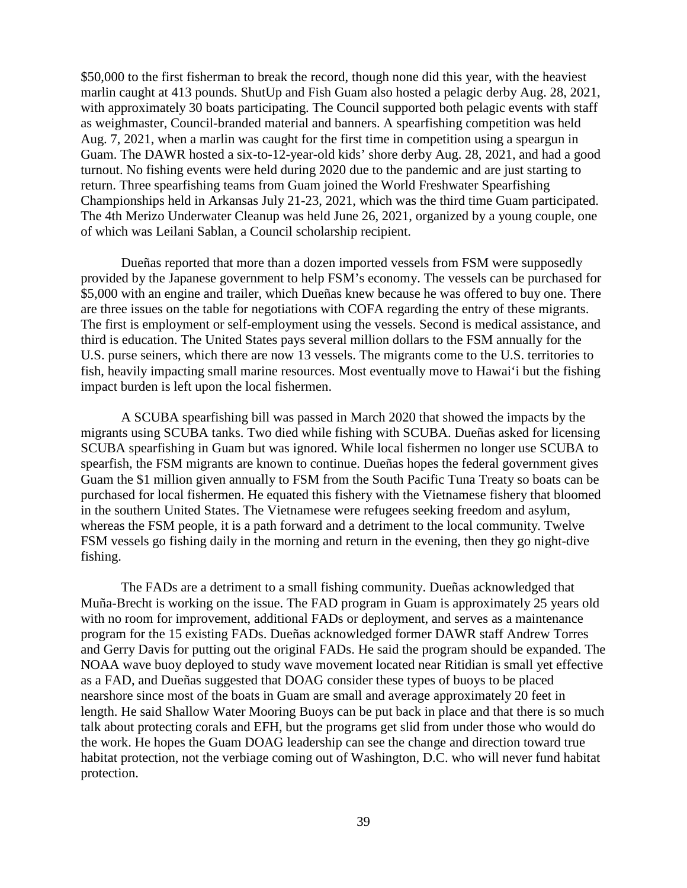\$50,000 to the first fisherman to break the record, though none did this year, with the heaviest marlin caught at 413 pounds. ShutUp and Fish Guam also hosted a pelagic derby Aug. 28, 2021, with approximately 30 boats participating. The Council supported both pelagic events with staff as weighmaster, Council-branded material and banners. A spearfishing competition was held Aug. 7, 2021, when a marlin was caught for the first time in competition using a speargun in Guam. The DAWR hosted a six-to-12-year-old kids' shore derby Aug. 28, 2021, and had a good turnout. No fishing events were held during 2020 due to the pandemic and are just starting to return. Three spearfishing teams from Guam joined the World Freshwater Spearfishing Championships held in Arkansas July 21-23, 2021, which was the third time Guam participated. The 4th Merizo Underwater Cleanup was held June 26, 2021, organized by a young couple, one of which was Leilani Sablan, a Council scholarship recipient.

Dueñas reported that more than a dozen imported vessels from FSM were supposedly provided by the Japanese government to help FSM's economy. The vessels can be purchased for \$5,000 with an engine and trailer, which Dueñas knew because he was offered to buy one. There are three issues on the table for negotiations with COFA regarding the entry of these migrants. The first is employment or self-employment using the vessels. Second is medical assistance, and third is education. The United States pays several million dollars to the FSM annually for the U.S. purse seiners, which there are now 13 vessels. The migrants come to the U.S. territories to fish, heavily impacting small marine resources. Most eventually move to Hawai'i but the fishing impact burden is left upon the local fishermen.

A SCUBA spearfishing bill was passed in March 2020 that showed the impacts by the migrants using SCUBA tanks. Two died while fishing with SCUBA. Dueñas asked for licensing SCUBA spearfishing in Guam but was ignored. While local fishermen no longer use SCUBA to spearfish, the FSM migrants are known to continue. Dueñas hopes the federal government gives Guam the \$1 million given annually to FSM from the South Pacific Tuna Treaty so boats can be purchased for local fishermen. He equated this fishery with the Vietnamese fishery that bloomed in the southern United States. The Vietnamese were refugees seeking freedom and asylum, whereas the FSM people, it is a path forward and a detriment to the local community. Twelve FSM vessels go fishing daily in the morning and return in the evening, then they go night-dive fishing.

The FADs are a detriment to a small fishing community. Dueñas acknowledged that Muña-Brecht is working on the issue. The FAD program in Guam is approximately 25 years old with no room for improvement, additional FADs or deployment, and serves as a maintenance program for the 15 existing FADs. Dueñas acknowledged former DAWR staff Andrew Torres and Gerry Davis for putting out the original FADs. He said the program should be expanded. The NOAA wave buoy deployed to study wave movement located near Ritidian is small yet effective as a FAD, and Dueñas suggested that DOAG consider these types of buoys to be placed nearshore since most of the boats in Guam are small and average approximately 20 feet in length. He said Shallow Water Mooring Buoys can be put back in place and that there is so much talk about protecting corals and EFH, but the programs get slid from under those who would do the work. He hopes the Guam DOAG leadership can see the change and direction toward true habitat protection, not the verbiage coming out of Washington, D.C. who will never fund habitat protection.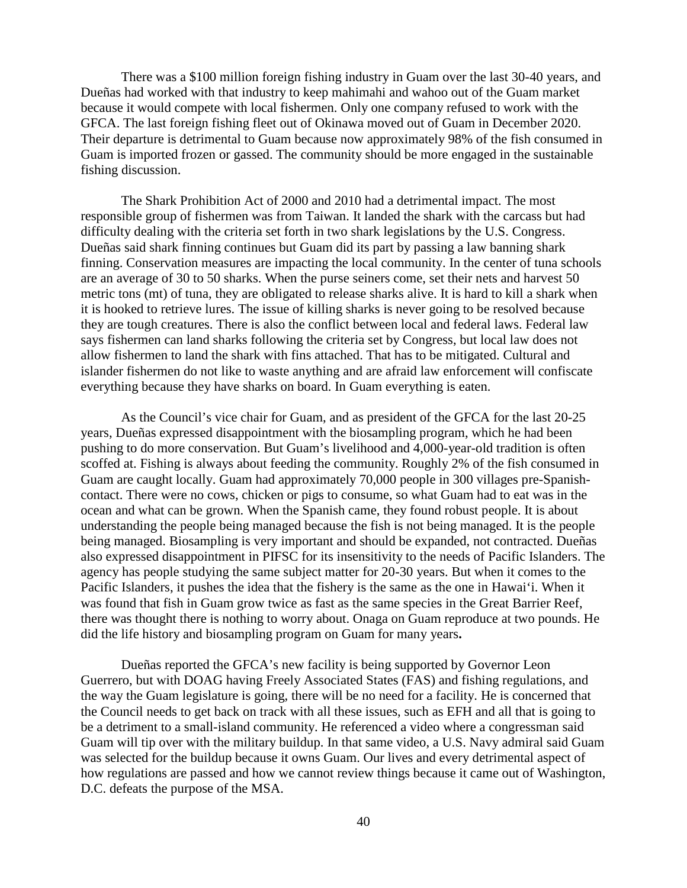There was a \$100 million foreign fishing industry in Guam over the last 30-40 years, and Dueñas had worked with that industry to keep mahimahi and wahoo out of the Guam market because it would compete with local fishermen. Only one company refused to work with the GFCA. The last foreign fishing fleet out of Okinawa moved out of Guam in December 2020. Their departure is detrimental to Guam because now approximately 98% of the fish consumed in Guam is imported frozen or gassed. The community should be more engaged in the sustainable fishing discussion.

The Shark Prohibition Act of 2000 and 2010 had a detrimental impact. The most responsible group of fishermen was from Taiwan. It landed the shark with the carcass but had difficulty dealing with the criteria set forth in two shark legislations by the U.S. Congress. Dueñas said shark finning continues but Guam did its part by passing a law banning shark finning. Conservation measures are impacting the local community. In the center of tuna schools are an average of 30 to 50 sharks. When the purse seiners come, set their nets and harvest 50 metric tons (mt) of tuna, they are obligated to release sharks alive. It is hard to kill a shark when it is hooked to retrieve lures. The issue of killing sharks is never going to be resolved because they are tough creatures. There is also the conflict between local and federal laws. Federal law says fishermen can land sharks following the criteria set by Congress, but local law does not allow fishermen to land the shark with fins attached. That has to be mitigated. Cultural and islander fishermen do not like to waste anything and are afraid law enforcement will confiscate everything because they have sharks on board. In Guam everything is eaten.

As the Council's vice chair for Guam, and as president of the GFCA for the last 20-25 years, Dueñas expressed disappointment with the biosampling program, which he had been pushing to do more conservation. But Guam's livelihood and 4,000-year-old tradition is often scoffed at. Fishing is always about feeding the community. Roughly 2% of the fish consumed in Guam are caught locally. Guam had approximately 70,000 people in 300 villages pre-Spanishcontact. There were no cows, chicken or pigs to consume, so what Guam had to eat was in the ocean and what can be grown. When the Spanish came, they found robust people. It is about understanding the people being managed because the fish is not being managed. It is the people being managed. Biosampling is very important and should be expanded, not contracted. Dueñas also expressed disappointment in PIFSC for its insensitivity to the needs of Pacific Islanders. The agency has people studying the same subject matter for 20-30 years. But when it comes to the Pacific Islanders, it pushes the idea that the fishery is the same as the one in Hawai'i. When it was found that fish in Guam grow twice as fast as the same species in the Great Barrier Reef, there was thought there is nothing to worry about. Onaga on Guam reproduce at two pounds. He did the life history and biosampling program on Guam for many years**.**

Dueñas reported the GFCA's new facility is being supported by Governor Leon Guerrero, but with DOAG having Freely Associated States (FAS) and fishing regulations, and the way the Guam legislature is going, there will be no need for a facility. He is concerned that the Council needs to get back on track with all these issues, such as EFH and all that is going to be a detriment to a small-island community. He referenced a video where a congressman said Guam will tip over with the military buildup. In that same video, a U.S. Navy admiral said Guam was selected for the buildup because it owns Guam. Our lives and every detrimental aspect of how regulations are passed and how we cannot review things because it came out of Washington, D.C. defeats the purpose of the MSA.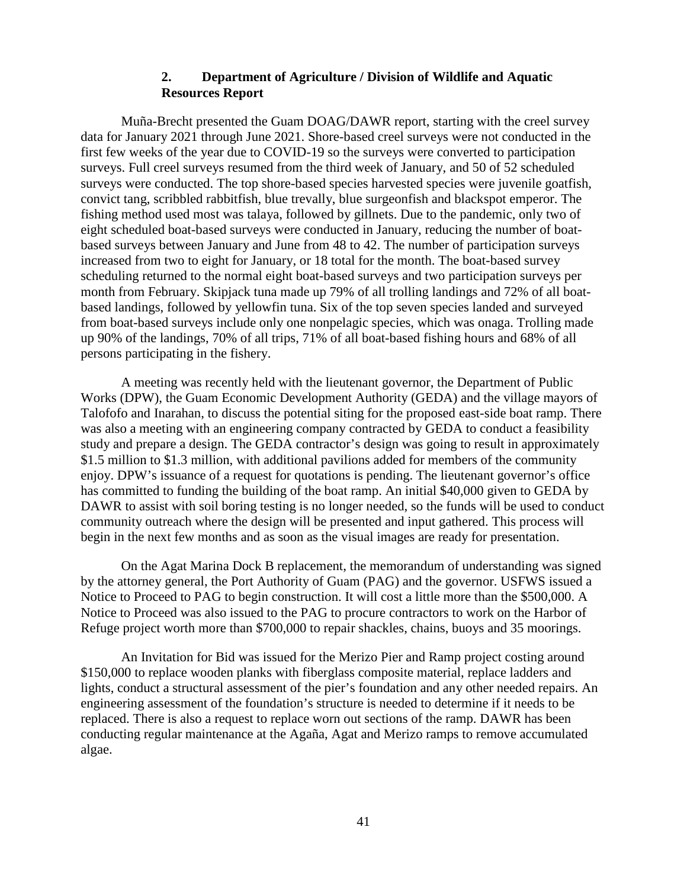### **2. Department of Agriculture / Division of Wildlife and Aquatic Resources Report**

Muña-Brecht presented the Guam DOAG/DAWR report, starting with the creel survey data for January 2021 through June 2021. Shore-based creel surveys were not conducted in the first few weeks of the year due to COVID-19 so the surveys were converted to participation surveys. Full creel surveys resumed from the third week of January, and 50 of 52 scheduled surveys were conducted. The top shore-based species harvested species were juvenile goatfish, convict tang, scribbled rabbitfish, blue trevally, blue surgeonfish and blackspot emperor. The fishing method used most was talaya, followed by gillnets. Due to the pandemic, only two of eight scheduled boat-based surveys were conducted in January, reducing the number of boatbased surveys between January and June from 48 to 42. The number of participation surveys increased from two to eight for January, or 18 total for the month. The boat-based survey scheduling returned to the normal eight boat-based surveys and two participation surveys per month from February. Skipjack tuna made up 79% of all trolling landings and 72% of all boatbased landings, followed by yellowfin tuna. Six of the top seven species landed and surveyed from boat-based surveys include only one nonpelagic species, which was onaga. Trolling made up 90% of the landings, 70% of all trips, 71% of all boat-based fishing hours and 68% of all persons participating in the fishery.

A meeting was recently held with the lieutenant governor, the Department of Public Works (DPW), the Guam Economic Development Authority (GEDA) and the village mayors of Talofofo and Inarahan, to discuss the potential siting for the proposed east-side boat ramp. There was also a meeting with an engineering company contracted by GEDA to conduct a feasibility study and prepare a design. The GEDA contractor's design was going to result in approximately \$1.5 million to \$1.3 million, with additional pavilions added for members of the community enjoy. DPW's issuance of a request for quotations is pending. The lieutenant governor's office has committed to funding the building of the boat ramp. An initial \$40,000 given to GEDA by DAWR to assist with soil boring testing is no longer needed, so the funds will be used to conduct community outreach where the design will be presented and input gathered. This process will begin in the next few months and as soon as the visual images are ready for presentation.

On the Agat Marina Dock B replacement, the memorandum of understanding was signed by the attorney general, the Port Authority of Guam (PAG) and the governor. USFWS issued a Notice to Proceed to PAG to begin construction. It will cost a little more than the \$500,000. A Notice to Proceed was also issued to the PAG to procure contractors to work on the Harbor of Refuge project worth more than \$700,000 to repair shackles, chains, buoys and 35 moorings.

An Invitation for Bid was issued for the Merizo Pier and Ramp project costing around \$150,000 to replace wooden planks with fiberglass composite material, replace ladders and lights, conduct a structural assessment of the pier's foundation and any other needed repairs. An engineering assessment of the foundation's structure is needed to determine if it needs to be replaced. There is also a request to replace worn out sections of the ramp. DAWR has been conducting regular maintenance at the Agaña, Agat and Merizo ramps to remove accumulated algae.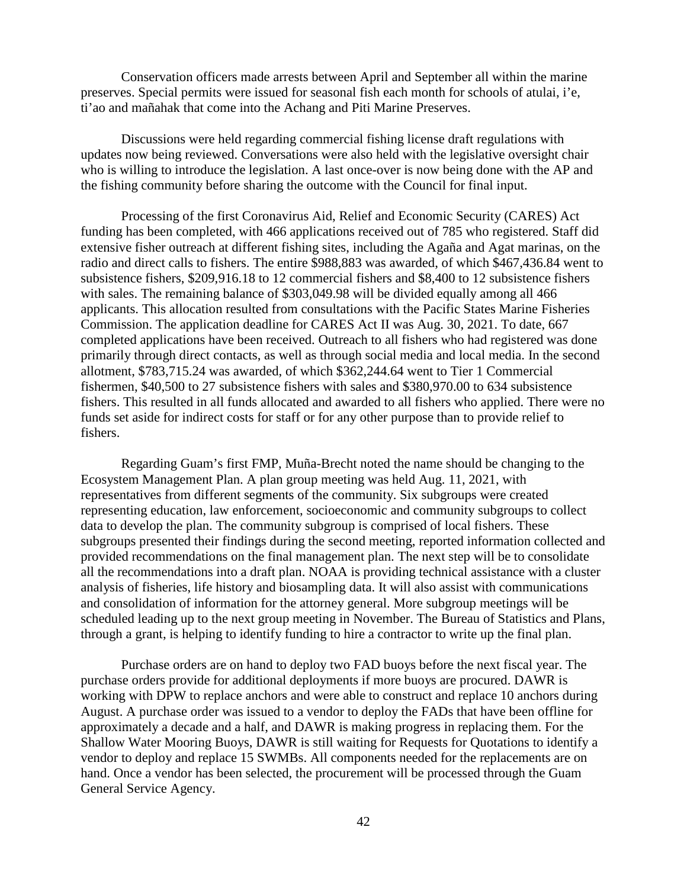Conservation officers made arrests between April and September all within the marine preserves. Special permits were issued for seasonal fish each month for schools of atulai, i'e, ti'ao and mañahak that come into the Achang and Piti Marine Preserves.

Discussions were held regarding commercial fishing license draft regulations with updates now being reviewed. Conversations were also held with the legislative oversight chair who is willing to introduce the legislation. A last once-over is now being done with the AP and the fishing community before sharing the outcome with the Council for final input.

Processing of the first Coronavirus Aid, Relief and Economic Security (CARES) Act funding has been completed, with 466 applications received out of 785 who registered. Staff did extensive fisher outreach at different fishing sites, including the Agaña and Agat marinas, on the radio and direct calls to fishers. The entire \$988,883 was awarded, of which \$467,436.84 went to subsistence fishers, \$209,916.18 to 12 commercial fishers and \$8,400 to 12 subsistence fishers with sales. The remaining balance of \$303,049.98 will be divided equally among all 466 applicants. This allocation resulted from consultations with the Pacific States Marine Fisheries Commission. The application deadline for CARES Act II was Aug. 30, 2021. To date, 667 completed applications have been received. Outreach to all fishers who had registered was done primarily through direct contacts, as well as through social media and local media. In the second allotment, \$783,715.24 was awarded, of which \$362,244.64 went to Tier 1 Commercial fishermen, \$40,500 to 27 subsistence fishers with sales and \$380,970.00 to 634 subsistence fishers. This resulted in all funds allocated and awarded to all fishers who applied. There were no funds set aside for indirect costs for staff or for any other purpose than to provide relief to fishers.

Regarding Guam's first FMP, Muña-Brecht noted the name should be changing to the Ecosystem Management Plan. A plan group meeting was held Aug. 11, 2021, with representatives from different segments of the community. Six subgroups were created representing education, law enforcement, socioeconomic and community subgroups to collect data to develop the plan. The community subgroup is comprised of local fishers. These subgroups presented their findings during the second meeting, reported information collected and provided recommendations on the final management plan. The next step will be to consolidate all the recommendations into a draft plan. NOAA is providing technical assistance with a cluster analysis of fisheries, life history and biosampling data. It will also assist with communications and consolidation of information for the attorney general. More subgroup meetings will be scheduled leading up to the next group meeting in November. The Bureau of Statistics and Plans, through a grant, is helping to identify funding to hire a contractor to write up the final plan.

Purchase orders are on hand to deploy two FAD buoys before the next fiscal year. The purchase orders provide for additional deployments if more buoys are procured. DAWR is working with DPW to replace anchors and were able to construct and replace 10 anchors during August. A purchase order was issued to a vendor to deploy the FADs that have been offline for approximately a decade and a half, and DAWR is making progress in replacing them. For the Shallow Water Mooring Buoys, DAWR is still waiting for Requests for Quotations to identify a vendor to deploy and replace 15 SWMBs. All components needed for the replacements are on hand. Once a vendor has been selected, the procurement will be processed through the Guam General Service Agency.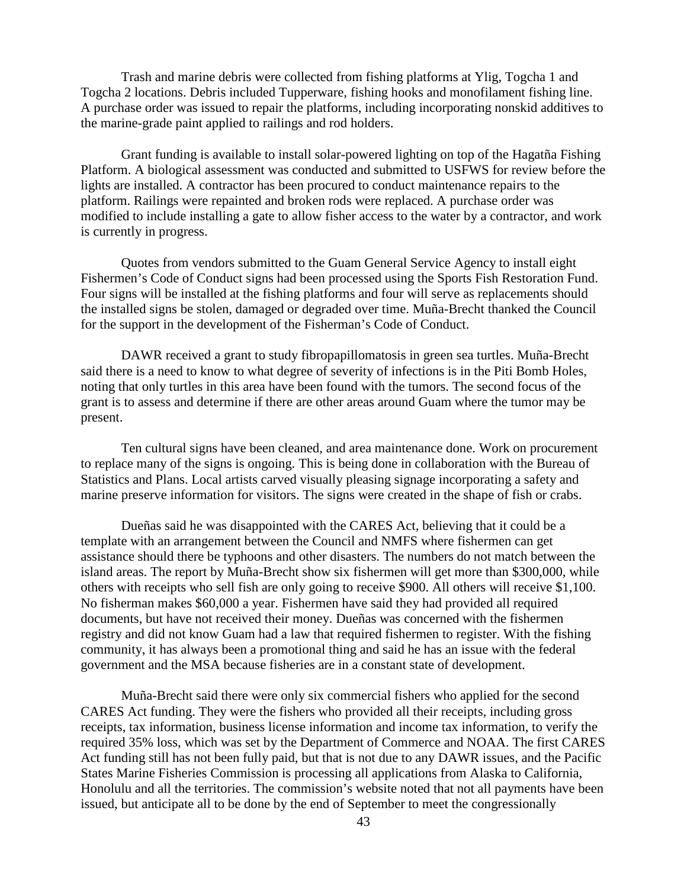Trash and marine debris were collected from fishing platforms at Ylig, Togcha 1 and Togcha 2 locations. Debris included Tupperware, fishing hooks and monofilament fishing line. A purchase order was issued to repair the platforms, including incorporating nonskid additives to the marine-grade paint applied to railings and rod holders.

Grant funding is available to install solar-powered lighting on top of the Hagatña Fishing Platform. A biological assessment was conducted and submitted to USFWS for review before the lights are installed. A contractor has been procured to conduct maintenance repairs to the platform. Railings were repainted and broken rods were replaced. A purchase order was modified to include installing a gate to allow fisher access to the water by a contractor, and work is currently in progress.

Quotes from vendors submitted to the Guam General Service Agency to install eight Fishermen's Code of Conduct signs had been processed using the Sports Fish Restoration Fund. Four signs will be installed at the fishing platforms and four will serve as replacements should the installed signs be stolen, damaged or degraded over time. Muña-Brecht thanked the Council for the support in the development of the Fisherman's Code of Conduct.

DAWR received a grant to study fibropapillomatosis in green sea turtles. Muña-Brecht said there is a need to know to what degree of severity of infections is in the Piti Bomb Holes, noting that only turtles in this area have been found with the tumors. The second focus of the grant is to assess and determine if there are other areas around Guam where the tumor may be present.

Ten cultural signs have been cleaned, and area maintenance done. Work on procurement to replace many of the signs is ongoing. This is being done in collaboration with the Bureau of Statistics and Plans. Local artists carved visually pleasing signage incorporating a safety and marine preserve information for visitors. The signs were created in the shape of fish or crabs.

Dueñas said he was disappointed with the CARES Act, believing that it could be a template with an arrangement between the Council and NMFS where fishermen can get assistance should there be typhoons and other disasters. The numbers do not match between the island areas. The report by Muña-Brecht show six fishermen will get more than \$300,000, while others with receipts who sell fish are only going to receive \$900. All others will receive \$1,100. No fisherman makes \$60,000 a year. Fishermen have said they had provided all required documents, but have not received their money. Dueñas was concerned with the fishermen registry and did not know Guam had a law that required fishermen to register. With the fishing community, it has always been a promotional thing and said he has an issue with the federal government and the MSA because fisheries are in a constant state of development.

Muña-Brecht said there were only six commercial fishers who applied for the second CARES Act funding. They were the fishers who provided all their receipts, including gross receipts, tax information, business license information and income tax information, to verify the required 35% loss, which was set by the Department of Commerce and NOAA. The first CARES Act funding still has not been fully paid, but that is not due to any DAWR issues, and the Pacific States Marine Fisheries Commission is processing all applications from Alaska to California, Honolulu and all the territories. The commission's website noted that not all payments have been issued, but anticipate all to be done by the end of September to meet the congressionally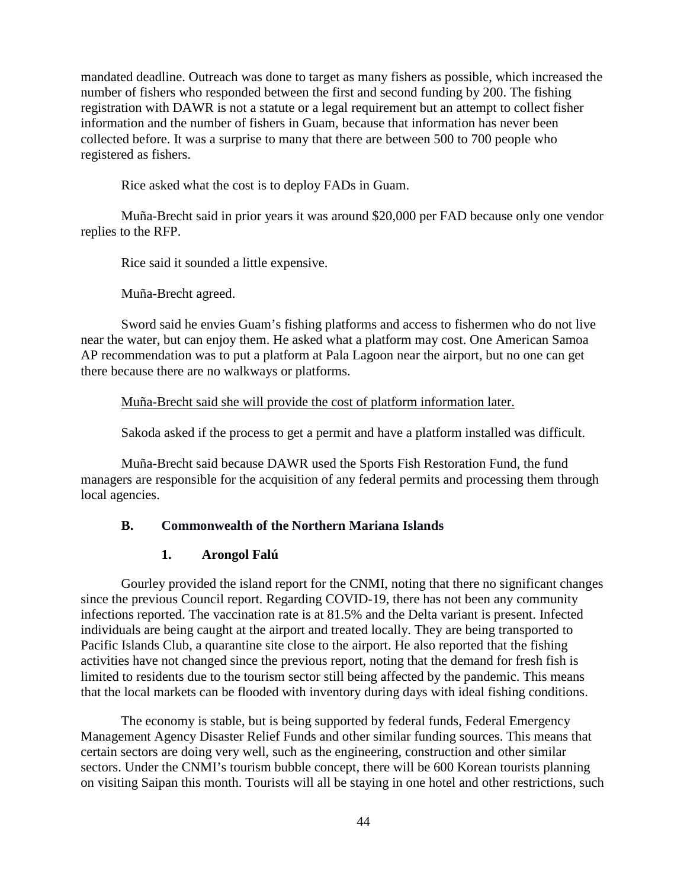mandated deadline. Outreach was done to target as many fishers as possible, which increased the number of fishers who responded between the first and second funding by 200. The fishing registration with DAWR is not a statute or a legal requirement but an attempt to collect fisher information and the number of fishers in Guam, because that information has never been collected before. It was a surprise to many that there are between 500 to 700 people who registered as fishers.

Rice asked what the cost is to deploy FADs in Guam.

Muña-Brecht said in prior years it was around \$20,000 per FAD because only one vendor replies to the RFP.

Rice said it sounded a little expensive.

Muña-Brecht agreed.

Sword said he envies Guam's fishing platforms and access to fishermen who do not live near the water, but can enjoy them. He asked what a platform may cost. One American Samoa AP recommendation was to put a platform at Pala Lagoon near the airport, but no one can get there because there are no walkways or platforms.

Muña-Brecht said she will provide the cost of platform information later.

Sakoda asked if the process to get a permit and have a platform installed was difficult.

Muña-Brecht said because DAWR used the Sports Fish Restoration Fund, the fund managers are responsible for the acquisition of any federal permits and processing them through local agencies.

### **B. Commonwealth of the Northern Mariana Islands**

#### **1. Arongol Falú**

Gourley provided the island report for the CNMI, noting that there no significant changes since the previous Council report. Regarding COVID-19, there has not been any community infections reported. The vaccination rate is at 81.5% and the Delta variant is present. Infected individuals are being caught at the airport and treated locally. They are being transported to Pacific Islands Club, a quarantine site close to the airport. He also reported that the fishing activities have not changed since the previous report, noting that the demand for fresh fish is limited to residents due to the tourism sector still being affected by the pandemic. This means that the local markets can be flooded with inventory during days with ideal fishing conditions.

The economy is stable, but is being supported by federal funds, Federal Emergency Management Agency Disaster Relief Funds and other similar funding sources. This means that certain sectors are doing very well, such as the engineering, construction and other similar sectors. Under the CNMI's tourism bubble concept, there will be 600 Korean tourists planning on visiting Saipan this month. Tourists will all be staying in one hotel and other restrictions, such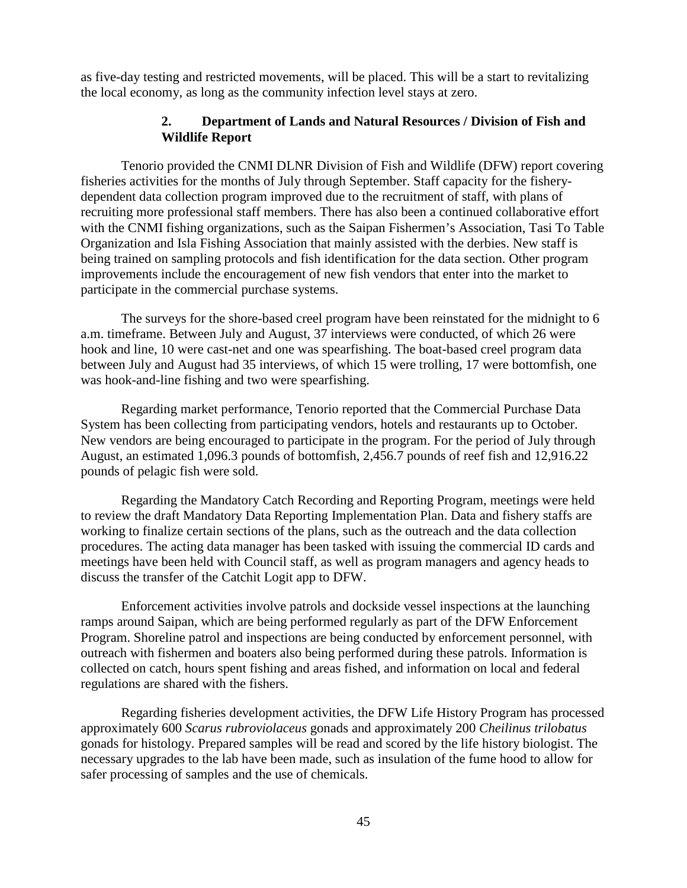as five-day testing and restricted movements, will be placed. This will be a start to revitalizing the local economy, as long as the community infection level stays at zero.

## **2. Department of Lands and Natural Resources / Division of Fish and Wildlife Report**

Tenorio provided the CNMI DLNR Division of Fish and Wildlife (DFW) report covering fisheries activities for the months of July through September. Staff capacity for the fisherydependent data collection program improved due to the recruitment of staff, with plans of recruiting more professional staff members. There has also been a continued collaborative effort with the CNMI fishing organizations, such as the Saipan Fishermen's Association, Tasi To Table Organization and Isla Fishing Association that mainly assisted with the derbies. New staff is being trained on sampling protocols and fish identification for the data section. Other program improvements include the encouragement of new fish vendors that enter into the market to participate in the commercial purchase systems.

The surveys for the shore-based creel program have been reinstated for the midnight to 6 a.m. timeframe. Between July and August, 37 interviews were conducted, of which 26 were hook and line, 10 were cast-net and one was spearfishing. The boat-based creel program data between July and August had 35 interviews, of which 15 were trolling, 17 were bottomfish, one was hook-and-line fishing and two were spearfishing.

Regarding market performance, Tenorio reported that the Commercial Purchase Data System has been collecting from participating vendors, hotels and restaurants up to October. New vendors are being encouraged to participate in the program. For the period of July through August, an estimated 1,096.3 pounds of bottomfish, 2,456.7 pounds of reef fish and 12,916.22 pounds of pelagic fish were sold.

Regarding the Mandatory Catch Recording and Reporting Program, meetings were held to review the draft Mandatory Data Reporting Implementation Plan. Data and fishery staffs are working to finalize certain sections of the plans, such as the outreach and the data collection procedures. The acting data manager has been tasked with issuing the commercial ID cards and meetings have been held with Council staff, as well as program managers and agency heads to discuss the transfer of the Catchit Logit app to DFW.

Enforcement activities involve patrols and dockside vessel inspections at the launching ramps around Saipan, which are being performed regularly as part of the DFW Enforcement Program. Shoreline patrol and inspections are being conducted by enforcement personnel, with outreach with fishermen and boaters also being performed during these patrols. Information is collected on catch, hours spent fishing and areas fished, and information on local and federal regulations are shared with the fishers.

Regarding fisheries development activities, the DFW Life History Program has processed approximately 600 *Scarus rubroviolaceus* gonads and approximately 200 *Cheilinus trilobatus* gonads for histology. Prepared samples will be read and scored by the life history biologist. The necessary upgrades to the lab have been made, such as insulation of the fume hood to allow for safer processing of samples and the use of chemicals.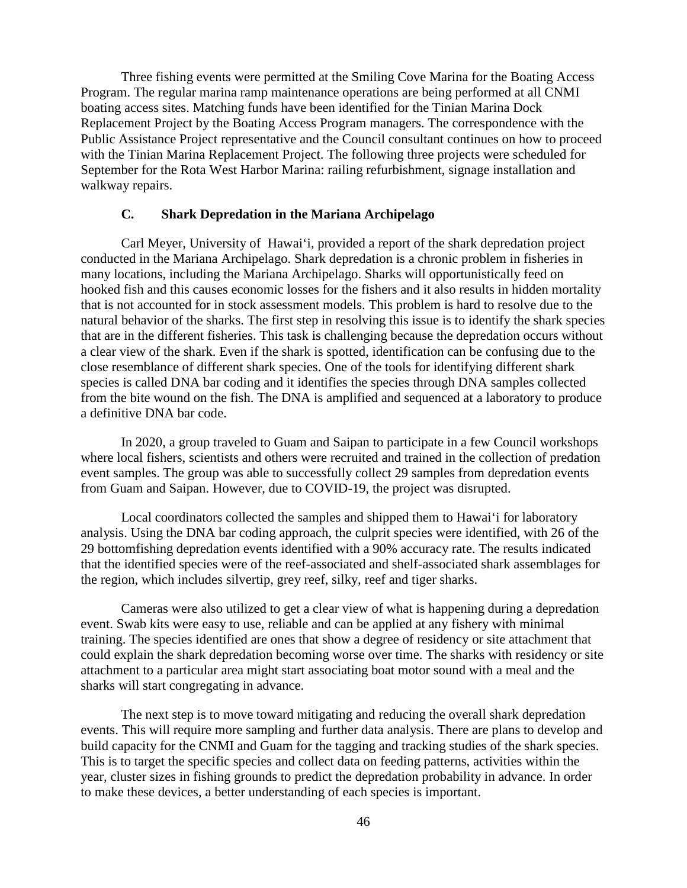Three fishing events were permitted at the Smiling Cove Marina for the Boating Access Program. The regular marina ramp maintenance operations are being performed at all CNMI boating access sites. Matching funds have been identified for the Tinian Marina Dock Replacement Project by the Boating Access Program managers. The correspondence with the Public Assistance Project representative and the Council consultant continues on how to proceed with the Tinian Marina Replacement Project. The following three projects were scheduled for September for the Rota West Harbor Marina: railing refurbishment, signage installation and walkway repairs.

#### **C. Shark Depredation in the Mariana Archipelago**

Carl Meyer, University of Hawai'i, provided a report of the shark depredation project conducted in the Mariana Archipelago. Shark depredation is a chronic problem in fisheries in many locations, including the Mariana Archipelago. Sharks will opportunistically feed on hooked fish and this causes economic losses for the fishers and it also results in hidden mortality that is not accounted for in stock assessment models. This problem is hard to resolve due to the natural behavior of the sharks. The first step in resolving this issue is to identify the shark species that are in the different fisheries. This task is challenging because the depredation occurs without a clear view of the shark. Even if the shark is spotted, identification can be confusing due to the close resemblance of different shark species. One of the tools for identifying different shark species is called DNA bar coding and it identifies the species through DNA samples collected from the bite wound on the fish. The DNA is amplified and sequenced at a laboratory to produce a definitive DNA bar code.

In 2020, a group traveled to Guam and Saipan to participate in a few Council workshops where local fishers, scientists and others were recruited and trained in the collection of predation event samples. The group was able to successfully collect 29 samples from depredation events from Guam and Saipan. However, due to COVID-19, the project was disrupted.

Local coordinators collected the samples and shipped them to Hawai'i for laboratory analysis. Using the DNA bar coding approach, the culprit species were identified, with 26 of the 29 bottomfishing depredation events identified with a 90% accuracy rate. The results indicated that the identified species were of the reef-associated and shelf-associated shark assemblages for the region, which includes silvertip, grey reef, silky, reef and tiger sharks.

Cameras were also utilized to get a clear view of what is happening during a depredation event. Swab kits were easy to use, reliable and can be applied at any fishery with minimal training. The species identified are ones that show a degree of residency or site attachment that could explain the shark depredation becoming worse over time. The sharks with residency or site attachment to a particular area might start associating boat motor sound with a meal and the sharks will start congregating in advance.

The next step is to move toward mitigating and reducing the overall shark depredation events. This will require more sampling and further data analysis. There are plans to develop and build capacity for the CNMI and Guam for the tagging and tracking studies of the shark species. This is to target the specific species and collect data on feeding patterns, activities within the year, cluster sizes in fishing grounds to predict the depredation probability in advance. In order to make these devices, a better understanding of each species is important.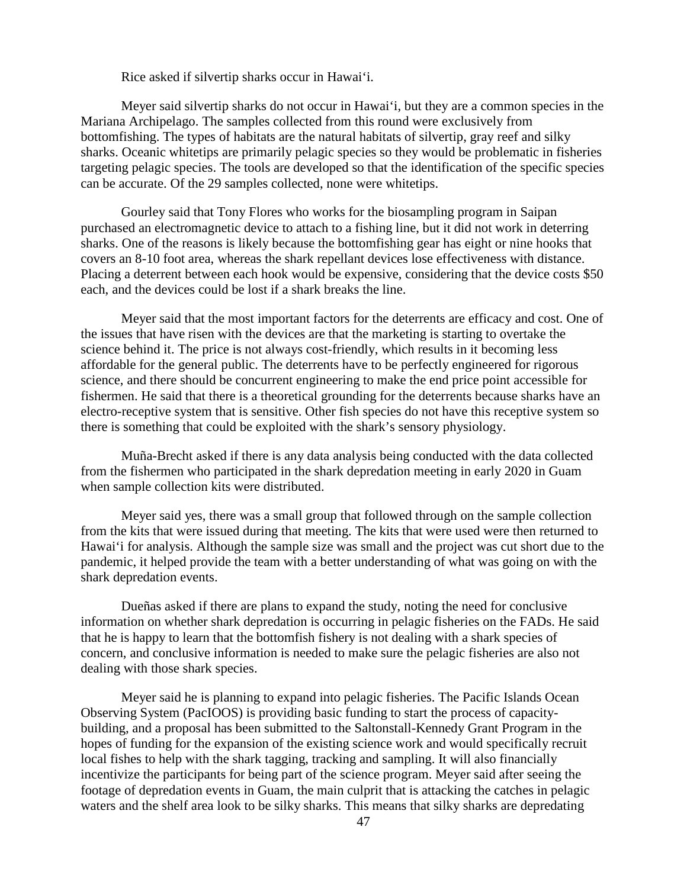Rice asked if silvertip sharks occur in Hawai'i.

Meyer said silvertip sharks do not occur in Hawai'i, but they are a common species in the Mariana Archipelago. The samples collected from this round were exclusively from bottomfishing. The types of habitats are the natural habitats of silvertip, gray reef and silky sharks. Oceanic whitetips are primarily pelagic species so they would be problematic in fisheries targeting pelagic species. The tools are developed so that the identification of the specific species can be accurate. Of the 29 samples collected, none were whitetips.

Gourley said that Tony Flores who works for the biosampling program in Saipan purchased an electromagnetic device to attach to a fishing line, but it did not work in deterring sharks. One of the reasons is likely because the bottomfishing gear has eight or nine hooks that covers an 8-10 foot area, whereas the shark repellant devices lose effectiveness with distance. Placing a deterrent between each hook would be expensive, considering that the device costs \$50 each, and the devices could be lost if a shark breaks the line.

Meyer said that the most important factors for the deterrents are efficacy and cost. One of the issues that have risen with the devices are that the marketing is starting to overtake the science behind it. The price is not always cost-friendly, which results in it becoming less affordable for the general public. The deterrents have to be perfectly engineered for rigorous science, and there should be concurrent engineering to make the end price point accessible for fishermen. He said that there is a theoretical grounding for the deterrents because sharks have an electro-receptive system that is sensitive. Other fish species do not have this receptive system so there is something that could be exploited with the shark's sensory physiology.

Muña-Brecht asked if there is any data analysis being conducted with the data collected from the fishermen who participated in the shark depredation meeting in early 2020 in Guam when sample collection kits were distributed.

Meyer said yes, there was a small group that followed through on the sample collection from the kits that were issued during that meeting. The kits that were used were then returned to Hawai'i for analysis. Although the sample size was small and the project was cut short due to the pandemic, it helped provide the team with a better understanding of what was going on with the shark depredation events.

Dueñas asked if there are plans to expand the study, noting the need for conclusive information on whether shark depredation is occurring in pelagic fisheries on the FADs. He said that he is happy to learn that the bottomfish fishery is not dealing with a shark species of concern, and conclusive information is needed to make sure the pelagic fisheries are also not dealing with those shark species.

Meyer said he is planning to expand into pelagic fisheries. The Pacific Islands Ocean Observing System (PacIOOS) is providing basic funding to start the process of capacitybuilding, and a proposal has been submitted to the Saltonstall-Kennedy Grant Program in the hopes of funding for the expansion of the existing science work and would specifically recruit local fishes to help with the shark tagging, tracking and sampling. It will also financially incentivize the participants for being part of the science program. Meyer said after seeing the footage of depredation events in Guam, the main culprit that is attacking the catches in pelagic waters and the shelf area look to be silky sharks. This means that silky sharks are depredating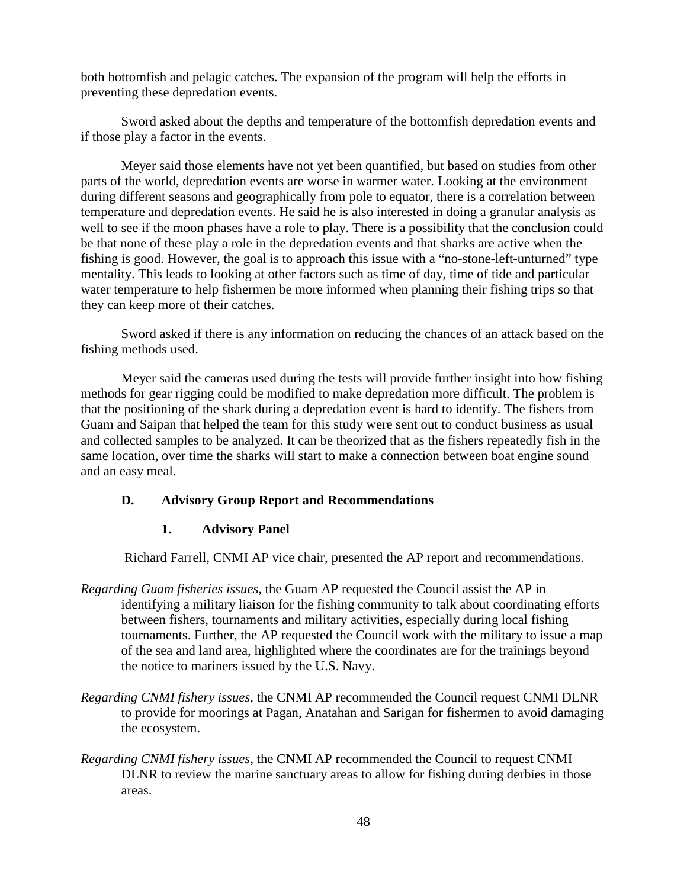both bottomfish and pelagic catches. The expansion of the program will help the efforts in preventing these depredation events.

Sword asked about the depths and temperature of the bottomfish depredation events and if those play a factor in the events.

Meyer said those elements have not yet been quantified, but based on studies from other parts of the world, depredation events are worse in warmer water. Looking at the environment during different seasons and geographically from pole to equator, there is a correlation between temperature and depredation events. He said he is also interested in doing a granular analysis as well to see if the moon phases have a role to play. There is a possibility that the conclusion could be that none of these play a role in the depredation events and that sharks are active when the fishing is good. However, the goal is to approach this issue with a "no-stone-left-unturned" type mentality. This leads to looking at other factors such as time of day, time of tide and particular water temperature to help fishermen be more informed when planning their fishing trips so that they can keep more of their catches.

Sword asked if there is any information on reducing the chances of an attack based on the fishing methods used.

Meyer said the cameras used during the tests will provide further insight into how fishing methods for gear rigging could be modified to make depredation more difficult. The problem is that the positioning of the shark during a depredation event is hard to identify. The fishers from Guam and Saipan that helped the team for this study were sent out to conduct business as usual and collected samples to be analyzed. It can be theorized that as the fishers repeatedly fish in the same location, over time the sharks will start to make a connection between boat engine sound and an easy meal.

### **D. Advisory Group Report and Recommendations**

#### **1. Advisory Panel**

Richard Farrell, CNMI AP vice chair, presented the AP report and recommendations.

- *Regarding Guam fisheries issues,* the Guam AP requested the Council assist the AP in identifying a military liaison for the fishing community to talk about coordinating efforts between fishers, tournaments and military activities, especially during local fishing tournaments. Further, the AP requested the Council work with the military to issue a map of the sea and land area, highlighted where the coordinates are for the trainings beyond the notice to mariners issued by the U.S. Navy.
- *Regarding CNMI fishery issues,* the CNMI AP recommended the Council request CNMI DLNR to provide for moorings at Pagan, Anatahan and Sarigan for fishermen to avoid damaging the ecosystem.
- *Regarding CNMI fishery issues,* the CNMI AP recommended the Council to request CNMI DLNR to review the marine sanctuary areas to allow for fishing during derbies in those areas.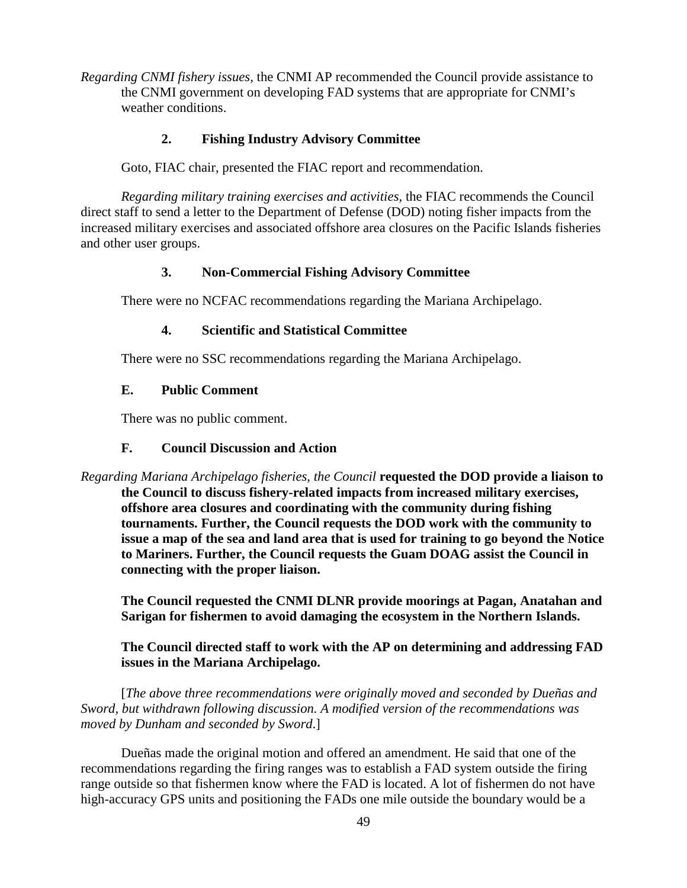*Regarding CNMI fishery issues,* the CNMI AP recommended the Council provide assistance to the CNMI government on developing FAD systems that are appropriate for CNMI's weather conditions.

### **2. Fishing Industry Advisory Committee**

Goto, FIAC chair, presented the FIAC report and recommendation.

*Regarding military training exercises and activities,* the FIAC recommends the Council direct staff to send a letter to the Department of Defense (DOD) noting fisher impacts from the increased military exercises and associated offshore area closures on the Pacific Islands fisheries and other user groups.

### **3. Non-Commercial Fishing Advisory Committee**

There were no NCFAC recommendations regarding the Mariana Archipelago.

#### **4. Scientific and Statistical Committee**

There were no SSC recommendations regarding the Mariana Archipelago.

# **E. Public Comment**

There was no public comment.

#### **F. Council Discussion and Action**

*Regarding Mariana Archipelago fisheries, the Council* **requested the DOD provide a liaison to the Council to discuss fishery-related impacts from increased military exercises, offshore area closures and coordinating with the community during fishing tournaments. Further, the Council requests the DOD work with the community to issue a map of the sea and land area that is used for training to go beyond the Notice to Mariners. Further, the Council requests the Guam DOAG assist the Council in connecting with the proper liaison.**

**The Council requested the CNMI DLNR provide moorings at Pagan, Anatahan and Sarigan for fishermen to avoid damaging the ecosystem in the Northern Islands.**

### **The Council directed staff to work with the AP on determining and addressing FAD issues in the Mariana Archipelago.**

[*The above three recommendations were originally moved and seconded by Dueñas and Sword, but withdrawn following discussion. A modified version of the recommendations was moved by Dunham and seconded by Sword*.]

Dueñas made the original motion and offered an amendment. He said that one of the recommendations regarding the firing ranges was to establish a FAD system outside the firing range outside so that fishermen know where the FAD is located. A lot of fishermen do not have high-accuracy GPS units and positioning the FADs one mile outside the boundary would be a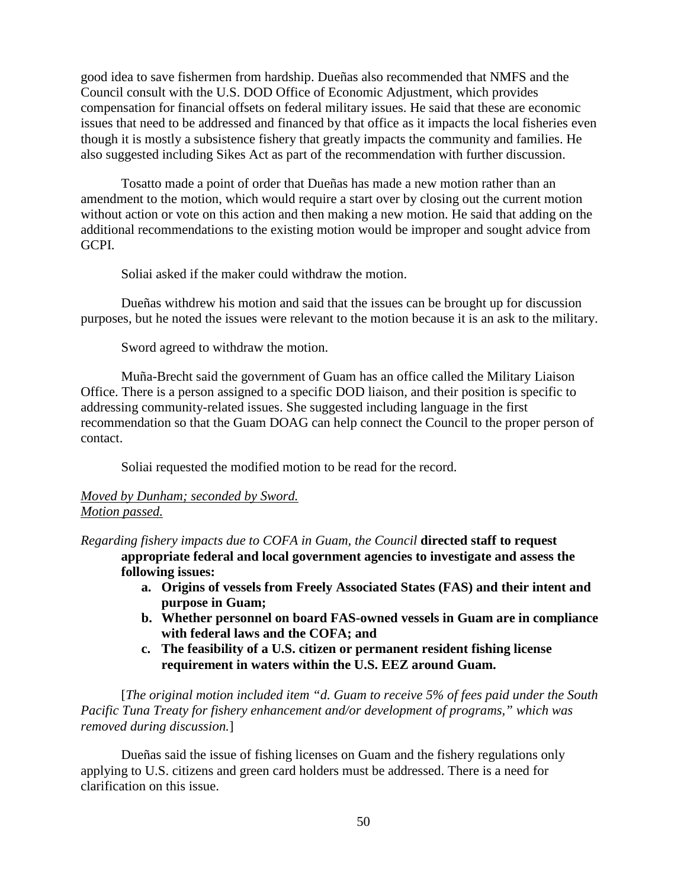good idea to save fishermen from hardship. Dueñas also recommended that NMFS and the Council consult with the U.S. DOD Office of Economic Adjustment, which provides compensation for financial offsets on federal military issues. He said that these are economic issues that need to be addressed and financed by that office as it impacts the local fisheries even though it is mostly a subsistence fishery that greatly impacts the community and families. He also suggested including Sikes Act as part of the recommendation with further discussion.

Tosatto made a point of order that Dueñas has made a new motion rather than an amendment to the motion, which would require a start over by closing out the current motion without action or vote on this action and then making a new motion. He said that adding on the additional recommendations to the existing motion would be improper and sought advice from GCPI.

Soliai asked if the maker could withdraw the motion.

Dueñas withdrew his motion and said that the issues can be brought up for discussion purposes, but he noted the issues were relevant to the motion because it is an ask to the military.

Sword agreed to withdraw the motion.

Muña-Brecht said the government of Guam has an office called the Military Liaison Office. There is a person assigned to a specific DOD liaison, and their position is specific to addressing community-related issues. She suggested including language in the first recommendation so that the Guam DOAG can help connect the Council to the proper person of contact.

Soliai requested the modified motion to be read for the record.

### *Moved by Dunham; seconded by Sword. Motion passed.*

*Regarding fishery impacts due to COFA in Guam, the Council* **directed staff to request appropriate federal and local government agencies to investigate and assess the following issues:**

- **a. Origins of vessels from Freely Associated States (FAS) and their intent and purpose in Guam;**
- **b. Whether personnel on board FAS-owned vessels in Guam are in compliance with federal laws and the COFA; and**
- **c. The feasibility of a U.S. citizen or permanent resident fishing license requirement in waters within the U.S. EEZ around Guam.**

[*The original motion included item "d. Guam to receive 5% of fees paid under the South Pacific Tuna Treaty for fishery enhancement and/or development of programs," which was removed during discussion.*]

Dueñas said the issue of fishing licenses on Guam and the fishery regulations only applying to U.S. citizens and green card holders must be addressed. There is a need for clarification on this issue.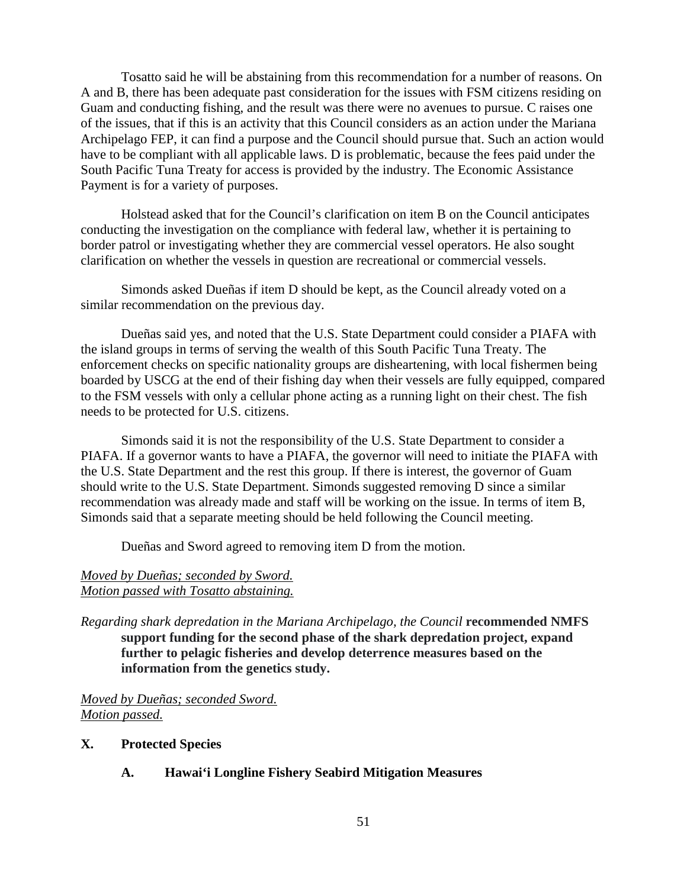Tosatto said he will be abstaining from this recommendation for a number of reasons. On A and B, there has been adequate past consideration for the issues with FSM citizens residing on Guam and conducting fishing, and the result was there were no avenues to pursue. C raises one of the issues, that if this is an activity that this Council considers as an action under the Mariana Archipelago FEP, it can find a purpose and the Council should pursue that. Such an action would have to be compliant with all applicable laws. D is problematic, because the fees paid under the South Pacific Tuna Treaty for access is provided by the industry. The Economic Assistance Payment is for a variety of purposes.

Holstead asked that for the Council's clarification on item B on the Council anticipates conducting the investigation on the compliance with federal law, whether it is pertaining to border patrol or investigating whether they are commercial vessel operators. He also sought clarification on whether the vessels in question are recreational or commercial vessels.

Simonds asked Dueñas if item D should be kept, as the Council already voted on a similar recommendation on the previous day.

Dueñas said yes, and noted that the U.S. State Department could consider a PIAFA with the island groups in terms of serving the wealth of this South Pacific Tuna Treaty. The enforcement checks on specific nationality groups are disheartening, with local fishermen being boarded by USCG at the end of their fishing day when their vessels are fully equipped, compared to the FSM vessels with only a cellular phone acting as a running light on their chest. The fish needs to be protected for U.S. citizens.

Simonds said it is not the responsibility of the U.S. State Department to consider a PIAFA. If a governor wants to have a PIAFA, the governor will need to initiate the PIAFA with the U.S. State Department and the rest this group. If there is interest, the governor of Guam should write to the U.S. State Department. Simonds suggested removing D since a similar recommendation was already made and staff will be working on the issue. In terms of item B, Simonds said that a separate meeting should be held following the Council meeting.

Dueñas and Sword agreed to removing item D from the motion.

#### *Moved by Dueñas; seconded by Sword. Motion passed with Tosatto abstaining.*

*Regarding shark depredation in the Mariana Archipelago, the Council* **recommended NMFS support funding for the second phase of the shark depredation project, expand further to pelagic fisheries and develop deterrence measures based on the information from the genetics study.**

*Moved by Dueñas; seconded Sword. Motion passed.*

- **X. Protected Species**
	- **A. Hawai'i Longline Fishery Seabird Mitigation Measures**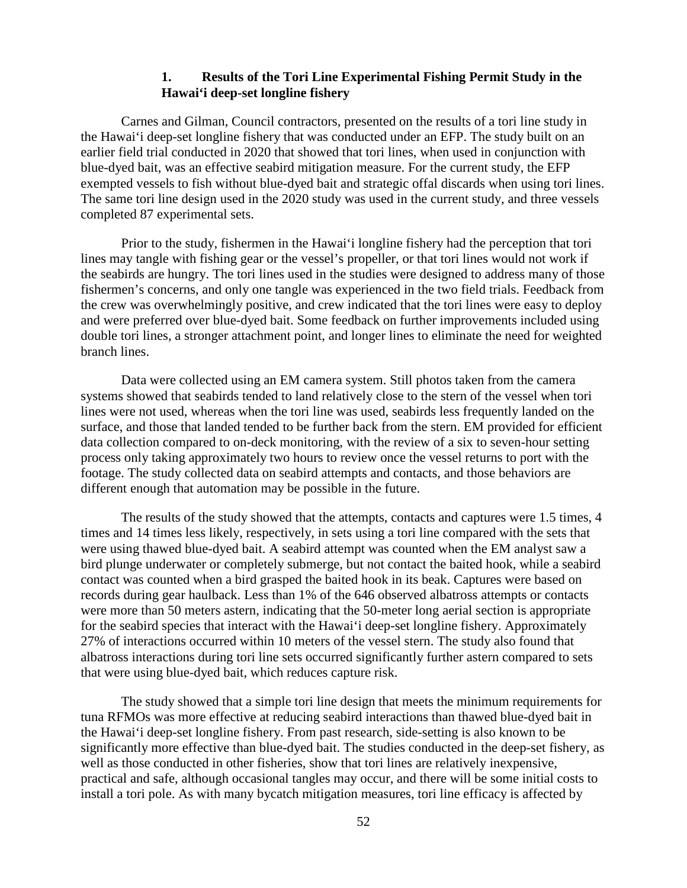### **1. Results of the Tori Line Experimental Fishing Permit Study in the Hawai'i deep-set longline fishery**

Carnes and Gilman, Council contractors, presented on the results of a tori line study in the Hawai'i deep-set longline fishery that was conducted under an EFP. The study built on an earlier field trial conducted in 2020 that showed that tori lines, when used in conjunction with blue-dyed bait, was an effective seabird mitigation measure. For the current study, the EFP exempted vessels to fish without blue-dyed bait and strategic offal discards when using tori lines. The same tori line design used in the 2020 study was used in the current study, and three vessels completed 87 experimental sets.

Prior to the study, fishermen in the Hawai'i longline fishery had the perception that tori lines may tangle with fishing gear or the vessel's propeller, or that tori lines would not work if the seabirds are hungry. The tori lines used in the studies were designed to address many of those fishermen's concerns, and only one tangle was experienced in the two field trials. Feedback from the crew was overwhelmingly positive, and crew indicated that the tori lines were easy to deploy and were preferred over blue-dyed bait. Some feedback on further improvements included using double tori lines, a stronger attachment point, and longer lines to eliminate the need for weighted branch lines.

Data were collected using an EM camera system. Still photos taken from the camera systems showed that seabirds tended to land relatively close to the stern of the vessel when tori lines were not used, whereas when the tori line was used, seabirds less frequently landed on the surface, and those that landed tended to be further back from the stern. EM provided for efficient data collection compared to on-deck monitoring, with the review of a six to seven-hour setting process only taking approximately two hours to review once the vessel returns to port with the footage. The study collected data on seabird attempts and contacts, and those behaviors are different enough that automation may be possible in the future.

The results of the study showed that the attempts, contacts and captures were 1.5 times, 4 times and 14 times less likely, respectively, in sets using a tori line compared with the sets that were using thawed blue-dyed bait. A seabird attempt was counted when the EM analyst saw a bird plunge underwater or completely submerge, but not contact the baited hook, while a seabird contact was counted when a bird grasped the baited hook in its beak. Captures were based on records during gear haulback. Less than 1% of the 646 observed albatross attempts or contacts were more than 50 meters astern, indicating that the 50-meter long aerial section is appropriate for the seabird species that interact with the Hawai'i deep-set longline fishery. Approximately 27% of interactions occurred within 10 meters of the vessel stern. The study also found that albatross interactions during tori line sets occurred significantly further astern compared to sets that were using blue-dyed bait, which reduces capture risk.

The study showed that a simple tori line design that meets the minimum requirements for tuna RFMOs was more effective at reducing seabird interactions than thawed blue-dyed bait in the Hawai'i deep-set longline fishery. From past research, side-setting is also known to be significantly more effective than blue-dyed bait. The studies conducted in the deep-set fishery, as well as those conducted in other fisheries, show that tori lines are relatively inexpensive, practical and safe, although occasional tangles may occur, and there will be some initial costs to install a tori pole. As with many bycatch mitigation measures, tori line efficacy is affected by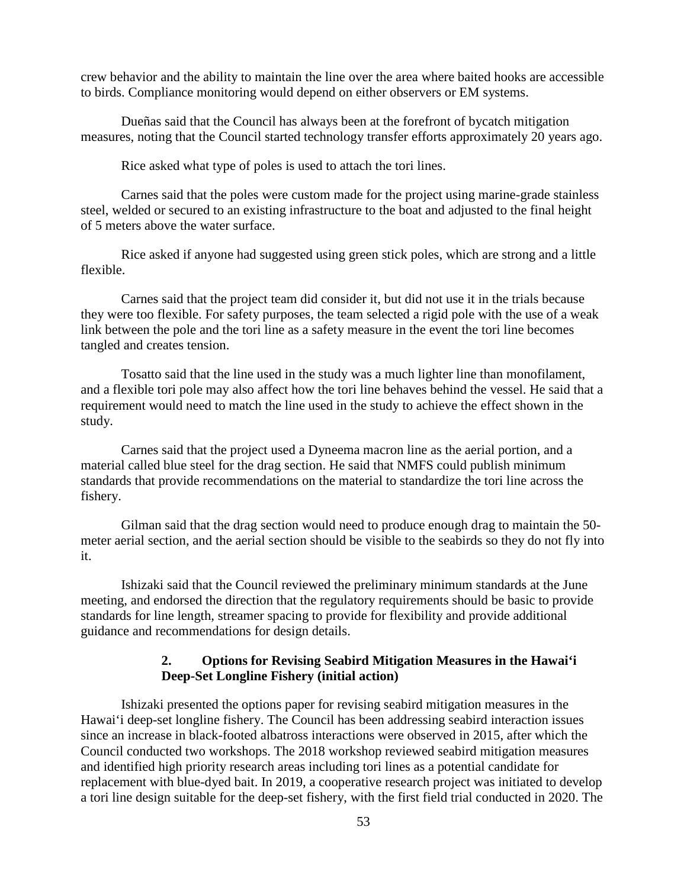crew behavior and the ability to maintain the line over the area where baited hooks are accessible to birds. Compliance monitoring would depend on either observers or EM systems.

Dueñas said that the Council has always been at the forefront of bycatch mitigation measures, noting that the Council started technology transfer efforts approximately 20 years ago.

Rice asked what type of poles is used to attach the tori lines.

Carnes said that the poles were custom made for the project using marine-grade stainless steel, welded or secured to an existing infrastructure to the boat and adjusted to the final height of 5 meters above the water surface.

Rice asked if anyone had suggested using green stick poles, which are strong and a little flexible.

Carnes said that the project team did consider it, but did not use it in the trials because they were too flexible. For safety purposes, the team selected a rigid pole with the use of a weak link between the pole and the tori line as a safety measure in the event the tori line becomes tangled and creates tension.

Tosatto said that the line used in the study was a much lighter line than monofilament, and a flexible tori pole may also affect how the tori line behaves behind the vessel. He said that a requirement would need to match the line used in the study to achieve the effect shown in the study.

Carnes said that the project used a Dyneema macron line as the aerial portion, and a material called blue steel for the drag section. He said that NMFS could publish minimum standards that provide recommendations on the material to standardize the tori line across the fishery.

Gilman said that the drag section would need to produce enough drag to maintain the 50 meter aerial section, and the aerial section should be visible to the seabirds so they do not fly into it.

Ishizaki said that the Council reviewed the preliminary minimum standards at the June meeting, and endorsed the direction that the regulatory requirements should be basic to provide standards for line length, streamer spacing to provide for flexibility and provide additional guidance and recommendations for design details.

#### **2. Options for Revising Seabird Mitigation Measures in the Hawai'i Deep-Set Longline Fishery (initial action)**

Ishizaki presented the options paper for revising seabird mitigation measures in the Hawai'i deep-set longline fishery. The Council has been addressing seabird interaction issues since an increase in black-footed albatross interactions were observed in 2015, after which the Council conducted two workshops. The 2018 workshop reviewed seabird mitigation measures and identified high priority research areas including tori lines as a potential candidate for replacement with blue-dyed bait. In 2019, a cooperative research project was initiated to develop a tori line design suitable for the deep-set fishery, with the first field trial conducted in 2020. The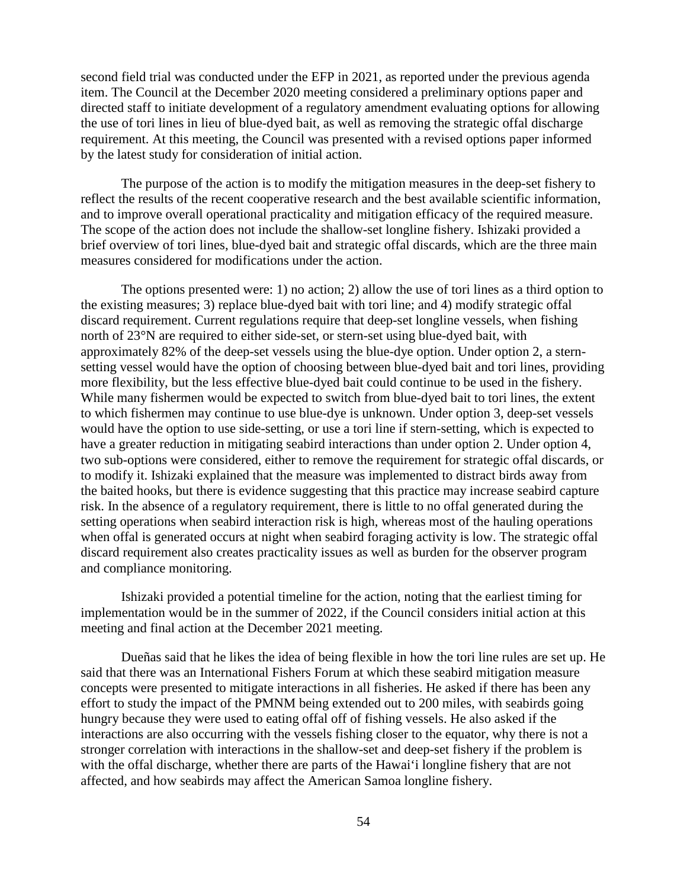second field trial was conducted under the EFP in 2021, as reported under the previous agenda item. The Council at the December 2020 meeting considered a preliminary options paper and directed staff to initiate development of a regulatory amendment evaluating options for allowing the use of tori lines in lieu of blue-dyed bait, as well as removing the strategic offal discharge requirement. At this meeting, the Council was presented with a revised options paper informed by the latest study for consideration of initial action.

The purpose of the action is to modify the mitigation measures in the deep-set fishery to reflect the results of the recent cooperative research and the best available scientific information, and to improve overall operational practicality and mitigation efficacy of the required measure. The scope of the action does not include the shallow-set longline fishery. Ishizaki provided a brief overview of tori lines, blue-dyed bait and strategic offal discards, which are the three main measures considered for modifications under the action.

The options presented were: 1) no action; 2) allow the use of tori lines as a third option to the existing measures; 3) replace blue-dyed bait with tori line; and 4) modify strategic offal discard requirement. Current regulations require that deep-set longline vessels, when fishing north of 23°N are required to either side-set, or stern-set using blue-dyed bait, with approximately 82% of the deep-set vessels using the blue-dye option. Under option 2, a sternsetting vessel would have the option of choosing between blue-dyed bait and tori lines, providing more flexibility, but the less effective blue-dyed bait could continue to be used in the fishery. While many fishermen would be expected to switch from blue-dyed bait to tori lines, the extent to which fishermen may continue to use blue-dye is unknown. Under option 3, deep-set vessels would have the option to use side-setting, or use a tori line if stern-setting, which is expected to have a greater reduction in mitigating seabird interactions than under option 2. Under option 4, two sub-options were considered, either to remove the requirement for strategic offal discards, or to modify it. Ishizaki explained that the measure was implemented to distract birds away from the baited hooks, but there is evidence suggesting that this practice may increase seabird capture risk. In the absence of a regulatory requirement, there is little to no offal generated during the setting operations when seabird interaction risk is high, whereas most of the hauling operations when offal is generated occurs at night when seabird foraging activity is low. The strategic offal discard requirement also creates practicality issues as well as burden for the observer program and compliance monitoring.

Ishizaki provided a potential timeline for the action, noting that the earliest timing for implementation would be in the summer of 2022, if the Council considers initial action at this meeting and final action at the December 2021 meeting.

Dueñas said that he likes the idea of being flexible in how the tori line rules are set up. He said that there was an International Fishers Forum at which these seabird mitigation measure concepts were presented to mitigate interactions in all fisheries. He asked if there has been any effort to study the impact of the PMNM being extended out to 200 miles, with seabirds going hungry because they were used to eating offal off of fishing vessels. He also asked if the interactions are also occurring with the vessels fishing closer to the equator, why there is not a stronger correlation with interactions in the shallow-set and deep-set fishery if the problem is with the offal discharge, whether there are parts of the Hawai'i longline fishery that are not affected, and how seabirds may affect the American Samoa longline fishery.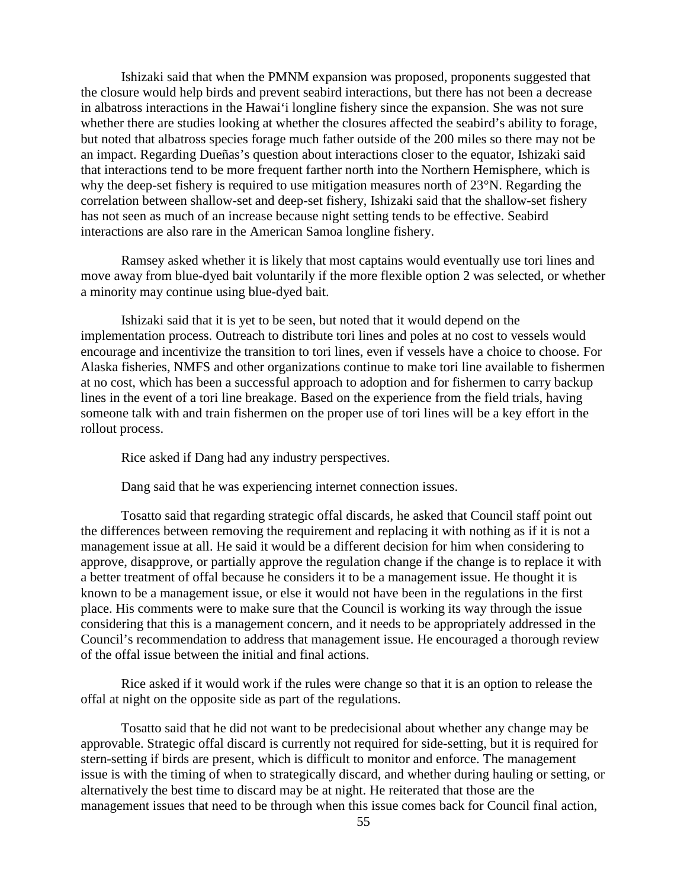Ishizaki said that when the PMNM expansion was proposed, proponents suggested that the closure would help birds and prevent seabird interactions, but there has not been a decrease in albatross interactions in the Hawai'i longline fishery since the expansion. She was not sure whether there are studies looking at whether the closures affected the seabird's ability to forage, but noted that albatross species forage much father outside of the 200 miles so there may not be an impact. Regarding Dueñas's question about interactions closer to the equator, Ishizaki said that interactions tend to be more frequent farther north into the Northern Hemisphere, which is why the deep-set fishery is required to use mitigation measures north of 23°N. Regarding the correlation between shallow-set and deep-set fishery, Ishizaki said that the shallow-set fishery has not seen as much of an increase because night setting tends to be effective. Seabird interactions are also rare in the American Samoa longline fishery.

Ramsey asked whether it is likely that most captains would eventually use tori lines and move away from blue-dyed bait voluntarily if the more flexible option 2 was selected, or whether a minority may continue using blue-dyed bait.

Ishizaki said that it is yet to be seen, but noted that it would depend on the implementation process. Outreach to distribute tori lines and poles at no cost to vessels would encourage and incentivize the transition to tori lines, even if vessels have a choice to choose. For Alaska fisheries, NMFS and other organizations continue to make tori line available to fishermen at no cost, which has been a successful approach to adoption and for fishermen to carry backup lines in the event of a tori line breakage. Based on the experience from the field trials, having someone talk with and train fishermen on the proper use of tori lines will be a key effort in the rollout process.

Rice asked if Dang had any industry perspectives.

Dang said that he was experiencing internet connection issues.

Tosatto said that regarding strategic offal discards, he asked that Council staff point out the differences between removing the requirement and replacing it with nothing as if it is not a management issue at all. He said it would be a different decision for him when considering to approve, disapprove, or partially approve the regulation change if the change is to replace it with a better treatment of offal because he considers it to be a management issue. He thought it is known to be a management issue, or else it would not have been in the regulations in the first place. His comments were to make sure that the Council is working its way through the issue considering that this is a management concern, and it needs to be appropriately addressed in the Council's recommendation to address that management issue. He encouraged a thorough review of the offal issue between the initial and final actions.

Rice asked if it would work if the rules were change so that it is an option to release the offal at night on the opposite side as part of the regulations.

Tosatto said that he did not want to be predecisional about whether any change may be approvable. Strategic offal discard is currently not required for side-setting, but it is required for stern-setting if birds are present, which is difficult to monitor and enforce. The management issue is with the timing of when to strategically discard, and whether during hauling or setting, or alternatively the best time to discard may be at night. He reiterated that those are the management issues that need to be through when this issue comes back for Council final action,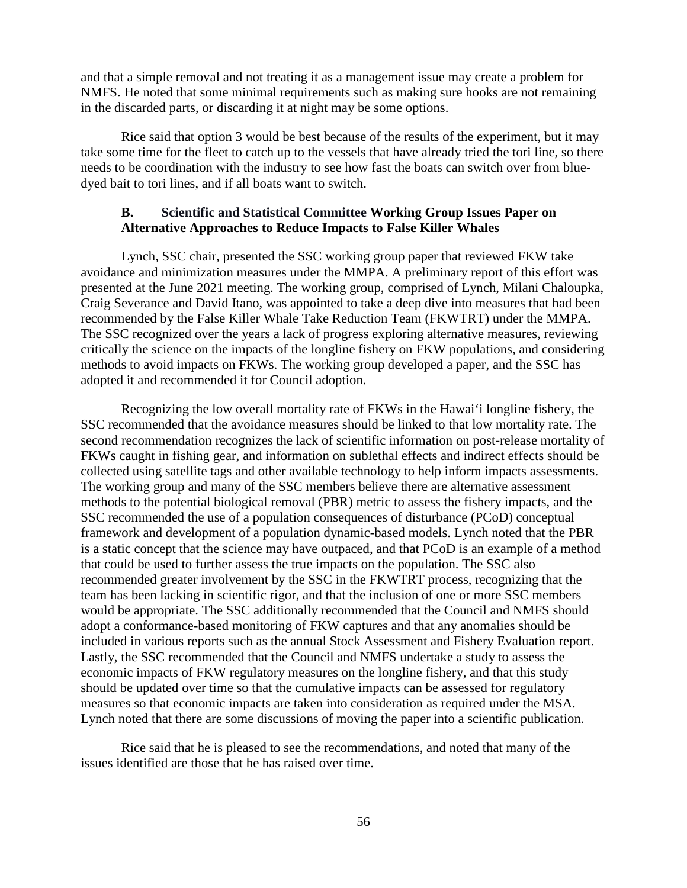and that a simple removal and not treating it as a management issue may create a problem for NMFS. He noted that some minimal requirements such as making sure hooks are not remaining in the discarded parts, or discarding it at night may be some options.

Rice said that option 3 would be best because of the results of the experiment, but it may take some time for the fleet to catch up to the vessels that have already tried the tori line, so there needs to be coordination with the industry to see how fast the boats can switch over from bluedyed bait to tori lines, and if all boats want to switch.

#### **B. Scientific and Statistical Committee Working Group Issues Paper on Alternative Approaches to Reduce Impacts to False Killer Whales**

Lynch, SSC chair, presented the SSC working group paper that reviewed FKW take avoidance and minimization measures under the MMPA. A preliminary report of this effort was presented at the June 2021 meeting. The working group, comprised of Lynch, Milani Chaloupka, Craig Severance and David Itano, was appointed to take a deep dive into measures that had been recommended by the False Killer Whale Take Reduction Team (FKWTRT) under the MMPA. The SSC recognized over the years a lack of progress exploring alternative measures, reviewing critically the science on the impacts of the longline fishery on FKW populations, and considering methods to avoid impacts on FKWs. The working group developed a paper, and the SSC has adopted it and recommended it for Council adoption.

Recognizing the low overall mortality rate of FKWs in the Hawai'i longline fishery, the SSC recommended that the avoidance measures should be linked to that low mortality rate. The second recommendation recognizes the lack of scientific information on post-release mortality of FKWs caught in fishing gear, and information on sublethal effects and indirect effects should be collected using satellite tags and other available technology to help inform impacts assessments. The working group and many of the SSC members believe there are alternative assessment methods to the potential biological removal (PBR) metric to assess the fishery impacts, and the SSC recommended the use of a population consequences of disturbance (PCoD) conceptual framework and development of a population dynamic-based models. Lynch noted that the PBR is a static concept that the science may have outpaced, and that PCoD is an example of a method that could be used to further assess the true impacts on the population. The SSC also recommended greater involvement by the SSC in the FKWTRT process, recognizing that the team has been lacking in scientific rigor, and that the inclusion of one or more SSC members would be appropriate. The SSC additionally recommended that the Council and NMFS should adopt a conformance-based monitoring of FKW captures and that any anomalies should be included in various reports such as the annual Stock Assessment and Fishery Evaluation report. Lastly, the SSC recommended that the Council and NMFS undertake a study to assess the economic impacts of FKW regulatory measures on the longline fishery, and that this study should be updated over time so that the cumulative impacts can be assessed for regulatory measures so that economic impacts are taken into consideration as required under the MSA. Lynch noted that there are some discussions of moving the paper into a scientific publication.

Rice said that he is pleased to see the recommendations, and noted that many of the issues identified are those that he has raised over time.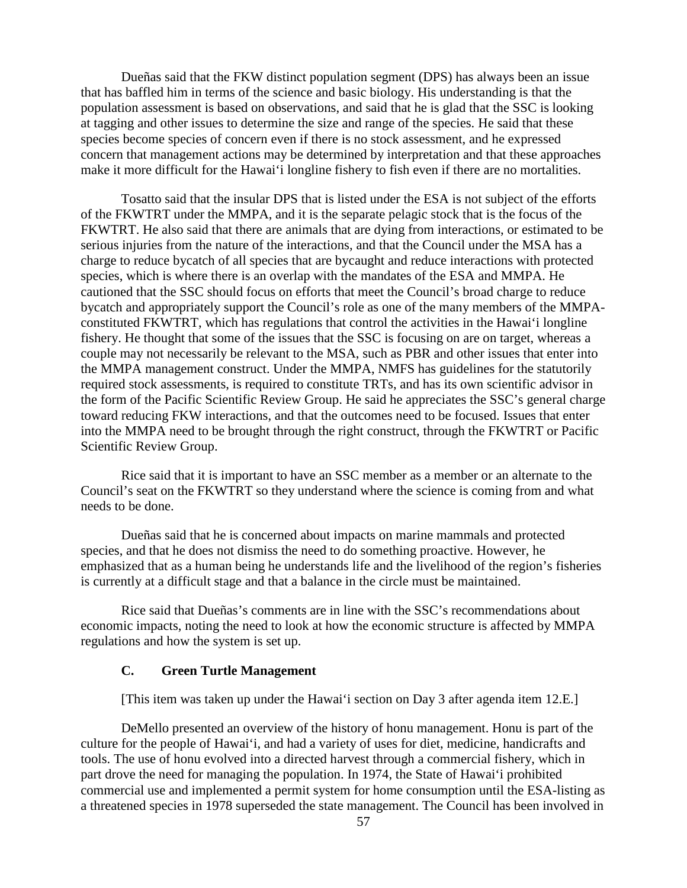Dueñas said that the FKW distinct population segment (DPS) has always been an issue that has baffled him in terms of the science and basic biology. His understanding is that the population assessment is based on observations, and said that he is glad that the SSC is looking at tagging and other issues to determine the size and range of the species. He said that these species become species of concern even if there is no stock assessment, and he expressed concern that management actions may be determined by interpretation and that these approaches make it more difficult for the Hawai'i longline fishery to fish even if there are no mortalities.

Tosatto said that the insular DPS that is listed under the ESA is not subject of the efforts of the FKWTRT under the MMPA, and it is the separate pelagic stock that is the focus of the FKWTRT. He also said that there are animals that are dying from interactions, or estimated to be serious injuries from the nature of the interactions, and that the Council under the MSA has a charge to reduce bycatch of all species that are bycaught and reduce interactions with protected species, which is where there is an overlap with the mandates of the ESA and MMPA. He cautioned that the SSC should focus on efforts that meet the Council's broad charge to reduce bycatch and appropriately support the Council's role as one of the many members of the MMPAconstituted FKWTRT, which has regulations that control the activities in the Hawai'i longline fishery. He thought that some of the issues that the SSC is focusing on are on target, whereas a couple may not necessarily be relevant to the MSA, such as PBR and other issues that enter into the MMPA management construct. Under the MMPA, NMFS has guidelines for the statutorily required stock assessments, is required to constitute TRTs, and has its own scientific advisor in the form of the Pacific Scientific Review Group. He said he appreciates the SSC's general charge toward reducing FKW interactions, and that the outcomes need to be focused. Issues that enter into the MMPA need to be brought through the right construct, through the FKWTRT or Pacific Scientific Review Group.

Rice said that it is important to have an SSC member as a member or an alternate to the Council's seat on the FKWTRT so they understand where the science is coming from and what needs to be done.

Dueñas said that he is concerned about impacts on marine mammals and protected species, and that he does not dismiss the need to do something proactive. However, he emphasized that as a human being he understands life and the livelihood of the region's fisheries is currently at a difficult stage and that a balance in the circle must be maintained.

Rice said that Dueñas's comments are in line with the SSC's recommendations about economic impacts, noting the need to look at how the economic structure is affected by MMPA regulations and how the system is set up.

#### **C. Green Turtle Management**

[This item was taken up under the Hawai'i section on Day 3 after agenda item 12.E.]

DeMello presented an overview of the history of honu management. Honu is part of the culture for the people of Hawai'i, and had a variety of uses for diet, medicine, handicrafts and tools. The use of honu evolved into a directed harvest through a commercial fishery, which in part drove the need for managing the population. In 1974, the State of Hawai'i prohibited commercial use and implemented a permit system for home consumption until the ESA-listing as a threatened species in 1978 superseded the state management. The Council has been involved in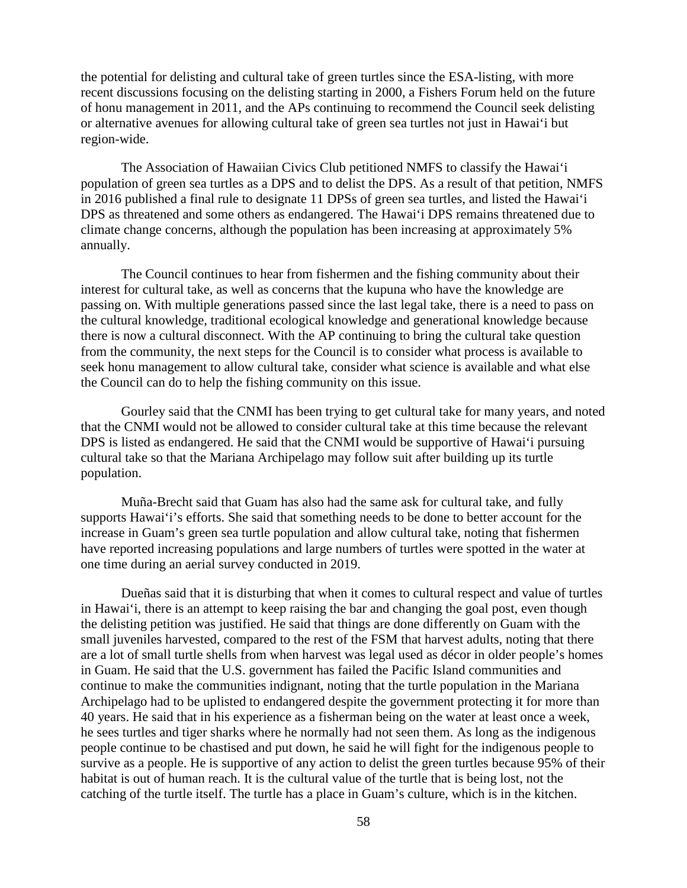the potential for delisting and cultural take of green turtles since the ESA-listing, with more recent discussions focusing on the delisting starting in 2000, a Fishers Forum held on the future of honu management in 2011, and the APs continuing to recommend the Council seek delisting or alternative avenues for allowing cultural take of green sea turtles not just in Hawai'i but region-wide.

The Association of Hawaiian Civics Club petitioned NMFS to classify the Hawai'i population of green sea turtles as a DPS and to delist the DPS. As a result of that petition, NMFS in 2016 published a final rule to designate 11 DPSs of green sea turtles, and listed the Hawai'i DPS as threatened and some others as endangered. The Hawai'i DPS remains threatened due to climate change concerns, although the population has been increasing at approximately 5% annually.

The Council continues to hear from fishermen and the fishing community about their interest for cultural take, as well as concerns that the kupuna who have the knowledge are passing on. With multiple generations passed since the last legal take, there is a need to pass on the cultural knowledge, traditional ecological knowledge and generational knowledge because there is now a cultural disconnect. With the AP continuing to bring the cultural take question from the community, the next steps for the Council is to consider what process is available to seek honu management to allow cultural take, consider what science is available and what else the Council can do to help the fishing community on this issue.

Gourley said that the CNMI has been trying to get cultural take for many years, and noted that the CNMI would not be allowed to consider cultural take at this time because the relevant DPS is listed as endangered. He said that the CNMI would be supportive of Hawai'i pursuing cultural take so that the Mariana Archipelago may follow suit after building up its turtle population.

Muña-Brecht said that Guam has also had the same ask for cultural take, and fully supports Hawai'i's efforts. She said that something needs to be done to better account for the increase in Guam's green sea turtle population and allow cultural take, noting that fishermen have reported increasing populations and large numbers of turtles were spotted in the water at one time during an aerial survey conducted in 2019.

Dueñas said that it is disturbing that when it comes to cultural respect and value of turtles in Hawai'i, there is an attempt to keep raising the bar and changing the goal post, even though the delisting petition was justified. He said that things are done differently on Guam with the small juveniles harvested, compared to the rest of the FSM that harvest adults, noting that there are a lot of small turtle shells from when harvest was legal used as décor in older people's homes in Guam. He said that the U.S. government has failed the Pacific Island communities and continue to make the communities indignant, noting that the turtle population in the Mariana Archipelago had to be uplisted to endangered despite the government protecting it for more than 40 years. He said that in his experience as a fisherman being on the water at least once a week, he sees turtles and tiger sharks where he normally had not seen them. As long as the indigenous people continue to be chastised and put down, he said he will fight for the indigenous people to survive as a people. He is supportive of any action to delist the green turtles because 95% of their habitat is out of human reach. It is the cultural value of the turtle that is being lost, not the catching of the turtle itself. The turtle has a place in Guam's culture, which is in the kitchen.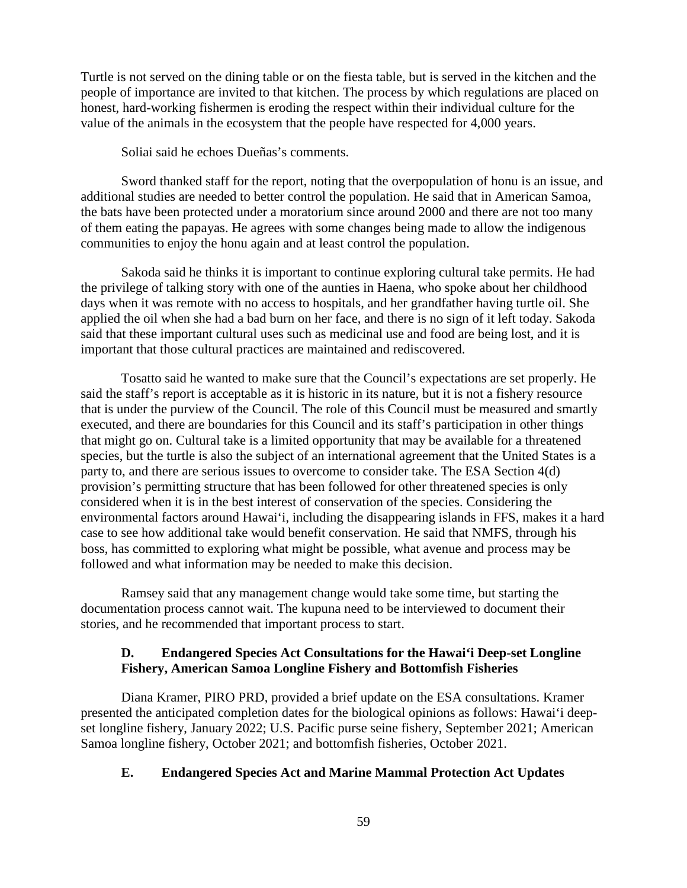Turtle is not served on the dining table or on the fiesta table, but is served in the kitchen and the people of importance are invited to that kitchen. The process by which regulations are placed on honest, hard-working fishermen is eroding the respect within their individual culture for the value of the animals in the ecosystem that the people have respected for 4,000 years.

Soliai said he echoes Dueñas's comments.

Sword thanked staff for the report, noting that the overpopulation of honu is an issue, and additional studies are needed to better control the population. He said that in American Samoa, the bats have been protected under a moratorium since around 2000 and there are not too many of them eating the papayas. He agrees with some changes being made to allow the indigenous communities to enjoy the honu again and at least control the population.

Sakoda said he thinks it is important to continue exploring cultural take permits. He had the privilege of talking story with one of the aunties in Haena, who spoke about her childhood days when it was remote with no access to hospitals, and her grandfather having turtle oil. She applied the oil when she had a bad burn on her face, and there is no sign of it left today. Sakoda said that these important cultural uses such as medicinal use and food are being lost, and it is important that those cultural practices are maintained and rediscovered.

Tosatto said he wanted to make sure that the Council's expectations are set properly. He said the staff's report is acceptable as it is historic in its nature, but it is not a fishery resource that is under the purview of the Council. The role of this Council must be measured and smartly executed, and there are boundaries for this Council and its staff's participation in other things that might go on. Cultural take is a limited opportunity that may be available for a threatened species, but the turtle is also the subject of an international agreement that the United States is a party to, and there are serious issues to overcome to consider take. The ESA Section 4(d) provision's permitting structure that has been followed for other threatened species is only considered when it is in the best interest of conservation of the species. Considering the environmental factors around Hawai'i, including the disappearing islands in FFS, makes it a hard case to see how additional take would benefit conservation. He said that NMFS, through his boss, has committed to exploring what might be possible, what avenue and process may be followed and what information may be needed to make this decision.

Ramsey said that any management change would take some time, but starting the documentation process cannot wait. The kupuna need to be interviewed to document their stories, and he recommended that important process to start.

### **D. Endangered Species Act Consultations for the Hawai'i Deep-set Longline Fishery, American Samoa Longline Fishery and Bottomfish Fisheries**

Diana Kramer, PIRO PRD, provided a brief update on the ESA consultations. Kramer presented the anticipated completion dates for the biological opinions as follows: Hawai'i deepset longline fishery, January 2022; U.S. Pacific purse seine fishery, September 2021; American Samoa longline fishery, October 2021; and bottomfish fisheries, October 2021.

### **E. Endangered Species Act and Marine Mammal Protection Act Updates**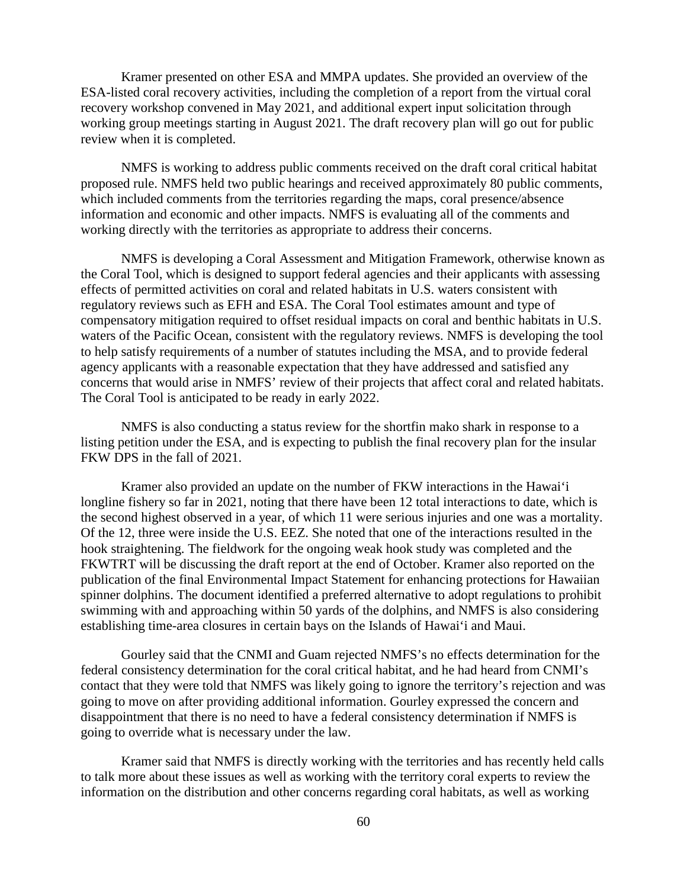Kramer presented on other ESA and MMPA updates. She provided an overview of the ESA-listed coral recovery activities, including the completion of a report from the virtual coral recovery workshop convened in May 2021, and additional expert input solicitation through working group meetings starting in August 2021. The draft recovery plan will go out for public review when it is completed.

NMFS is working to address public comments received on the draft coral critical habitat proposed rule. NMFS held two public hearings and received approximately 80 public comments, which included comments from the territories regarding the maps, coral presence/absence information and economic and other impacts. NMFS is evaluating all of the comments and working directly with the territories as appropriate to address their concerns.

NMFS is developing a Coral Assessment and Mitigation Framework, otherwise known as the Coral Tool, which is designed to support federal agencies and their applicants with assessing effects of permitted activities on coral and related habitats in U.S. waters consistent with regulatory reviews such as EFH and ESA. The Coral Tool estimates amount and type of compensatory mitigation required to offset residual impacts on coral and benthic habitats in U.S. waters of the Pacific Ocean, consistent with the regulatory reviews. NMFS is developing the tool to help satisfy requirements of a number of statutes including the MSA, and to provide federal agency applicants with a reasonable expectation that they have addressed and satisfied any concerns that would arise in NMFS' review of their projects that affect coral and related habitats. The Coral Tool is anticipated to be ready in early 2022.

NMFS is also conducting a status review for the shortfin mako shark in response to a listing petition under the ESA, and is expecting to publish the final recovery plan for the insular FKW DPS in the fall of 2021.

Kramer also provided an update on the number of FKW interactions in the Hawai'i longline fishery so far in 2021, noting that there have been 12 total interactions to date, which is the second highest observed in a year, of which 11 were serious injuries and one was a mortality. Of the 12, three were inside the U.S. EEZ. She noted that one of the interactions resulted in the hook straightening. The fieldwork for the ongoing weak hook study was completed and the FKWTRT will be discussing the draft report at the end of October. Kramer also reported on the publication of the final Environmental Impact Statement for enhancing protections for Hawaiian spinner dolphins. The document identified a preferred alternative to adopt regulations to prohibit swimming with and approaching within 50 yards of the dolphins, and NMFS is also considering establishing time-area closures in certain bays on the Islands of Hawai'i and Maui.

Gourley said that the CNMI and Guam rejected NMFS's no effects determination for the federal consistency determination for the coral critical habitat, and he had heard from CNMI's contact that they were told that NMFS was likely going to ignore the territory's rejection and was going to move on after providing additional information. Gourley expressed the concern and disappointment that there is no need to have a federal consistency determination if NMFS is going to override what is necessary under the law.

Kramer said that NMFS is directly working with the territories and has recently held calls to talk more about these issues as well as working with the territory coral experts to review the information on the distribution and other concerns regarding coral habitats, as well as working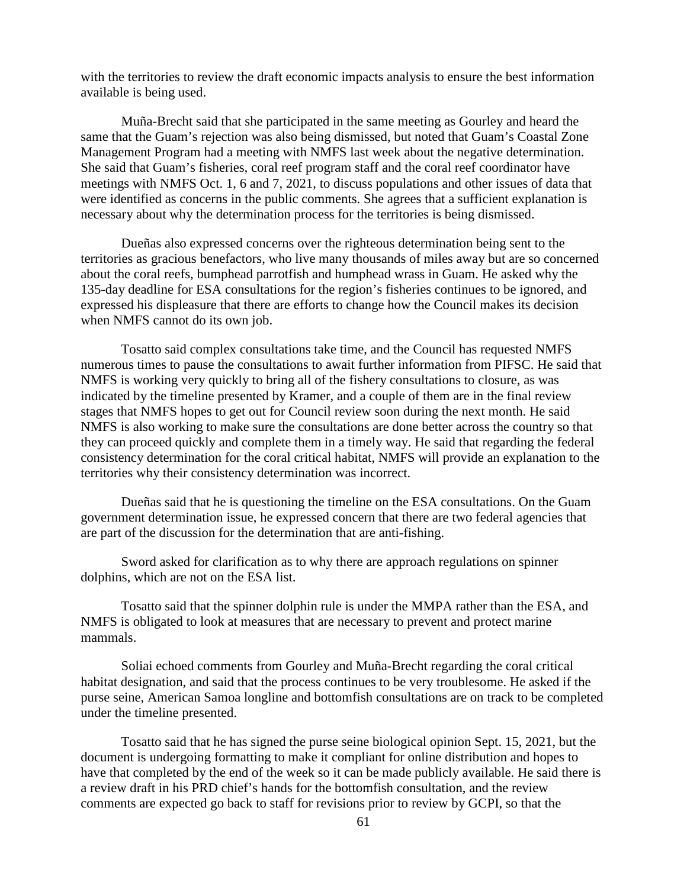with the territories to review the draft economic impacts analysis to ensure the best information available is being used.

Muña-Brecht said that she participated in the same meeting as Gourley and heard the same that the Guam's rejection was also being dismissed, but noted that Guam's Coastal Zone Management Program had a meeting with NMFS last week about the negative determination. She said that Guam's fisheries, coral reef program staff and the coral reef coordinator have meetings with NMFS Oct. 1, 6 and 7, 2021, to discuss populations and other issues of data that were identified as concerns in the public comments. She agrees that a sufficient explanation is necessary about why the determination process for the territories is being dismissed.

Dueñas also expressed concerns over the righteous determination being sent to the territories as gracious benefactors, who live many thousands of miles away but are so concerned about the coral reefs, bumphead parrotfish and humphead wrass in Guam. He asked why the 135-day deadline for ESA consultations for the region's fisheries continues to be ignored, and expressed his displeasure that there are efforts to change how the Council makes its decision when NMFS cannot do its own job.

Tosatto said complex consultations take time, and the Council has requested NMFS numerous times to pause the consultations to await further information from PIFSC. He said that NMFS is working very quickly to bring all of the fishery consultations to closure, as was indicated by the timeline presented by Kramer, and a couple of them are in the final review stages that NMFS hopes to get out for Council review soon during the next month. He said NMFS is also working to make sure the consultations are done better across the country so that they can proceed quickly and complete them in a timely way. He said that regarding the federal consistency determination for the coral critical habitat, NMFS will provide an explanation to the territories why their consistency determination was incorrect.

Dueñas said that he is questioning the timeline on the ESA consultations. On the Guam government determination issue, he expressed concern that there are two federal agencies that are part of the discussion for the determination that are anti-fishing.

Sword asked for clarification as to why there are approach regulations on spinner dolphins, which are not on the ESA list.

Tosatto said that the spinner dolphin rule is under the MMPA rather than the ESA, and NMFS is obligated to look at measures that are necessary to prevent and protect marine mammals.

Soliai echoed comments from Gourley and Muña-Brecht regarding the coral critical habitat designation, and said that the process continues to be very troublesome. He asked if the purse seine, American Samoa longline and bottomfish consultations are on track to be completed under the timeline presented.

Tosatto said that he has signed the purse seine biological opinion Sept. 15, 2021, but the document is undergoing formatting to make it compliant for online distribution and hopes to have that completed by the end of the week so it can be made publicly available. He said there is a review draft in his PRD chief's hands for the bottomfish consultation, and the review comments are expected go back to staff for revisions prior to review by GCPI, so that the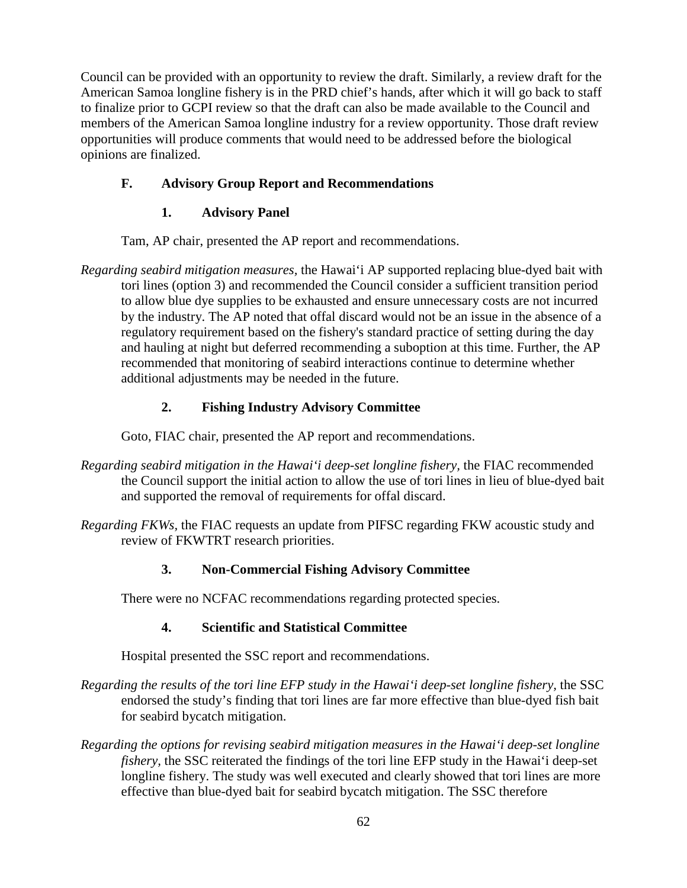Council can be provided with an opportunity to review the draft. Similarly, a review draft for the American Samoa longline fishery is in the PRD chief's hands, after which it will go back to staff to finalize prior to GCPI review so that the draft can also be made available to the Council and members of the American Samoa longline industry for a review opportunity. Those draft review opportunities will produce comments that would need to be addressed before the biological opinions are finalized.

# **F. Advisory Group Report and Recommendations**

# **1. Advisory Panel**

Tam, AP chair, presented the AP report and recommendations.

*Regarding seabird mitigation measures,* the Hawai'i AP supported replacing blue-dyed bait with tori lines (option 3) and recommended the Council consider a sufficient transition period to allow blue dye supplies to be exhausted and ensure unnecessary costs are not incurred by the industry. The AP noted that offal discard would not be an issue in the absence of a regulatory requirement based on the fishery's standard practice of setting during the day and hauling at night but deferred recommending a suboption at this time. Further, the AP recommended that monitoring of seabird interactions continue to determine whether additional adjustments may be needed in the future.

# **2. Fishing Industry Advisory Committee**

Goto, FIAC chair, presented the AP report and recommendations.

- *Regarding seabird mitigation in the Hawai'i deep-set longline fishery,* the FIAC recommended the Council support the initial action to allow the use of tori lines in lieu of blue-dyed bait and supported the removal of requirements for offal discard.
- *Regarding FKWs,* the FIAC requests an update from PIFSC regarding FKW acoustic study and review of FKWTRT research priorities.

# **3. Non-Commercial Fishing Advisory Committee**

There were no NCFAC recommendations regarding protected species.

# **4. Scientific and Statistical Committee**

Hospital presented the SSC report and recommendations.

- *Regarding the results of the tori line EFP study in the Hawai'i deep-set longline fishery,* the SSC endorsed the study's finding that tori lines are far more effective than blue-dyed fish bait for seabird bycatch mitigation.
- *Regarding the options for revising seabird mitigation measures in the Hawai'i deep-set longline fishery,* the SSC reiterated the findings of the tori line EFP study in the Hawai'i deep-set longline fishery. The study was well executed and clearly showed that tori lines are more effective than blue-dyed bait for seabird bycatch mitigation. The SSC therefore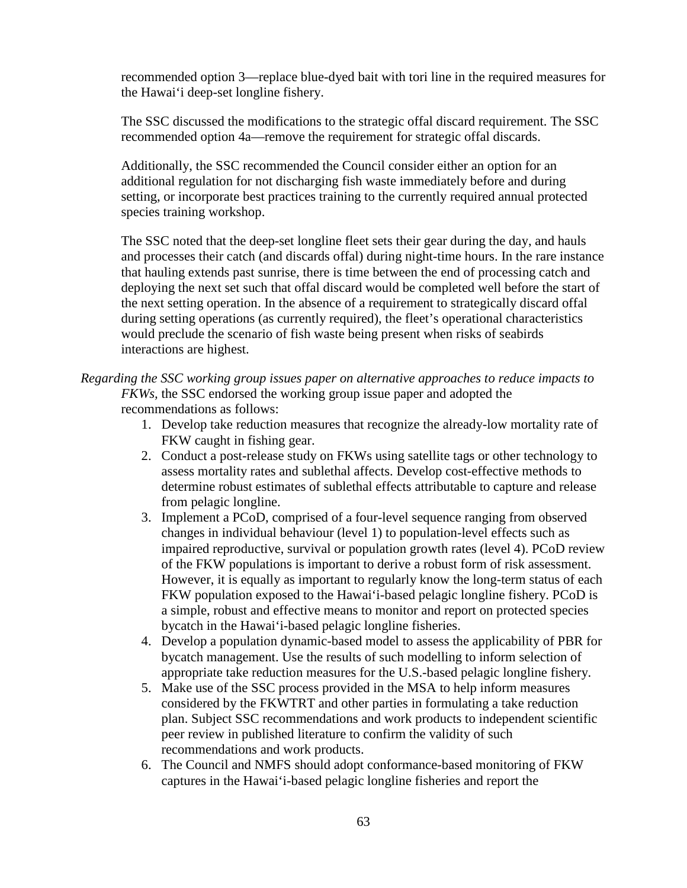recommended option 3—replace blue-dyed bait with tori line in the required measures for the Hawai'i deep-set longline fishery.

The SSC discussed the modifications to the strategic offal discard requirement. The SSC recommended option 4a—remove the requirement for strategic offal discards.

Additionally, the SSC recommended the Council consider either an option for an additional regulation for not discharging fish waste immediately before and during setting, or incorporate best practices training to the currently required annual protected species training workshop.

The SSC noted that the deep-set longline fleet sets their gear during the day, and hauls and processes their catch (and discards offal) during night-time hours. In the rare instance that hauling extends past sunrise, there is time between the end of processing catch and deploying the next set such that offal discard would be completed well before the start of the next setting operation. In the absence of a requirement to strategically discard offal during setting operations (as currently required), the fleet's operational characteristics would preclude the scenario of fish waste being present when risks of seabirds interactions are highest.

## *Regarding the SSC working group issues paper on alternative approaches to reduce impacts to FKWs,* the SSC endorsed the working group issue paper and adopted the recommendations as follows:

- 1. Develop take reduction measures that recognize the already-low mortality rate of FKW caught in fishing gear.
- 2. Conduct a post-release study on FKWs using satellite tags or other technology to assess mortality rates and sublethal affects. Develop cost-effective methods to determine robust estimates of sublethal effects attributable to capture and release from pelagic longline.
- 3. Implement a PCoD, comprised of a four-level sequence ranging from observed changes in individual behaviour (level 1) to population-level effects such as impaired reproductive, survival or population growth rates (level 4). PCoD review of the FKW populations is important to derive a robust form of risk assessment. However, it is equally as important to regularly know the long-term status of each FKW population exposed to the Hawai'i-based pelagic longline fishery. PCoD is a simple, robust and effective means to monitor and report on protected species bycatch in the Hawai'i-based pelagic longline fisheries.
- 4. Develop a population dynamic-based model to assess the applicability of PBR for bycatch management. Use the results of such modelling to inform selection of appropriate take reduction measures for the U.S.-based pelagic longline fishery.
- 5. Make use of the SSC process provided in the MSA to help inform measures considered by the FKWTRT and other parties in formulating a take reduction plan. Subject SSC recommendations and work products to independent scientific peer review in published literature to confirm the validity of such recommendations and work products.
- 6. The Council and NMFS should adopt conformance-based monitoring of FKW captures in the Hawai'i-based pelagic longline fisheries and report the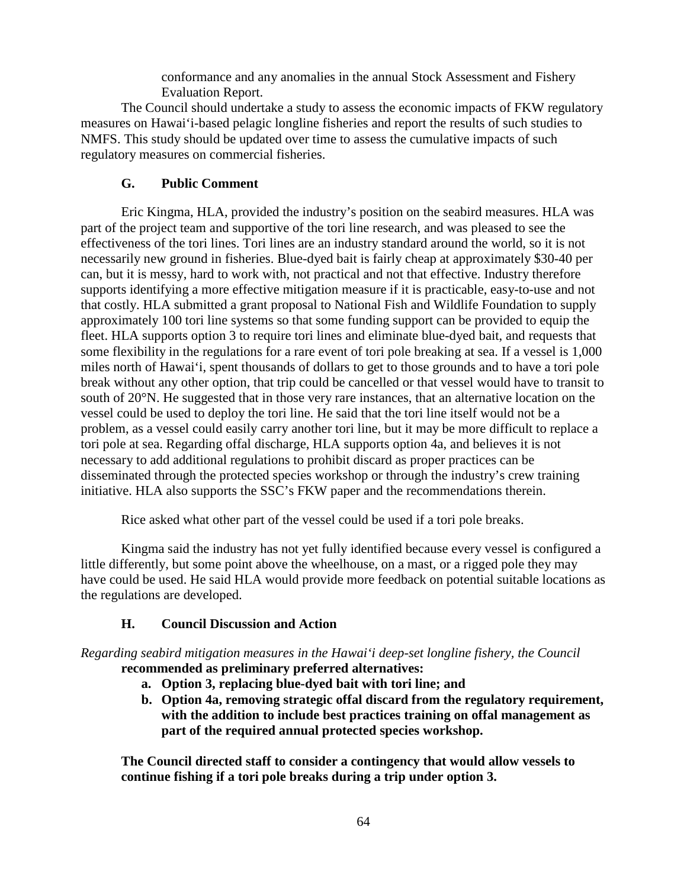conformance and any anomalies in the annual Stock Assessment and Fishery Evaluation Report.

The Council should undertake a study to assess the economic impacts of FKW regulatory measures on Hawai'i-based pelagic longline fisheries and report the results of such studies to NMFS. This study should be updated over time to assess the cumulative impacts of such regulatory measures on commercial fisheries.

## **G. Public Comment**

Eric Kingma, HLA, provided the industry's position on the seabird measures. HLA was part of the project team and supportive of the tori line research, and was pleased to see the effectiveness of the tori lines. Tori lines are an industry standard around the world, so it is not necessarily new ground in fisheries. Blue-dyed bait is fairly cheap at approximately \$30-40 per can, but it is messy, hard to work with, not practical and not that effective. Industry therefore supports identifying a more effective mitigation measure if it is practicable, easy-to-use and not that costly. HLA submitted a grant proposal to National Fish and Wildlife Foundation to supply approximately 100 tori line systems so that some funding support can be provided to equip the fleet. HLA supports option 3 to require tori lines and eliminate blue-dyed bait, and requests that some flexibility in the regulations for a rare event of tori pole breaking at sea. If a vessel is 1,000 miles north of Hawai'i, spent thousands of dollars to get to those grounds and to have a tori pole break without any other option, that trip could be cancelled or that vessel would have to transit to south of 20°N. He suggested that in those very rare instances, that an alternative location on the vessel could be used to deploy the tori line. He said that the tori line itself would not be a problem, as a vessel could easily carry another tori line, but it may be more difficult to replace a tori pole at sea. Regarding offal discharge, HLA supports option 4a, and believes it is not necessary to add additional regulations to prohibit discard as proper practices can be disseminated through the protected species workshop or through the industry's crew training initiative. HLA also supports the SSC's FKW paper and the recommendations therein.

Rice asked what other part of the vessel could be used if a tori pole breaks.

Kingma said the industry has not yet fully identified because every vessel is configured a little differently, but some point above the wheelhouse, on a mast, or a rigged pole they may have could be used. He said HLA would provide more feedback on potential suitable locations as the regulations are developed.

### **H. Council Discussion and Action**

*Regarding seabird mitigation measures in the Hawai'i deep-set longline fishery, the Council*  **recommended as preliminary preferred alternatives:** 

- **a. Option 3, replacing blue-dyed bait with tori line; and**
- **b. Option 4a, removing strategic offal discard from the regulatory requirement, with the addition to include best practices training on offal management as part of the required annual protected species workshop.**

**The Council directed staff to consider a contingency that would allow vessels to continue fishing if a tori pole breaks during a trip under option 3.**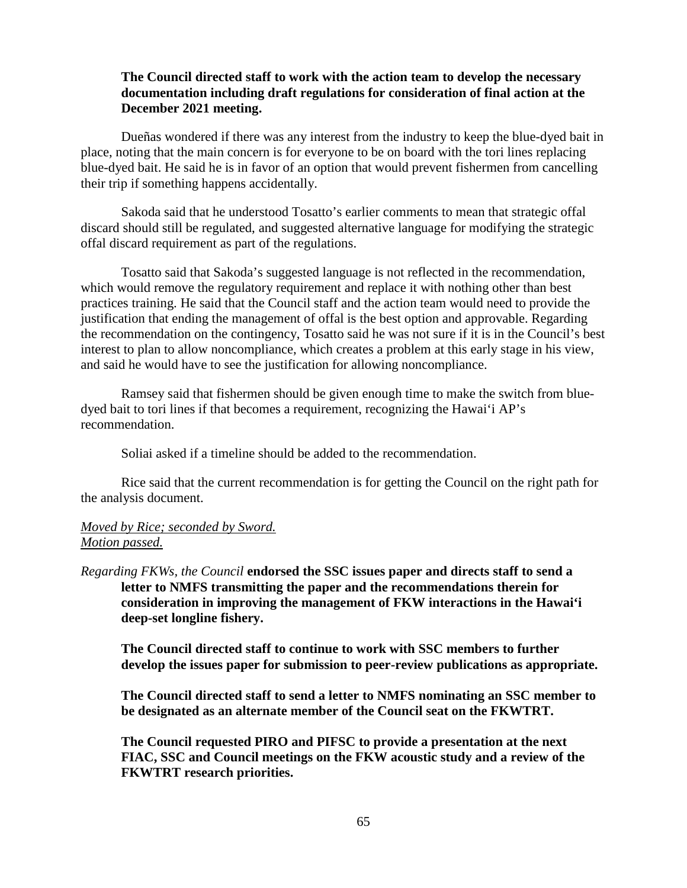### **The Council directed staff to work with the action team to develop the necessary documentation including draft regulations for consideration of final action at the December 2021 meeting.**

Dueñas wondered if there was any interest from the industry to keep the blue-dyed bait in place, noting that the main concern is for everyone to be on board with the tori lines replacing blue-dyed bait. He said he is in favor of an option that would prevent fishermen from cancelling their trip if something happens accidentally.

Sakoda said that he understood Tosatto's earlier comments to mean that strategic offal discard should still be regulated, and suggested alternative language for modifying the strategic offal discard requirement as part of the regulations.

Tosatto said that Sakoda's suggested language is not reflected in the recommendation, which would remove the regulatory requirement and replace it with nothing other than best practices training. He said that the Council staff and the action team would need to provide the justification that ending the management of offal is the best option and approvable. Regarding the recommendation on the contingency, Tosatto said he was not sure if it is in the Council's best interest to plan to allow noncompliance, which creates a problem at this early stage in his view, and said he would have to see the justification for allowing noncompliance.

Ramsey said that fishermen should be given enough time to make the switch from bluedyed bait to tori lines if that becomes a requirement, recognizing the Hawai'i AP's recommendation.

Soliai asked if a timeline should be added to the recommendation.

Rice said that the current recommendation is for getting the Council on the right path for the analysis document.

### *Moved by Rice; seconded by Sword. Motion passed.*

*Regarding FKWs, the Council* **endorsed the SSC issues paper and directs staff to send a letter to NMFS transmitting the paper and the recommendations therein for consideration in improving the management of FKW interactions in the Hawai'i deep-set longline fishery.**

**The Council directed staff to continue to work with SSC members to further develop the issues paper for submission to peer-review publications as appropriate.** 

**The Council directed staff to send a letter to NMFS nominating an SSC member to be designated as an alternate member of the Council seat on the FKWTRT.** 

**The Council requested PIRO and PIFSC to provide a presentation at the next FIAC, SSC and Council meetings on the FKW acoustic study and a review of the FKWTRT research priorities.**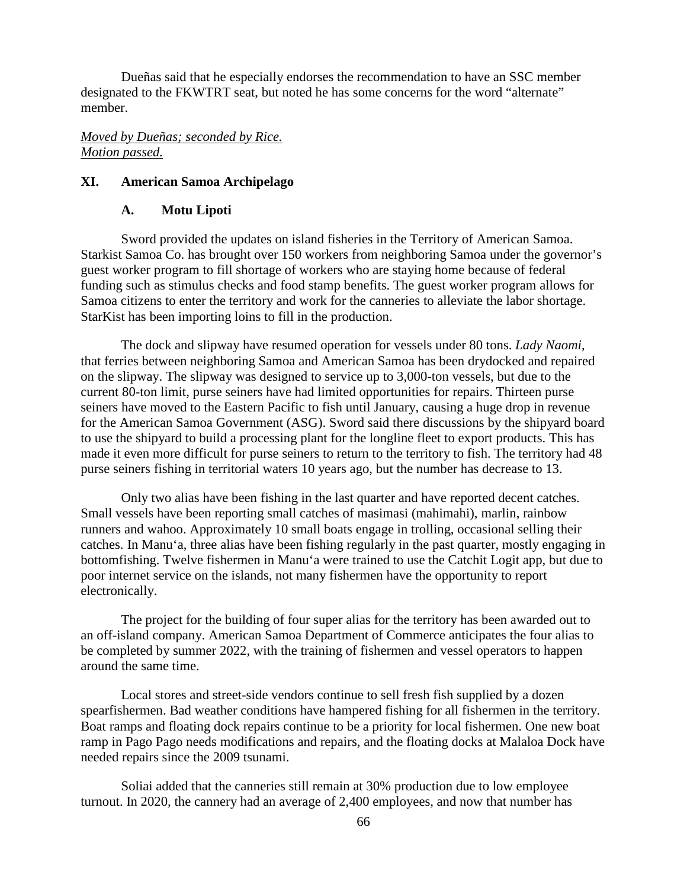Dueñas said that he especially endorses the recommendation to have an SSC member designated to the FKWTRT seat, but noted he has some concerns for the word "alternate" member.

#### *Moved by Dueñas; seconded by Rice. Motion passed.*

#### **XI. American Samoa Archipelago**

#### **A. Motu Lipoti**

Sword provided the updates on island fisheries in the Territory of American Samoa. Starkist Samoa Co. has brought over 150 workers from neighboring Samoa under the governor's guest worker program to fill shortage of workers who are staying home because of federal funding such as stimulus checks and food stamp benefits. The guest worker program allows for Samoa citizens to enter the territory and work for the canneries to alleviate the labor shortage. StarKist has been importing loins to fill in the production.

The dock and slipway have resumed operation for vessels under 80 tons. *Lady Naomi*, that ferries between neighboring Samoa and American Samoa has been drydocked and repaired on the slipway. The slipway was designed to service up to 3,000-ton vessels, but due to the current 80-ton limit, purse seiners have had limited opportunities for repairs. Thirteen purse seiners have moved to the Eastern Pacific to fish until January, causing a huge drop in revenue for the American Samoa Government (ASG). Sword said there discussions by the shipyard board to use the shipyard to build a processing plant for the longline fleet to export products. This has made it even more difficult for purse seiners to return to the territory to fish. The territory had 48 purse seiners fishing in territorial waters 10 years ago, but the number has decrease to 13.

Only two alias have been fishing in the last quarter and have reported decent catches. Small vessels have been reporting small catches of masimasi (mahimahi), marlin, rainbow runners and wahoo. Approximately 10 small boats engage in trolling, occasional selling their catches. In Manu'a, three alias have been fishing regularly in the past quarter, mostly engaging in bottomfishing. Twelve fishermen in Manu'a were trained to use the Catchit Logit app, but due to poor internet service on the islands, not many fishermen have the opportunity to report electronically.

The project for the building of four super alias for the territory has been awarded out to an off-island company. American Samoa Department of Commerce anticipates the four alias to be completed by summer 2022, with the training of fishermen and vessel operators to happen around the same time.

Local stores and street-side vendors continue to sell fresh fish supplied by a dozen spearfishermen. Bad weather conditions have hampered fishing for all fishermen in the territory. Boat ramps and floating dock repairs continue to be a priority for local fishermen. One new boat ramp in Pago Pago needs modifications and repairs, and the floating docks at Malaloa Dock have needed repairs since the 2009 tsunami.

Soliai added that the canneries still remain at 30% production due to low employee turnout. In 2020, the cannery had an average of 2,400 employees, and now that number has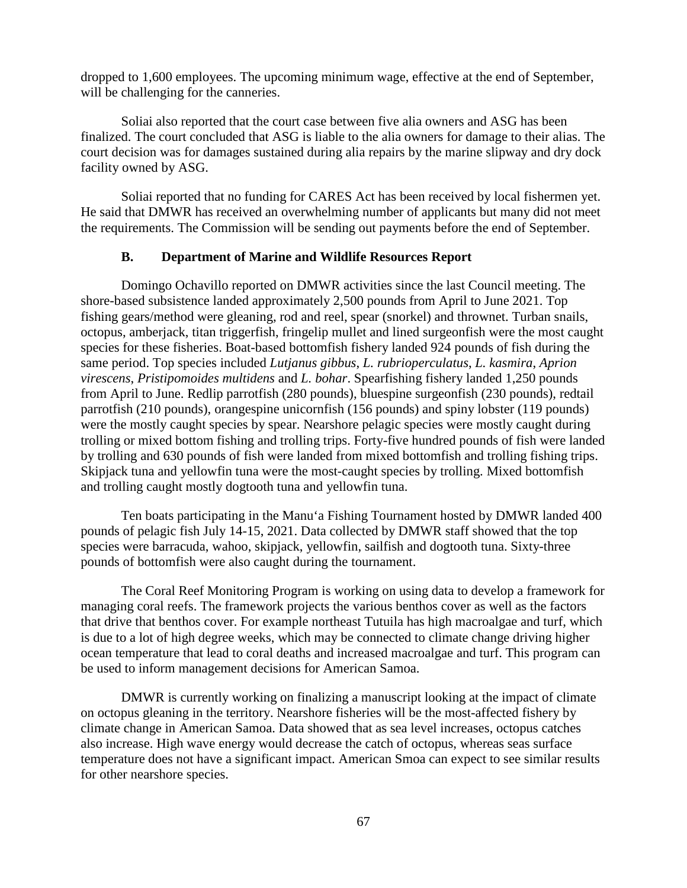dropped to 1,600 employees. The upcoming minimum wage, effective at the end of September, will be challenging for the canneries.

Soliai also reported that the court case between five alia owners and ASG has been finalized. The court concluded that ASG is liable to the alia owners for damage to their alias. The court decision was for damages sustained during alia repairs by the marine slipway and dry dock facility owned by ASG.

Soliai reported that no funding for CARES Act has been received by local fishermen yet. He said that DMWR has received an overwhelming number of applicants but many did not meet the requirements. The Commission will be sending out payments before the end of September.

#### **B. Department of Marine and Wildlife Resources Report**

Domingo Ochavillo reported on DMWR activities since the last Council meeting. The shore-based subsistence landed approximately 2,500 pounds from April to June 2021. Top fishing gears/method were gleaning, rod and reel, spear (snorkel) and thrownet. Turban snails, octopus, amberjack, titan triggerfish, fringelip mullet and lined surgeonfish were the most caught species for these fisheries. Boat-based bottomfish fishery landed 924 pounds of fish during the same period. Top species included *Lutjanus gibbus*, *L. rubrioperculatus*, *L. kasmira*, *Aprion virescens*, *Pristipomoides multidens* and *L. bohar*. Spearfishing fishery landed 1,250 pounds from April to June. Redlip parrotfish (280 pounds), bluespine surgeonfish (230 pounds), redtail parrotfish (210 pounds), orangespine unicornfish (156 pounds) and spiny lobster (119 pounds) were the mostly caught species by spear. Nearshore pelagic species were mostly caught during trolling or mixed bottom fishing and trolling trips. Forty-five hundred pounds of fish were landed by trolling and 630 pounds of fish were landed from mixed bottomfish and trolling fishing trips. Skipjack tuna and yellowfin tuna were the most-caught species by trolling. Mixed bottomfish and trolling caught mostly dogtooth tuna and yellowfin tuna.

Ten boats participating in the Manu'a Fishing Tournament hosted by DMWR landed 400 pounds of pelagic fish July 14-15, 2021. Data collected by DMWR staff showed that the top species were barracuda, wahoo, skipjack, yellowfin, sailfish and dogtooth tuna. Sixty-three pounds of bottomfish were also caught during the tournament.

The Coral Reef Monitoring Program is working on using data to develop a framework for managing coral reefs. The framework projects the various benthos cover as well as the factors that drive that benthos cover. For example northeast Tutuila has high macroalgae and turf, which is due to a lot of high degree weeks, which may be connected to climate change driving higher ocean temperature that lead to coral deaths and increased macroalgae and turf. This program can be used to inform management decisions for American Samoa.

DMWR is currently working on finalizing a manuscript looking at the impact of climate on octopus gleaning in the territory. Nearshore fisheries will be the most-affected fishery by climate change in American Samoa. Data showed that as sea level increases, octopus catches also increase. High wave energy would decrease the catch of octopus, whereas seas surface temperature does not have a significant impact. American Smoa can expect to see similar results for other nearshore species.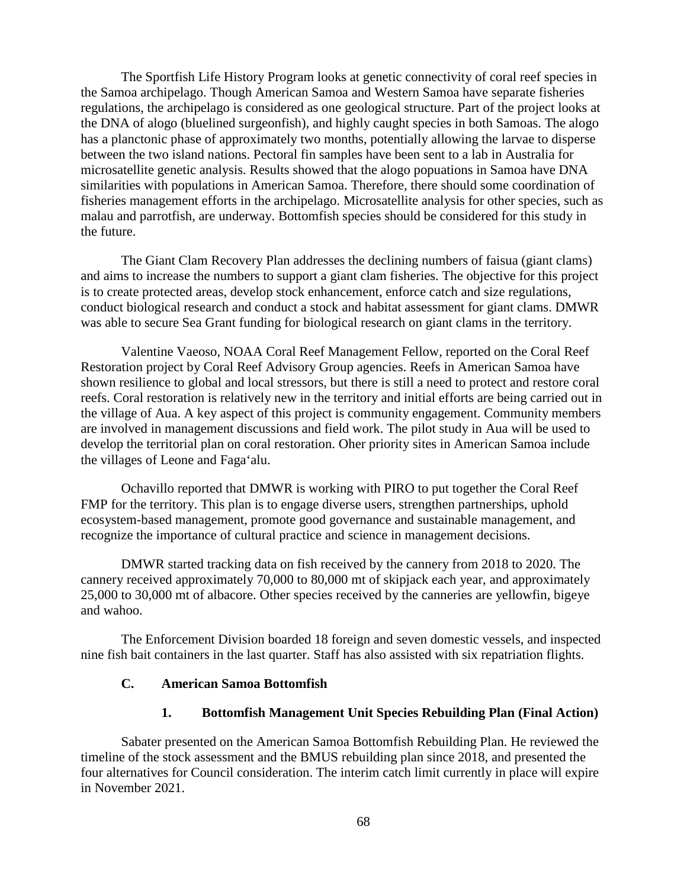The Sportfish Life History Program looks at genetic connectivity of coral reef species in the Samoa archipelago. Though American Samoa and Western Samoa have separate fisheries regulations, the archipelago is considered as one geological structure. Part of the project looks at the DNA of alogo (bluelined surgeonfish), and highly caught species in both Samoas. The alogo has a planctonic phase of approximately two months, potentially allowing the larvae to disperse between the two island nations. Pectoral fin samples have been sent to a lab in Australia for microsatellite genetic analysis. Results showed that the alogo popuations in Samoa have DNA similarities with populations in American Samoa. Therefore, there should some coordination of fisheries management efforts in the archipelago. Microsatellite analysis for other species, such as malau and parrotfish, are underway. Bottomfish species should be considered for this study in the future.

The Giant Clam Recovery Plan addresses the declining numbers of faisua (giant clams) and aims to increase the numbers to support a giant clam fisheries. The objective for this project is to create protected areas, develop stock enhancement, enforce catch and size regulations, conduct biological research and conduct a stock and habitat assessment for giant clams. DMWR was able to secure Sea Grant funding for biological research on giant clams in the territory.

Valentine Vaeoso, NOAA Coral Reef Management Fellow, reported on the Coral Reef Restoration project by Coral Reef Advisory Group agencies. Reefs in American Samoa have shown resilience to global and local stressors, but there is still a need to protect and restore coral reefs. Coral restoration is relatively new in the territory and initial efforts are being carried out in the village of Aua. A key aspect of this project is community engagement. Community members are involved in management discussions and field work. The pilot study in Aua will be used to develop the territorial plan on coral restoration. Oher priority sites in American Samoa include the villages of Leone and Faga'alu.

Ochavillo reported that DMWR is working with PIRO to put together the Coral Reef FMP for the territory. This plan is to engage diverse users, strengthen partnerships, uphold ecosystem-based management, promote good governance and sustainable management, and recognize the importance of cultural practice and science in management decisions.

DMWR started tracking data on fish received by the cannery from 2018 to 2020. The cannery received approximately 70,000 to 80,000 mt of skipjack each year, and approximately 25,000 to 30,000 mt of albacore. Other species received by the canneries are yellowfin, bigeye and wahoo.

The Enforcement Division boarded 18 foreign and seven domestic vessels, and inspected nine fish bait containers in the last quarter. Staff has also assisted with six repatriation flights.

### **C. American Samoa Bottomfish**

#### **1. Bottomfish Management Unit Species Rebuilding Plan (Final Action)**

Sabater presented on the American Samoa Bottomfish Rebuilding Plan. He reviewed the timeline of the stock assessment and the BMUS rebuilding plan since 2018, and presented the four alternatives for Council consideration. The interim catch limit currently in place will expire in November 2021.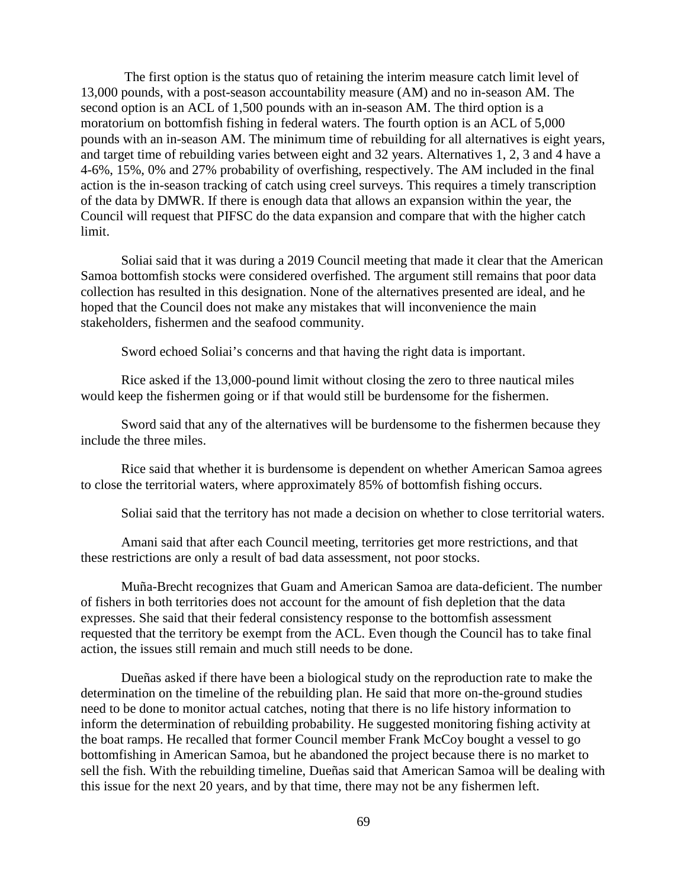The first option is the status quo of retaining the interim measure catch limit level of 13,000 pounds, with a post-season accountability measure (AM) and no in-season AM. The second option is an ACL of 1,500 pounds with an in-season AM. The third option is a moratorium on bottomfish fishing in federal waters. The fourth option is an ACL of 5,000 pounds with an in-season AM. The minimum time of rebuilding for all alternatives is eight years, and target time of rebuilding varies between eight and 32 years. Alternatives 1, 2, 3 and 4 have a 4-6%, 15%, 0% and 27% probability of overfishing, respectively. The AM included in the final action is the in-season tracking of catch using creel surveys. This requires a timely transcription of the data by DMWR. If there is enough data that allows an expansion within the year, the Council will request that PIFSC do the data expansion and compare that with the higher catch limit.

Soliai said that it was during a 2019 Council meeting that made it clear that the American Samoa bottomfish stocks were considered overfished. The argument still remains that poor data collection has resulted in this designation. None of the alternatives presented are ideal, and he hoped that the Council does not make any mistakes that will inconvenience the main stakeholders, fishermen and the seafood community.

Sword echoed Soliai's concerns and that having the right data is important.

Rice asked if the 13,000-pound limit without closing the zero to three nautical miles would keep the fishermen going or if that would still be burdensome for the fishermen.

Sword said that any of the alternatives will be burdensome to the fishermen because they include the three miles.

Rice said that whether it is burdensome is dependent on whether American Samoa agrees to close the territorial waters, where approximately 85% of bottomfish fishing occurs.

Soliai said that the territory has not made a decision on whether to close territorial waters.

Amani said that after each Council meeting, territories get more restrictions, and that these restrictions are only a result of bad data assessment, not poor stocks.

Muña-Brecht recognizes that Guam and American Samoa are data-deficient. The number of fishers in both territories does not account for the amount of fish depletion that the data expresses. She said that their federal consistency response to the bottomfish assessment requested that the territory be exempt from the ACL. Even though the Council has to take final action, the issues still remain and much still needs to be done.

Dueñas asked if there have been a biological study on the reproduction rate to make the determination on the timeline of the rebuilding plan. He said that more on-the-ground studies need to be done to monitor actual catches, noting that there is no life history information to inform the determination of rebuilding probability. He suggested monitoring fishing activity at the boat ramps. He recalled that former Council member Frank McCoy bought a vessel to go bottomfishing in American Samoa, but he abandoned the project because there is no market to sell the fish. With the rebuilding timeline, Dueñas said that American Samoa will be dealing with this issue for the next 20 years, and by that time, there may not be any fishermen left.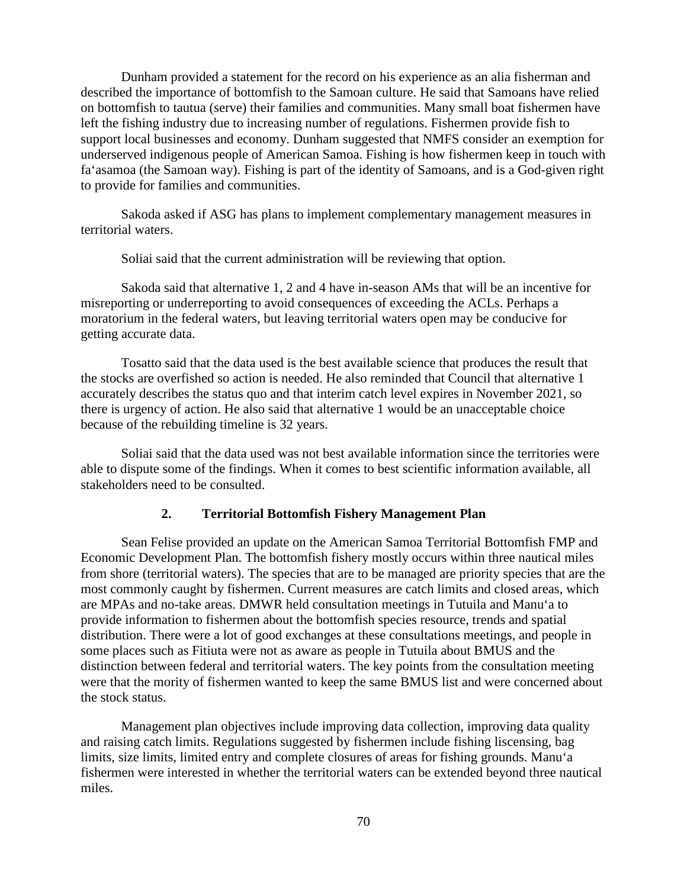Dunham provided a statement for the record on his experience as an alia fisherman and described the importance of bottomfish to the Samoan culture. He said that Samoans have relied on bottomfish to tautua (serve) their families and communities. Many small boat fishermen have left the fishing industry due to increasing number of regulations. Fishermen provide fish to support local businesses and economy. Dunham suggested that NMFS consider an exemption for underserved indigenous people of American Samoa. Fishing is how fishermen keep in touch with fa'asamoa (the Samoan way). Fishing is part of the identity of Samoans, and is a God-given right to provide for families and communities.

Sakoda asked if ASG has plans to implement complementary management measures in territorial waters.

Soliai said that the current administration will be reviewing that option.

Sakoda said that alternative 1, 2 and 4 have in-season AMs that will be an incentive for misreporting or underreporting to avoid consequences of exceeding the ACLs. Perhaps a moratorium in the federal waters, but leaving territorial waters open may be conducive for getting accurate data.

Tosatto said that the data used is the best available science that produces the result that the stocks are overfished so action is needed. He also reminded that Council that alternative 1 accurately describes the status quo and that interim catch level expires in November 2021, so there is urgency of action. He also said that alternative 1 would be an unacceptable choice because of the rebuilding timeline is 32 years.

Soliai said that the data used was not best available information since the territories were able to dispute some of the findings. When it comes to best scientific information available, all stakeholders need to be consulted.

#### **2. Territorial Bottomfish Fishery Management Plan**

Sean Felise provided an update on the American Samoa Territorial Bottomfish FMP and Economic Development Plan. The bottomfish fishery mostly occurs within three nautical miles from shore (territorial waters). The species that are to be managed are priority species that are the most commonly caught by fishermen. Current measures are catch limits and closed areas, which are MPAs and no-take areas. DMWR held consultation meetings in Tutuila and Manu'a to provide information to fishermen about the bottomfish species resource, trends and spatial distribution. There were a lot of good exchanges at these consultations meetings, and people in some places such as Fitiuta were not as aware as people in Tutuila about BMUS and the distinction between federal and territorial waters. The key points from the consultation meeting were that the mority of fishermen wanted to keep the same BMUS list and were concerned about the stock status.

Management plan objectives include improving data collection, improving data quality and raising catch limits. Regulations suggested by fishermen include fishing liscensing, bag limits, size limits, limited entry and complete closures of areas for fishing grounds. Manu'a fishermen were interested in whether the territorial waters can be extended beyond three nautical miles.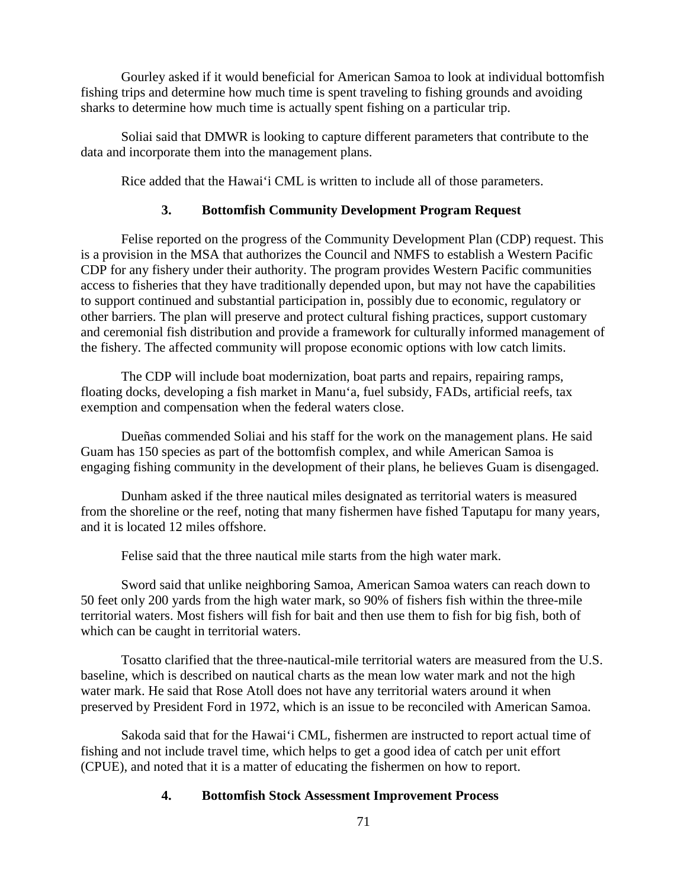Gourley asked if it would beneficial for American Samoa to look at individual bottomfish fishing trips and determine how much time is spent traveling to fishing grounds and avoiding sharks to determine how much time is actually spent fishing on a particular trip.

Soliai said that DMWR is looking to capture different parameters that contribute to the data and incorporate them into the management plans.

Rice added that the Hawai'i CML is written to include all of those parameters.

# **3. Bottomfish Community Development Program Request**

Felise reported on the progress of the Community Development Plan (CDP) request. This is a provision in the MSA that authorizes the Council and NMFS to establish a Western Pacific CDP for any fishery under their authority. The program provides Western Pacific communities access to fisheries that they have traditionally depended upon, but may not have the capabilities to support continued and substantial participation in, possibly due to economic, regulatory or other barriers. The plan will preserve and protect cultural fishing practices, support customary and ceremonial fish distribution and provide a framework for culturally informed management of the fishery. The affected community will propose economic options with low catch limits.

The CDP will include boat modernization, boat parts and repairs, repairing ramps, floating docks, developing a fish market in Manu'a, fuel subsidy, FADs, artificial reefs, tax exemption and compensation when the federal waters close.

Dueñas commended Soliai and his staff for the work on the management plans. He said Guam has 150 species as part of the bottomfish complex, and while American Samoa is engaging fishing community in the development of their plans, he believes Guam is disengaged.

Dunham asked if the three nautical miles designated as territorial waters is measured from the shoreline or the reef, noting that many fishermen have fished Taputapu for many years, and it is located 12 miles offshore.

Felise said that the three nautical mile starts from the high water mark.

Sword said that unlike neighboring Samoa, American Samoa waters can reach down to 50 feet only 200 yards from the high water mark, so 90% of fishers fish within the three-mile territorial waters. Most fishers will fish for bait and then use them to fish for big fish, both of which can be caught in territorial waters.

Tosatto clarified that the three-nautical-mile territorial waters are measured from the U.S. baseline, which is described on nautical charts as the mean low water mark and not the high water mark. He said that Rose Atoll does not have any territorial waters around it when preserved by President Ford in 1972, which is an issue to be reconciled with American Samoa.

Sakoda said that for the Hawai'i CML, fishermen are instructed to report actual time of fishing and not include travel time, which helps to get a good idea of catch per unit effort (CPUE), and noted that it is a matter of educating the fishermen on how to report.

# **4. Bottomfish Stock Assessment Improvement Process**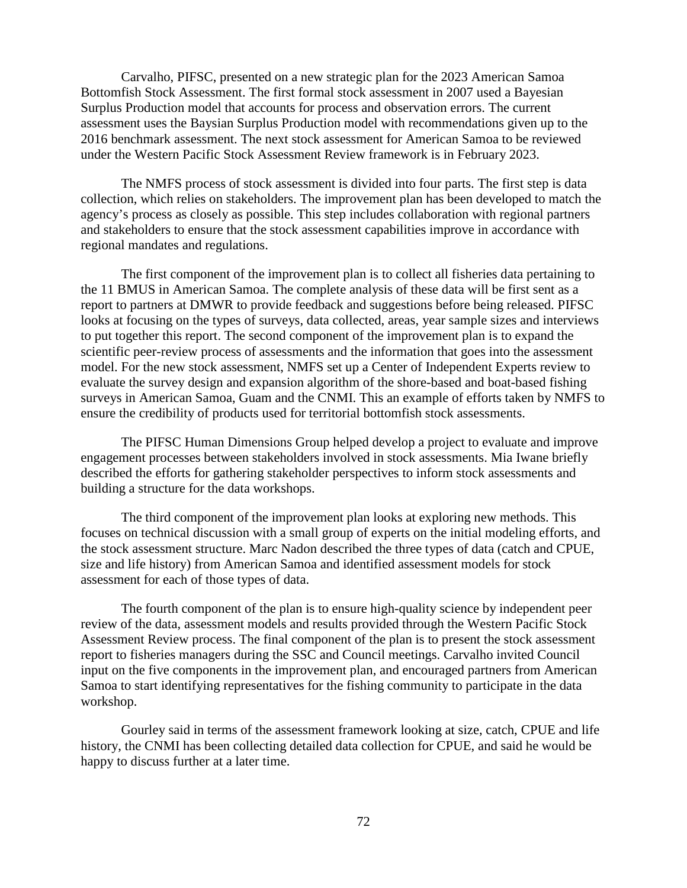Carvalho, PIFSC, presented on a new strategic plan for the 2023 American Samoa Bottomfish Stock Assessment. The first formal stock assessment in 2007 used a Bayesian Surplus Production model that accounts for process and observation errors. The current assessment uses the Baysian Surplus Production model with recommendations given up to the 2016 benchmark assessment. The next stock assessment for American Samoa to be reviewed under the Western Pacific Stock Assessment Review framework is in February 2023.

The NMFS process of stock assessment is divided into four parts. The first step is data collection, which relies on stakeholders. The improvement plan has been developed to match the agency's process as closely as possible. This step includes collaboration with regional partners and stakeholders to ensure that the stock assessment capabilities improve in accordance with regional mandates and regulations.

The first component of the improvement plan is to collect all fisheries data pertaining to the 11 BMUS in American Samoa. The complete analysis of these data will be first sent as a report to partners at DMWR to provide feedback and suggestions before being released. PIFSC looks at focusing on the types of surveys, data collected, areas, year sample sizes and interviews to put together this report. The second component of the improvement plan is to expand the scientific peer-review process of assessments and the information that goes into the assessment model. For the new stock assessment, NMFS set up a Center of Independent Experts review to evaluate the survey design and expansion algorithm of the shore-based and boat-based fishing surveys in American Samoa, Guam and the CNMI. This an example of efforts taken by NMFS to ensure the credibility of products used for territorial bottomfish stock assessments.

The PIFSC Human Dimensions Group helped develop a project to evaluate and improve engagement processes between stakeholders involved in stock assessments. Mia Iwane briefly described the efforts for gathering stakeholder perspectives to inform stock assessments and building a structure for the data workshops.

The third component of the improvement plan looks at exploring new methods. This focuses on technical discussion with a small group of experts on the initial modeling efforts, and the stock assessment structure. Marc Nadon described the three types of data (catch and CPUE, size and life history) from American Samoa and identified assessment models for stock assessment for each of those types of data.

The fourth component of the plan is to ensure high-quality science by independent peer review of the data, assessment models and results provided through the Western Pacific Stock Assessment Review process. The final component of the plan is to present the stock assessment report to fisheries managers during the SSC and Council meetings. Carvalho invited Council input on the five components in the improvement plan, and encouraged partners from American Samoa to start identifying representatives for the fishing community to participate in the data workshop.

Gourley said in terms of the assessment framework looking at size, catch, CPUE and life history, the CNMI has been collecting detailed data collection for CPUE, and said he would be happy to discuss further at a later time.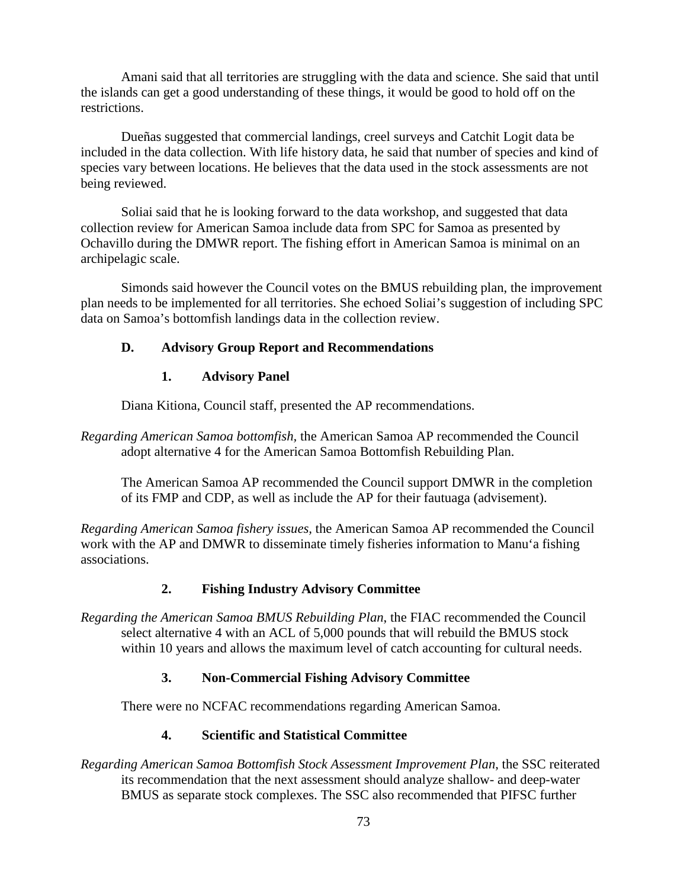Amani said that all territories are struggling with the data and science. She said that until the islands can get a good understanding of these things, it would be good to hold off on the restrictions.

Dueñas suggested that commercial landings, creel surveys and Catchit Logit data be included in the data collection. With life history data, he said that number of species and kind of species vary between locations. He believes that the data used in the stock assessments are not being reviewed.

Soliai said that he is looking forward to the data workshop, and suggested that data collection review for American Samoa include data from SPC for Samoa as presented by Ochavillo during the DMWR report. The fishing effort in American Samoa is minimal on an archipelagic scale.

Simonds said however the Council votes on the BMUS rebuilding plan, the improvement plan needs to be implemented for all territories. She echoed Soliai's suggestion of including SPC data on Samoa's bottomfish landings data in the collection review.

## **D. Advisory Group Report and Recommendations**

## **1. Advisory Panel**

Diana Kitiona, Council staff, presented the AP recommendations.

*Regarding American Samoa bottomfish,* the American Samoa AP recommended the Council adopt alternative 4 for the American Samoa Bottomfish Rebuilding Plan.

The American Samoa AP recommended the Council support DMWR in the completion of its FMP and CDP, as well as include the AP for their fautuaga (advisement).

*Regarding American Samoa fishery issues,* the American Samoa AP recommended the Council work with the AP and DMWR to disseminate timely fisheries information to Manu'a fishing associations.

## **2. Fishing Industry Advisory Committee**

*Regarding the American Samoa BMUS Rebuilding Plan*, the FIAC recommended the Council select alternative 4 with an ACL of 5,000 pounds that will rebuild the BMUS stock within 10 years and allows the maximum level of catch accounting for cultural needs.

## **3. Non-Commercial Fishing Advisory Committee**

There were no NCFAC recommendations regarding American Samoa.

## **4. Scientific and Statistical Committee**

*Regarding American Samoa Bottomfish Stock Assessment Improvement Plan*, the SSC reiterated its recommendation that the next assessment should analyze shallow- and deep-water BMUS as separate stock complexes. The SSC also recommended that PIFSC further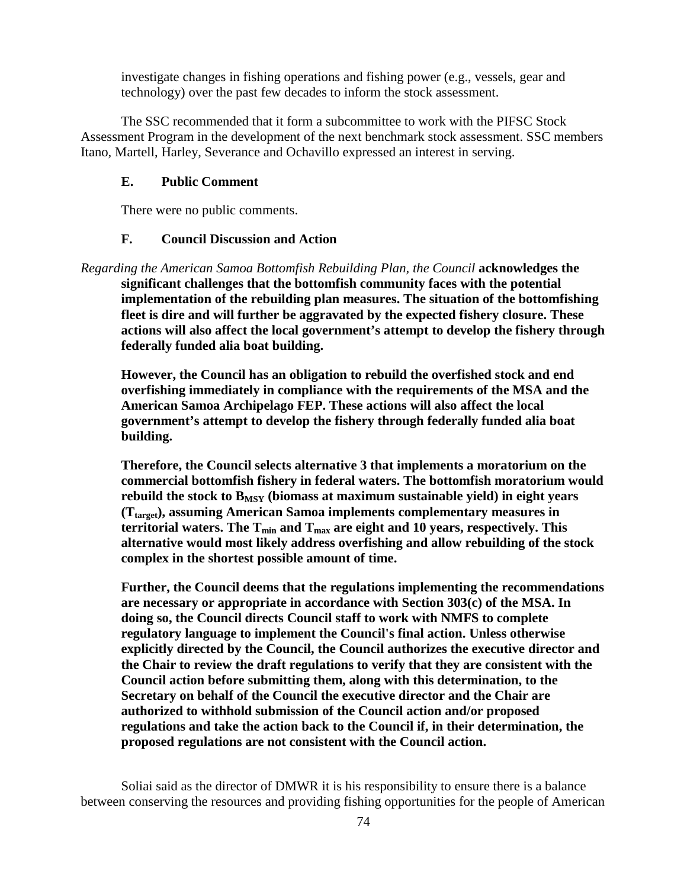investigate changes in fishing operations and fishing power (e.g., vessels, gear and technology) over the past few decades to inform the stock assessment.

The SSC recommended that it form a subcommittee to work with the PIFSC Stock Assessment Program in the development of the next benchmark stock assessment. SSC members Itano, Martell, Harley, Severance and Ochavillo expressed an interest in serving.

#### **E. Public Comment**

There were no public comments.

#### **F. Council Discussion and Action**

*Regarding the American Samoa Bottomfish Rebuilding Plan, the Council* **acknowledges the significant challenges that the bottomfish community faces with the potential implementation of the rebuilding plan measures. The situation of the bottomfishing fleet is dire and will further be aggravated by the expected fishery closure. These actions will also affect the local government's attempt to develop the fishery through federally funded alia boat building.** 

**However, the Council has an obligation to rebuild the overfished stock and end overfishing immediately in compliance with the requirements of the MSA and the American Samoa Archipelago FEP. These actions will also affect the local government's attempt to develop the fishery through federally funded alia boat building.** 

**Therefore, the Council selects alternative 3 that implements a moratorium on the commercial bottomfish fishery in federal waters. The bottomfish moratorium would**  rebuild the stock to  $B_{MSY}$  (biomass at maximum sustainable yield) in eight years **(Ttarget), assuming American Samoa implements complementary measures in**  territorial waters. The  $T_{min}$  and  $T_{max}$  are eight and 10 years, respectively. This **alternative would most likely address overfishing and allow rebuilding of the stock complex in the shortest possible amount of time.** 

**Further, the Council deems that the regulations implementing the recommendations are necessary or appropriate in accordance with Section 303(c) of the MSA. In doing so, the Council directs Council staff to work with NMFS to complete regulatory language to implement the Council's final action. Unless otherwise explicitly directed by the Council, the Council authorizes the executive director and the Chair to review the draft regulations to verify that they are consistent with the Council action before submitting them, along with this determination, to the Secretary on behalf of the Council the executive director and the Chair are authorized to withhold submission of the Council action and/or proposed regulations and take the action back to the Council if, in their determination, the proposed regulations are not consistent with the Council action.**

Soliai said as the director of DMWR it is his responsibility to ensure there is a balance between conserving the resources and providing fishing opportunities for the people of American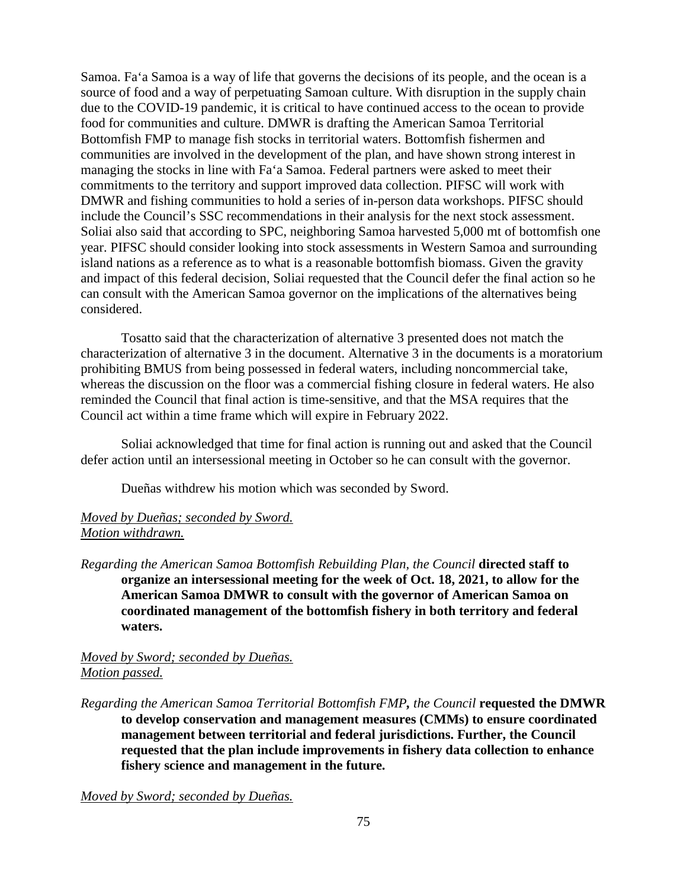Samoa. Fa'a Samoa is a way of life that governs the decisions of its people, and the ocean is a source of food and a way of perpetuating Samoan culture. With disruption in the supply chain due to the COVID-19 pandemic, it is critical to have continued access to the ocean to provide food for communities and culture. DMWR is drafting the American Samoa Territorial Bottomfish FMP to manage fish stocks in territorial waters. Bottomfish fishermen and communities are involved in the development of the plan, and have shown strong interest in managing the stocks in line with Fa'a Samoa. Federal partners were asked to meet their commitments to the territory and support improved data collection. PIFSC will work with DMWR and fishing communities to hold a series of in-person data workshops. PIFSC should include the Council's SSC recommendations in their analysis for the next stock assessment. Soliai also said that according to SPC, neighboring Samoa harvested 5,000 mt of bottomfish one year. PIFSC should consider looking into stock assessments in Western Samoa and surrounding island nations as a reference as to what is a reasonable bottomfish biomass. Given the gravity and impact of this federal decision, Soliai requested that the Council defer the final action so he can consult with the American Samoa governor on the implications of the alternatives being considered.

Tosatto said that the characterization of alternative 3 presented does not match the characterization of alternative 3 in the document. Alternative 3 in the documents is a moratorium prohibiting BMUS from being possessed in federal waters, including noncommercial take, whereas the discussion on the floor was a commercial fishing closure in federal waters. He also reminded the Council that final action is time-sensitive, and that the MSA requires that the Council act within a time frame which will expire in February 2022.

Soliai acknowledged that time for final action is running out and asked that the Council defer action until an intersessional meeting in October so he can consult with the governor.

Dueñas withdrew his motion which was seconded by Sword.

#### *Moved by Dueñas; seconded by Sword. Motion withdrawn.*

*Regarding the American Samoa Bottomfish Rebuilding Plan, the Council* **directed staff to organize an intersessional meeting for the week of Oct. 18, 2021, to allow for the American Samoa DMWR to consult with the governor of American Samoa on coordinated management of the bottomfish fishery in both territory and federal waters.**

#### *Moved by Sword; seconded by Dueñas. Motion passed.*

*Regarding the American Samoa Territorial Bottomfish FMP, the Council* **requested the DMWR to develop conservation and management measures (CMMs) to ensure coordinated management between territorial and federal jurisdictions. Further, the Council requested that the plan include improvements in fishery data collection to enhance fishery science and management in the future.**

*Moved by Sword; seconded by Dueñas.*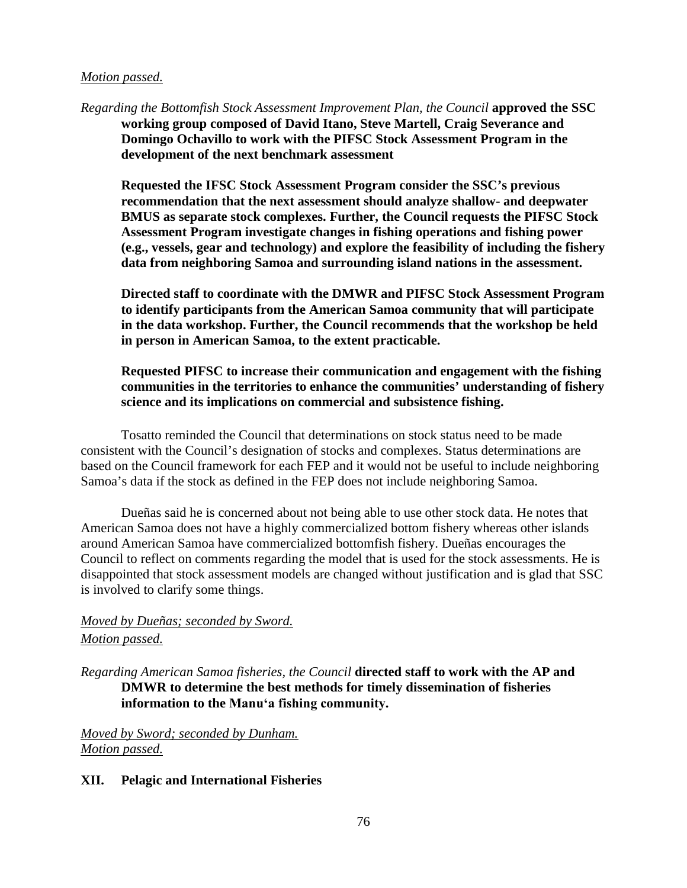#### *Motion passed.*

*Regarding the Bottomfish Stock Assessment Improvement Plan, the Council* **approved the SSC working group composed of David Itano, Steve Martell, Craig Severance and Domingo Ochavillo to work with the PIFSC Stock Assessment Program in the development of the next benchmark assessment**

**Requested the IFSC Stock Assessment Program consider the SSC's previous recommendation that the next assessment should analyze shallow- and deepwater BMUS as separate stock complexes. Further, the Council requests the PIFSC Stock Assessment Program investigate changes in fishing operations and fishing power (e.g., vessels, gear and technology) and explore the feasibility of including the fishery data from neighboring Samoa and surrounding island nations in the assessment.**

**Directed staff to coordinate with the DMWR and PIFSC Stock Assessment Program to identify participants from the American Samoa community that will participate in the data workshop. Further, the Council recommends that the workshop be held in person in American Samoa, to the extent practicable.**

### **Requested PIFSC to increase their communication and engagement with the fishing communities in the territories to enhance the communities' understanding of fishery science and its implications on commercial and subsistence fishing.**

Tosatto reminded the Council that determinations on stock status need to be made consistent with the Council's designation of stocks and complexes. Status determinations are based on the Council framework for each FEP and it would not be useful to include neighboring Samoa's data if the stock as defined in the FEP does not include neighboring Samoa.

Dueñas said he is concerned about not being able to use other stock data. He notes that American Samoa does not have a highly commercialized bottom fishery whereas other islands around American Samoa have commercialized bottomfish fishery. Dueñas encourages the Council to reflect on comments regarding the model that is used for the stock assessments. He is disappointed that stock assessment models are changed without justification and is glad that SSC is involved to clarify some things.

## *Moved by Dueñas; seconded by Sword. Motion passed.*

*Regarding American Samoa fisheries, the Council* **directed staff to work with the AP and DMWR to determine the best methods for timely dissemination of fisheries information to the Manuʻa fishing community.**

*Moved by Sword; seconded by Dunham. Motion passed.*

#### **XII. Pelagic and International Fisheries**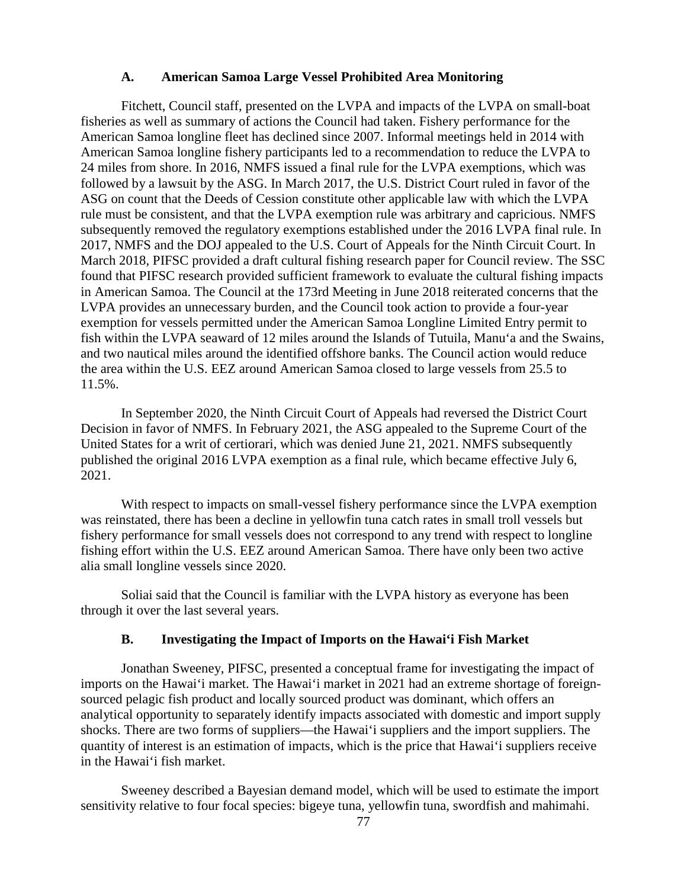#### **A. American Samoa Large Vessel Prohibited Area Monitoring**

Fitchett, Council staff, presented on the LVPA and impacts of the LVPA on small-boat fisheries as well as summary of actions the Council had taken. Fishery performance for the American Samoa longline fleet has declined since 2007. Informal meetings held in 2014 with American Samoa longline fishery participants led to a recommendation to reduce the LVPA to 24 miles from shore. In 2016, NMFS issued a final rule for the LVPA exemptions, which was followed by a lawsuit by the ASG. In March 2017, the U.S. District Court ruled in favor of the ASG on count that the Deeds of Cession constitute other applicable law with which the LVPA rule must be consistent, and that the LVPA exemption rule was arbitrary and capricious. NMFS subsequently removed the regulatory exemptions established under the 2016 LVPA final rule. In 2017, NMFS and the DOJ appealed to the U.S. Court of Appeals for the Ninth Circuit Court. In March 2018, PIFSC provided a draft cultural fishing research paper for Council review. The SSC found that PIFSC research provided sufficient framework to evaluate the cultural fishing impacts in American Samoa. The Council at the 173rd Meeting in June 2018 reiterated concerns that the LVPA provides an unnecessary burden, and the Council took action to provide a four-year exemption for vessels permitted under the American Samoa Longline Limited Entry permit to fish within the LVPA seaward of 12 miles around the Islands of Tutuila, Manu'a and the Swains, and two nautical miles around the identified offshore banks. The Council action would reduce the area within the U.S. EEZ around American Samoa closed to large vessels from 25.5 to 11.5%.

In September 2020, the Ninth Circuit Court of Appeals had reversed the District Court Decision in favor of NMFS. In February 2021, the ASG appealed to the Supreme Court of the United States for a writ of certiorari, which was denied June 21, 2021. NMFS subsequently published the original 2016 LVPA exemption as a final rule, which became effective July 6, 2021.

With respect to impacts on small-vessel fishery performance since the LVPA exemption was reinstated, there has been a decline in yellowfin tuna catch rates in small troll vessels but fishery performance for small vessels does not correspond to any trend with respect to longline fishing effort within the U.S. EEZ around American Samoa. There have only been two active alia small longline vessels since 2020.

Soliai said that the Council is familiar with the LVPA history as everyone has been through it over the last several years.

#### **B. Investigating the Impact of Imports on the Hawai'i Fish Market**

Jonathan Sweeney, PIFSC, presented a conceptual frame for investigating the impact of imports on the Hawai'i market. The Hawai'i market in 2021 had an extreme shortage of foreignsourced pelagic fish product and locally sourced product was dominant, which offers an analytical opportunity to separately identify impacts associated with domestic and import supply shocks. There are two forms of suppliers—the Hawai'i suppliers and the import suppliers. The quantity of interest is an estimation of impacts, which is the price that Hawai'i suppliers receive in the Hawai'i fish market.

Sweeney described a Bayesian demand model, which will be used to estimate the import sensitivity relative to four focal species: bigeye tuna, yellowfin tuna, swordfish and mahimahi.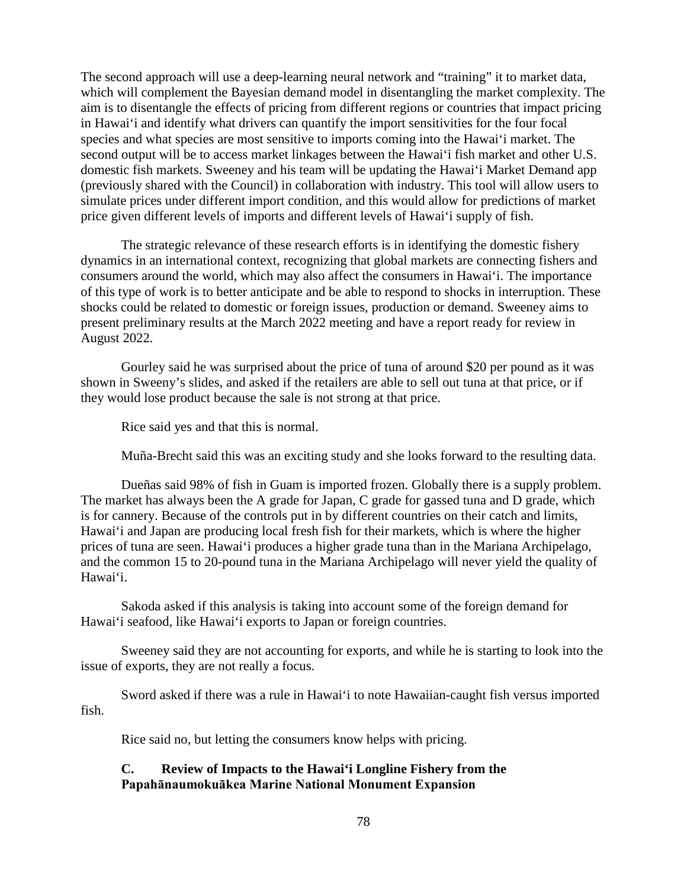The second approach will use a deep-learning neural network and "training" it to market data, which will complement the Bayesian demand model in disentangling the market complexity. The aim is to disentangle the effects of pricing from different regions or countries that impact pricing in Hawai'i and identify what drivers can quantify the import sensitivities for the four focal species and what species are most sensitive to imports coming into the Hawai'i market. The second output will be to access market linkages between the Hawai'i fish market and other U.S. domestic fish markets. Sweeney and his team will be updating the Hawai'i Market Demand app (previously shared with the Council) in collaboration with industry. This tool will allow users to simulate prices under different import condition, and this would allow for predictions of market price given different levels of imports and different levels of Hawai'i supply of fish.

The strategic relevance of these research efforts is in identifying the domestic fishery dynamics in an international context, recognizing that global markets are connecting fishers and consumers around the world, which may also affect the consumers in Hawai'i. The importance of this type of work is to better anticipate and be able to respond to shocks in interruption. These shocks could be related to domestic or foreign issues, production or demand. Sweeney aims to present preliminary results at the March 2022 meeting and have a report ready for review in August 2022.

Gourley said he was surprised about the price of tuna of around \$20 per pound as it was shown in Sweeny's slides, and asked if the retailers are able to sell out tuna at that price, or if they would lose product because the sale is not strong at that price.

Rice said yes and that this is normal.

Muña-Brecht said this was an exciting study and she looks forward to the resulting data.

Dueñas said 98% of fish in Guam is imported frozen. Globally there is a supply problem. The market has always been the A grade for Japan, C grade for gassed tuna and D grade, which is for cannery. Because of the controls put in by different countries on their catch and limits, Hawai'i and Japan are producing local fresh fish for their markets, which is where the higher prices of tuna are seen. Hawai'i produces a higher grade tuna than in the Mariana Archipelago, and the common 15 to 20-pound tuna in the Mariana Archipelago will never yield the quality of Hawai'i.

Sakoda asked if this analysis is taking into account some of the foreign demand for Hawai'i seafood, like Hawai'i exports to Japan or foreign countries.

Sweeney said they are not accounting for exports, and while he is starting to look into the issue of exports, they are not really a focus.

Sword asked if there was a rule in Hawai'i to note Hawaiian-caught fish versus imported fish.

Rice said no, but letting the consumers know helps with pricing.

### **C. Review of Impacts to the Hawai'i Longline Fishery from the Papahānaumokuākea Marine National Monument Expansion**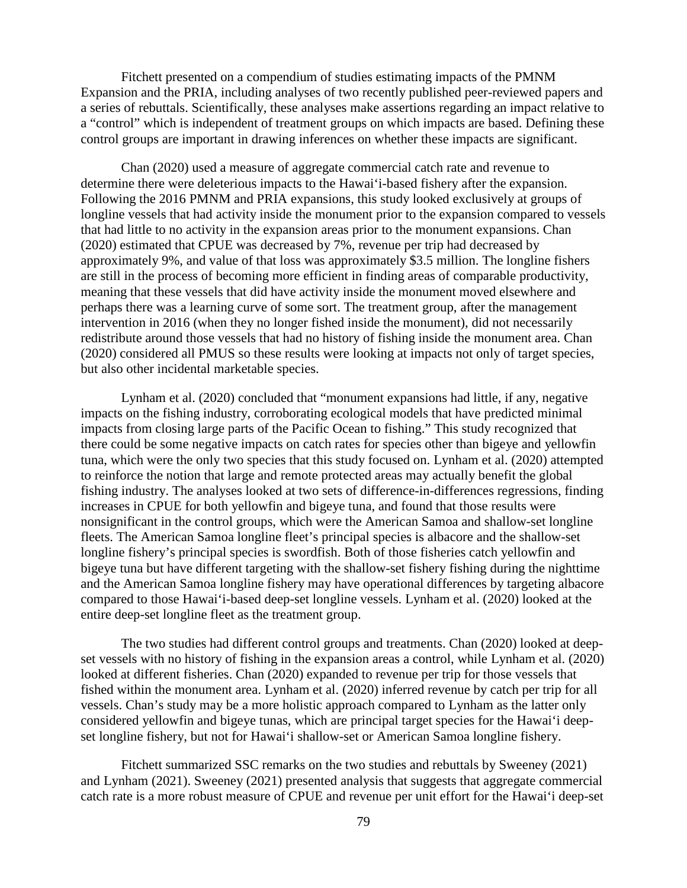Fitchett presented on a compendium of studies estimating impacts of the PMNM Expansion and the PRIA, including analyses of two recently published peer-reviewed papers and a series of rebuttals. Scientifically, these analyses make assertions regarding an impact relative to a "control" which is independent of treatment groups on which impacts are based. Defining these control groups are important in drawing inferences on whether these impacts are significant.

Chan (2020) used a measure of aggregate commercial catch rate and revenue to determine there were deleterious impacts to the Hawai'i-based fishery after the expansion. Following the 2016 PMNM and PRIA expansions, this study looked exclusively at groups of longline vessels that had activity inside the monument prior to the expansion compared to vessels that had little to no activity in the expansion areas prior to the monument expansions. Chan (2020) estimated that CPUE was decreased by 7%, revenue per trip had decreased by approximately 9%, and value of that loss was approximately \$3.5 million. The longline fishers are still in the process of becoming more efficient in finding areas of comparable productivity, meaning that these vessels that did have activity inside the monument moved elsewhere and perhaps there was a learning curve of some sort. The treatment group, after the management intervention in 2016 (when they no longer fished inside the monument), did not necessarily redistribute around those vessels that had no history of fishing inside the monument area. Chan (2020) considered all PMUS so these results were looking at impacts not only of target species, but also other incidental marketable species.

Lynham et al. (2020) concluded that "monument expansions had little, if any, negative impacts on the fishing industry, corroborating ecological models that have predicted minimal impacts from closing large parts of the Pacific Ocean to fishing." This study recognized that there could be some negative impacts on catch rates for species other than bigeye and yellowfin tuna, which were the only two species that this study focused on. Lynham et al. (2020) attempted to reinforce the notion that large and remote protected areas may actually benefit the global fishing industry. The analyses looked at two sets of difference-in-differences regressions, finding increases in CPUE for both yellowfin and bigeye tuna, and found that those results were nonsignificant in the control groups, which were the American Samoa and shallow-set longline fleets. The American Samoa longline fleet's principal species is albacore and the shallow-set longline fishery's principal species is swordfish. Both of those fisheries catch yellowfin and bigeye tuna but have different targeting with the shallow-set fishery fishing during the nighttime and the American Samoa longline fishery may have operational differences by targeting albacore compared to those Hawai'i-based deep-set longline vessels. Lynham et al. (2020) looked at the entire deep-set longline fleet as the treatment group.

The two studies had different control groups and treatments. Chan (2020) looked at deepset vessels with no history of fishing in the expansion areas a control, while Lynham et al. (2020) looked at different fisheries. Chan (2020) expanded to revenue per trip for those vessels that fished within the monument area. Lynham et al. (2020) inferred revenue by catch per trip for all vessels. Chan's study may be a more holistic approach compared to Lynham as the latter only considered yellowfin and bigeye tunas, which are principal target species for the Hawai'i deepset longline fishery, but not for Hawai'i shallow-set or American Samoa longline fishery.

Fitchett summarized SSC remarks on the two studies and rebuttals by Sweeney (2021) and Lynham (2021). Sweeney (2021) presented analysis that suggests that aggregate commercial catch rate is a more robust measure of CPUE and revenue per unit effort for the Hawai'i deep-set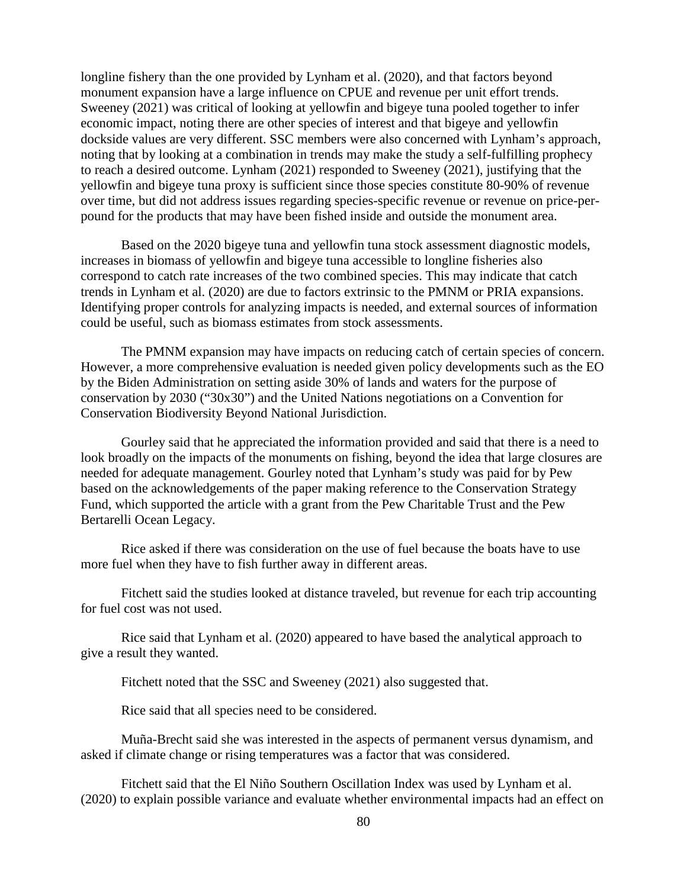longline fishery than the one provided by Lynham et al. (2020), and that factors beyond monument expansion have a large influence on CPUE and revenue per unit effort trends. Sweeney (2021) was critical of looking at yellowfin and bigeye tuna pooled together to infer economic impact, noting there are other species of interest and that bigeye and yellowfin dockside values are very different. SSC members were also concerned with Lynham's approach, noting that by looking at a combination in trends may make the study a self-fulfilling prophecy to reach a desired outcome. Lynham (2021) responded to Sweeney (2021), justifying that the yellowfin and bigeye tuna proxy is sufficient since those species constitute 80-90% of revenue over time, but did not address issues regarding species-specific revenue or revenue on price-perpound for the products that may have been fished inside and outside the monument area.

Based on the 2020 bigeye tuna and yellowfin tuna stock assessment diagnostic models, increases in biomass of yellowfin and bigeye tuna accessible to longline fisheries also correspond to catch rate increases of the two combined species. This may indicate that catch trends in Lynham et al. (2020) are due to factors extrinsic to the PMNM or PRIA expansions. Identifying proper controls for analyzing impacts is needed, and external sources of information could be useful, such as biomass estimates from stock assessments.

The PMNM expansion may have impacts on reducing catch of certain species of concern. However, a more comprehensive evaluation is needed given policy developments such as the EO by the Biden Administration on setting aside 30% of lands and waters for the purpose of conservation by 2030 ("30x30") and the United Nations negotiations on a Convention for Conservation Biodiversity Beyond National Jurisdiction.

Gourley said that he appreciated the information provided and said that there is a need to look broadly on the impacts of the monuments on fishing, beyond the idea that large closures are needed for adequate management. Gourley noted that Lynham's study was paid for by Pew based on the acknowledgements of the paper making reference to the Conservation Strategy Fund, which supported the article with a grant from the Pew Charitable Trust and the Pew Bertarelli Ocean Legacy.

Rice asked if there was consideration on the use of fuel because the boats have to use more fuel when they have to fish further away in different areas.

Fitchett said the studies looked at distance traveled, but revenue for each trip accounting for fuel cost was not used.

Rice said that Lynham et al. (2020) appeared to have based the analytical approach to give a result they wanted.

Fitchett noted that the SSC and Sweeney (2021) also suggested that.

Rice said that all species need to be considered.

Muña-Brecht said she was interested in the aspects of permanent versus dynamism, and asked if climate change or rising temperatures was a factor that was considered.

Fitchett said that the El Niño Southern Oscillation Index was used by Lynham et al. (2020) to explain possible variance and evaluate whether environmental impacts had an effect on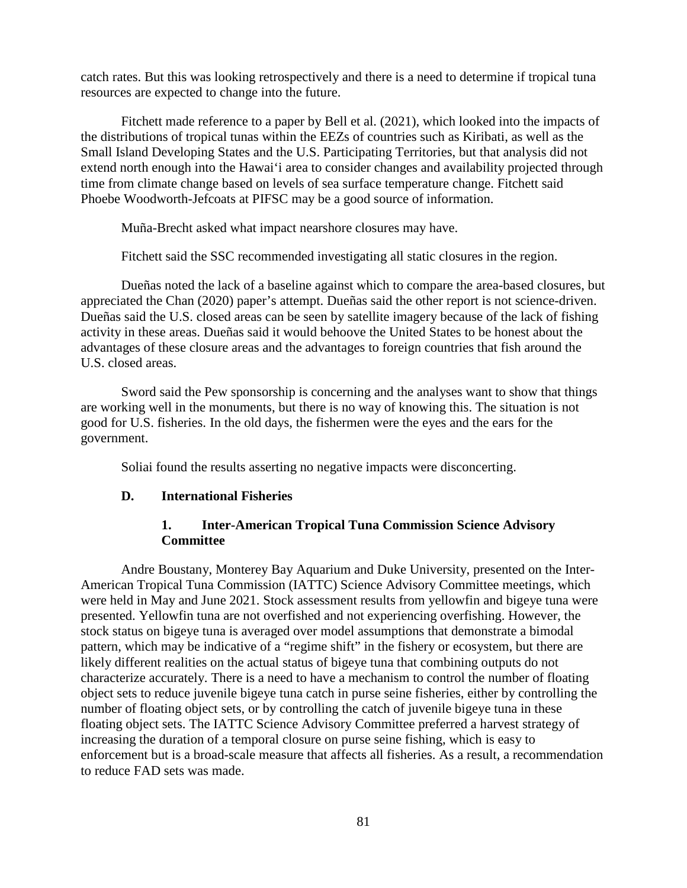catch rates. But this was looking retrospectively and there is a need to determine if tropical tuna resources are expected to change into the future.

Fitchett made reference to a paper by Bell et al. (2021), which looked into the impacts of the distributions of tropical tunas within the EEZs of countries such as Kiribati, as well as the Small Island Developing States and the U.S. Participating Territories, but that analysis did not extend north enough into the Hawai'i area to consider changes and availability projected through time from climate change based on levels of sea surface temperature change. Fitchett said Phoebe Woodworth-Jefcoats at PIFSC may be a good source of information.

Muña-Brecht asked what impact nearshore closures may have.

Fitchett said the SSC recommended investigating all static closures in the region.

Dueñas noted the lack of a baseline against which to compare the area-based closures, but appreciated the Chan (2020) paper's attempt. Dueñas said the other report is not science-driven. Dueñas said the U.S. closed areas can be seen by satellite imagery because of the lack of fishing activity in these areas. Dueñas said it would behoove the United States to be honest about the advantages of these closure areas and the advantages to foreign countries that fish around the U.S. closed areas.

Sword said the Pew sponsorship is concerning and the analyses want to show that things are working well in the monuments, but there is no way of knowing this. The situation is not good for U.S. fisheries. In the old days, the fishermen were the eyes and the ears for the government.

Soliai found the results asserting no negative impacts were disconcerting.

#### **D. International Fisheries**

### **1. Inter-American Tropical Tuna Commission Science Advisory Committee**

Andre Boustany, Monterey Bay Aquarium and Duke University, presented on the Inter-American Tropical Tuna Commission (IATTC) Science Advisory Committee meetings, which were held in May and June 2021. Stock assessment results from yellowfin and bigeye tuna were presented. Yellowfin tuna are not overfished and not experiencing overfishing. However, the stock status on bigeye tuna is averaged over model assumptions that demonstrate a bimodal pattern, which may be indicative of a "regime shift" in the fishery or ecosystem, but there are likely different realities on the actual status of bigeye tuna that combining outputs do not characterize accurately. There is a need to have a mechanism to control the number of floating object sets to reduce juvenile bigeye tuna catch in purse seine fisheries, either by controlling the number of floating object sets, or by controlling the catch of juvenile bigeye tuna in these floating object sets. The IATTC Science Advisory Committee preferred a harvest strategy of increasing the duration of a temporal closure on purse seine fishing, which is easy to enforcement but is a broad-scale measure that affects all fisheries. As a result, a recommendation to reduce FAD sets was made.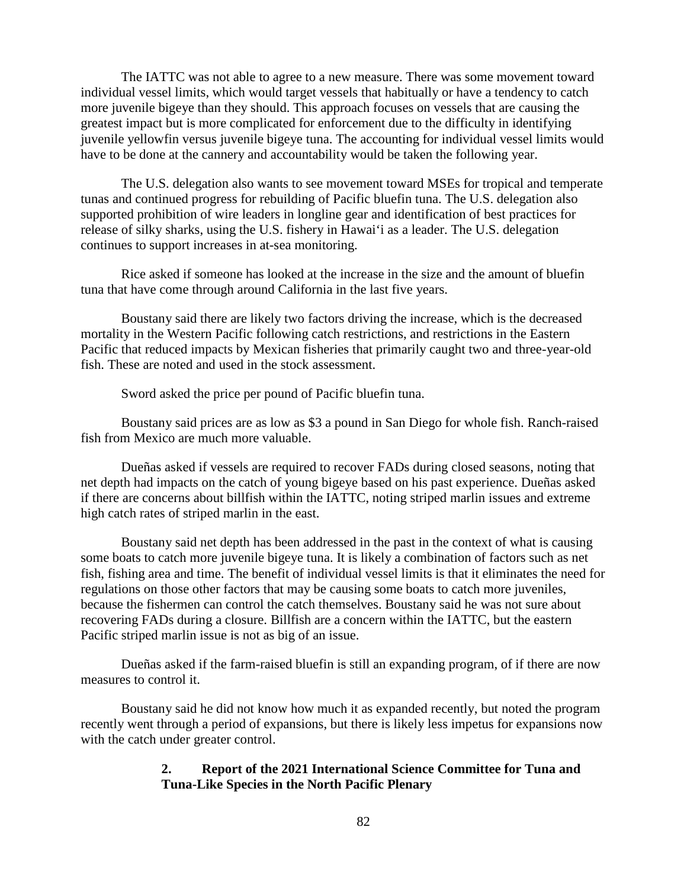The IATTC was not able to agree to a new measure. There was some movement toward individual vessel limits, which would target vessels that habitually or have a tendency to catch more juvenile bigeye than they should. This approach focuses on vessels that are causing the greatest impact but is more complicated for enforcement due to the difficulty in identifying juvenile yellowfin versus juvenile bigeye tuna. The accounting for individual vessel limits would have to be done at the cannery and accountability would be taken the following year.

The U.S. delegation also wants to see movement toward MSEs for tropical and temperate tunas and continued progress for rebuilding of Pacific bluefin tuna. The U.S. delegation also supported prohibition of wire leaders in longline gear and identification of best practices for release of silky sharks, using the U.S. fishery in Hawai'i as a leader. The U.S. delegation continues to support increases in at-sea monitoring.

Rice asked if someone has looked at the increase in the size and the amount of bluefin tuna that have come through around California in the last five years.

Boustany said there are likely two factors driving the increase, which is the decreased mortality in the Western Pacific following catch restrictions, and restrictions in the Eastern Pacific that reduced impacts by Mexican fisheries that primarily caught two and three-year-old fish. These are noted and used in the stock assessment.

Sword asked the price per pound of Pacific bluefin tuna.

Boustany said prices are as low as \$3 a pound in San Diego for whole fish. Ranch-raised fish from Mexico are much more valuable.

Dueñas asked if vessels are required to recover FADs during closed seasons, noting that net depth had impacts on the catch of young bigeye based on his past experience. Dueñas asked if there are concerns about billfish within the IATTC, noting striped marlin issues and extreme high catch rates of striped marlin in the east.

Boustany said net depth has been addressed in the past in the context of what is causing some boats to catch more juvenile bigeye tuna. It is likely a combination of factors such as net fish, fishing area and time. The benefit of individual vessel limits is that it eliminates the need for regulations on those other factors that may be causing some boats to catch more juveniles, because the fishermen can control the catch themselves. Boustany said he was not sure about recovering FADs during a closure. Billfish are a concern within the IATTC, but the eastern Pacific striped marlin issue is not as big of an issue.

Dueñas asked if the farm-raised bluefin is still an expanding program, of if there are now measures to control it.

Boustany said he did not know how much it as expanded recently, but noted the program recently went through a period of expansions, but there is likely less impetus for expansions now with the catch under greater control.

#### **2. Report of the 2021 International Science Committee for Tuna and Tuna-Like Species in the North Pacific Plenary**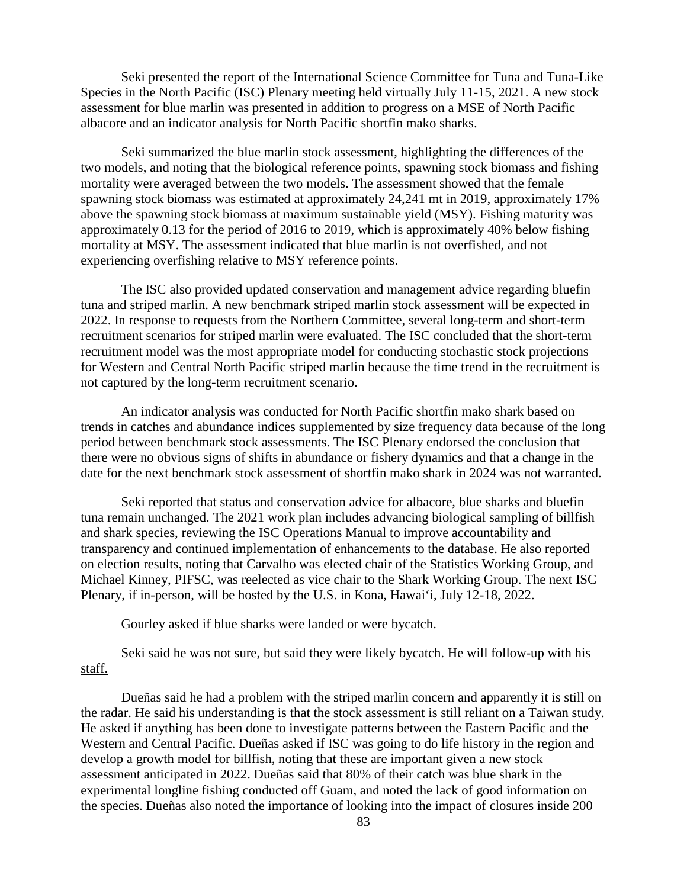Seki presented the report of the International Science Committee for Tuna and Tuna-Like Species in the North Pacific (ISC) Plenary meeting held virtually July 11-15, 2021. A new stock assessment for blue marlin was presented in addition to progress on a MSE of North Pacific albacore and an indicator analysis for North Pacific shortfin mako sharks.

Seki summarized the blue marlin stock assessment, highlighting the differences of the two models, and noting that the biological reference points, spawning stock biomass and fishing mortality were averaged between the two models. The assessment showed that the female spawning stock biomass was estimated at approximately 24,241 mt in 2019, approximately 17% above the spawning stock biomass at maximum sustainable yield (MSY). Fishing maturity was approximately 0.13 for the period of 2016 to 2019, which is approximately 40% below fishing mortality at MSY. The assessment indicated that blue marlin is not overfished, and not experiencing overfishing relative to MSY reference points.

The ISC also provided updated conservation and management advice regarding bluefin tuna and striped marlin. A new benchmark striped marlin stock assessment will be expected in 2022. In response to requests from the Northern Committee, several long-term and short-term recruitment scenarios for striped marlin were evaluated. The ISC concluded that the short-term recruitment model was the most appropriate model for conducting stochastic stock projections for Western and Central North Pacific striped marlin because the time trend in the recruitment is not captured by the long-term recruitment scenario.

An indicator analysis was conducted for North Pacific shortfin mako shark based on trends in catches and abundance indices supplemented by size frequency data because of the long period between benchmark stock assessments. The ISC Plenary endorsed the conclusion that there were no obvious signs of shifts in abundance or fishery dynamics and that a change in the date for the next benchmark stock assessment of shortfin mako shark in 2024 was not warranted.

Seki reported that status and conservation advice for albacore, blue sharks and bluefin tuna remain unchanged. The 2021 work plan includes advancing biological sampling of billfish and shark species, reviewing the ISC Operations Manual to improve accountability and transparency and continued implementation of enhancements to the database. He also reported on election results, noting that Carvalho was elected chair of the Statistics Working Group, and Michael Kinney, PIFSC, was reelected as vice chair to the Shark Working Group. The next ISC Plenary, if in-person, will be hosted by the U.S. in Kona, Hawai'i, July 12-18, 2022.

Gourley asked if blue sharks were landed or were bycatch.

### Seki said he was not sure, but said they were likely bycatch. He will follow-up with his staff.

Dueñas said he had a problem with the striped marlin concern and apparently it is still on the radar. He said his understanding is that the stock assessment is still reliant on a Taiwan study. He asked if anything has been done to investigate patterns between the Eastern Pacific and the Western and Central Pacific. Dueñas asked if ISC was going to do life history in the region and develop a growth model for billfish, noting that these are important given a new stock assessment anticipated in 2022. Dueñas said that 80% of their catch was blue shark in the experimental longline fishing conducted off Guam, and noted the lack of good information on the species. Dueñas also noted the importance of looking into the impact of closures inside 200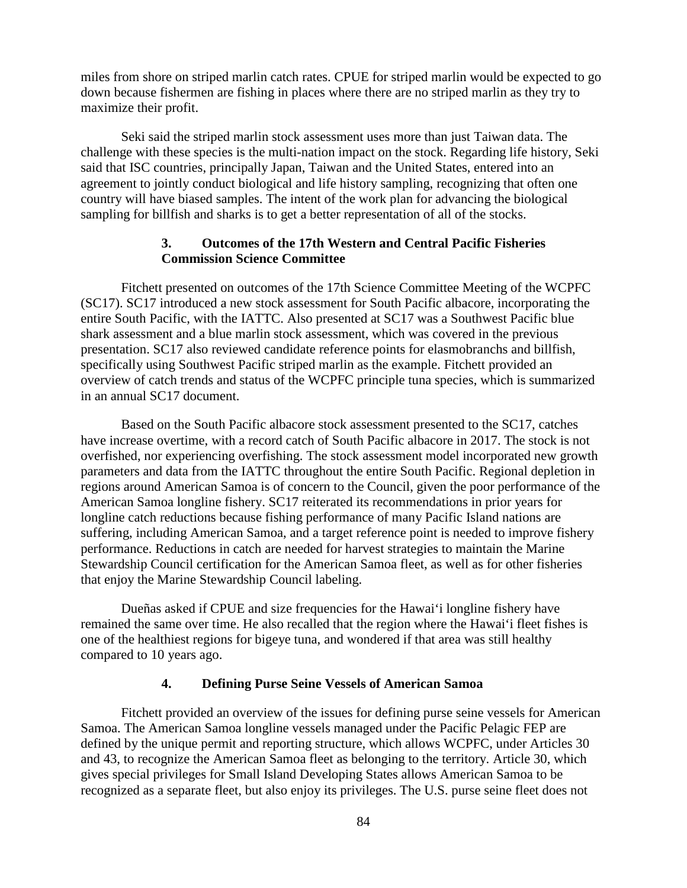miles from shore on striped marlin catch rates. CPUE for striped marlin would be expected to go down because fishermen are fishing in places where there are no striped marlin as they try to maximize their profit.

Seki said the striped marlin stock assessment uses more than just Taiwan data. The challenge with these species is the multi-nation impact on the stock. Regarding life history, Seki said that ISC countries, principally Japan, Taiwan and the United States, entered into an agreement to jointly conduct biological and life history sampling, recognizing that often one country will have biased samples. The intent of the work plan for advancing the biological sampling for billfish and sharks is to get a better representation of all of the stocks.

#### **3. Outcomes of the 17th Western and Central Pacific Fisheries Commission Science Committee**

Fitchett presented on outcomes of the 17th Science Committee Meeting of the WCPFC (SC17). SC17 introduced a new stock assessment for South Pacific albacore, incorporating the entire South Pacific, with the IATTC. Also presented at SC17 was a Southwest Pacific blue shark assessment and a blue marlin stock assessment, which was covered in the previous presentation. SC17 also reviewed candidate reference points for elasmobranchs and billfish, specifically using Southwest Pacific striped marlin as the example. Fitchett provided an overview of catch trends and status of the WCPFC principle tuna species, which is summarized in an annual SC17 document.

Based on the South Pacific albacore stock assessment presented to the SC17, catches have increase overtime, with a record catch of South Pacific albacore in 2017. The stock is not overfished, nor experiencing overfishing. The stock assessment model incorporated new growth parameters and data from the IATTC throughout the entire South Pacific. Regional depletion in regions around American Samoa is of concern to the Council, given the poor performance of the American Samoa longline fishery. SC17 reiterated its recommendations in prior years for longline catch reductions because fishing performance of many Pacific Island nations are suffering, including American Samoa, and a target reference point is needed to improve fishery performance. Reductions in catch are needed for harvest strategies to maintain the Marine Stewardship Council certification for the American Samoa fleet, as well as for other fisheries that enjoy the Marine Stewardship Council labeling.

Dueñas asked if CPUE and size frequencies for the Hawai'i longline fishery have remained the same over time. He also recalled that the region where the Hawai'i fleet fishes is one of the healthiest regions for bigeye tuna, and wondered if that area was still healthy compared to 10 years ago.

#### **4. Defining Purse Seine Vessels of American Samoa**

Fitchett provided an overview of the issues for defining purse seine vessels for American Samoa. The American Samoa longline vessels managed under the Pacific Pelagic FEP are defined by the unique permit and reporting structure, which allows WCPFC, under Articles 30 and 43, to recognize the American Samoa fleet as belonging to the territory. Article 30, which gives special privileges for Small Island Developing States allows American Samoa to be recognized as a separate fleet, but also enjoy its privileges. The U.S. purse seine fleet does not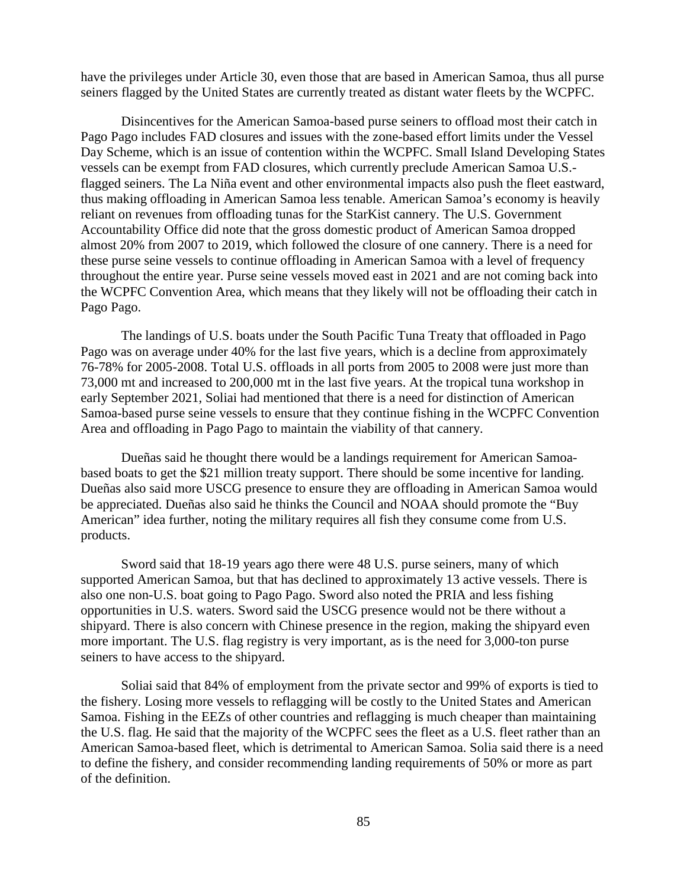have the privileges under Article 30, even those that are based in American Samoa, thus all purse seiners flagged by the United States are currently treated as distant water fleets by the WCPFC.

Disincentives for the American Samoa-based purse seiners to offload most their catch in Pago Pago includes FAD closures and issues with the zone-based effort limits under the Vessel Day Scheme, which is an issue of contention within the WCPFC. Small Island Developing States vessels can be exempt from FAD closures, which currently preclude American Samoa U.S. flagged seiners. The La Niña event and other environmental impacts also push the fleet eastward, thus making offloading in American Samoa less tenable. American Samoa's economy is heavily reliant on revenues from offloading tunas for the StarKist cannery. The U.S. Government Accountability Office did note that the gross domestic product of American Samoa dropped almost 20% from 2007 to 2019, which followed the closure of one cannery. There is a need for these purse seine vessels to continue offloading in American Samoa with a level of frequency throughout the entire year. Purse seine vessels moved east in 2021 and are not coming back into the WCPFC Convention Area, which means that they likely will not be offloading their catch in Pago Pago.

The landings of U.S. boats under the South Pacific Tuna Treaty that offloaded in Pago Pago was on average under 40% for the last five years, which is a decline from approximately 76-78% for 2005-2008. Total U.S. offloads in all ports from 2005 to 2008 were just more than 73,000 mt and increased to 200,000 mt in the last five years. At the tropical tuna workshop in early September 2021, Soliai had mentioned that there is a need for distinction of American Samoa-based purse seine vessels to ensure that they continue fishing in the WCPFC Convention Area and offloading in Pago Pago to maintain the viability of that cannery.

Dueñas said he thought there would be a landings requirement for American Samoabased boats to get the \$21 million treaty support. There should be some incentive for landing. Dueñas also said more USCG presence to ensure they are offloading in American Samoa would be appreciated. Dueñas also said he thinks the Council and NOAA should promote the "Buy American" idea further, noting the military requires all fish they consume come from U.S. products.

Sword said that 18-19 years ago there were 48 U.S. purse seiners, many of which supported American Samoa, but that has declined to approximately 13 active vessels. There is also one non-U.S. boat going to Pago Pago. Sword also noted the PRIA and less fishing opportunities in U.S. waters. Sword said the USCG presence would not be there without a shipyard. There is also concern with Chinese presence in the region, making the shipyard even more important. The U.S. flag registry is very important, as is the need for 3,000-ton purse seiners to have access to the shipyard.

Soliai said that 84% of employment from the private sector and 99% of exports is tied to the fishery. Losing more vessels to reflagging will be costly to the United States and American Samoa. Fishing in the EEZs of other countries and reflagging is much cheaper than maintaining the U.S. flag. He said that the majority of the WCPFC sees the fleet as a U.S. fleet rather than an American Samoa-based fleet, which is detrimental to American Samoa. Solia said there is a need to define the fishery, and consider recommending landing requirements of 50% or more as part of the definition.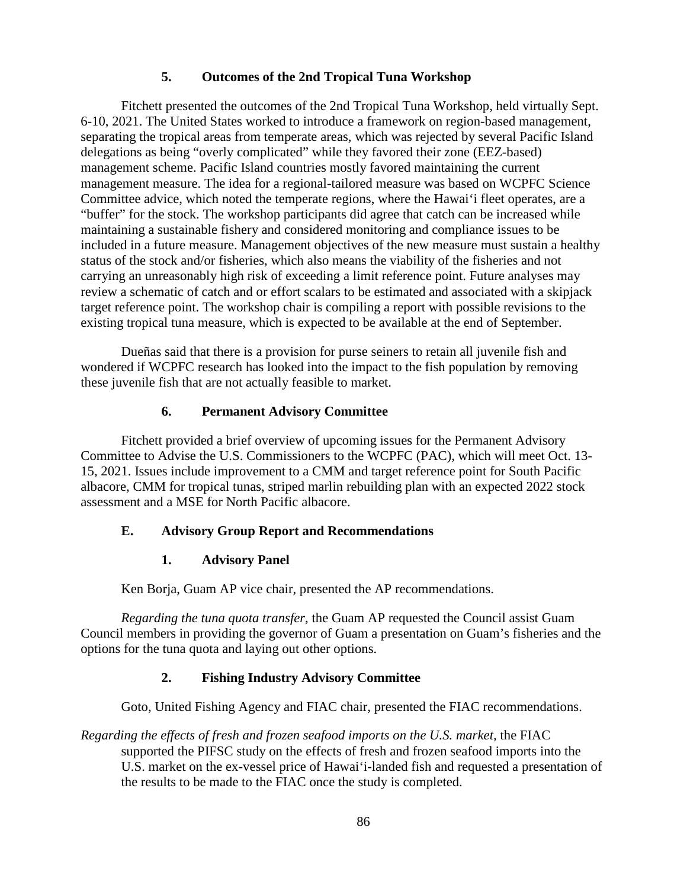### **5. Outcomes of the 2nd Tropical Tuna Workshop**

Fitchett presented the outcomes of the 2nd Tropical Tuna Workshop, held virtually Sept. 6-10, 2021. The United States worked to introduce a framework on region-based management, separating the tropical areas from temperate areas, which was rejected by several Pacific Island delegations as being "overly complicated" while they favored their zone (EEZ-based) management scheme. Pacific Island countries mostly favored maintaining the current management measure. The idea for a regional-tailored measure was based on WCPFC Science Committee advice, which noted the temperate regions, where the Hawai'i fleet operates, are a "buffer" for the stock. The workshop participants did agree that catch can be increased while maintaining a sustainable fishery and considered monitoring and compliance issues to be included in a future measure. Management objectives of the new measure must sustain a healthy status of the stock and/or fisheries, which also means the viability of the fisheries and not carrying an unreasonably high risk of exceeding a limit reference point. Future analyses may review a schematic of catch and or effort scalars to be estimated and associated with a skipjack target reference point. The workshop chair is compiling a report with possible revisions to the existing tropical tuna measure, which is expected to be available at the end of September.

Dueñas said that there is a provision for purse seiners to retain all juvenile fish and wondered if WCPFC research has looked into the impact to the fish population by removing these juvenile fish that are not actually feasible to market.

#### **6. Permanent Advisory Committee**

Fitchett provided a brief overview of upcoming issues for the Permanent Advisory Committee to Advise the U.S. Commissioners to the WCPFC (PAC), which will meet Oct. 13- 15, 2021. Issues include improvement to a CMM and target reference point for South Pacific albacore, CMM for tropical tunas, striped marlin rebuilding plan with an expected 2022 stock assessment and a MSE for North Pacific albacore.

## **E. Advisory Group Report and Recommendations**

#### **1. Advisory Panel**

Ken Borja, Guam AP vice chair, presented the AP recommendations.

*Regarding the tuna quota transfer,* the Guam AP requested the Council assist Guam Council members in providing the governor of Guam a presentation on Guam's fisheries and the options for the tuna quota and laying out other options.

## **2. Fishing Industry Advisory Committee**

Goto, United Fishing Agency and FIAC chair, presented the FIAC recommendations.

*Regarding the effects of fresh and frozen seafood imports on the U.S. market,* the FIAC supported the PIFSC study on the effects of fresh and frozen seafood imports into the U.S. market on the ex-vessel price of Hawai'i-landed fish and requested a presentation of the results to be made to the FIAC once the study is completed.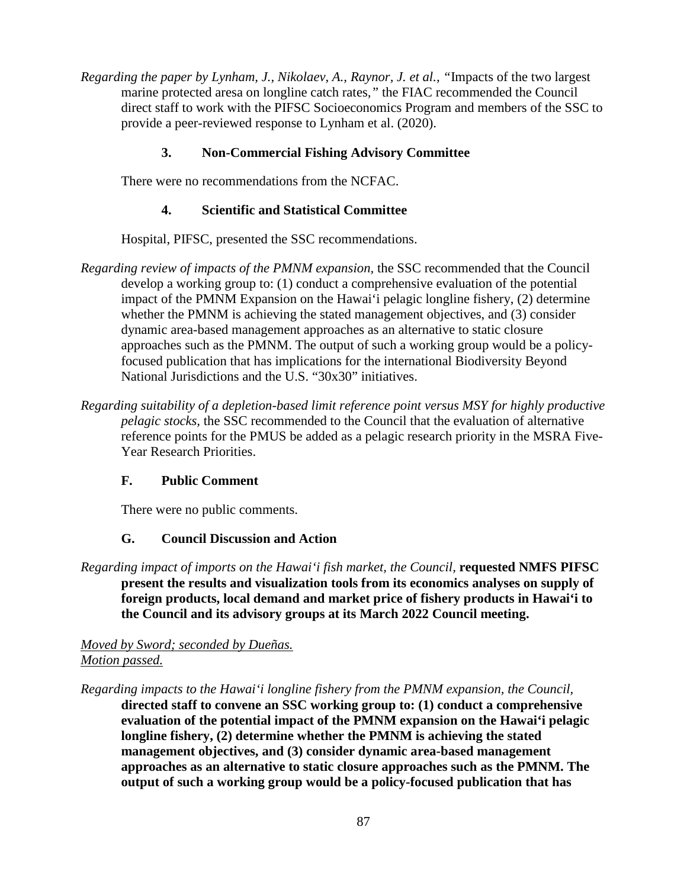*Regarding the paper by Lynham, J., Nikolaev, A., Raynor, J. et al., "*Impacts of the two largest marine protected aresa on longline catch rates*,"* the FIAC recommended the Council direct staff to work with the PIFSC Socioeconomics Program and members of the SSC to provide a peer-reviewed response to Lynham et al. (2020).

## **3. Non-Commercial Fishing Advisory Committee**

There were no recommendations from the NCFAC.

### **4. Scientific and Statistical Committee**

Hospital, PIFSC, presented the SSC recommendations.

- *Regarding review of impacts of the PMNM expansion,* the SSC recommended that the Council develop a working group to: (1) conduct a comprehensive evaluation of the potential impact of the PMNM Expansion on the Hawai'i pelagic longline fishery, (2) determine whether the PMNM is achieving the stated management objectives, and (3) consider dynamic area-based management approaches as an alternative to static closure approaches such as the PMNM. The output of such a working group would be a policyfocused publication that has implications for the international Biodiversity Beyond National Jurisdictions and the U.S. "30x30" initiatives.
- *Regarding suitability of a depletion-based limit reference point versus MSY for highly productive pelagic stocks,* the SSC recommended to the Council that the evaluation of alternative reference points for the PMUS be added as a pelagic research priority in the MSRA Five-Year Research Priorities.

## **F. Public Comment**

There were no public comments.

## **G. Council Discussion and Action**

*Regarding impact of imports on the Hawai'i fish market, the Council,* **requested NMFS PIFSC present the results and visualization tools from its economics analyses on supply of foreign products, local demand and market price of fishery products in Hawai'i to the Council and its advisory groups at its March 2022 Council meeting.**

## *Moved by Sword; seconded by Dueñas. Motion passed.*

*Regarding impacts to the Hawai'i longline fishery from the PMNM expansion, the Council,* **directed staff to convene an SSC working group to: (1) conduct a comprehensive evaluation of the potential impact of the PMNM expansion on the Hawai'i pelagic longline fishery, (2) determine whether the PMNM is achieving the stated management objectives, and (3) consider dynamic area-based management approaches as an alternative to static closure approaches such as the PMNM. The output of such a working group would be a policy-focused publication that has**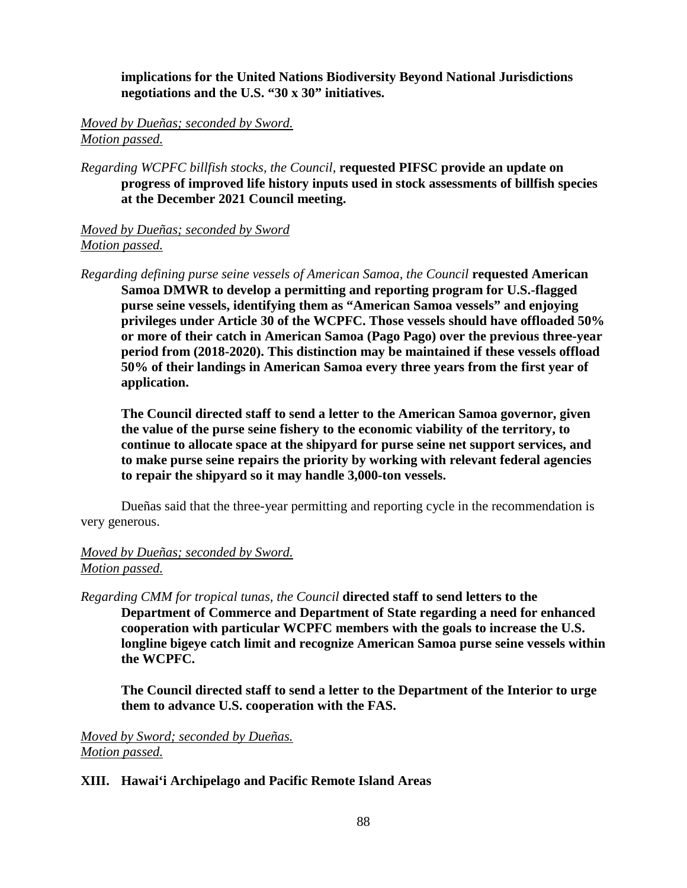**implications for the United Nations Biodiversity Beyond National Jurisdictions negotiations and the U.S. "30 x 30" initiatives.**

*Moved by Dueñas; seconded by Sword. Motion passed.*

*Regarding WCPFC billfish stocks, the Council,* **requested PIFSC provide an update on progress of improved life history inputs used in stock assessments of billfish species at the December 2021 Council meeting.**

*Moved by Dueñas; seconded by Sword Motion passed.*

*Regarding defining purse seine vessels of American Samoa, the Council* **requested American Samoa DMWR to develop a permitting and reporting program for U.S.-flagged purse seine vessels, identifying them as "American Samoa vessels" and enjoying privileges under Article 30 of the WCPFC. Those vessels should have offloaded 50% or more of their catch in American Samoa (Pago Pago) over the previous three-year period from (2018-2020). This distinction may be maintained if these vessels offload 50% of their landings in American Samoa every three years from the first year of application.**

**The Council directed staff to send a letter to the American Samoa governor, given the value of the purse seine fishery to the economic viability of the territory, to continue to allocate space at the shipyard for purse seine net support services, and to make purse seine repairs the priority by working with relevant federal agencies to repair the shipyard so it may handle 3,000-ton vessels.**

Dueñas said that the three-year permitting and reporting cycle in the recommendation is very generous.

### *Moved by Dueñas; seconded by Sword. Motion passed.*

*Regarding CMM for tropical tunas, the Council* **directed staff to send letters to the Department of Commerce and Department of State regarding a need for enhanced cooperation with particular WCPFC members with the goals to increase the U.S. longline bigeye catch limit and recognize American Samoa purse seine vessels within the WCPFC.**

**The Council directed staff to send a letter to the Department of the Interior to urge them to advance U.S. cooperation with the FAS.**

*Moved by Sword; seconded by Dueñas. Motion passed.*

#### **XIII. Hawai'i Archipelago and Pacific Remote Island Areas**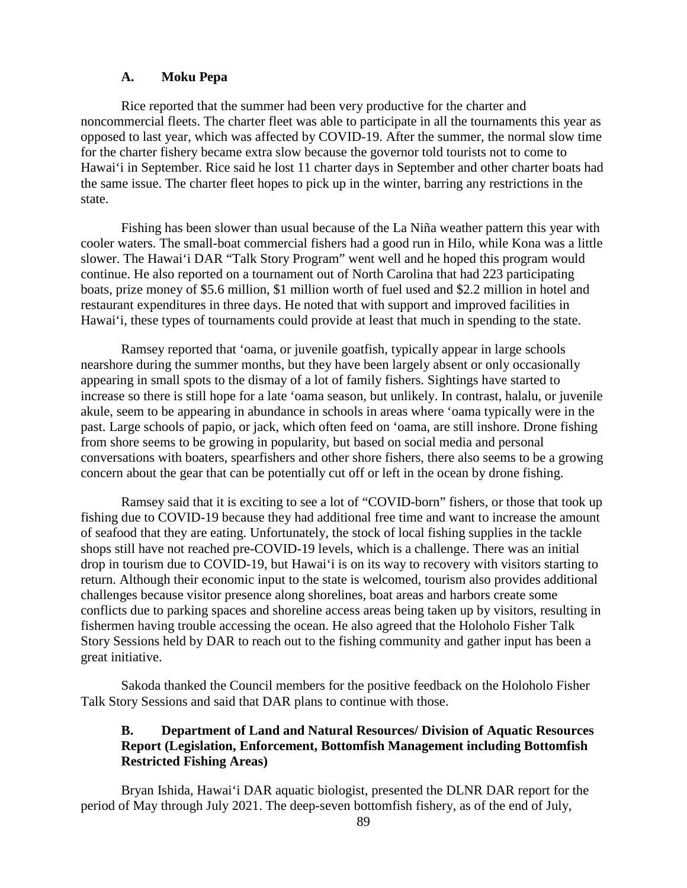#### **A. Moku Pepa**

Rice reported that the summer had been very productive for the charter and noncommercial fleets. The charter fleet was able to participate in all the tournaments this year as opposed to last year, which was affected by COVID-19. After the summer, the normal slow time for the charter fishery became extra slow because the governor told tourists not to come to Hawai'i in September. Rice said he lost 11 charter days in September and other charter boats had the same issue. The charter fleet hopes to pick up in the winter, barring any restrictions in the state.

Fishing has been slower than usual because of the La Niña weather pattern this year with cooler waters. The small-boat commercial fishers had a good run in Hilo, while Kona was a little slower. The Hawai'i DAR "Talk Story Program" went well and he hoped this program would continue. He also reported on a tournament out of North Carolina that had 223 participating boats, prize money of \$5.6 million, \$1 million worth of fuel used and \$2.2 million in hotel and restaurant expenditures in three days. He noted that with support and improved facilities in Hawai'i, these types of tournaments could provide at least that much in spending to the state.

Ramsey reported that 'oama, or juvenile goatfish, typically appear in large schools nearshore during the summer months, but they have been largely absent or only occasionally appearing in small spots to the dismay of a lot of family fishers. Sightings have started to increase so there is still hope for a late 'oama season, but unlikely. In contrast, halalu, or juvenile akule, seem to be appearing in abundance in schools in areas where 'oama typically were in the past. Large schools of papio, or jack, which often feed on 'oama, are still inshore. Drone fishing from shore seems to be growing in popularity, but based on social media and personal conversations with boaters, spearfishers and other shore fishers, there also seems to be a growing concern about the gear that can be potentially cut off or left in the ocean by drone fishing.

Ramsey said that it is exciting to see a lot of "COVID-born" fishers, or those that took up fishing due to COVID-19 because they had additional free time and want to increase the amount of seafood that they are eating. Unfortunately, the stock of local fishing supplies in the tackle shops still have not reached pre-COVID-19 levels, which is a challenge. There was an initial drop in tourism due to COVID-19, but Hawai'i is on its way to recovery with visitors starting to return. Although their economic input to the state is welcomed, tourism also provides additional challenges because visitor presence along shorelines, boat areas and harbors create some conflicts due to parking spaces and shoreline access areas being taken up by visitors, resulting in fishermen having trouble accessing the ocean. He also agreed that the Holoholo Fisher Talk Story Sessions held by DAR to reach out to the fishing community and gather input has been a great initiative.

Sakoda thanked the Council members for the positive feedback on the Holoholo Fisher Talk Story Sessions and said that DAR plans to continue with those.

### **B. Department of Land and Natural Resources/ Division of Aquatic Resources Report (Legislation, Enforcement, Bottomfish Management including Bottomfish Restricted Fishing Areas)**

Bryan Ishida, Hawai'i DAR aquatic biologist, presented the DLNR DAR report for the period of May through July 2021. The deep-seven bottomfish fishery, as of the end of July,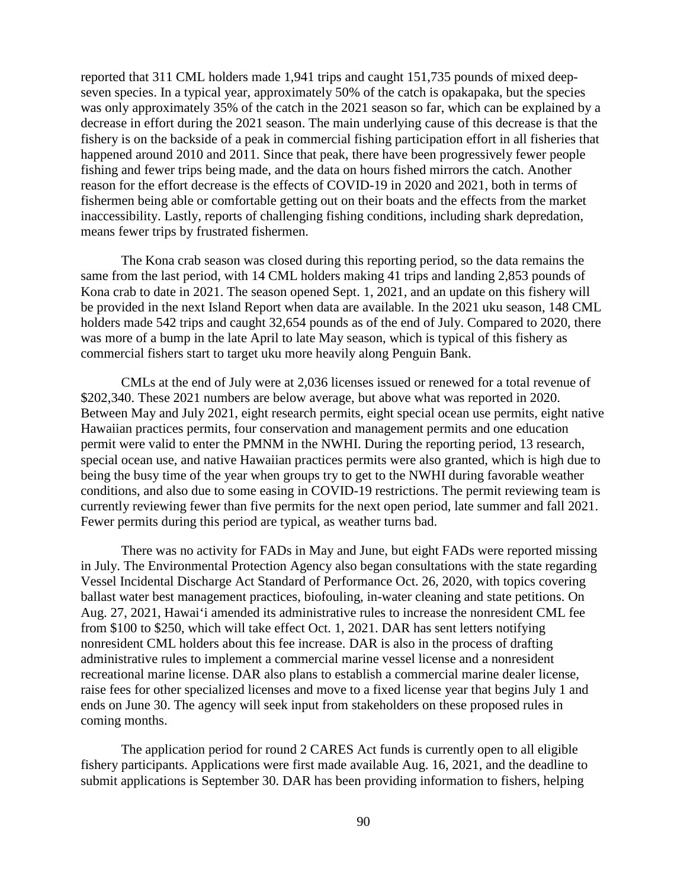reported that 311 CML holders made 1,941 trips and caught 151,735 pounds of mixed deepseven species. In a typical year, approximately 50% of the catch is opakapaka, but the species was only approximately 35% of the catch in the 2021 season so far, which can be explained by a decrease in effort during the 2021 season. The main underlying cause of this decrease is that the fishery is on the backside of a peak in commercial fishing participation effort in all fisheries that happened around 2010 and 2011. Since that peak, there have been progressively fewer people fishing and fewer trips being made, and the data on hours fished mirrors the catch. Another reason for the effort decrease is the effects of COVID-19 in 2020 and 2021, both in terms of fishermen being able or comfortable getting out on their boats and the effects from the market inaccessibility. Lastly, reports of challenging fishing conditions, including shark depredation, means fewer trips by frustrated fishermen.

The Kona crab season was closed during this reporting period, so the data remains the same from the last period, with 14 CML holders making 41 trips and landing 2,853 pounds of Kona crab to date in 2021. The season opened Sept. 1, 2021, and an update on this fishery will be provided in the next Island Report when data are available. In the 2021 uku season, 148 CML holders made 542 trips and caught 32,654 pounds as of the end of July. Compared to 2020, there was more of a bump in the late April to late May season, which is typical of this fishery as commercial fishers start to target uku more heavily along Penguin Bank.

CMLs at the end of July were at 2,036 licenses issued or renewed for a total revenue of \$202,340. These 2021 numbers are below average, but above what was reported in 2020. Between May and July 2021, eight research permits, eight special ocean use permits, eight native Hawaiian practices permits, four conservation and management permits and one education permit were valid to enter the PMNM in the NWHI. During the reporting period, 13 research, special ocean use, and native Hawaiian practices permits were also granted, which is high due to being the busy time of the year when groups try to get to the NWHI during favorable weather conditions, and also due to some easing in COVID-19 restrictions. The permit reviewing team is currently reviewing fewer than five permits for the next open period, late summer and fall 2021. Fewer permits during this period are typical, as weather turns bad.

There was no activity for FADs in May and June, but eight FADs were reported missing in July. The Environmental Protection Agency also began consultations with the state regarding Vessel Incidental Discharge Act Standard of Performance Oct. 26, 2020, with topics covering ballast water best management practices, biofouling, in-water cleaning and state petitions. On Aug. 27, 2021, Hawai'i amended its administrative rules to increase the nonresident CML fee from \$100 to \$250, which will take effect Oct. 1, 2021. DAR has sent letters notifying nonresident CML holders about this fee increase. DAR is also in the process of drafting administrative rules to implement a commercial marine vessel license and a nonresident recreational marine license. DAR also plans to establish a commercial marine dealer license, raise fees for other specialized licenses and move to a fixed license year that begins July 1 and ends on June 30. The agency will seek input from stakeholders on these proposed rules in coming months.

The application period for round 2 CARES Act funds is currently open to all eligible fishery participants. Applications were first made available Aug. 16, 2021, and the deadline to submit applications is September 30. DAR has been providing information to fishers, helping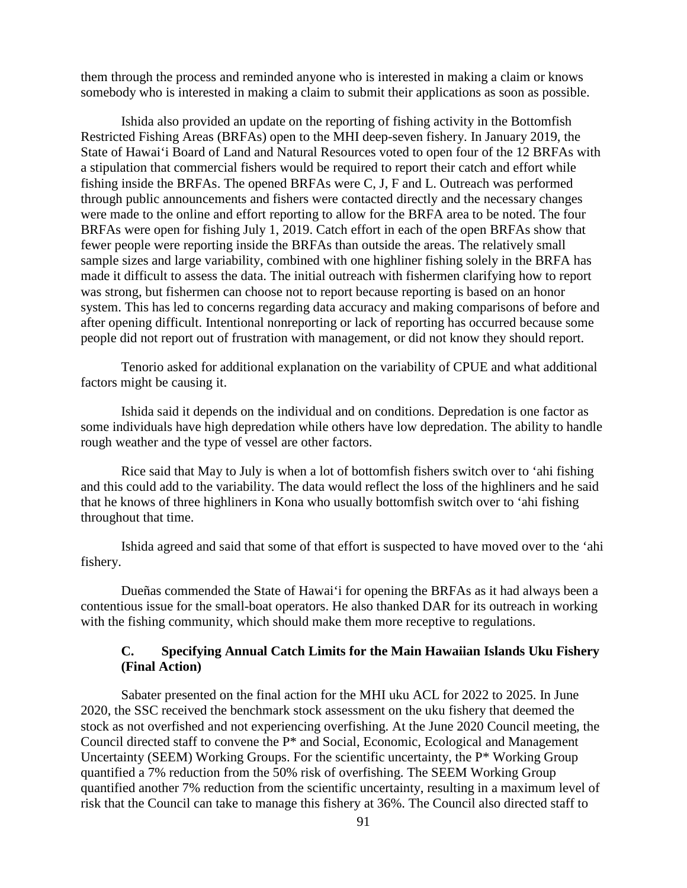them through the process and reminded anyone who is interested in making a claim or knows somebody who is interested in making a claim to submit their applications as soon as possible.

Ishida also provided an update on the reporting of fishing activity in the Bottomfish Restricted Fishing Areas (BRFAs) open to the MHI deep-seven fishery. In January 2019, the State of Hawai'i Board of Land and Natural Resources voted to open four of the 12 BRFAs with a stipulation that commercial fishers would be required to report their catch and effort while fishing inside the BRFAs. The opened BRFAs were C, J, F and L. Outreach was performed through public announcements and fishers were contacted directly and the necessary changes were made to the online and effort reporting to allow for the BRFA area to be noted. The four BRFAs were open for fishing July 1, 2019. Catch effort in each of the open BRFAs show that fewer people were reporting inside the BRFAs than outside the areas. The relatively small sample sizes and large variability, combined with one highliner fishing solely in the BRFA has made it difficult to assess the data. The initial outreach with fishermen clarifying how to report was strong, but fishermen can choose not to report because reporting is based on an honor system. This has led to concerns regarding data accuracy and making comparisons of before and after opening difficult. Intentional nonreporting or lack of reporting has occurred because some people did not report out of frustration with management, or did not know they should report.

Tenorio asked for additional explanation on the variability of CPUE and what additional factors might be causing it.

Ishida said it depends on the individual and on conditions. Depredation is one factor as some individuals have high depredation while others have low depredation. The ability to handle rough weather and the type of vessel are other factors.

Rice said that May to July is when a lot of bottomfish fishers switch over to 'ahi fishing and this could add to the variability. The data would reflect the loss of the highliners and he said that he knows of three highliners in Kona who usually bottomfish switch over to 'ahi fishing throughout that time.

Ishida agreed and said that some of that effort is suspected to have moved over to the 'ahi fishery.

Dueñas commended the State of Hawai'i for opening the BRFAs as it had always been a contentious issue for the small-boat operators. He also thanked DAR for its outreach in working with the fishing community, which should make them more receptive to regulations.

### **C. Specifying Annual Catch Limits for the Main Hawaiian Islands Uku Fishery (Final Action)**

Sabater presented on the final action for the MHI uku ACL for 2022 to 2025. In June 2020, the SSC received the benchmark stock assessment on the uku fishery that deemed the stock as not overfished and not experiencing overfishing. At the June 2020 Council meeting, the Council directed staff to convene the P\* and Social, Economic, Ecological and Management Uncertainty (SEEM) Working Groups. For the scientific uncertainty, the P\* Working Group quantified a 7% reduction from the 50% risk of overfishing. The SEEM Working Group quantified another 7% reduction from the scientific uncertainty, resulting in a maximum level of risk that the Council can take to manage this fishery at 36%. The Council also directed staff to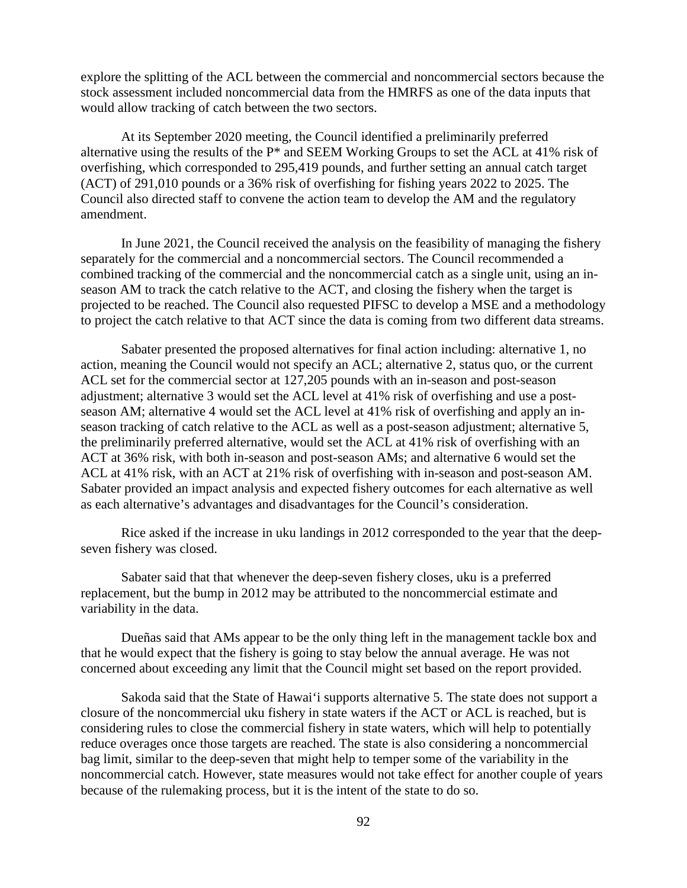explore the splitting of the ACL between the commercial and noncommercial sectors because the stock assessment included noncommercial data from the HMRFS as one of the data inputs that would allow tracking of catch between the two sectors.

At its September 2020 meeting, the Council identified a preliminarily preferred alternative using the results of the P\* and SEEM Working Groups to set the ACL at 41% risk of overfishing, which corresponded to 295,419 pounds, and further setting an annual catch target (ACT) of 291,010 pounds or a 36% risk of overfishing for fishing years 2022 to 2025. The Council also directed staff to convene the action team to develop the AM and the regulatory amendment.

In June 2021, the Council received the analysis on the feasibility of managing the fishery separately for the commercial and a noncommercial sectors. The Council recommended a combined tracking of the commercial and the noncommercial catch as a single unit, using an inseason AM to track the catch relative to the ACT, and closing the fishery when the target is projected to be reached. The Council also requested PIFSC to develop a MSE and a methodology to project the catch relative to that ACT since the data is coming from two different data streams.

Sabater presented the proposed alternatives for final action including: alternative 1, no action, meaning the Council would not specify an ACL; alternative 2, status quo, or the current ACL set for the commercial sector at 127,205 pounds with an in-season and post-season adjustment; alternative 3 would set the ACL level at 41% risk of overfishing and use a postseason AM; alternative 4 would set the ACL level at 41% risk of overfishing and apply an inseason tracking of catch relative to the ACL as well as a post-season adjustment; alternative 5, the preliminarily preferred alternative, would set the ACL at 41% risk of overfishing with an ACT at 36% risk, with both in-season and post-season AMs; and alternative 6 would set the ACL at 41% risk, with an ACT at 21% risk of overfishing with in-season and post-season AM. Sabater provided an impact analysis and expected fishery outcomes for each alternative as well as each alternative's advantages and disadvantages for the Council's consideration.

Rice asked if the increase in uku landings in 2012 corresponded to the year that the deepseven fishery was closed.

Sabater said that that whenever the deep-seven fishery closes, uku is a preferred replacement, but the bump in 2012 may be attributed to the noncommercial estimate and variability in the data.

Dueñas said that AMs appear to be the only thing left in the management tackle box and that he would expect that the fishery is going to stay below the annual average. He was not concerned about exceeding any limit that the Council might set based on the report provided.

Sakoda said that the State of Hawai'i supports alternative 5. The state does not support a closure of the noncommercial uku fishery in state waters if the ACT or ACL is reached, but is considering rules to close the commercial fishery in state waters, which will help to potentially reduce overages once those targets are reached. The state is also considering a noncommercial bag limit, similar to the deep-seven that might help to temper some of the variability in the noncommercial catch. However, state measures would not take effect for another couple of years because of the rulemaking process, but it is the intent of the state to do so.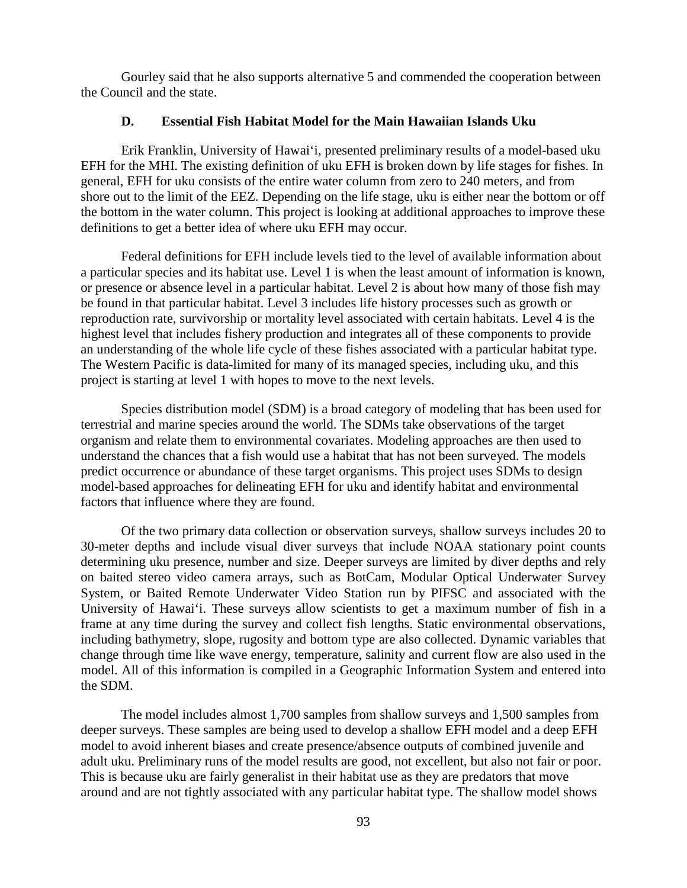Gourley said that he also supports alternative 5 and commended the cooperation between the Council and the state.

#### **D. Essential Fish Habitat Model for the Main Hawaiian Islands Uku**

Erik Franklin, University of Hawai'i, presented preliminary results of a model-based uku EFH for the MHI. The existing definition of uku EFH is broken down by life stages for fishes. In general, EFH for uku consists of the entire water column from zero to 240 meters, and from shore out to the limit of the EEZ. Depending on the life stage, uku is either near the bottom or off the bottom in the water column. This project is looking at additional approaches to improve these definitions to get a better idea of where uku EFH may occur.

Federal definitions for EFH include levels tied to the level of available information about a particular species and its habitat use. Level 1 is when the least amount of information is known, or presence or absence level in a particular habitat. Level 2 is about how many of those fish may be found in that particular habitat. Level 3 includes life history processes such as growth or reproduction rate, survivorship or mortality level associated with certain habitats. Level 4 is the highest level that includes fishery production and integrates all of these components to provide an understanding of the whole life cycle of these fishes associated with a particular habitat type. The Western Pacific is data-limited for many of its managed species, including uku, and this project is starting at level 1 with hopes to move to the next levels.

Species distribution model (SDM) is a broad category of modeling that has been used for terrestrial and marine species around the world. The SDMs take observations of the target organism and relate them to environmental covariates. Modeling approaches are then used to understand the chances that a fish would use a habitat that has not been surveyed. The models predict occurrence or abundance of these target organisms. This project uses SDMs to design model-based approaches for delineating EFH for uku and identify habitat and environmental factors that influence where they are found.

Of the two primary data collection or observation surveys, shallow surveys includes 20 to 30-meter depths and include visual diver surveys that include NOAA stationary point counts determining uku presence, number and size. Deeper surveys are limited by diver depths and rely on baited stereo video camera arrays, such as BotCam, Modular Optical Underwater Survey System, or Baited Remote Underwater Video Station run by PIFSC and associated with the University of Hawai'i. These surveys allow scientists to get a maximum number of fish in a frame at any time during the survey and collect fish lengths. Static environmental observations, including bathymetry, slope, rugosity and bottom type are also collected. Dynamic variables that change through time like wave energy, temperature, salinity and current flow are also used in the model. All of this information is compiled in a Geographic Information System and entered into the SDM.

The model includes almost 1,700 samples from shallow surveys and 1,500 samples from deeper surveys. These samples are being used to develop a shallow EFH model and a deep EFH model to avoid inherent biases and create presence/absence outputs of combined juvenile and adult uku. Preliminary runs of the model results are good, not excellent, but also not fair or poor. This is because uku are fairly generalist in their habitat use as they are predators that move around and are not tightly associated with any particular habitat type. The shallow model shows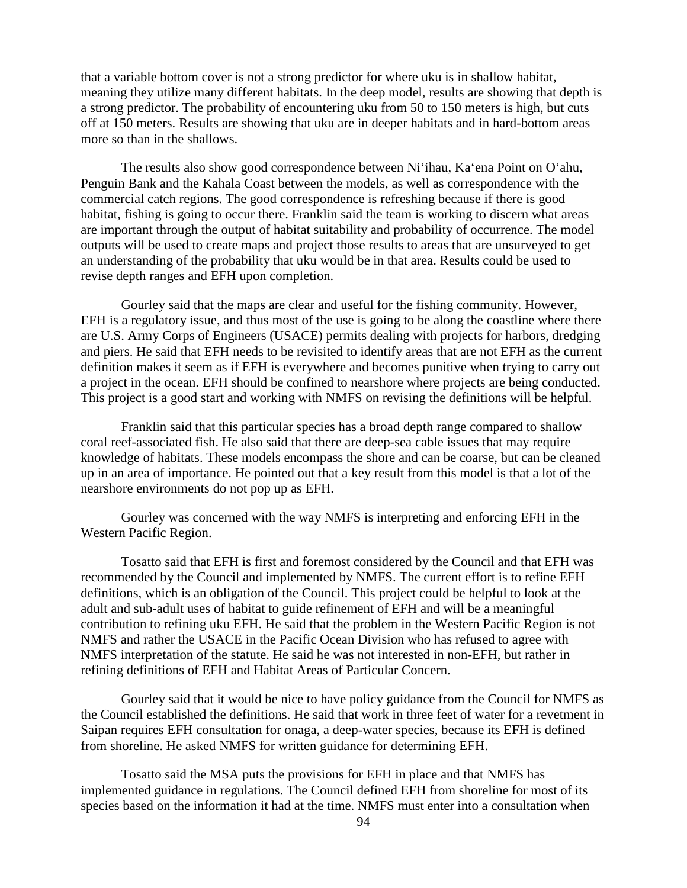that a variable bottom cover is not a strong predictor for where uku is in shallow habitat, meaning they utilize many different habitats. In the deep model, results are showing that depth is a strong predictor. The probability of encountering uku from 50 to 150 meters is high, but cuts off at 150 meters. Results are showing that uku are in deeper habitats and in hard-bottom areas more so than in the shallows.

The results also show good correspondence between Ni'ihau, Ka'ena Point on O'ahu, Penguin Bank and the Kahala Coast between the models, as well as correspondence with the commercial catch regions. The good correspondence is refreshing because if there is good habitat, fishing is going to occur there. Franklin said the team is working to discern what areas are important through the output of habitat suitability and probability of occurrence. The model outputs will be used to create maps and project those results to areas that are unsurveyed to get an understanding of the probability that uku would be in that area. Results could be used to revise depth ranges and EFH upon completion.

Gourley said that the maps are clear and useful for the fishing community. However, EFH is a regulatory issue, and thus most of the use is going to be along the coastline where there are U.S. Army Corps of Engineers (USACE) permits dealing with projects for harbors, dredging and piers. He said that EFH needs to be revisited to identify areas that are not EFH as the current definition makes it seem as if EFH is everywhere and becomes punitive when trying to carry out a project in the ocean. EFH should be confined to nearshore where projects are being conducted. This project is a good start and working with NMFS on revising the definitions will be helpful.

Franklin said that this particular species has a broad depth range compared to shallow coral reef-associated fish. He also said that there are deep-sea cable issues that may require knowledge of habitats. These models encompass the shore and can be coarse, but can be cleaned up in an area of importance. He pointed out that a key result from this model is that a lot of the nearshore environments do not pop up as EFH.

Gourley was concerned with the way NMFS is interpreting and enforcing EFH in the Western Pacific Region.

Tosatto said that EFH is first and foremost considered by the Council and that EFH was recommended by the Council and implemented by NMFS. The current effort is to refine EFH definitions, which is an obligation of the Council. This project could be helpful to look at the adult and sub-adult uses of habitat to guide refinement of EFH and will be a meaningful contribution to refining uku EFH. He said that the problem in the Western Pacific Region is not NMFS and rather the USACE in the Pacific Ocean Division who has refused to agree with NMFS interpretation of the statute. He said he was not interested in non-EFH, but rather in refining definitions of EFH and Habitat Areas of Particular Concern.

Gourley said that it would be nice to have policy guidance from the Council for NMFS as the Council established the definitions. He said that work in three feet of water for a revetment in Saipan requires EFH consultation for onaga, a deep-water species, because its EFH is defined from shoreline. He asked NMFS for written guidance for determining EFH.

Tosatto said the MSA puts the provisions for EFH in place and that NMFS has implemented guidance in regulations. The Council defined EFH from shoreline for most of its species based on the information it had at the time. NMFS must enter into a consultation when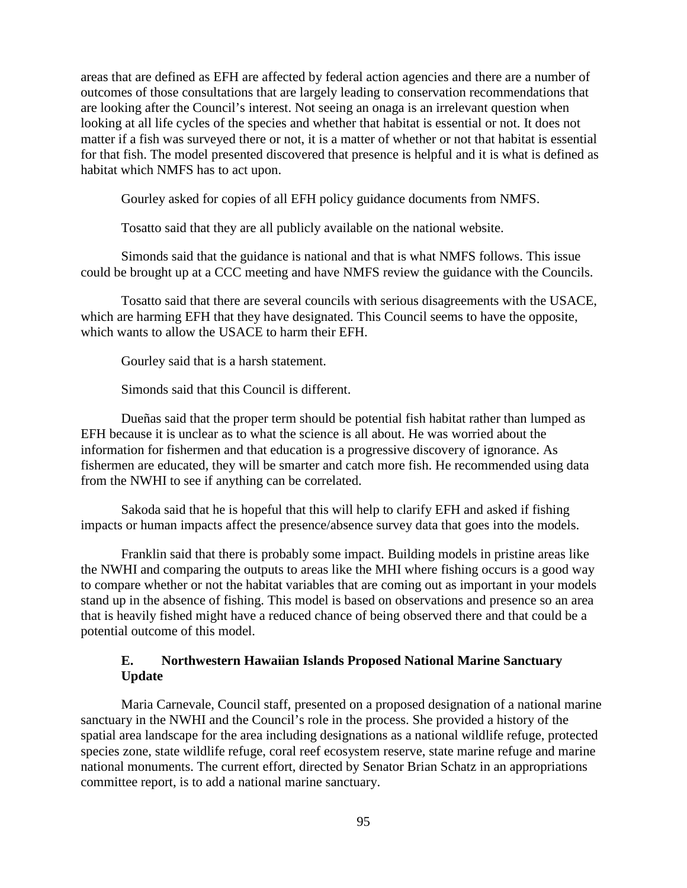areas that are defined as EFH are affected by federal action agencies and there are a number of outcomes of those consultations that are largely leading to conservation recommendations that are looking after the Council's interest. Not seeing an onaga is an irrelevant question when looking at all life cycles of the species and whether that habitat is essential or not. It does not matter if a fish was surveyed there or not, it is a matter of whether or not that habitat is essential for that fish. The model presented discovered that presence is helpful and it is what is defined as habitat which NMFS has to act upon.

Gourley asked for copies of all EFH policy guidance documents from NMFS.

Tosatto said that they are all publicly available on the national website.

Simonds said that the guidance is national and that is what NMFS follows. This issue could be brought up at a CCC meeting and have NMFS review the guidance with the Councils.

Tosatto said that there are several councils with serious disagreements with the USACE, which are harming EFH that they have designated. This Council seems to have the opposite, which wants to allow the USACE to harm their EFH.

Gourley said that is a harsh statement.

Simonds said that this Council is different.

Dueñas said that the proper term should be potential fish habitat rather than lumped as EFH because it is unclear as to what the science is all about. He was worried about the information for fishermen and that education is a progressive discovery of ignorance. As fishermen are educated, they will be smarter and catch more fish. He recommended using data from the NWHI to see if anything can be correlated.

Sakoda said that he is hopeful that this will help to clarify EFH and asked if fishing impacts or human impacts affect the presence/absence survey data that goes into the models.

Franklin said that there is probably some impact. Building models in pristine areas like the NWHI and comparing the outputs to areas like the MHI where fishing occurs is a good way to compare whether or not the habitat variables that are coming out as important in your models stand up in the absence of fishing. This model is based on observations and presence so an area that is heavily fished might have a reduced chance of being observed there and that could be a potential outcome of this model.

#### **E. Northwestern Hawaiian Islands Proposed National Marine Sanctuary Update**

Maria Carnevale, Council staff, presented on a proposed designation of a national marine sanctuary in the NWHI and the Council's role in the process. She provided a history of the spatial area landscape for the area including designations as a national wildlife refuge, protected species zone, state wildlife refuge, coral reef ecosystem reserve, state marine refuge and marine national monuments. The current effort, directed by Senator Brian Schatz in an appropriations committee report, is to add a national marine sanctuary.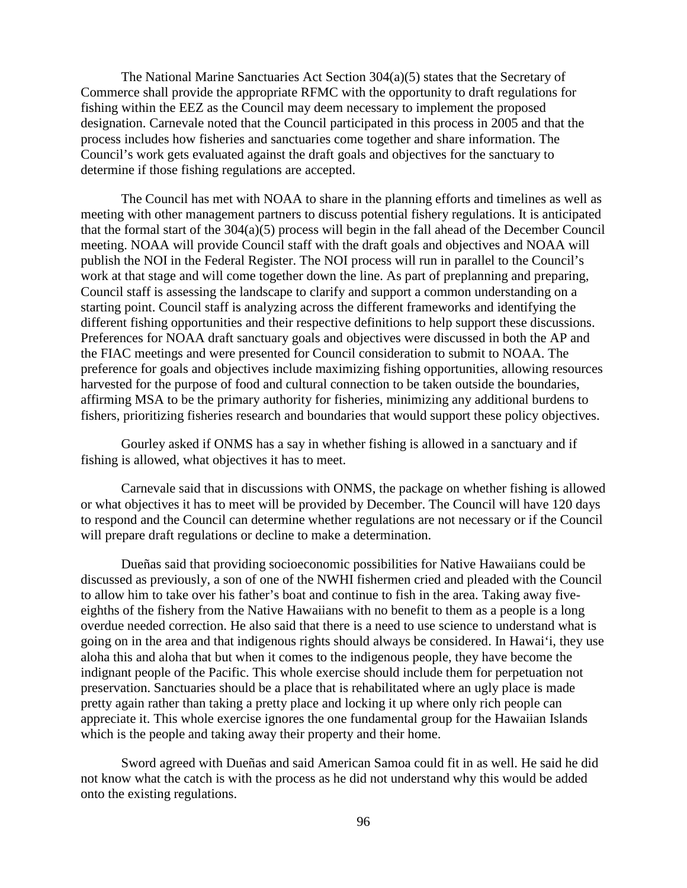The National Marine Sanctuaries Act Section 304(a)(5) states that the Secretary of Commerce shall provide the appropriate RFMC with the opportunity to draft regulations for fishing within the EEZ as the Council may deem necessary to implement the proposed designation. Carnevale noted that the Council participated in this process in 2005 and that the process includes how fisheries and sanctuaries come together and share information. The Council's work gets evaluated against the draft goals and objectives for the sanctuary to determine if those fishing regulations are accepted.

The Council has met with NOAA to share in the planning efforts and timelines as well as meeting with other management partners to discuss potential fishery regulations. It is anticipated that the formal start of the 304(a)(5) process will begin in the fall ahead of the December Council meeting. NOAA will provide Council staff with the draft goals and objectives and NOAA will publish the NOI in the Federal Register. The NOI process will run in parallel to the Council's work at that stage and will come together down the line. As part of preplanning and preparing, Council staff is assessing the landscape to clarify and support a common understanding on a starting point. Council staff is analyzing across the different frameworks and identifying the different fishing opportunities and their respective definitions to help support these discussions. Preferences for NOAA draft sanctuary goals and objectives were discussed in both the AP and the FIAC meetings and were presented for Council consideration to submit to NOAA. The preference for goals and objectives include maximizing fishing opportunities, allowing resources harvested for the purpose of food and cultural connection to be taken outside the boundaries, affirming MSA to be the primary authority for fisheries, minimizing any additional burdens to fishers, prioritizing fisheries research and boundaries that would support these policy objectives.

Gourley asked if ONMS has a say in whether fishing is allowed in a sanctuary and if fishing is allowed, what objectives it has to meet.

Carnevale said that in discussions with ONMS, the package on whether fishing is allowed or what objectives it has to meet will be provided by December. The Council will have 120 days to respond and the Council can determine whether regulations are not necessary or if the Council will prepare draft regulations or decline to make a determination.

Dueñas said that providing socioeconomic possibilities for Native Hawaiians could be discussed as previously, a son of one of the NWHI fishermen cried and pleaded with the Council to allow him to take over his father's boat and continue to fish in the area. Taking away fiveeighths of the fishery from the Native Hawaiians with no benefit to them as a people is a long overdue needed correction. He also said that there is a need to use science to understand what is going on in the area and that indigenous rights should always be considered. In Hawai'i, they use aloha this and aloha that but when it comes to the indigenous people, they have become the indignant people of the Pacific. This whole exercise should include them for perpetuation not preservation. Sanctuaries should be a place that is rehabilitated where an ugly place is made pretty again rather than taking a pretty place and locking it up where only rich people can appreciate it. This whole exercise ignores the one fundamental group for the Hawaiian Islands which is the people and taking away their property and their home.

Sword agreed with Dueñas and said American Samoa could fit in as well. He said he did not know what the catch is with the process as he did not understand why this would be added onto the existing regulations.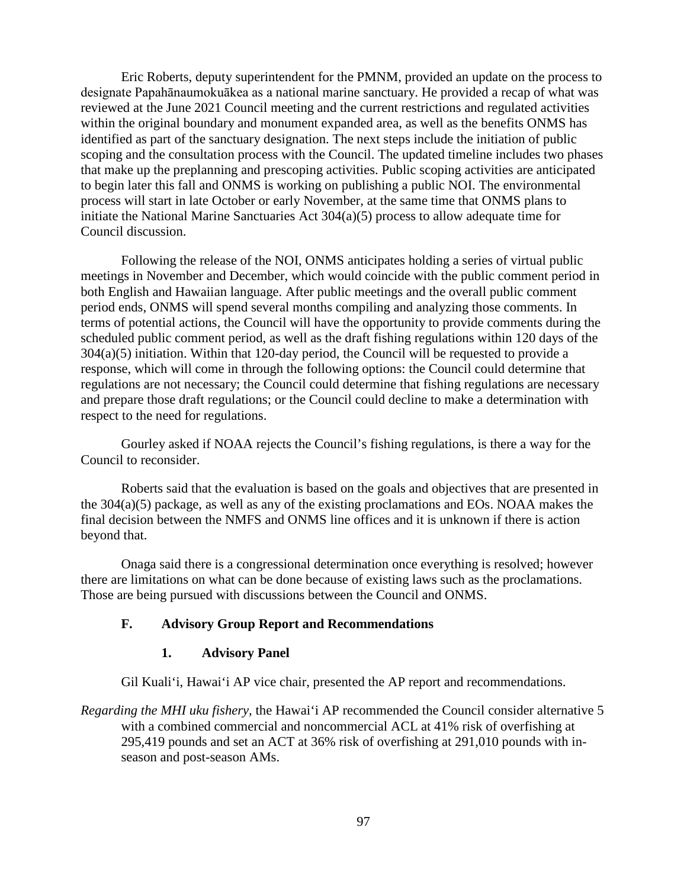Eric Roberts, deputy superintendent for the PMNM, provided an update on the process to designate Papahānaumokuākea as a national marine sanctuary. He provided a recap of what was reviewed at the June 2021 Council meeting and the current restrictions and regulated activities within the original boundary and monument expanded area, as well as the benefits ONMS has identified as part of the sanctuary designation. The next steps include the initiation of public scoping and the consultation process with the Council. The updated timeline includes two phases that make up the preplanning and prescoping activities. Public scoping activities are anticipated to begin later this fall and ONMS is working on publishing a public NOI. The environmental process will start in late October or early November, at the same time that ONMS plans to initiate the National Marine Sanctuaries Act 304(a)(5) process to allow adequate time for Council discussion.

Following the release of the NOI, ONMS anticipates holding a series of virtual public meetings in November and December, which would coincide with the public comment period in both English and Hawaiian language. After public meetings and the overall public comment period ends, ONMS will spend several months compiling and analyzing those comments. In terms of potential actions, the Council will have the opportunity to provide comments during the scheduled public comment period, as well as the draft fishing regulations within 120 days of the  $304(a)(5)$  initiation. Within that 120-day period, the Council will be requested to provide a response, which will come in through the following options: the Council could determine that regulations are not necessary; the Council could determine that fishing regulations are necessary and prepare those draft regulations; or the Council could decline to make a determination with respect to the need for regulations.

Gourley asked if NOAA rejects the Council's fishing regulations, is there a way for the Council to reconsider.

Roberts said that the evaluation is based on the goals and objectives that are presented in the 304(a)(5) package, as well as any of the existing proclamations and EOs. NOAA makes the final decision between the NMFS and ONMS line offices and it is unknown if there is action beyond that.

Onaga said there is a congressional determination once everything is resolved; however there are limitations on what can be done because of existing laws such as the proclamations. Those are being pursued with discussions between the Council and ONMS.

#### **F. Advisory Group Report and Recommendations**

#### **1. Advisory Panel**

Gil Kuali'i, Hawai'i AP vice chair, presented the AP report and recommendations.

*Regarding the MHI uku fishery,* the Hawai'i AP recommended the Council consider alternative 5 with a combined commercial and noncommercial ACL at 41% risk of overfishing at 295,419 pounds and set an ACT at 36% risk of overfishing at 291,010 pounds with inseason and post-season AMs.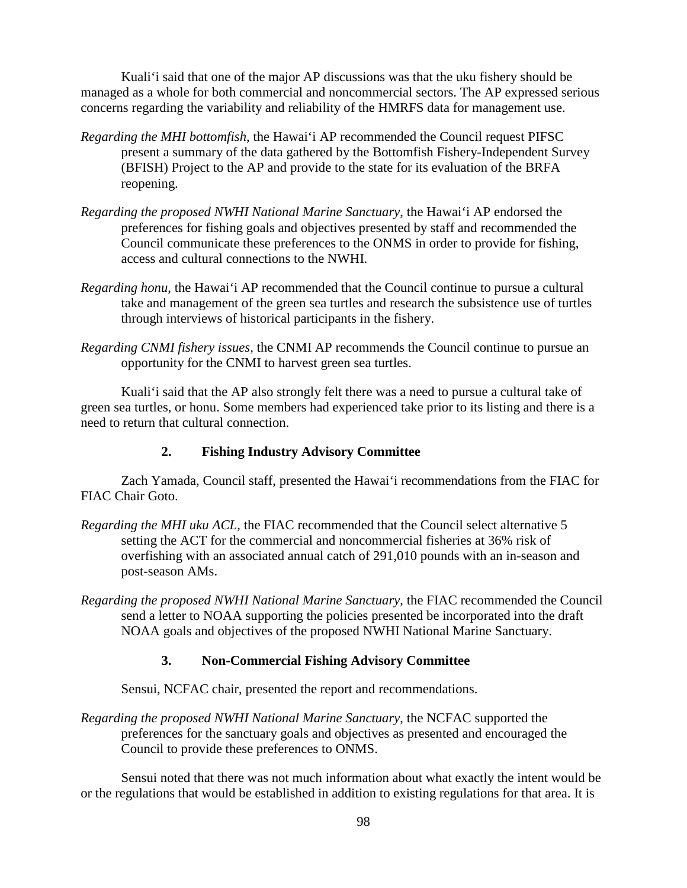Kuali'i said that one of the major AP discussions was that the uku fishery should be managed as a whole for both commercial and noncommercial sectors. The AP expressed serious concerns regarding the variability and reliability of the HMRFS data for management use.

- *Regarding the MHI bottomfish*, the Hawai'i AP recommended the Council request PIFSC present a summary of the data gathered by the Bottomfish Fishery-Independent Survey (BFISH) Project to the AP and provide to the state for its evaluation of the BRFA reopening.
- *Regarding the proposed NWHI National Marine Sanctuary*, the Hawai'i AP endorsed the preferences for fishing goals and objectives presented by staff and recommended the Council communicate these preferences to the ONMS in order to provide for fishing, access and cultural connections to the NWHI.
- *Regarding honu*, the Hawai'i AP recommended that the Council continue to pursue a cultural take and management of the green sea turtles and research the subsistence use of turtles through interviews of historical participants in the fishery.
- *Regarding CNMI fishery issues,* the CNMI AP recommends the Council continue to pursue an opportunity for the CNMI to harvest green sea turtles.

Kuali'i said that the AP also strongly felt there was a need to pursue a cultural take of green sea turtles, or honu. Some members had experienced take prior to its listing and there is a need to return that cultural connection.

# **2. Fishing Industry Advisory Committee**

Zach Yamada, Council staff, presented the Hawai'i recommendations from the FIAC for FIAC Chair Goto.

- *Regarding the MHI uku ACL,* the FIAC recommended that the Council select alternative 5 setting the ACT for the commercial and noncommercial fisheries at 36% risk of overfishing with an associated annual catch of 291,010 pounds with an in-season and post-season AMs.
- *Regarding the proposed NWHI National Marine Sanctuary*, the FIAC recommended the Council send a letter to NOAA supporting the policies presented be incorporated into the draft NOAA goals and objectives of the proposed NWHI National Marine Sanctuary.

## **3. Non-Commercial Fishing Advisory Committee**

Sensui, NCFAC chair, presented the report and recommendations.

*Regarding the proposed NWHI National Marine Sanctuary*, the NCFAC supported the preferences for the sanctuary goals and objectives as presented and encouraged the Council to provide these preferences to ONMS.

Sensui noted that there was not much information about what exactly the intent would be or the regulations that would be established in addition to existing regulations for that area. It is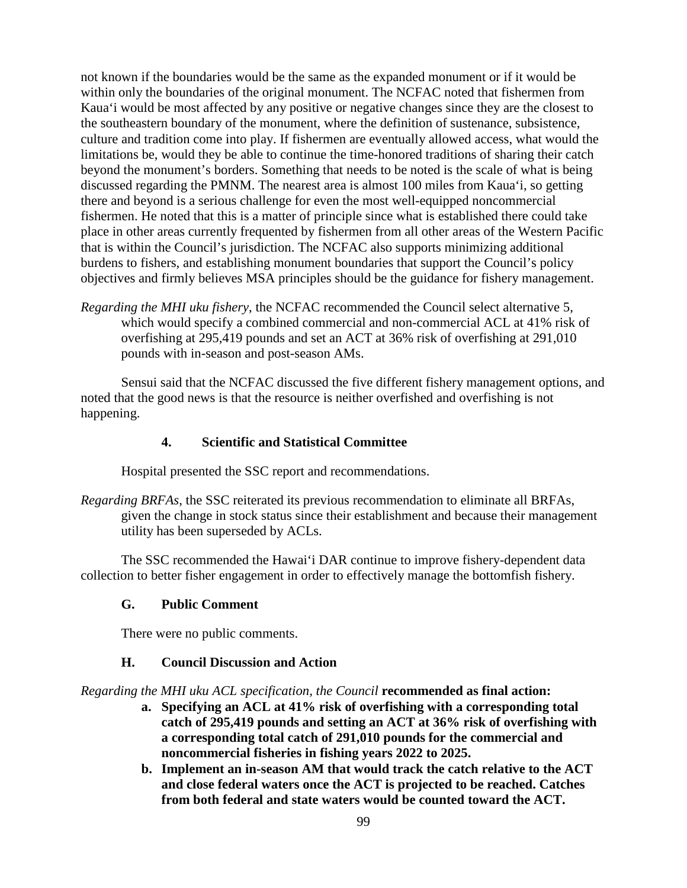not known if the boundaries would be the same as the expanded monument or if it would be within only the boundaries of the original monument. The NCFAC noted that fishermen from Kaua'i would be most affected by any positive or negative changes since they are the closest to the southeastern boundary of the monument, where the definition of sustenance, subsistence, culture and tradition come into play. If fishermen are eventually allowed access, what would the limitations be, would they be able to continue the time-honored traditions of sharing their catch beyond the monument's borders. Something that needs to be noted is the scale of what is being discussed regarding the PMNM. The nearest area is almost 100 miles from Kaua'i, so getting there and beyond is a serious challenge for even the most well-equipped noncommercial fishermen. He noted that this is a matter of principle since what is established there could take place in other areas currently frequented by fishermen from all other areas of the Western Pacific that is within the Council's jurisdiction. The NCFAC also supports minimizing additional burdens to fishers, and establishing monument boundaries that support the Council's policy objectives and firmly believes MSA principles should be the guidance for fishery management.

*Regarding the MHI uku fishery*, the NCFAC recommended the Council select alternative 5, which would specify a combined commercial and non-commercial ACL at 41% risk of overfishing at 295,419 pounds and set an ACT at 36% risk of overfishing at 291,010 pounds with in-season and post-season AMs.

Sensui said that the NCFAC discussed the five different fishery management options, and noted that the good news is that the resource is neither overfished and overfishing is not happening.

### **4. Scientific and Statistical Committee**

Hospital presented the SSC report and recommendations.

*Regarding BRFAs*, the SSC reiterated its previous recommendation to eliminate all BRFAs, given the change in stock status since their establishment and because their management utility has been superseded by ACLs.

The SSC recommended the Hawai'i DAR continue to improve fishery-dependent data collection to better fisher engagement in order to effectively manage the bottomfish fishery.

#### **G. Public Comment**

There were no public comments.

### **H. Council Discussion and Action**

*Regarding the MHI uku ACL specification, the Council* **recommended as final action:** 

- **a. Specifying an ACL at 41% risk of overfishing with a corresponding total catch of 295,419 pounds and setting an ACT at 36% risk of overfishing with a corresponding total catch of 291,010 pounds for the commercial and noncommercial fisheries in fishing years 2022 to 2025.**
- **b. Implement an in-season AM that would track the catch relative to the ACT and close federal waters once the ACT is projected to be reached. Catches from both federal and state waters would be counted toward the ACT.**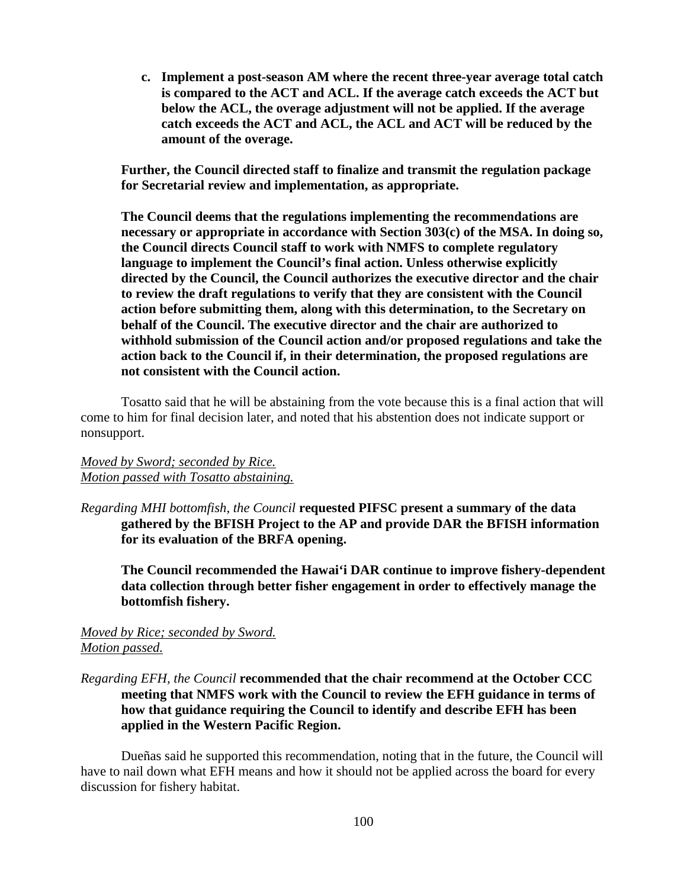**c. Implement a post-season AM where the recent three-year average total catch is compared to the ACT and ACL. If the average catch exceeds the ACT but below the ACL, the overage adjustment will not be applied. If the average catch exceeds the ACT and ACL, the ACL and ACT will be reduced by the amount of the overage.**

**Further, the Council directed staff to finalize and transmit the regulation package for Secretarial review and implementation, as appropriate.**

**The Council deems that the regulations implementing the recommendations are necessary or appropriate in accordance with Section 303(c) of the MSA. In doing so, the Council directs Council staff to work with NMFS to complete regulatory language to implement the Council's final action. Unless otherwise explicitly directed by the Council, the Council authorizes the executive director and the chair to review the draft regulations to verify that they are consistent with the Council action before submitting them, along with this determination, to the Secretary on behalf of the Council. The executive director and the chair are authorized to withhold submission of the Council action and/or proposed regulations and take the action back to the Council if, in their determination, the proposed regulations are not consistent with the Council action.**

Tosatto said that he will be abstaining from the vote because this is a final action that will come to him for final decision later, and noted that his abstention does not indicate support or nonsupport.

### *Moved by Sword; seconded by Rice. Motion passed with Tosatto abstaining.*

*Regarding MHI bottomfish, the Council* **requested PIFSC present a summary of the data gathered by the BFISH Project to the AP and provide DAR the BFISH information for its evaluation of the BRFA opening.** 

**The Council recommended the Hawai'i DAR continue to improve fishery-dependent data collection through better fisher engagement in order to effectively manage the bottomfish fishery.**

#### *Moved by Rice; seconded by Sword. Motion passed.*

### *Regarding EFH, the Council* **recommended that the chair recommend at the October CCC meeting that NMFS work with the Council to review the EFH guidance in terms of how that guidance requiring the Council to identify and describe EFH has been applied in the Western Pacific Region.**

Dueñas said he supported this recommendation, noting that in the future, the Council will have to nail down what EFH means and how it should not be applied across the board for every discussion for fishery habitat.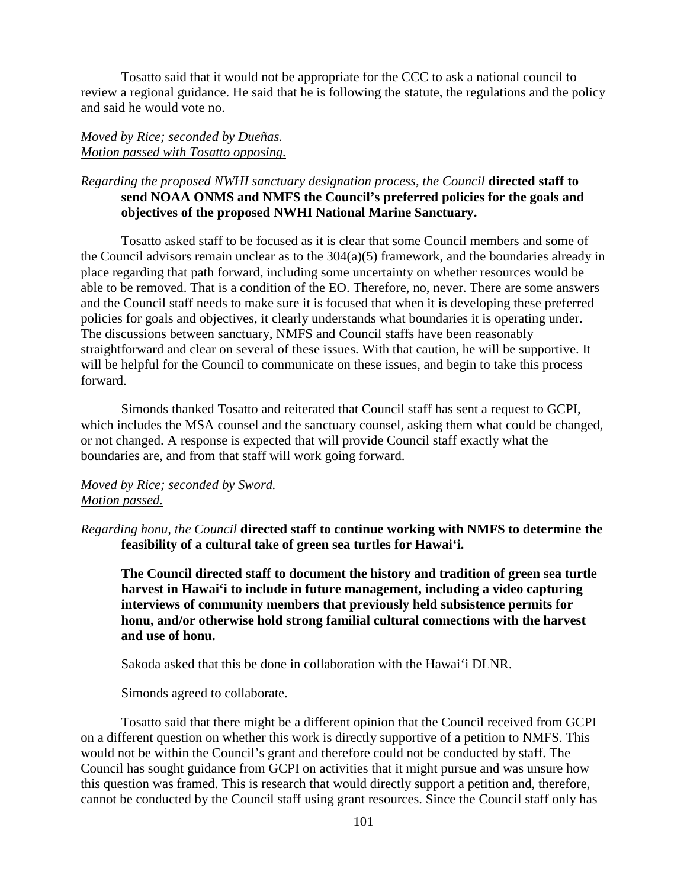Tosatto said that it would not be appropriate for the CCC to ask a national council to review a regional guidance. He said that he is following the statute, the regulations and the policy and said he would vote no.

### *Moved by Rice; seconded by Dueñas. Motion passed with Tosatto opposing.*

### *Regarding the proposed NWHI sanctuary designation process, the Council* **directed staff to send NOAA ONMS and NMFS the Council's preferred policies for the goals and objectives of the proposed NWHI National Marine Sanctuary.**

Tosatto asked staff to be focused as it is clear that some Council members and some of the Council advisors remain unclear as to the  $304(a)(5)$  framework, and the boundaries already in place regarding that path forward, including some uncertainty on whether resources would be able to be removed. That is a condition of the EO. Therefore, no, never. There are some answers and the Council staff needs to make sure it is focused that when it is developing these preferred policies for goals and objectives, it clearly understands what boundaries it is operating under. The discussions between sanctuary, NMFS and Council staffs have been reasonably straightforward and clear on several of these issues. With that caution, he will be supportive. It will be helpful for the Council to communicate on these issues, and begin to take this process forward.

Simonds thanked Tosatto and reiterated that Council staff has sent a request to GCPI, which includes the MSA counsel and the sanctuary counsel, asking them what could be changed, or not changed. A response is expected that will provide Council staff exactly what the boundaries are, and from that staff will work going forward.

### *Moved by Rice; seconded by Sword. Motion passed.*

*Regarding honu, the Council* **directed staff to continue working with NMFS to determine the feasibility of a cultural take of green sea turtles for Hawai'i.**

**The Council directed staff to document the history and tradition of green sea turtle harvest in Hawai'i to include in future management, including a video capturing interviews of community members that previously held subsistence permits for honu, and/or otherwise hold strong familial cultural connections with the harvest and use of honu.** 

Sakoda asked that this be done in collaboration with the Hawai'i DLNR.

Simonds agreed to collaborate.

Tosatto said that there might be a different opinion that the Council received from GCPI on a different question on whether this work is directly supportive of a petition to NMFS. This would not be within the Council's grant and therefore could not be conducted by staff. The Council has sought guidance from GCPI on activities that it might pursue and was unsure how this question was framed. This is research that would directly support a petition and, therefore, cannot be conducted by the Council staff using grant resources. Since the Council staff only has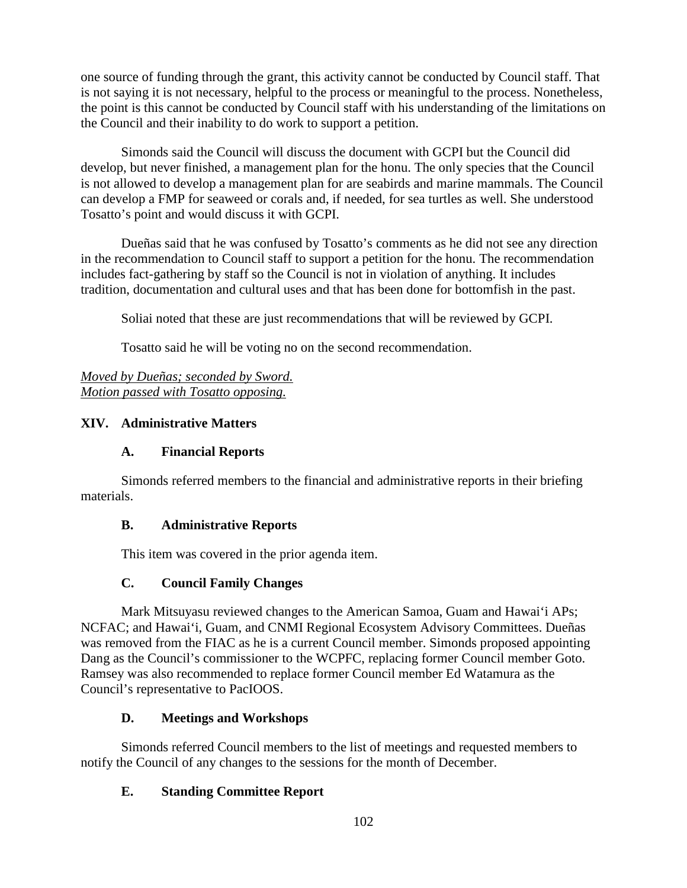one source of funding through the grant, this activity cannot be conducted by Council staff. That is not saying it is not necessary, helpful to the process or meaningful to the process. Nonetheless, the point is this cannot be conducted by Council staff with his understanding of the limitations on the Council and their inability to do work to support a petition.

Simonds said the Council will discuss the document with GCPI but the Council did develop, but never finished, a management plan for the honu. The only species that the Council is not allowed to develop a management plan for are seabirds and marine mammals. The Council can develop a FMP for seaweed or corals and, if needed, for sea turtles as well. She understood Tosatto's point and would discuss it with GCPI.

Dueñas said that he was confused by Tosatto's comments as he did not see any direction in the recommendation to Council staff to support a petition for the honu. The recommendation includes fact-gathering by staff so the Council is not in violation of anything. It includes tradition, documentation and cultural uses and that has been done for bottomfish in the past.

Soliai noted that these are just recommendations that will be reviewed by GCPI.

Tosatto said he will be voting no on the second recommendation.

*Moved by Dueñas; seconded by Sword. Motion passed with Tosatto opposing.*

# **XIV. Administrative Matters**

# **A. Financial Reports**

Simonds referred members to the financial and administrative reports in their briefing materials.

## **B. Administrative Reports**

This item was covered in the prior agenda item.

# **C. Council Family Changes**

Mark Mitsuyasu reviewed changes to the American Samoa, Guam and Hawai'i APs; NCFAC; and Hawai'i, Guam, and CNMI Regional Ecosystem Advisory Committees. Dueñas was removed from the FIAC as he is a current Council member. Simonds proposed appointing Dang as the Council's commissioner to the WCPFC, replacing former Council member Goto. Ramsey was also recommended to replace former Council member Ed Watamura as the Council's representative to PacIOOS.

# **D. Meetings and Workshops**

Simonds referred Council members to the list of meetings and requested members to notify the Council of any changes to the sessions for the month of December.

# **E. Standing Committee Report**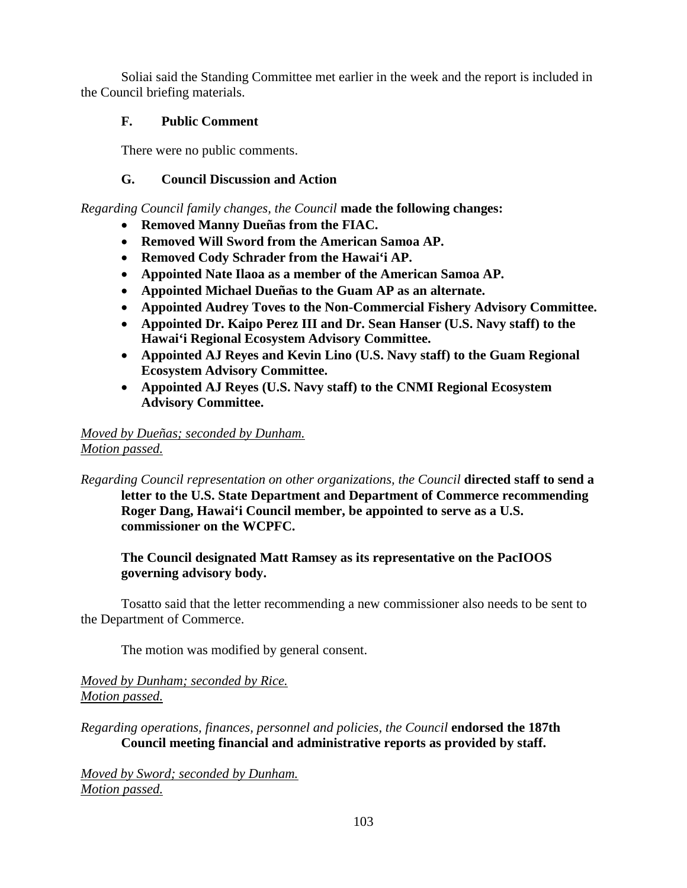Soliai said the Standing Committee met earlier in the week and the report is included in the Council briefing materials.

# **F. Public Comment**

There were no public comments.

# **G. Council Discussion and Action**

*Regarding Council family changes, the Council* **made the following changes:**

- **Removed Manny Dueñas from the FIAC.**
- **Removed Will Sword from the American Samoa AP.**
- **Removed Cody Schrader from the Hawai'i AP.**
- **Appointed Nate Ilaoa as a member of the American Samoa AP.**
- **Appointed Michael Dueñas to the Guam AP as an alternate.**
- **Appointed Audrey Toves to the Non-Commercial Fishery Advisory Committee.**
- **Appointed Dr. Kaipo Perez III and Dr. Sean Hanser (U.S. Navy staff) to the Hawai'i Regional Ecosystem Advisory Committee.**
- **Appointed AJ Reyes and Kevin Lino (U.S. Navy staff) to the Guam Regional Ecosystem Advisory Committee.**
- **Appointed AJ Reyes (U.S. Navy staff) to the CNMI Regional Ecosystem Advisory Committee.**

### *Moved by Dueñas; seconded by Dunham. Motion passed.*

*Regarding Council representation on other organizations, the Council* **directed staff to send a letter to the U.S. State Department and Department of Commerce recommending Roger Dang, Hawai'i Council member, be appointed to serve as a U.S. commissioner on the WCPFC.**

**The Council designated Matt Ramsey as its representative on the PacIOOS governing advisory body.**

Tosatto said that the letter recommending a new commissioner also needs to be sent to the Department of Commerce.

The motion was modified by general consent.

*Moved by Dunham; seconded by Rice. Motion passed.*

*Regarding operations, finances, personnel and policies, the Council* **endorsed the 187th Council meeting financial and administrative reports as provided by staff.**

*Moved by Sword; seconded by Dunham. Motion passed.*